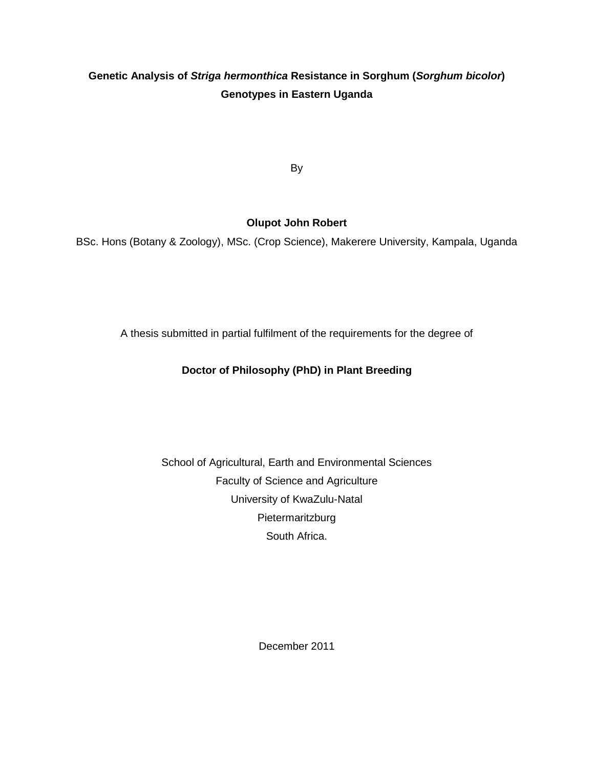# **Genetic Analysis of Striga hermonthica Resistance in Sorghum (Sorghum bicolor) Genotypes in Eastern Uganda**

By

# **Olupot John Robert**

BSc. Hons (Botany & Zoology), MSc. (Crop Science), Makerere University, Kampala, Uganda

A thesis submitted in partial fulfilment of the requirements for the degree of

# **Doctor of Philosophy (PhD) in Plant Breeding**

School of Agricultural, Earth and Environmental Sciences Faculty of Science and Agriculture University of KwaZulu-Natal **Pietermaritzburg** South Africa.

December 2011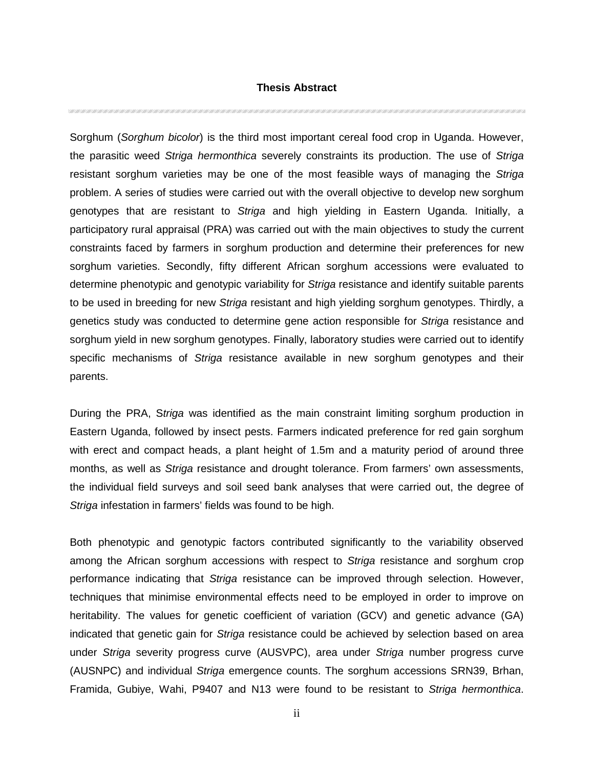### **Thesis Abstract**

CON CONFICTION CONFICTION CONFICTION CONFICTION CONFICTION CONFICTION CONFICTION CONFICTION CONFICTION CONFICTION

Sorghum (Sorghum bicolor) is the third most important cereal food crop in Uganda. However, the parasitic weed Striga hermonthica severely constraints its production. The use of Striga resistant sorghum varieties may be one of the most feasible ways of managing the Striga problem. A series of studies were carried out with the overall objective to develop new sorghum genotypes that are resistant to Striga and high yielding in Eastern Uganda. Initially, a participatory rural appraisal (PRA) was carried out with the main objectives to study the current constraints faced by farmers in sorghum production and determine their preferences for new sorghum varieties. Secondly, fifty different African sorghum accessions were evaluated to determine phenotypic and genotypic variability for Striga resistance and identify suitable parents to be used in breeding for new Striga resistant and high yielding sorghum genotypes. Thirdly, a genetics study was conducted to determine gene action responsible for Striga resistance and sorghum yield in new sorghum genotypes. Finally, laboratory studies were carried out to identify specific mechanisms of Striga resistance available in new sorghum genotypes and their parents.

During the PRA, Striga was identified as the main constraint limiting sorghum production in Eastern Uganda, followed by insect pests. Farmers indicated preference for red gain sorghum with erect and compact heads, a plant height of 1.5m and a maturity period of around three months, as well as Striga resistance and drought tolerance. From farmers' own assessments, the individual field surveys and soil seed bank analyses that were carried out, the degree of Striga infestation in farmers' fields was found to be high.

Both phenotypic and genotypic factors contributed significantly to the variability observed among the African sorghum accessions with respect to Striga resistance and sorghum crop performance indicating that Striga resistance can be improved through selection. However, techniques that minimise environmental effects need to be employed in order to improve on heritability. The values for genetic coefficient of variation (GCV) and genetic advance (GA) indicated that genetic gain for Striga resistance could be achieved by selection based on area under Striga severity progress curve (AUSVPC), area under Striga number progress curve (AUSNPC) and individual Striga emergence counts. The sorghum accessions SRN39, Brhan, Framida, Gubiye, Wahi, P9407 and N13 were found to be resistant to Striga hermonthica.

ii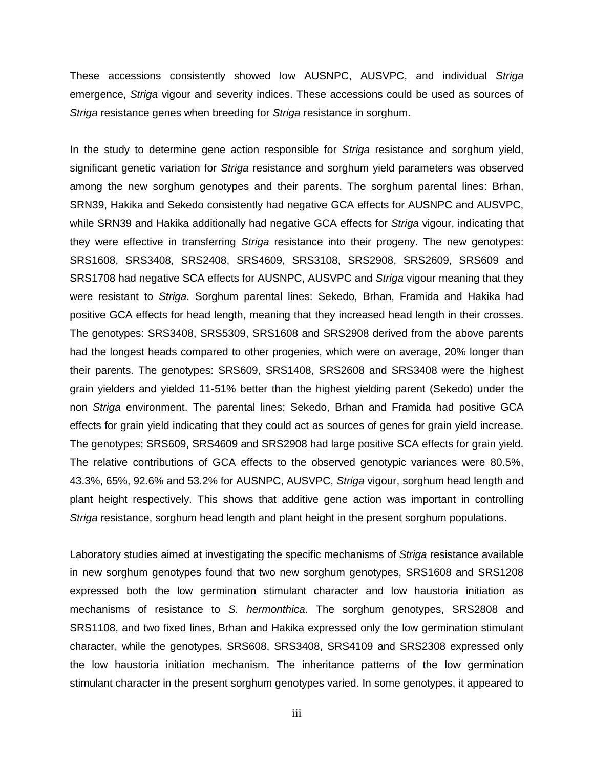These accessions consistently showed low AUSNPC, AUSVPC, and individual Striga emergence, Striga vigour and severity indices. These accessions could be used as sources of Striga resistance genes when breeding for Striga resistance in sorghum.

In the study to determine gene action responsible for Striga resistance and sorghum yield, significant genetic variation for *Striga* resistance and sorghum yield parameters was observed among the new sorghum genotypes and their parents. The sorghum parental lines: Brhan, SRN39, Hakika and Sekedo consistently had negative GCA effects for AUSNPC and AUSVPC, while SRN39 and Hakika additionally had negative GCA effects for Striga vigour, indicating that they were effective in transferring Striga resistance into their progeny. The new genotypes: SRS1608, SRS3408, SRS2408, SRS4609, SRS3108, SRS2908, SRS2609, SRS609 and SRS1708 had negative SCA effects for AUSNPC, AUSVPC and Striga vigour meaning that they were resistant to Striga. Sorghum parental lines: Sekedo, Brhan, Framida and Hakika had positive GCA effects for head length, meaning that they increased head length in their crosses. The genotypes: SRS3408, SRS5309, SRS1608 and SRS2908 derived from the above parents had the longest heads compared to other progenies, which were on average, 20% longer than their parents. The genotypes: SRS609, SRS1408, SRS2608 and SRS3408 were the highest grain yielders and yielded 11-51% better than the highest yielding parent (Sekedo) under the non Striga environment. The parental lines; Sekedo, Brhan and Framida had positive GCA effects for grain yield indicating that they could act as sources of genes for grain yield increase. The genotypes; SRS609, SRS4609 and SRS2908 had large positive SCA effects for grain yield. The relative contributions of GCA effects to the observed genotypic variances were 80.5%, 43.3%, 65%, 92.6% and 53.2% for AUSNPC, AUSVPC, Striga vigour, sorghum head length and plant height respectively. This shows that additive gene action was important in controlling Striga resistance, sorghum head length and plant height in the present sorghum populations.

Laboratory studies aimed at investigating the specific mechanisms of Striga resistance available in new sorghum genotypes found that two new sorghum genotypes, SRS1608 and SRS1208 expressed both the low germination stimulant character and low haustoria initiation as mechanisms of resistance to S. hermonthica. The sorghum genotypes, SRS2808 and SRS1108, and two fixed lines, Brhan and Hakika expressed only the low germination stimulant character, while the genotypes, SRS608, SRS3408, SRS4109 and SRS2308 expressed only the low haustoria initiation mechanism. The inheritance patterns of the low germination stimulant character in the present sorghum genotypes varied. In some genotypes, it appeared to

iii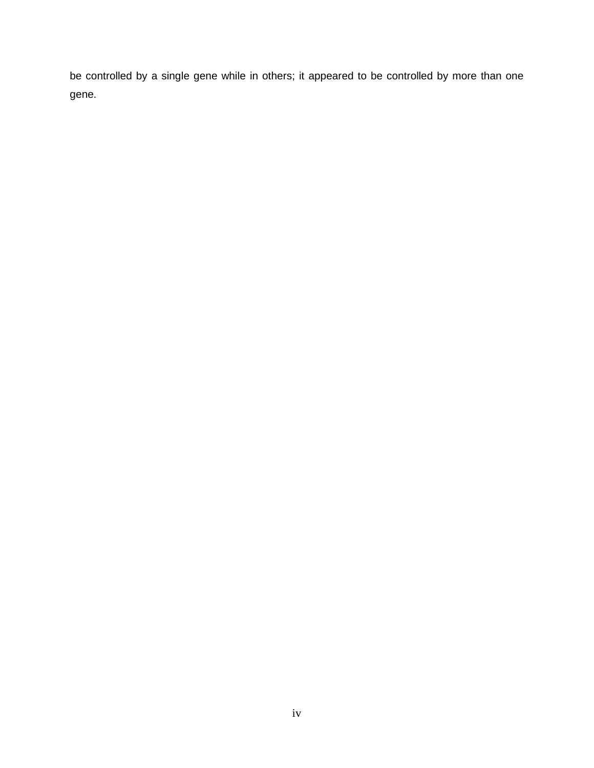be controlled by a single gene while in others; it appeared to be controlled by more than one gene.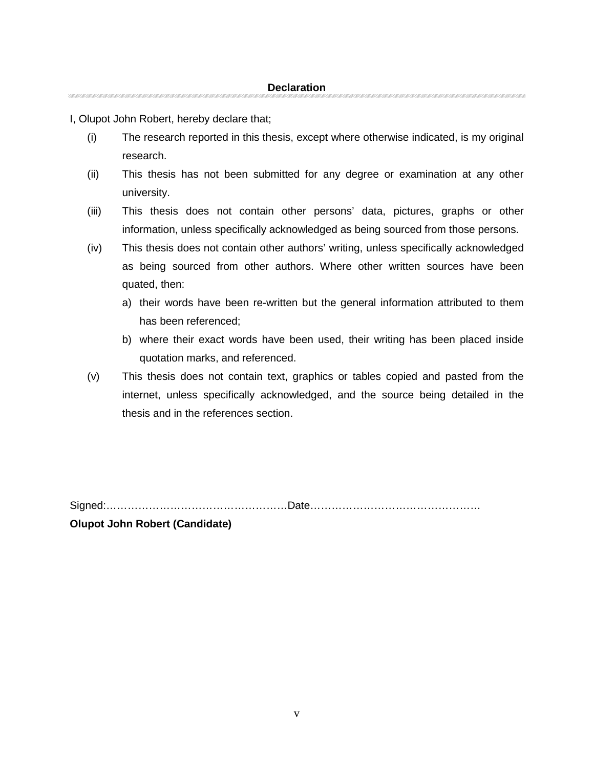I, Olupot John Robert, hereby declare that;

(i) The research reported in this thesis, except where otherwise indicated, is my original research.

- (ii) This thesis has not been submitted for any degree or examination at any other university.
- (iii) This thesis does not contain other persons' data, pictures, graphs or other information, unless specifically acknowledged as being sourced from those persons.
- (iv) This thesis does not contain other authors' writing, unless specifically acknowledged as being sourced from other authors. Where other written sources have been quated, then:
	- a) their words have been re-written but the general information attributed to them has been referenced;
	- b) where their exact words have been used, their writing has been placed inside quotation marks, and referenced.
- (v) This thesis does not contain text, graphics or tables copied and pasted from the internet, unless specifically acknowledged, and the source being detailed in the thesis and in the references section.

Signed:……………………………………………Date………………………………………… **Olupot John Robert (Candidate)**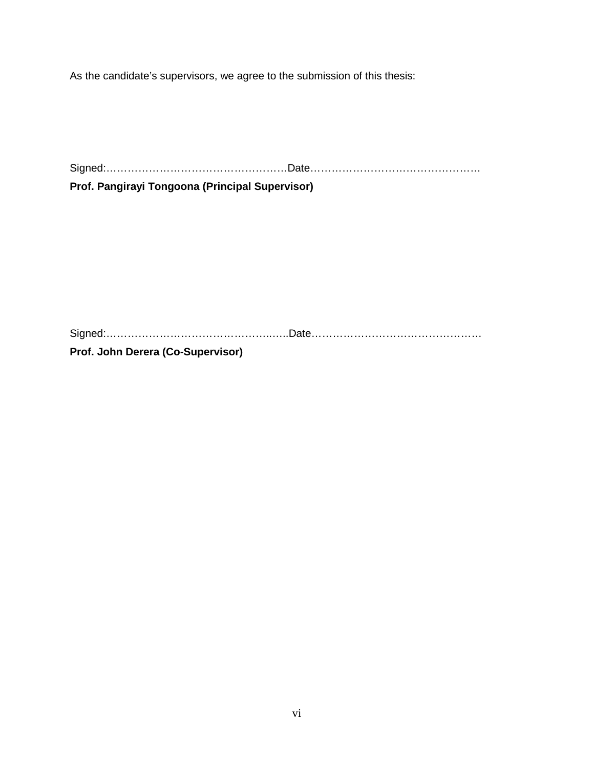As the candidate's supervisors, we agree to the submission of this thesis:

Signed:……………………………………………Date………………………………………… **Prof. Pangirayi Tongoona (Principal Supervisor)** 

Signed:………………………………………..…..Date…………………………………………

**Prof. John Derera (Co-Supervisor)**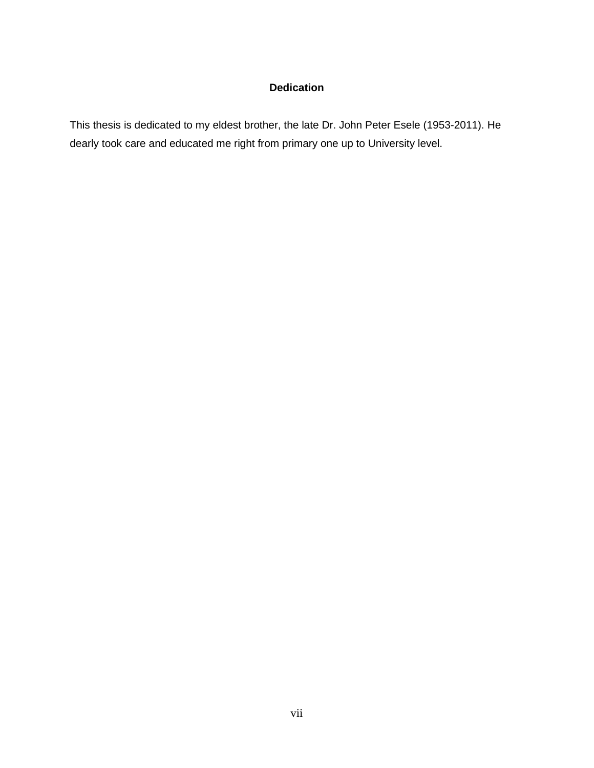# **Dedication**

This thesis is dedicated to my eldest brother, the late Dr. John Peter Esele (1953-2011). He dearly took care and educated me right from primary one up to University level.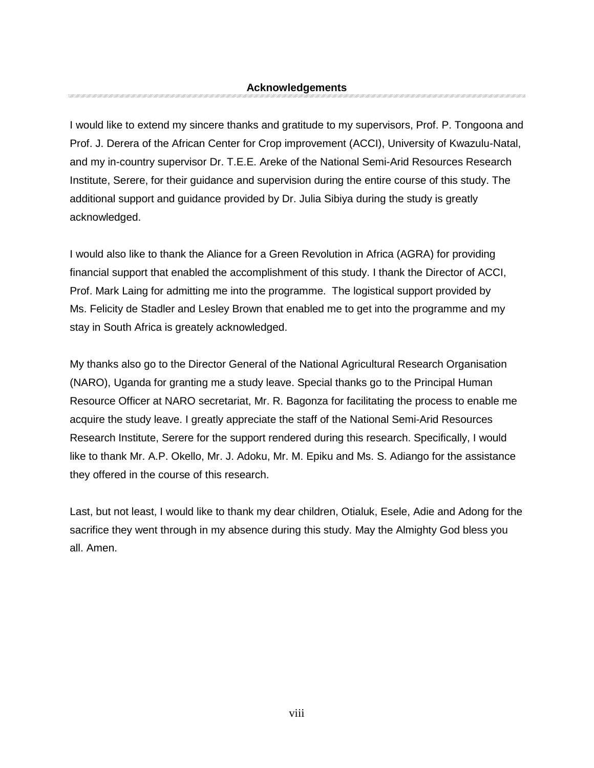I would like to extend my sincere thanks and gratitude to my supervisors, Prof. P. Tongoona and Prof. J. Derera of the African Center for Crop improvement (ACCI), University of Kwazulu-Natal, and my in-country supervisor Dr. T.E.E. Areke of the National Semi-Arid Resources Research Institute, Serere, for their guidance and supervision during the entire course of this study. The additional support and guidance provided by Dr. Julia Sibiya during the study is greatly acknowledged.

I would also like to thank the Aliance for a Green Revolution in Africa (AGRA) for providing financial support that enabled the accomplishment of this study. I thank the Director of ACCI, Prof. Mark Laing for admitting me into the programme. The logistical support provided by Ms. Felicity de Stadler and Lesley Brown that enabled me to get into the programme and my stay in South Africa is greately acknowledged.

My thanks also go to the Director General of the National Agricultural Research Organisation (NARO), Uganda for granting me a study leave. Special thanks go to the Principal Human Resource Officer at NARO secretariat, Mr. R. Bagonza for facilitating the process to enable me acquire the study leave. I greatly appreciate the staff of the National Semi-Arid Resources Research Institute, Serere for the support rendered during this research. Specifically, I would like to thank Mr. A.P. Okello, Mr. J. Adoku, Mr. M. Epiku and Ms. S. Adiango for the assistance they offered in the course of this research.

Last, but not least, I would like to thank my dear children, Otialuk, Esele, Adie and Adong for the sacrifice they went through in my absence during this study. May the Almighty God bless you all. Amen.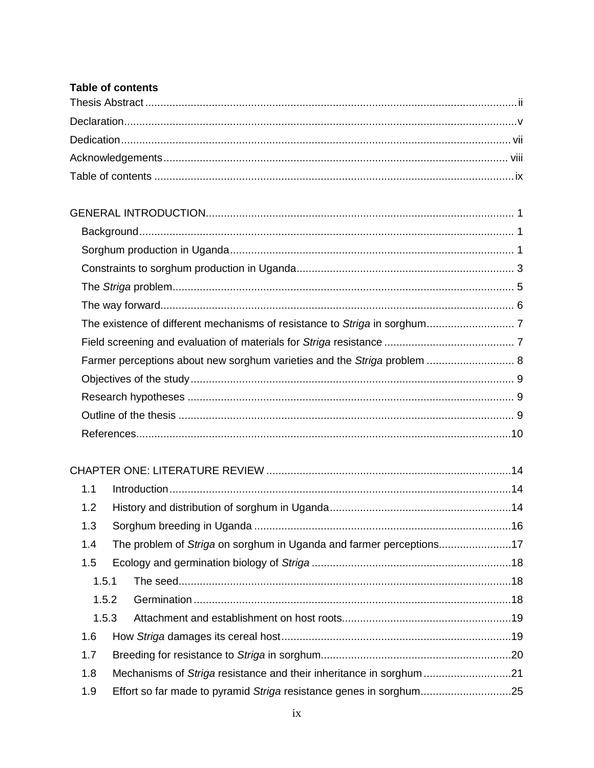# Table of contents

| Farmer perceptions about new sorghum varieties and the Striga problem  8 |  |
|--------------------------------------------------------------------------|--|
|                                                                          |  |
|                                                                          |  |
|                                                                          |  |
|                                                                          |  |

#### $Introduction 14$  $1.1$

| 1.2   |  |  |
|-------|--|--|
| 1.3   |  |  |
| 1.4   |  |  |
| 1.5   |  |  |
| 1.5.1 |  |  |
| 1.5.2 |  |  |
| 1.5.3 |  |  |
| 1.6   |  |  |
| 1.7   |  |  |
| 1.8   |  |  |
| 1.9   |  |  |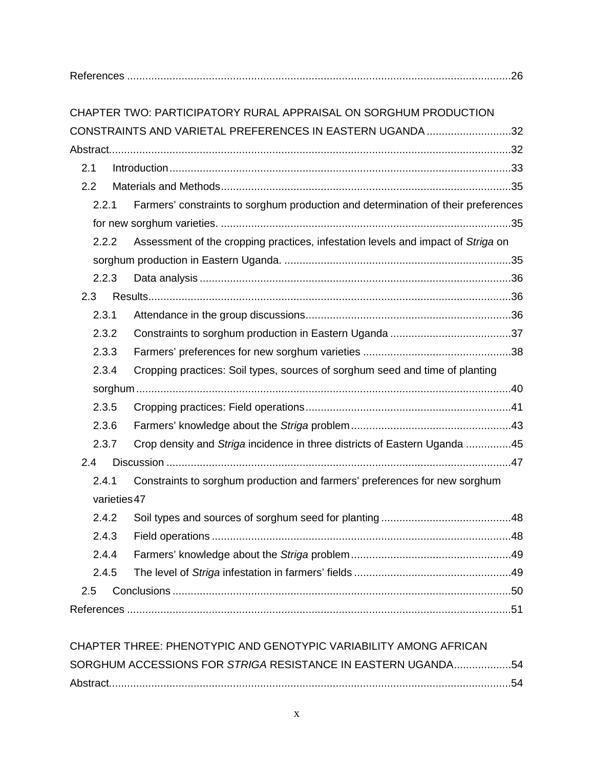|              | CHAPTER TWO: PARTICIPATORY RURAL APPRAISAL ON SORGHUM PRODUCTION                  |  |
|--------------|-----------------------------------------------------------------------------------|--|
|              | CONSTRAINTS AND VARIETAL PREFERENCES IN EASTERN UGANDA32                          |  |
|              |                                                                                   |  |
| 2.1          |                                                                                   |  |
| 2.2          |                                                                                   |  |
| 2.2.1        | Farmers' constraints to sorghum production and determination of their preferences |  |
|              |                                                                                   |  |
|              |                                                                                   |  |
| 2.2.2        | Assessment of the cropping practices, infestation levels and impact of Striga on  |  |
|              |                                                                                   |  |
| 2.2.3        |                                                                                   |  |
| 2.3          |                                                                                   |  |
| 2.3.1        |                                                                                   |  |
| 2.3.2        |                                                                                   |  |
| 2.3.3        |                                                                                   |  |
| 2.3.4        | Cropping practices: Soil types, sources of sorghum seed and time of planting      |  |
|              |                                                                                   |  |
| 2.3.5        |                                                                                   |  |
| 2.3.6        |                                                                                   |  |
| 2.3.7        | Crop density and Striga incidence in three districts of Eastern Uganda 45         |  |
| 2.4          |                                                                                   |  |
| 2.4.1        | Constraints to sorghum production and farmers' preferences for new sorghum        |  |
| varieties 47 |                                                                                   |  |
| 2.4.2        |                                                                                   |  |
| 2.4.3        |                                                                                   |  |
| 2.4.4        |                                                                                   |  |
| 2.4.5        |                                                                                   |  |
| 2.5          |                                                                                   |  |
|              |                                                                                   |  |
|              |                                                                                   |  |
|              |                                                                                   |  |

| CHAPTER THREE: PHENOTYPIC AND GENOTYPIC VARIABILITY AMONG AFRICAN |  |
|-------------------------------------------------------------------|--|
| SORGHUM ACCESSIONS FOR STRIGA RESISTANCE IN EASTERN UGANDA54      |  |
|                                                                   |  |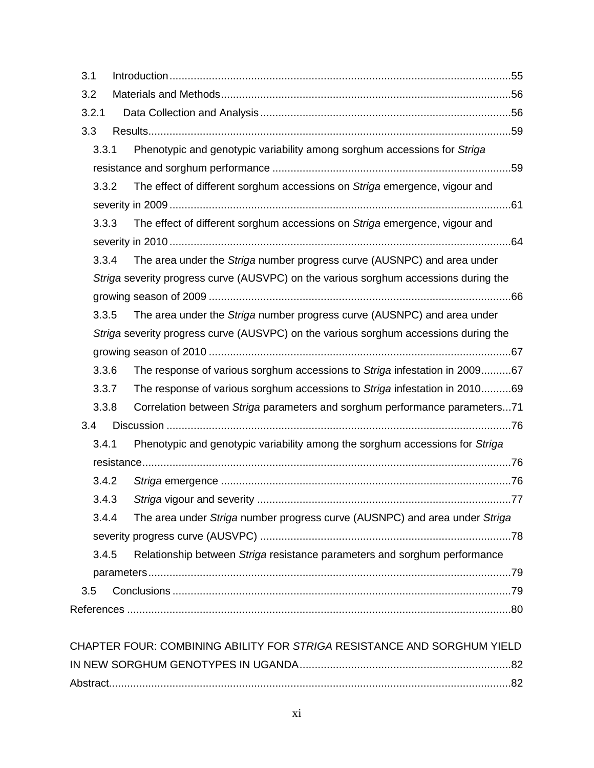| 3.1   |                                                                                      |  |
|-------|--------------------------------------------------------------------------------------|--|
| 3.2   |                                                                                      |  |
| 3.2.1 |                                                                                      |  |
| 3.3   |                                                                                      |  |
| 3.3.1 | Phenotypic and genotypic variability among sorghum accessions for Striga             |  |
|       |                                                                                      |  |
| 3.3.2 | The effect of different sorghum accessions on Striga emergence, vigour and           |  |
|       |                                                                                      |  |
| 3.3.3 | The effect of different sorghum accessions on Striga emergence, vigour and           |  |
|       |                                                                                      |  |
| 3.3.4 | The area under the Striga number progress curve (AUSNPC) and area under              |  |
|       | Striga severity progress curve (AUSVPC) on the various sorghum accessions during the |  |
|       |                                                                                      |  |
| 3.3.5 | The area under the Striga number progress curve (AUSNPC) and area under              |  |
|       | Striga severity progress curve (AUSVPC) on the various sorghum accessions during the |  |
|       |                                                                                      |  |
| 3.3.6 | The response of various sorghum accessions to Striga infestation in 200967           |  |
| 3.3.7 | The response of various sorghum accessions to Striga infestation in 201069           |  |
| 3.3.8 | Correlation between Striga parameters and sorghum performance parameters71           |  |
| 3.4   |                                                                                      |  |
| 3.4.1 | Phenotypic and genotypic variability among the sorghum accessions for Striga         |  |
|       |                                                                                      |  |
| 3.4.2 |                                                                                      |  |
| 3.4.3 | Striga vigour and severity<br>77                                                     |  |
| 3.4.4 | The area under Striga number progress curve (AUSNPC) and area under Striga           |  |
|       |                                                                                      |  |
| 3.4.5 | Relationship between Striga resistance parameters and sorghum performance            |  |
|       |                                                                                      |  |
| 3.5   |                                                                                      |  |
|       |                                                                                      |  |
|       |                                                                                      |  |

| CHAPTER FOUR: COMBINING ABILITY FOR STRIGA RESISTANCE AND SORGHUM YIELD |  |
|-------------------------------------------------------------------------|--|
|                                                                         |  |
|                                                                         |  |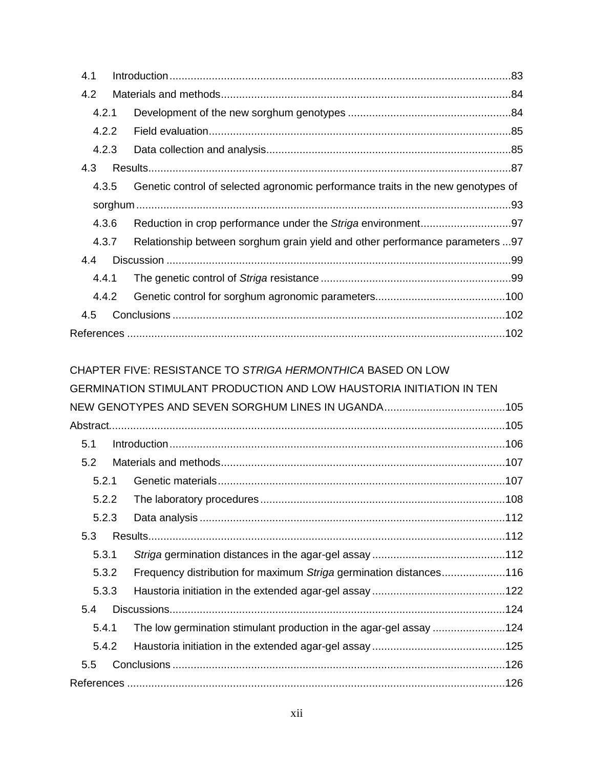| 4.1   |                                                                                  |  |
|-------|----------------------------------------------------------------------------------|--|
| 4.2   |                                                                                  |  |
| 4.2.1 |                                                                                  |  |
| 4.2.2 |                                                                                  |  |
| 4.2.3 |                                                                                  |  |
| 4.3   |                                                                                  |  |
| 4.3.5 | Genetic control of selected agronomic performance traits in the new genotypes of |  |
|       |                                                                                  |  |
| 4.3.6 |                                                                                  |  |
| 4.3.7 | Relationship between sorghum grain yield and other performance parameters  97    |  |
| 4.4   |                                                                                  |  |
| 4.4.1 |                                                                                  |  |
| 4.4.2 |                                                                                  |  |
| 4.5   |                                                                                  |  |
|       |                                                                                  |  |

|       | CHAPTER FIVE: RESISTANCE TO <i>STRIGA HERMONTHICA</i> BASED ON LOW   |  |
|-------|----------------------------------------------------------------------|--|
|       | GERMINATION STIMULANT PRODUCTION AND LOW HAUSTORIA INITIATION IN TEN |  |
|       |                                                                      |  |
|       |                                                                      |  |
| 5.1   |                                                                      |  |
| 5.2   |                                                                      |  |
| 5.2.1 |                                                                      |  |
| 5.2.2 |                                                                      |  |
| 5.2.3 |                                                                      |  |
| 5.3   |                                                                      |  |
| 5.3.1 |                                                                      |  |
| 5.3.2 | Frequency distribution for maximum Striga germination distances116   |  |
| 5.3.3 |                                                                      |  |
| 5.4   |                                                                      |  |
| 5.4.1 | The low germination stimulant production in the agar-gel assay 124   |  |
| 5.4.2 |                                                                      |  |
| 5.5   |                                                                      |  |
|       |                                                                      |  |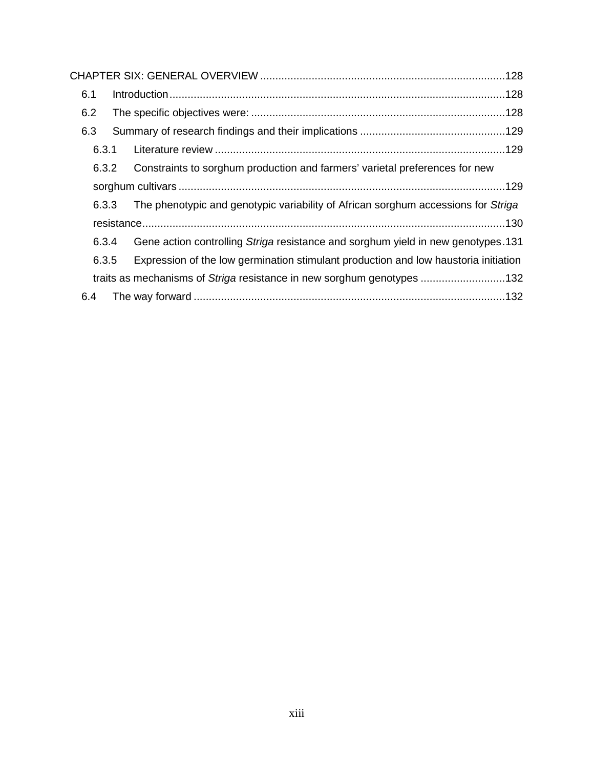| 6.1   |                                                                                     |  |
|-------|-------------------------------------------------------------------------------------|--|
| 6.2   |                                                                                     |  |
| 6.3   |                                                                                     |  |
| 6.3.1 |                                                                                     |  |
| 6.3.2 | Constraints to sorghum production and farmers' varietal preferences for new         |  |
|       |                                                                                     |  |
| 6.3.3 | The phenotypic and genotypic variability of African sorghum accessions for Striga   |  |
|       |                                                                                     |  |
| 6.3.4 | Gene action controlling Striga resistance and sorghum yield in new genotypes.131    |  |
| 6.3.5 | Expression of the low germination stimulant production and low haustoria initiation |  |
|       |                                                                                     |  |
| 6.4   |                                                                                     |  |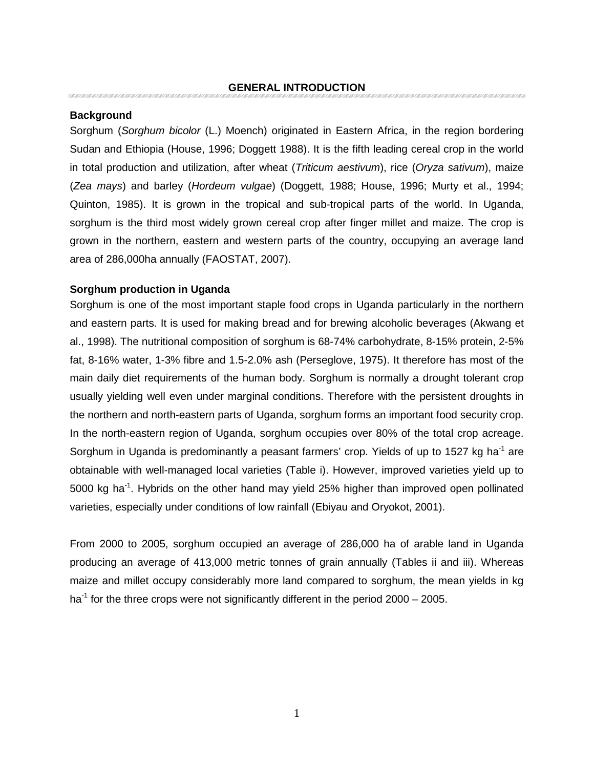## **Background**

Sorghum (Sorghum bicolor (L.) Moench) originated in Eastern Africa, in the region bordering Sudan and Ethiopia (House, 1996; Doggett 1988). It is the fifth leading cereal crop in the world in total production and utilization, after wheat (Triticum aestivum), rice (Oryza sativum), maize (Zea mays) and barley (Hordeum vulgae) (Doggett, 1988; House, 1996; Murty et al., 1994; Quinton, 1985). It is grown in the tropical and sub-tropical parts of the world. In Uganda, sorghum is the third most widely grown cereal crop after finger millet and maize. The crop is grown in the northern, eastern and western parts of the country, occupying an average land area of 286,000ha annually (FAOSTAT, 2007).

### **Sorghum production in Uganda**

Sorghum is one of the most important staple food crops in Uganda particularly in the northern and eastern parts. It is used for making bread and for brewing alcoholic beverages (Akwang et al., 1998). The nutritional composition of sorghum is 68-74% carbohydrate, 8-15% protein, 2-5% fat, 8-16% water, 1-3% fibre and 1.5-2.0% ash (Perseglove, 1975). It therefore has most of the main daily diet requirements of the human body. Sorghum is normally a drought tolerant crop usually yielding well even under marginal conditions. Therefore with the persistent droughts in the northern and north-eastern parts of Uganda, sorghum forms an important food security crop. In the north-eastern region of Uganda, sorghum occupies over 80% of the total crop acreage. Sorghum in Uganda is predominantly a peasant farmers' crop. Yields of up to 1527 kg ha<sup>-1</sup> are obtainable with well-managed local varieties (Table i). However, improved varieties yield up to 5000 kg ha<sup>-1</sup>. Hybrids on the other hand may yield 25% higher than improved open pollinated varieties, especially under conditions of low rainfall (Ebiyau and Oryokot, 2001).

From 2000 to 2005, sorghum occupied an average of 286,000 ha of arable land in Uganda producing an average of 413,000 metric tonnes of grain annually (Tables ii and iii). Whereas maize and millet occupy considerably more land compared to sorghum, the mean yields in kg ha<sup>-1</sup> for the three crops were not significantly different in the period  $2000 - 2005$ .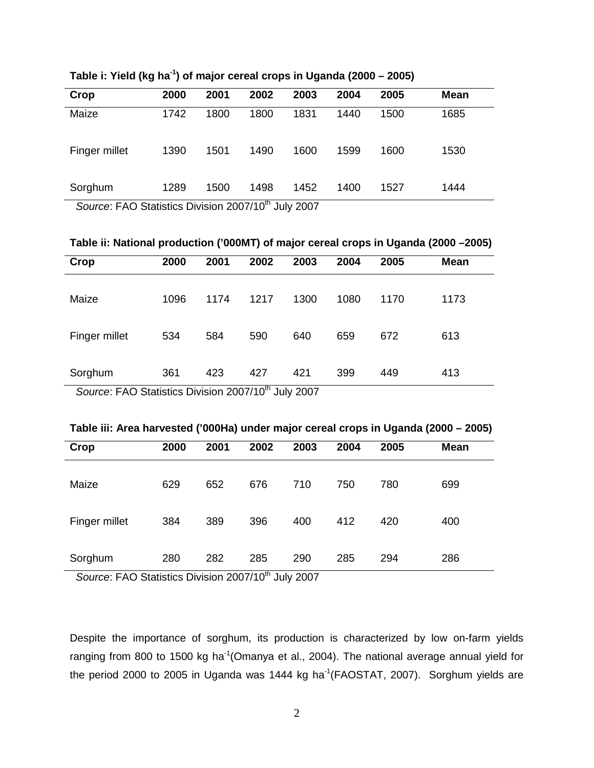| Crop                                                                                                                                       | 2000 | 2001 | 2002 | 2003 | 2004 | 2005 | <b>Mean</b> |
|--------------------------------------------------------------------------------------------------------------------------------------------|------|------|------|------|------|------|-------------|
| Maize                                                                                                                                      | 1742 | 1800 | 1800 | 1831 | 1440 | 1500 | 1685        |
| Finger millet                                                                                                                              | 1390 | 1501 | 1490 | 1600 | 1599 | 1600 | 1530        |
| Sorghum<br>$Q_{\text{current}}$ $\Gamma$ <sub>A</sub> $\Omega$ $\Omega$ tetistics $\Gamma$ isiciss $\Omega$ 007/40 <sup>th</sup> July 2007 | 1289 | 1500 | 1498 | 1452 | 1400 | 1527 | 1444        |

**Table i: Yield (kg ha-1) of major cereal crops in Uganda (2000 – 2005)** 

Source: FAO Statistics Division 2007/10th July 2007

**Table ii: National production ('000MT) of major cereal crops in Uganda (2000 –2005)** 

| Crop                                                                                                                                                                                    | 2000 | 2001 | 2002 | 2003 | 2004 | 2005 | <b>Mean</b> |
|-----------------------------------------------------------------------------------------------------------------------------------------------------------------------------------------|------|------|------|------|------|------|-------------|
| Maize                                                                                                                                                                                   | 1096 | 1174 | 1217 | 1300 | 1080 | 1170 | 1173        |
| Finger millet                                                                                                                                                                           | 534  | 584  | 590  | 640  | 659  | 672  | 613         |
| Sorghum<br>$Q_{\text{current}}$ $\Gamma$ <sub>A</sub> $\Omega$ $\Omega$ <sub>tatistics</sub> $\Omega$ <sub>is</sub> is is a $\Omega$ <sub>007</sub> /4 $\Omega$ <sup>th</sup> lubs 2007 | 361  | 423  | 427  | 421  | 399  | 449  | 413         |

Source: FAO Statistics Division 2007/10<sup>th</sup> July 2007

| Table III: Area harvested ('000Ha) under major cereal crops in Oganda (2000 – 2005). |      |      |      |      |      |      |             |
|--------------------------------------------------------------------------------------|------|------|------|------|------|------|-------------|
| Crop                                                                                 | 2000 | 2001 | 2002 | 2003 | 2004 | 2005 | <b>Mean</b> |
| Maize                                                                                | 629  | 652  | 676  | 710. | 750  | 780  | 699         |
| Finger millet                                                                        | 384  | 389  | 396  | 400  | 412  | 420  | 400         |

384 389 396 400 412 420

280 282 285 290 285 294

286

**Table iii: Area harvested ('000Ha) under major cereal crops in Uganda (2000 – 2005)**

Source: FAO Statistics Division 2007/10<sup>th</sup> July 2007

Sorghum

Despite the importance of sorghum, its production is characterized by low on-farm yields ranging from 800 to 1500 kg ha<sup>-1</sup>(Omanya et al., 2004). The national average annual yield for the period 2000 to 2005 in Uganda was 1444 kg ha<sup>-1</sup>(FAOSTAT, 2007). Sorghum yields are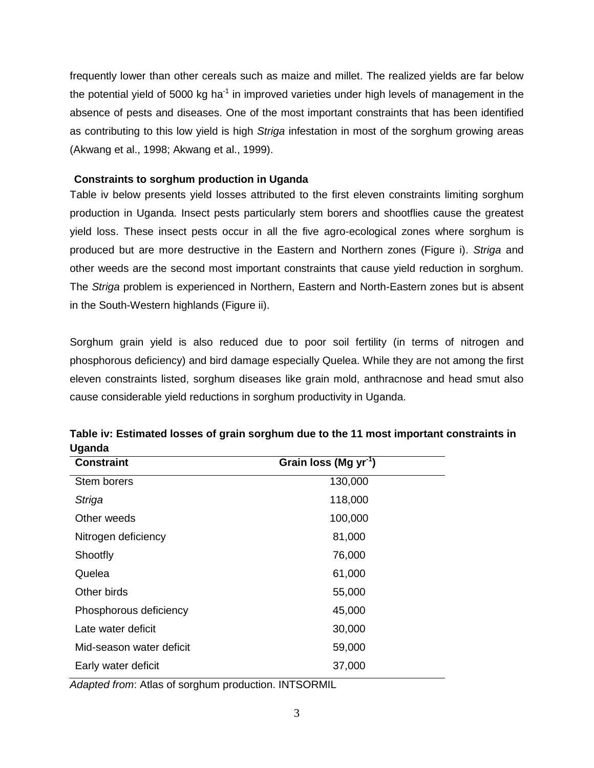frequently lower than other cereals such as maize and millet. The realized yields are far below the potential yield of 5000 kg ha<sup>-1</sup> in improved varieties under high levels of management in the absence of pests and diseases. One of the most important constraints that has been identified as contributing to this low yield is high Striga infestation in most of the sorghum growing areas (Akwang et al., 1998; Akwang et al., 1999).

## **Constraints to sorghum production in Uganda**

Table iv below presents yield losses attributed to the first eleven constraints limiting sorghum production in Uganda. Insect pests particularly stem borers and shootflies cause the greatest yield loss. These insect pests occur in all the five agro-ecological zones where sorghum is produced but are more destructive in the Eastern and Northern zones (Figure i). Striga and other weeds are the second most important constraints that cause yield reduction in sorghum. The Striga problem is experienced in Northern, Eastern and North-Eastern zones but is absent in the South-Western highlands (Figure ii).

Sorghum grain yield is also reduced due to poor soil fertility (in terms of nitrogen and phosphorous deficiency) and bird damage especially Quelea. While they are not among the first eleven constraints listed, sorghum diseases like grain mold, anthracnose and head smut also cause considerable yield reductions in sorghum productivity in Uganda.

| <b>Constraint</b>        | Grain loss (Mg yr <sup>-1</sup> ) |
|--------------------------|-----------------------------------|
| Stem borers              | 130,000                           |
| Striga                   | 118,000                           |
| Other weeds              | 100,000                           |
| Nitrogen deficiency      | 81,000                            |
| Shootfly                 | 76,000                            |
| Quelea                   | 61,000                            |
| Other birds              | 55,000                            |
| Phosphorous deficiency   | 45,000                            |
| Late water deficit       | 30,000                            |
| Mid-season water deficit | 59,000                            |
| Early water deficit      | 37,000                            |

**Table iv: Estimated losses of grain sorghum due to the 11 most important constraints in Uganda** 

Adapted from: Atlas of sorghum production. INTSORMIL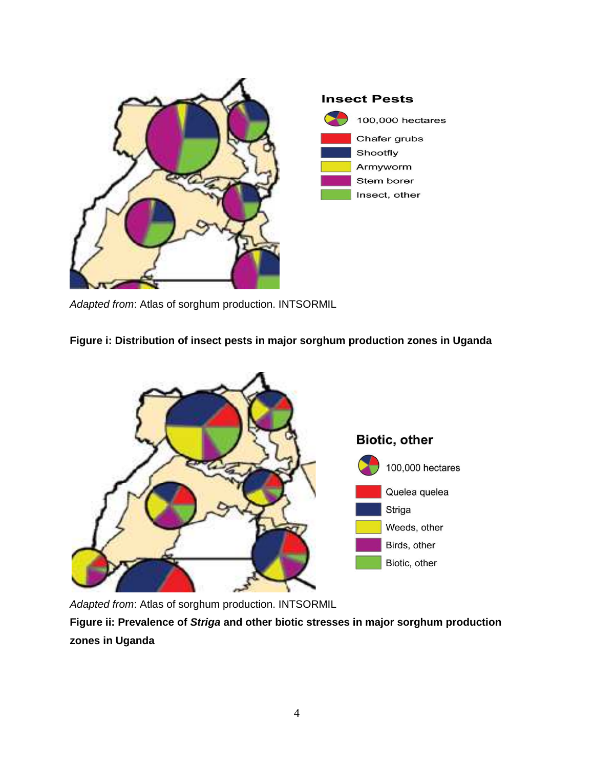

Adapted from: Atlas of sorghum production. INTSORMIL

# **Figure i: Distribution of insect pests in major sorghum production zones in Uganda**



Adapted from: Atlas of sorghum production. INTSORMIL

**Figure ii: Prevalence of Striga and other biotic stresses in major sorghum production zones in Uganda**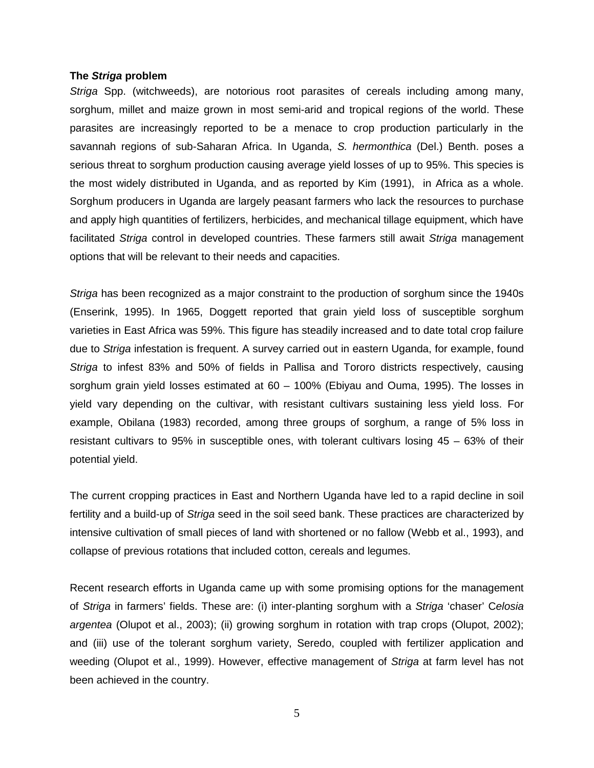#### **The Striga problem**

Striga Spp. (witchweeds), are notorious root parasites of cereals including among many, sorghum, millet and maize grown in most semi-arid and tropical regions of the world. These parasites are increasingly reported to be a menace to crop production particularly in the savannah regions of sub-Saharan Africa. In Uganda, S. hermonthica (Del.) Benth. poses a serious threat to sorghum production causing average yield losses of up to 95%. This species is the most widely distributed in Uganda, and as reported by Kim (1991), in Africa as a whole. Sorghum producers in Uganda are largely peasant farmers who lack the resources to purchase and apply high quantities of fertilizers, herbicides, and mechanical tillage equipment, which have facilitated Striga control in developed countries. These farmers still await Striga management options that will be relevant to their needs and capacities.

Striga has been recognized as a major constraint to the production of sorghum since the 1940s (Enserink, 1995). In 1965, Doggett reported that grain yield loss of susceptible sorghum varieties in East Africa was 59%. This figure has steadily increased and to date total crop failure due to Striga infestation is frequent. A survey carried out in eastern Uganda, for example, found Striga to infest 83% and 50% of fields in Pallisa and Tororo districts respectively, causing sorghum grain yield losses estimated at  $60 - 100\%$  (Ebiyau and Ouma, 1995). The losses in yield vary depending on the cultivar, with resistant cultivars sustaining less yield loss. For example, Obilana (1983) recorded, among three groups of sorghum, a range of 5% loss in resistant cultivars to 95% in susceptible ones, with tolerant cultivars losing 45 – 63% of their potential yield.

The current cropping practices in East and Northern Uganda have led to a rapid decline in soil fertility and a build-up of Striga seed in the soil seed bank. These practices are characterized by intensive cultivation of small pieces of land with shortened or no fallow (Webb et al., 1993), and collapse of previous rotations that included cotton, cereals and legumes.

Recent research efforts in Uganda came up with some promising options for the management of Striga in farmers' fields. These are: (i) inter-planting sorghum with a Striga 'chaser' Celosia argentea (Olupot et al., 2003); (ii) growing sorghum in rotation with trap crops (Olupot, 2002); and (iii) use of the tolerant sorghum variety, Seredo, coupled with fertilizer application and weeding (Olupot et al., 1999). However, effective management of Striga at farm level has not been achieved in the country.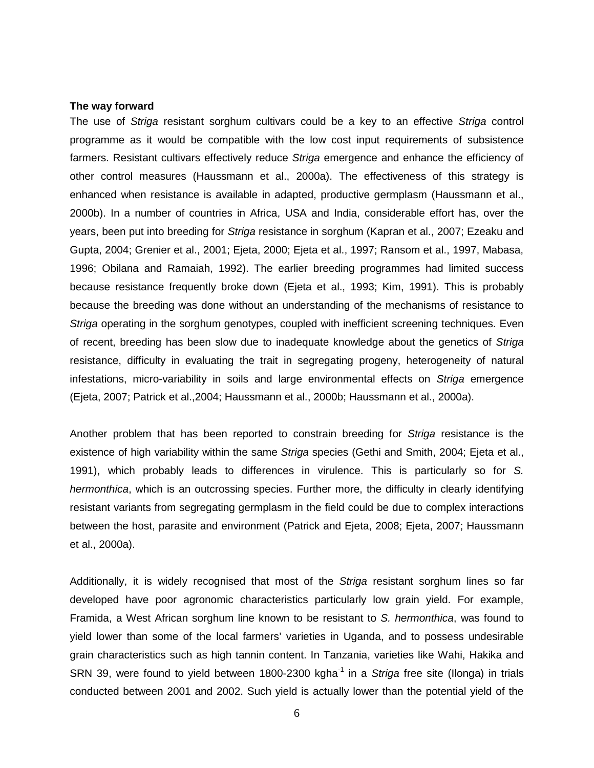### **The way forward**

The use of Striga resistant sorghum cultivars could be a key to an effective Striga control programme as it would be compatible with the low cost input requirements of subsistence farmers. Resistant cultivars effectively reduce Striga emergence and enhance the efficiency of other control measures (Haussmann et al., 2000a). The effectiveness of this strategy is enhanced when resistance is available in adapted, productive germplasm (Haussmann et al., 2000b). In a number of countries in Africa, USA and India, considerable effort has, over the years, been put into breeding for Striga resistance in sorghum (Kapran et al., 2007; Ezeaku and Gupta, 2004; Grenier et al., 2001; Ejeta, 2000; Ejeta et al., 1997; Ransom et al., 1997, Mabasa, 1996; Obilana and Ramaiah, 1992). The earlier breeding programmes had limited success because resistance frequently broke down (Ejeta et al., 1993; Kim, 1991). This is probably because the breeding was done without an understanding of the mechanisms of resistance to Striga operating in the sorghum genotypes, coupled with inefficient screening techniques. Even of recent, breeding has been slow due to inadequate knowledge about the genetics of Striga resistance, difficulty in evaluating the trait in segregating progeny, heterogeneity of natural infestations, micro-variability in soils and large environmental effects on Striga emergence (Ejeta, 2007; Patrick et al.,2004; Haussmann et al., 2000b; Haussmann et al., 2000a).

Another problem that has been reported to constrain breeding for Striga resistance is the existence of high variability within the same Striga species (Gethi and Smith, 2004; Ejeta et al., 1991), which probably leads to differences in virulence. This is particularly so for S. hermonthica, which is an outcrossing species. Further more, the difficulty in clearly identifying resistant variants from segregating germplasm in the field could be due to complex interactions between the host, parasite and environment (Patrick and Ejeta, 2008; Ejeta, 2007; Haussmann et al., 2000a).

Additionally, it is widely recognised that most of the Striga resistant sorghum lines so far developed have poor agronomic characteristics particularly low grain yield. For example, Framida, a West African sorghum line known to be resistant to S. hermonthica, was found to yield lower than some of the local farmers' varieties in Uganda, and to possess undesirable grain characteristics such as high tannin content. In Tanzania, varieties like Wahi, Hakika and SRN 39, were found to yield between 1800-2300 kgha<sup>-1</sup> in a Striga free site (Ilonga) in trials conducted between 2001 and 2002. Such yield is actually lower than the potential yield of the

6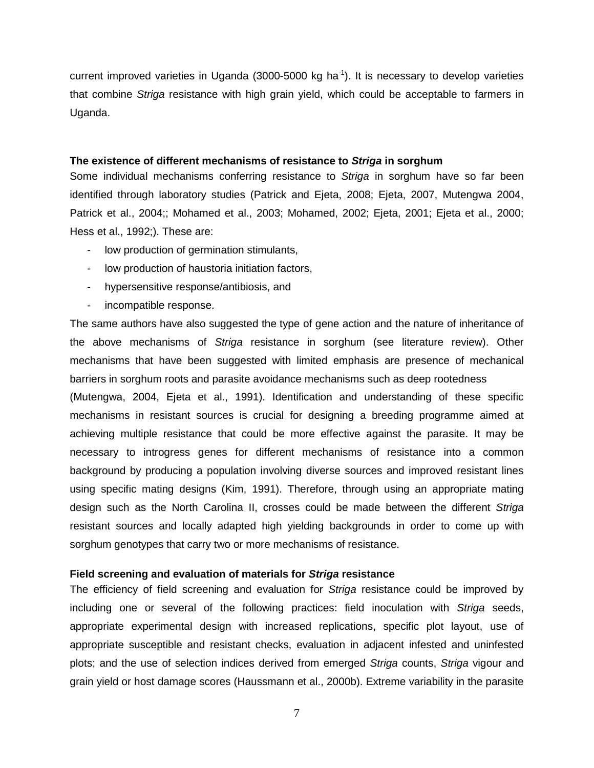current improved varieties in Uganda (3000-5000 kg ha<sup>-1</sup>). It is necessary to develop varieties that combine Striga resistance with high grain yield, which could be acceptable to farmers in Uganda.

### **The existence of different mechanisms of resistance to Striga in sorghum**

Some individual mechanisms conferring resistance to Striga in sorghum have so far been identified through laboratory studies (Patrick and Ejeta, 2008; Ejeta, 2007, Mutengwa 2004, Patrick et al., 2004;; Mohamed et al., 2003; Mohamed, 2002; Ejeta, 2001; Ejeta et al., 2000; Hess et al., 1992;). These are:

- low production of germination stimulants,
- low production of haustoria initiation factors,
- hypersensitive response/antibiosis, and
- incompatible response.

The same authors have also suggested the type of gene action and the nature of inheritance of the above mechanisms of Striga resistance in sorghum (see literature review). Other mechanisms that have been suggested with limited emphasis are presence of mechanical barriers in sorghum roots and parasite avoidance mechanisms such as deep rootedness

(Mutengwa, 2004, Ejeta et al., 1991). Identification and understanding of these specific mechanisms in resistant sources is crucial for designing a breeding programme aimed at achieving multiple resistance that could be more effective against the parasite. It may be necessary to introgress genes for different mechanisms of resistance into a common background by producing a population involving diverse sources and improved resistant lines using specific mating designs (Kim, 1991). Therefore, through using an appropriate mating design such as the North Carolina II, crosses could be made between the different Striga resistant sources and locally adapted high yielding backgrounds in order to come up with sorghum genotypes that carry two or more mechanisms of resistance.

### **Field screening and evaluation of materials for Striga resistance**

The efficiency of field screening and evaluation for Striga resistance could be improved by including one or several of the following practices: field inoculation with Striga seeds, appropriate experimental design with increased replications, specific plot layout, use of appropriate susceptible and resistant checks, evaluation in adjacent infested and uninfested plots; and the use of selection indices derived from emerged Striga counts, Striga vigour and grain yield or host damage scores (Haussmann et al., 2000b). Extreme variability in the parasite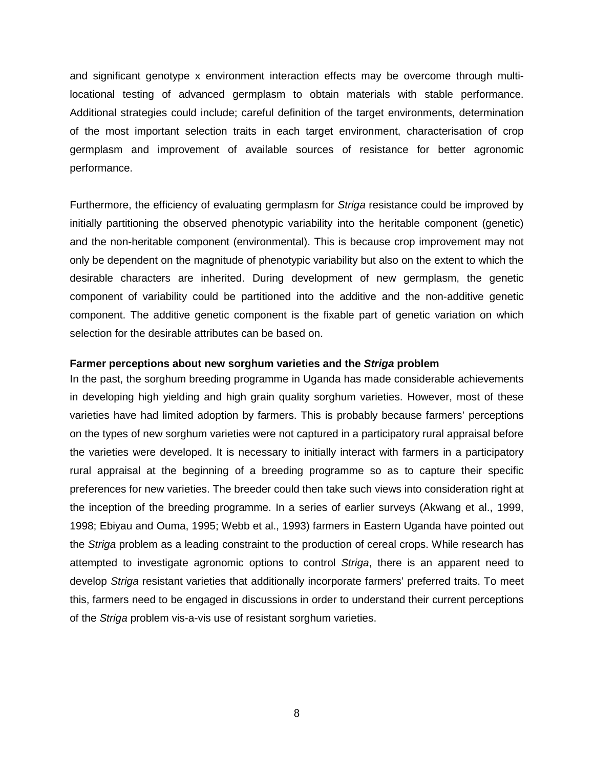and significant genotype x environment interaction effects may be overcome through multilocational testing of advanced germplasm to obtain materials with stable performance. Additional strategies could include; careful definition of the target environments, determination of the most important selection traits in each target environment, characterisation of crop germplasm and improvement of available sources of resistance for better agronomic performance.

Furthermore, the efficiency of evaluating germplasm for *Striga* resistance could be improved by initially partitioning the observed phenotypic variability into the heritable component (genetic) and the non-heritable component (environmental). This is because crop improvement may not only be dependent on the magnitude of phenotypic variability but also on the extent to which the desirable characters are inherited. During development of new germplasm, the genetic component of variability could be partitioned into the additive and the non-additive genetic component. The additive genetic component is the fixable part of genetic variation on which selection for the desirable attributes can be based on.

### **Farmer perceptions about new sorghum varieties and the Striga problem**

In the past, the sorghum breeding programme in Uganda has made considerable achievements in developing high yielding and high grain quality sorghum varieties. However, most of these varieties have had limited adoption by farmers. This is probably because farmers' perceptions on the types of new sorghum varieties were not captured in a participatory rural appraisal before the varieties were developed. It is necessary to initially interact with farmers in a participatory rural appraisal at the beginning of a breeding programme so as to capture their specific preferences for new varieties. The breeder could then take such views into consideration right at the inception of the breeding programme. In a series of earlier surveys (Akwang et al., 1999, 1998; Ebiyau and Ouma, 1995; Webb et al., 1993) farmers in Eastern Uganda have pointed out the Striga problem as a leading constraint to the production of cereal crops. While research has attempted to investigate agronomic options to control Striga, there is an apparent need to develop Striga resistant varieties that additionally incorporate farmers' preferred traits. To meet this, farmers need to be engaged in discussions in order to understand their current perceptions of the Striga problem vis-a-vis use of resistant sorghum varieties.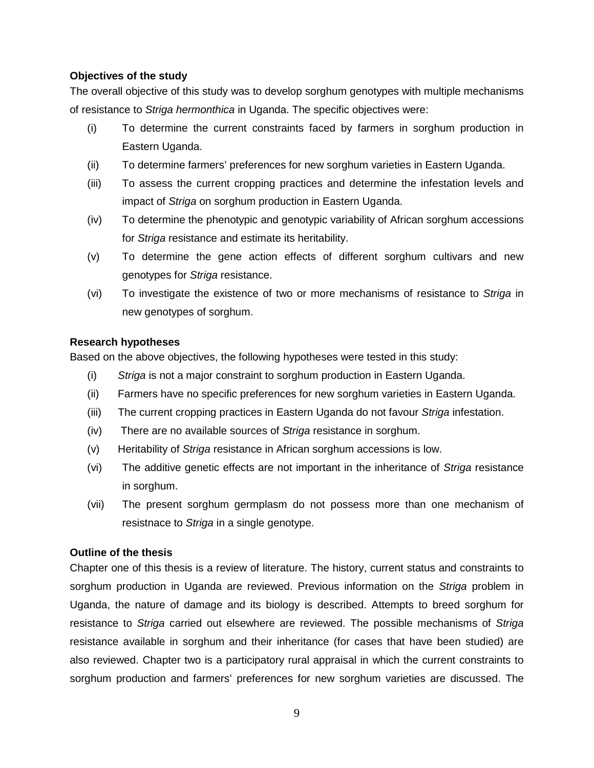# **Objectives of the study**

The overall objective of this study was to develop sorghum genotypes with multiple mechanisms of resistance to Striga hermonthica in Uganda. The specific objectives were:

- (i) To determine the current constraints faced by farmers in sorghum production in Eastern Uganda.
- (ii) To determine farmers' preferences for new sorghum varieties in Eastern Uganda.
- (iii) To assess the current cropping practices and determine the infestation levels and impact of Striga on sorghum production in Eastern Uganda.
- (iv) To determine the phenotypic and genotypic variability of African sorghum accessions for Striga resistance and estimate its heritability.
- (v) To determine the gene action effects of different sorghum cultivars and new genotypes for Striga resistance.
- (vi) To investigate the existence of two or more mechanisms of resistance to Striga in new genotypes of sorghum.

# **Research hypotheses**

Based on the above objectives, the following hypotheses were tested in this study:

- (i) Striga is not a major constraint to sorghum production in Eastern Uganda.
- (ii) Farmers have no specific preferences for new sorghum varieties in Eastern Uganda.
- (iii) The current cropping practices in Eastern Uganda do not favour Striga infestation.
- (iv) There are no available sources of Striga resistance in sorghum.
- (v) Heritability of Striga resistance in African sorghum accessions is low.
- (vi) The additive genetic effects are not important in the inheritance of Striga resistance in sorghum.
- (vii) The present sorghum germplasm do not possess more than one mechanism of resistnace to Striga in a single genotype.

# **Outline of the thesis**

Chapter one of this thesis is a review of literature. The history, current status and constraints to sorghum production in Uganda are reviewed. Previous information on the Striga problem in Uganda, the nature of damage and its biology is described. Attempts to breed sorghum for resistance to Striga carried out elsewhere are reviewed. The possible mechanisms of Striga resistance available in sorghum and their inheritance (for cases that have been studied) are also reviewed. Chapter two is a participatory rural appraisal in which the current constraints to sorghum production and farmers' preferences for new sorghum varieties are discussed. The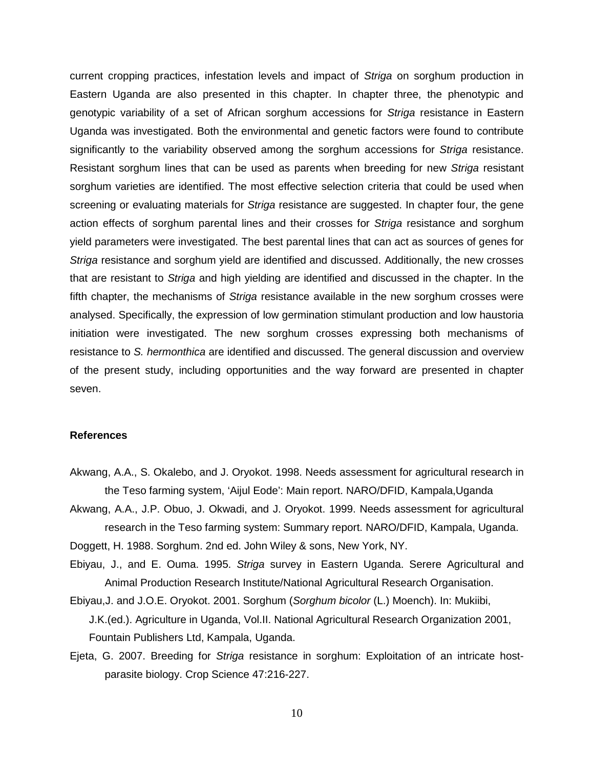current cropping practices, infestation levels and impact of Striga on sorghum production in Eastern Uganda are also presented in this chapter. In chapter three, the phenotypic and genotypic variability of a set of African sorghum accessions for Striga resistance in Eastern Uganda was investigated. Both the environmental and genetic factors were found to contribute significantly to the variability observed among the sorghum accessions for Striga resistance. Resistant sorghum lines that can be used as parents when breeding for new Striga resistant sorghum varieties are identified. The most effective selection criteria that could be used when screening or evaluating materials for *Striga* resistance are suggested. In chapter four, the gene action effects of sorghum parental lines and their crosses for Striga resistance and sorghum yield parameters were investigated. The best parental lines that can act as sources of genes for Striga resistance and sorghum yield are identified and discussed. Additionally, the new crosses that are resistant to Striga and high yielding are identified and discussed in the chapter. In the fifth chapter, the mechanisms of *Striga* resistance available in the new sorghum crosses were analysed. Specifically, the expression of low germination stimulant production and low haustoria initiation were investigated. The new sorghum crosses expressing both mechanisms of resistance to S. hermonthica are identified and discussed. The general discussion and overview of the present study, including opportunities and the way forward are presented in chapter seven.

#### **References**

- Akwang, A.A., S. Okalebo, and J. Oryokot. 1998. Needs assessment for agricultural research in the Teso farming system, 'Aijul Eode': Main report. NARO/DFID, Kampala,Uganda
- Akwang, A.A., J.P. Obuo, J. Okwadi, and J. Oryokot. 1999. Needs assessment for agricultural research in the Teso farming system: Summary report. NARO/DFID, Kampala, Uganda.

Doggett, H. 1988. Sorghum. 2nd ed. John Wiley & sons, New York, NY.

Ebiyau, J., and E. Ouma. 1995. Striga survey in Eastern Uganda. Serere Agricultural and Animal Production Research Institute/National Agricultural Research Organisation.

- Ebiyau,J. and J.O.E. Oryokot. 2001. Sorghum (Sorghum bicolor (L.) Moench). In: Mukiibi, J.K.(ed.). Agriculture in Uganda, Vol.II. National Agricultural Research Organization 2001, Fountain Publishers Ltd, Kampala, Uganda.
- Ejeta, G. 2007. Breeding for Striga resistance in sorghum: Exploitation of an intricate hostparasite biology. Crop Science 47:216-227.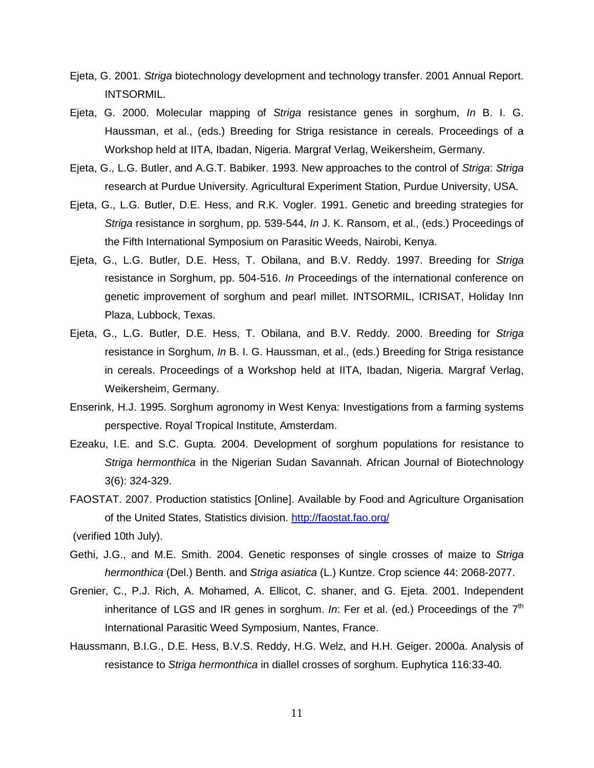- Ejeta, G. 2001. Striga biotechnology development and technology transfer. 2001 Annual Report. INTSORMIL.
- Ejeta, G. 2000. Molecular mapping of Striga resistance genes in sorghum, In B. I. G. Haussman, et al., (eds.) Breeding for Striga resistance in cereals. Proceedings of a Workshop held at IITA, Ibadan, Nigeria. Margraf Verlag, Weikersheim, Germany.
- Ejeta, G., L.G. Butler, and A.G.T. Babiker. 1993. New approaches to the control of Striga: Striga research at Purdue University. Agricultural Experiment Station, Purdue University, USA.
- Ejeta, G., L.G. Butler, D.E. Hess, and R.K. Vogler. 1991. Genetic and breeding strategies for Striga resistance in sorghum, pp. 539-544, In J. K. Ransom, et al., (eds.) Proceedings of the Fifth International Symposium on Parasitic Weeds, Nairobi, Kenya.
- Ejeta, G., L.G. Butler, D.E. Hess, T. Obilana, and B.V. Reddy. 1997. Breeding for Striga resistance in Sorghum, pp. 504-516. In Proceedings of the international conference on genetic improvement of sorghum and pearl millet. INTSORMIL, ICRISAT, Holiday Inn Plaza, Lubbock, Texas.
- Ejeta, G., L.G. Butler, D.E. Hess, T. Obilana, and B.V. Reddy. 2000. Breeding for Striga resistance in Sorghum, In B. I. G. Haussman, et al., (eds.) Breeding for Striga resistance in cereals. Proceedings of a Workshop held at IITA, Ibadan, Nigeria. Margraf Verlag, Weikersheim, Germany.
- Enserink, H.J. 1995. Sorghum agronomy in West Kenya: Investigations from a farming systems perspective. Royal Tropical Institute, Amsterdam.
- Ezeaku, I.E. and S.C. Gupta. 2004. Development of sorghum populations for resistance to Striga hermonthica in the Nigerian Sudan Savannah. African Journal of Biotechnology 3(6): 324-329.
- FAOSTAT. 2007. Production statistics [Online]. Available by Food and Agriculture Organisation of the United States, Statistics division. http://faostat.fao.org/ (verified 10th July).
- Gethi, J.G., and M.E. Smith. 2004. Genetic responses of single crosses of maize to Striga hermonthica (Del.) Benth. and Striga asiatica (L.) Kuntze. Crop science 44: 2068-2077.
- Grenier, C., P.J. Rich, A. Mohamed, A. Ellicot, C. shaner, and G. Ejeta. 2001. Independent inheritance of LGS and IR genes in sorghum. In: Fer et al. (ed.) Proceedings of the  $7<sup>th</sup>$ International Parasitic Weed Symposium, Nantes, France.
- Haussmann, B.I.G., D.E. Hess, B.V.S. Reddy, H.G. Welz, and H.H. Geiger. 2000a. Analysis of resistance to Striga hermonthica in diallel crosses of sorghum. Euphytica 116:33-40.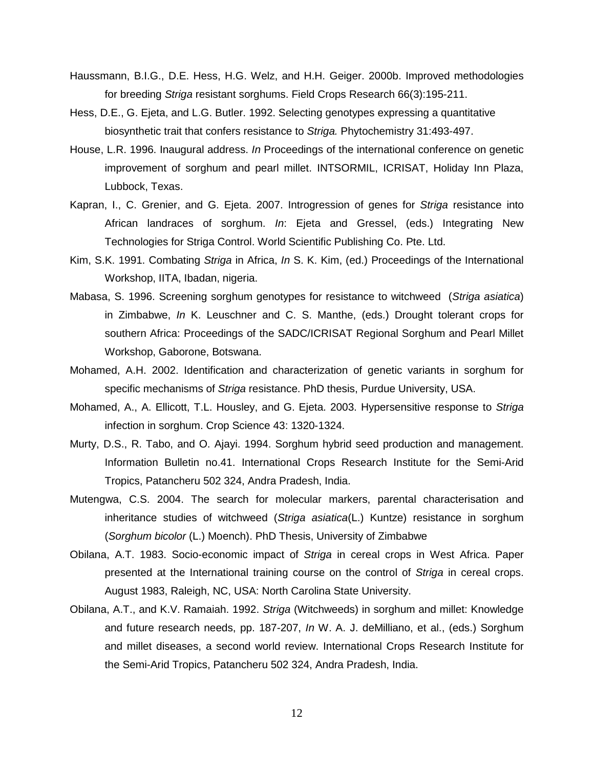- Haussmann, B.I.G., D.E. Hess, H.G. Welz, and H.H. Geiger. 2000b. Improved methodologies for breeding Striga resistant sorghums. Field Crops Research 66(3):195-211.
- Hess, D.E., G. Ejeta, and L.G. Butler. 1992. Selecting genotypes expressing a quantitative biosynthetic trait that confers resistance to Striga. Phytochemistry 31:493-497.
- House, L.R. 1996. Inaugural address. In Proceedings of the international conference on genetic improvement of sorghum and pearl millet. INTSORMIL, ICRISAT, Holiday Inn Plaza, Lubbock, Texas.
- Kapran, I., C. Grenier, and G. Ejeta. 2007. Introgression of genes for Striga resistance into African landraces of sorghum. In: Ejeta and Gressel, (eds.) Integrating New Technologies for Striga Control. World Scientific Publishing Co. Pte. Ltd.
- Kim, S.K. 1991. Combating Striga in Africa, In S. K. Kim, (ed.) Proceedings of the International Workshop, IITA, Ibadan, nigeria.
- Mabasa, S. 1996. Screening sorghum genotypes for resistance to witchweed (Striga asiatica) in Zimbabwe, In K. Leuschner and C. S. Manthe, (eds.) Drought tolerant crops for southern Africa: Proceedings of the SADC/ICRISAT Regional Sorghum and Pearl Millet Workshop, Gaborone, Botswana.
- Mohamed, A.H. 2002. Identification and characterization of genetic variants in sorghum for specific mechanisms of Striga resistance. PhD thesis, Purdue University, USA.
- Mohamed, A., A. Ellicott, T.L. Housley, and G. Ejeta. 2003. Hypersensitive response to Striga infection in sorghum. Crop Science 43: 1320-1324.
- Murty, D.S., R. Tabo, and O. Ajayi. 1994. Sorghum hybrid seed production and management. Information Bulletin no.41. International Crops Research Institute for the Semi-Arid Tropics, Patancheru 502 324, Andra Pradesh, India.
- Mutengwa, C.S. 2004. The search for molecular markers, parental characterisation and inheritance studies of witchweed (Striga asiatica(L.) Kuntze) resistance in sorghum (Sorghum bicolor (L.) Moench). PhD Thesis, University of Zimbabwe
- Obilana, A.T. 1983. Socio-economic impact of Striga in cereal crops in West Africa. Paper presented at the International training course on the control of Striga in cereal crops. August 1983, Raleigh, NC, USA: North Carolina State University.
- Obilana, A.T., and K.V. Ramaiah. 1992. Striga (Witchweeds) in sorghum and millet: Knowledge and future research needs, pp. 187-207, In W. A. J. deMilliano, et al., (eds.) Sorghum and millet diseases, a second world review. International Crops Research Institute for the Semi-Arid Tropics, Patancheru 502 324, Andra Pradesh, India.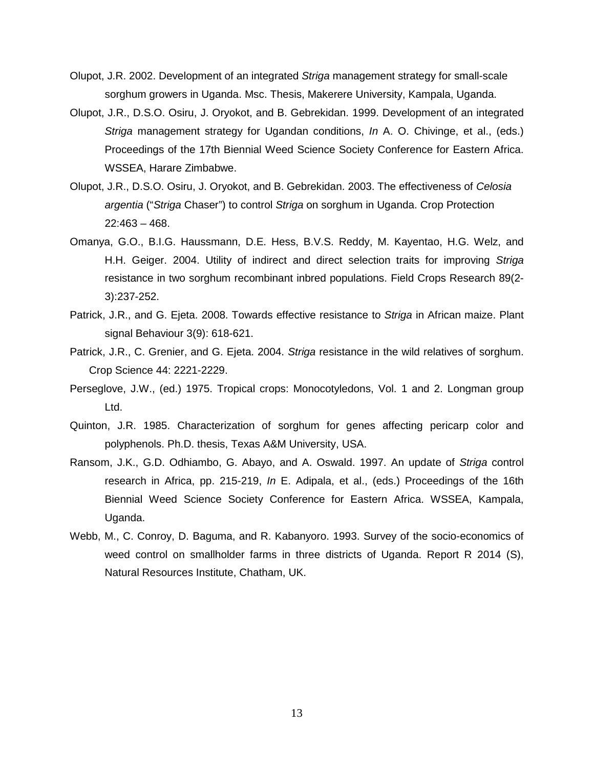- Olupot, J.R. 2002. Development of an integrated Striga management strategy for small-scale sorghum growers in Uganda. Msc. Thesis, Makerere University, Kampala, Uganda.
- Olupot, J.R., D.S.O. Osiru, J. Oryokot, and B. Gebrekidan. 1999. Development of an integrated Striga management strategy for Ugandan conditions, In A. O. Chivinge, et al., (eds.) Proceedings of the 17th Biennial Weed Science Society Conference for Eastern Africa. WSSEA, Harare Zimbabwe.
- Olupot, J.R., D.S.O. Osiru, J. Oryokot, and B. Gebrekidan. 2003. The effectiveness of Celosia argentia ("Striga Chaser") to control Striga on sorghum in Uganda. Crop Protection 22:463 – 468.
- Omanya, G.O., B.I.G. Haussmann, D.E. Hess, B.V.S. Reddy, M. Kayentao, H.G. Welz, and H.H. Geiger. 2004. Utility of indirect and direct selection traits for improving Striga resistance in two sorghum recombinant inbred populations. Field Crops Research 89(2- 3):237-252.
- Patrick, J.R., and G. Ejeta. 2008. Towards effective resistance to Striga in African maize. Plant signal Behaviour 3(9): 618-621.
- Patrick, J.R., C. Grenier, and G. Ejeta. 2004. Striga resistance in the wild relatives of sorghum. Crop Science 44: 2221-2229.
- Perseglove, J.W., (ed.) 1975. Tropical crops: Monocotyledons, Vol. 1 and 2. Longman group Ltd.
- Quinton, J.R. 1985. Characterization of sorghum for genes affecting pericarp color and polyphenols. Ph.D. thesis, Texas A&M University, USA.
- Ransom, J.K., G.D. Odhiambo, G. Abayo, and A. Oswald. 1997. An update of Striga control research in Africa, pp. 215-219, In E. Adipala, et al., (eds.) Proceedings of the 16th Biennial Weed Science Society Conference for Eastern Africa. WSSEA, Kampala, Uganda.
- Webb, M., C. Conroy, D. Baguma, and R. Kabanyoro. 1993. Survey of the socio-economics of weed control on smallholder farms in three districts of Uganda. Report R 2014 (S), Natural Resources Institute, Chatham, UK.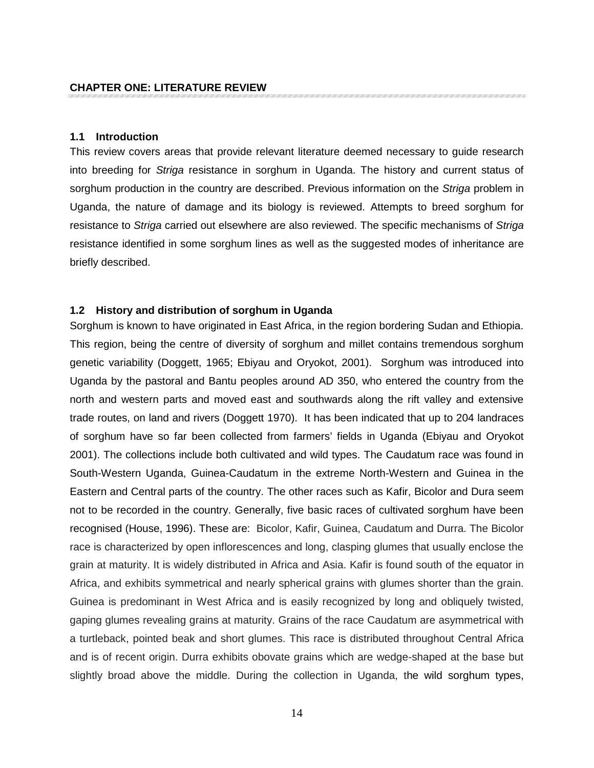#### **1.1 Introduction**

This review covers areas that provide relevant literature deemed necessary to guide research into breeding for Striga resistance in sorghum in Uganda. The history and current status of sorghum production in the country are described. Previous information on the Striga problem in Uganda, the nature of damage and its biology is reviewed. Attempts to breed sorghum for resistance to Striga carried out elsewhere are also reviewed. The specific mechanisms of Striga resistance identified in some sorghum lines as well as the suggested modes of inheritance are briefly described.

### **1.2 History and distribution of sorghum in Uganda**

Sorghum is known to have originated in East Africa, in the region bordering Sudan and Ethiopia. This region, being the centre of diversity of sorghum and millet contains tremendous sorghum genetic variability (Doggett, 1965; Ebiyau and Oryokot, 2001). Sorghum was introduced into Uganda by the pastoral and Bantu peoples around AD 350, who entered the country from the north and western parts and moved east and southwards along the rift valley and extensive trade routes, on land and rivers (Doggett 1970). It has been indicated that up to 204 landraces of sorghum have so far been collected from farmers' fields in Uganda (Ebiyau and Oryokot 2001). The collections include both cultivated and wild types. The Caudatum race was found in South-Western Uganda, Guinea-Caudatum in the extreme North-Western and Guinea in the Eastern and Central parts of the country. The other races such as Kafir, Bicolor and Dura seem not to be recorded in the country. Generally, five basic races of cultivated sorghum have been recognised (House, 1996). These are: Bicolor, Kafir, Guinea, Caudatum and Durra. The Bicolor race is characterized by open inflorescences and long, clasping glumes that usually enclose the grain at maturity. It is widely distributed in Africa and Asia. Kafir is found south of the equator in Africa, and exhibits symmetrical and nearly spherical grains with glumes shorter than the grain. Guinea is predominant in West Africa and is easily recognized by long and obliquely twisted, gaping glumes revealing grains at maturity. Grains of the race Caudatum are asymmetrical with a turtleback, pointed beak and short glumes. This race is distributed throughout Central Africa and is of recent origin. Durra exhibits obovate grains which are wedge-shaped at the base but slightly broad above the middle. During the collection in Uganda, the wild sorghum types,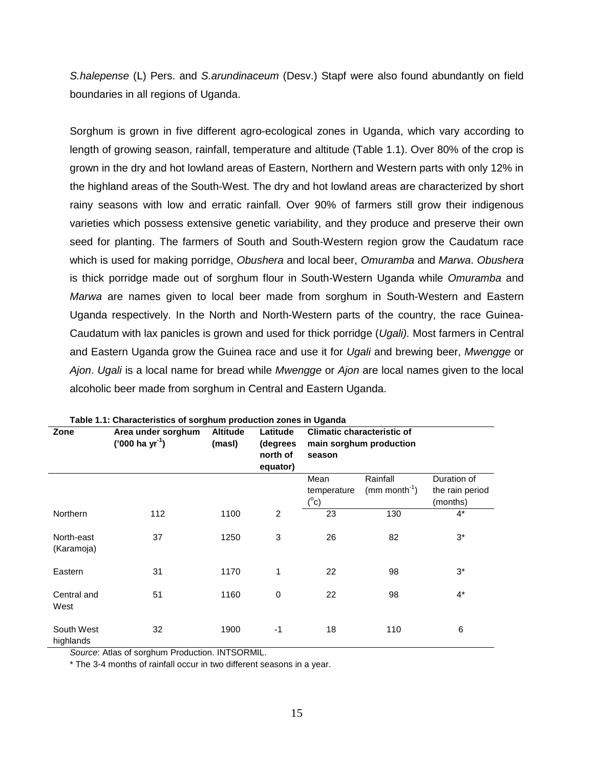S.halepense (L) Pers. and S.arundinaceum (Desv.) Stapf were also found abundantly on field boundaries in all regions of Uganda.

Sorghum is grown in five different agro-ecological zones in Uganda, which vary according to length of growing season, rainfall, temperature and altitude (Table 1.1). Over 80% of the crop is grown in the dry and hot lowland areas of Eastern, Northern and Western parts with only 12% in the highland areas of the South-West. The dry and hot lowland areas are characterized by short rainy seasons with low and erratic rainfall. Over 90% of farmers still grow their indigenous varieties which possess extensive genetic variability, and they produce and preserve their own seed for planting. The farmers of South and South-Western region grow the Caudatum race which is used for making porridge, Obushera and local beer, Omuramba and Marwa. Obushera is thick porridge made out of sorghum flour in South-Western Uganda while Omuramba and Marwa are names given to local beer made from sorghum in South-Western and Eastern Uganda respectively. In the North and North-Western parts of the country, the race Guinea-Caudatum with lax panicles is grown and used for thick porridge (Ugali). Most farmers in Central and Eastern Uganda grow the Guinea race and use it for Ugali and brewing beer, Mwengge or Ajon. Ugali is a local name for bread while Mwengge or Ajon are local names given to the local alcoholic beer made from sorghum in Central and Eastern Uganda.

| Zone                     | Area under sorghum<br>$('000 ha yr-1)$ | <b>Altitude</b><br>(masl) | Latitude<br>(degrees<br>north of<br>equator) | <b>Climatic characteristic of</b><br>main sorghum production<br>season |                                         |                                            |
|--------------------------|----------------------------------------|---------------------------|----------------------------------------------|------------------------------------------------------------------------|-----------------------------------------|--------------------------------------------|
|                          |                                        |                           |                                              | Mean<br>temperature<br>$(^{\circ}c)$                                   | Rainfall<br>$(mm$ month <sup>-1</sup> ) | Duration of<br>the rain period<br>(months) |
| Northern                 | 112                                    | 1100                      | $\overline{2}$                               | 23                                                                     | 130                                     | $4^*$                                      |
| North-east<br>(Karamoja) | 37                                     | 1250                      | 3                                            | 26                                                                     | 82                                      | $3^*$                                      |
| Eastern                  | 31                                     | 1170                      | 1                                            | 22                                                                     | 98                                      | $3^*$                                      |
| Central and<br>West      | 51                                     | 1160                      | $\mathbf 0$                                  | 22                                                                     | 98                                      | $4^*$                                      |
| South West<br>highlands  | 32                                     | 1900                      | $-1$                                         | 18                                                                     | 110                                     | 6                                          |

**Table 1.1: Characteristics of sorghum production zones in Uganda** 

Source: Atlas of sorghum Production. INTSORMIL.

\* The 3-4 months of rainfall occur in two different seasons in a year.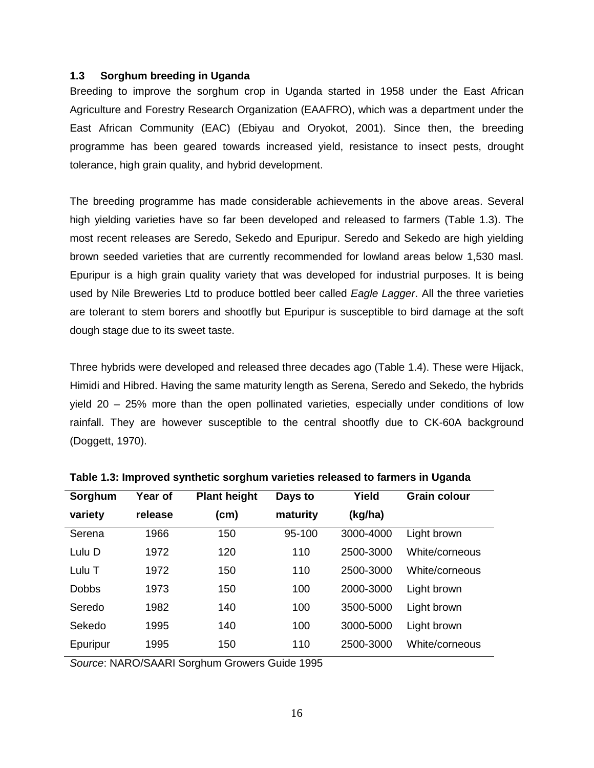## **1.3 Sorghum breeding in Uganda**

Breeding to improve the sorghum crop in Uganda started in 1958 under the East African Agriculture and Forestry Research Organization (EAAFRO), which was a department under the East African Community (EAC) (Ebiyau and Oryokot, 2001). Since then, the breeding programme has been geared towards increased yield, resistance to insect pests, drought tolerance, high grain quality, and hybrid development.

The breeding programme has made considerable achievements in the above areas. Several high yielding varieties have so far been developed and released to farmers (Table 1.3). The most recent releases are Seredo, Sekedo and Epuripur. Seredo and Sekedo are high yielding brown seeded varieties that are currently recommended for lowland areas below 1,530 masl. Epuripur is a high grain quality variety that was developed for industrial purposes. It is being used by Nile Breweries Ltd to produce bottled beer called *Eagle Lagger*. All the three varieties are tolerant to stem borers and shootfly but Epuripur is susceptible to bird damage at the soft dough stage due to its sweet taste.

Three hybrids were developed and released three decades ago (Table 1.4). These were Hijack, Himidi and Hibred. Having the same maturity length as Serena, Seredo and Sekedo, the hybrids yield 20 – 25% more than the open pollinated varieties, especially under conditions of low rainfall. They are however susceptible to the central shootfly due to CK-60A background (Doggett, 1970).

| Sorghum      | Year of | <b>Plant height</b> | Days to  | Yield     | <b>Grain colour</b> |  |
|--------------|---------|---------------------|----------|-----------|---------------------|--|
| variety      | release | (cm)                | maturity | (kg/ha)   |                     |  |
| Serena       | 1966    | 150                 | 95-100   | 3000-4000 | Light brown         |  |
| Lulu D       | 1972    | 120                 | 110      | 2500-3000 | White/corneous      |  |
| Lulu T       | 1972    | 150                 | 110      | 2500-3000 | White/corneous      |  |
| <b>Dobbs</b> | 1973    | 150                 | 100      | 2000-3000 | Light brown         |  |
| Seredo       | 1982    | 140                 | 100      | 3500-5000 | Light brown         |  |
| Sekedo       | 1995    | 140                 | 100      | 3000-5000 | Light brown         |  |
| Epuripur     | 1995    | 150                 | 110      | 2500-3000 | White/corneous      |  |
|              |         |                     |          |           |                     |  |

**Table 1.3: Improved synthetic sorghum varieties released to farmers in Uganda** 

Source: NARO/SAARI Sorghum Growers Guide 1995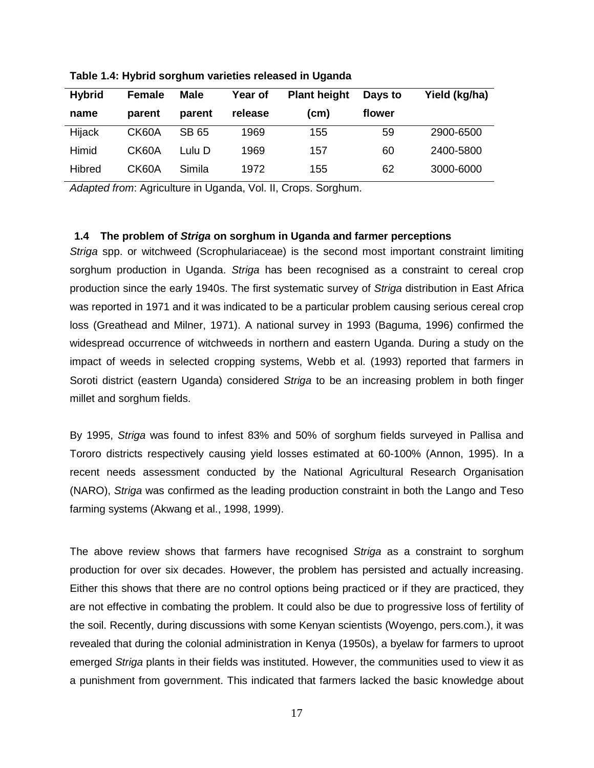| <b>Hybrid</b> | <b>Female</b> | <b>Male</b> | Year of | <b>Plant height</b> | Days to | Yield (kg/ha) |
|---------------|---------------|-------------|---------|---------------------|---------|---------------|
| name          | parent        | parent      | release | (cm)                | flower  |               |
| Hijack        | CK60A         | SB 65       | 1969    | 155                 | 59      | 2900-6500     |
| Himid         | CK60A         | Lulu D      | 1969    | 157                 | 60      | 2400-5800     |
| Hibred        | CK60A         | Simila      | 1972    | 155                 | 62      | 3000-6000     |

**Table 1.4: Hybrid sorghum varieties released in Uganda** 

Adapted from: Agriculture in Uganda, Vol. II, Crops. Sorghum.

## **1.4 The problem of Striga on sorghum in Uganda and farmer perceptions**

Striga spp. or witchweed (Scrophulariaceae) is the second most important constraint limiting sorghum production in Uganda. Striga has been recognised as a constraint to cereal crop production since the early 1940s. The first systematic survey of Striga distribution in East Africa was reported in 1971 and it was indicated to be a particular problem causing serious cereal crop loss (Greathead and Milner, 1971). A national survey in 1993 (Baguma, 1996) confirmed the widespread occurrence of witchweeds in northern and eastern Uganda. During a study on the impact of weeds in selected cropping systems, Webb et al. (1993) reported that farmers in Soroti district (eastern Uganda) considered Striga to be an increasing problem in both finger millet and sorghum fields.

By 1995, Striga was found to infest 83% and 50% of sorghum fields surveyed in Pallisa and Tororo districts respectively causing yield losses estimated at 60-100% (Annon, 1995). In a recent needs assessment conducted by the National Agricultural Research Organisation (NARO), Striga was confirmed as the leading production constraint in both the Lango and Teso farming systems (Akwang et al., 1998, 1999).

The above review shows that farmers have recognised Striga as a constraint to sorghum production for over six decades. However, the problem has persisted and actually increasing. Either this shows that there are no control options being practiced or if they are practiced, they are not effective in combating the problem. It could also be due to progressive loss of fertility of the soil. Recently, during discussions with some Kenyan scientists (Woyengo, pers.com.), it was revealed that during the colonial administration in Kenya (1950s), a byelaw for farmers to uproot emerged Striga plants in their fields was instituted. However, the communities used to view it as a punishment from government. This indicated that farmers lacked the basic knowledge about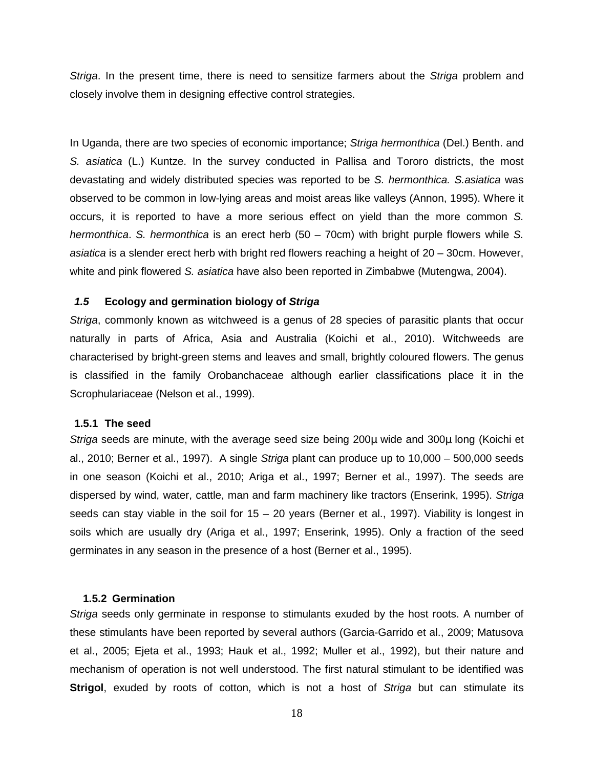Striga. In the present time, there is need to sensitize farmers about the Striga problem and closely involve them in designing effective control strategies.

In Uganda, there are two species of economic importance; Striga hermonthica (Del.) Benth. and S. asiatica (L.) Kuntze. In the survey conducted in Pallisa and Tororo districts, the most devastating and widely distributed species was reported to be S. hermonthica. S.asiatica was observed to be common in low-lying areas and moist areas like valleys (Annon, 1995). Where it occurs, it is reported to have a more serious effect on yield than the more common S. hermonthica. S. hermonthica is an erect herb (50 – 70cm) with bright purple flowers while S. asiatica is a slender erect herb with bright red flowers reaching a height of 20 – 30cm. However, white and pink flowered S. asiatica have also been reported in Zimbabwe (Mutengwa, 2004).

### **1.5 Ecology and germination biology of Striga**

Striga, commonly known as witchweed is a genus of 28 species of parasitic plants that occur naturally in parts of Africa, Asia and Australia (Koichi et al., 2010). Witchweeds are characterised by bright-green stems and leaves and small, brightly coloured flowers. The genus is classified in the family Orobanchaceae although earlier classifications place it in the Scrophulariaceae (Nelson et al., 1999).

### **1.5.1 The seed**

Striga seeds are minute, with the average seed size being 200µ wide and 300µ long (Koichi et al., 2010; Berner et al., 1997). A single Striga plant can produce up to 10,000 – 500,000 seeds in one season (Koichi et al., 2010; Ariga et al., 1997; Berner et al., 1997). The seeds are dispersed by wind, water, cattle, man and farm machinery like tractors (Enserink, 1995). Striga seeds can stay viable in the soil for  $15 - 20$  years (Berner et al., 1997). Viability is longest in soils which are usually dry (Ariga et al., 1997; Enserink, 1995). Only a fraction of the seed germinates in any season in the presence of a host (Berner et al., 1995).

## **1.5.2 Germination**

Striga seeds only germinate in response to stimulants exuded by the host roots. A number of these stimulants have been reported by several authors (Garcia-Garrido et al., 2009; Matusova et al., 2005; Ejeta et al., 1993; Hauk et al., 1992; Muller et al., 1992), but their nature and mechanism of operation is not well understood. The first natural stimulant to be identified was **Strigol**, exuded by roots of cotton, which is not a host of Striga but can stimulate its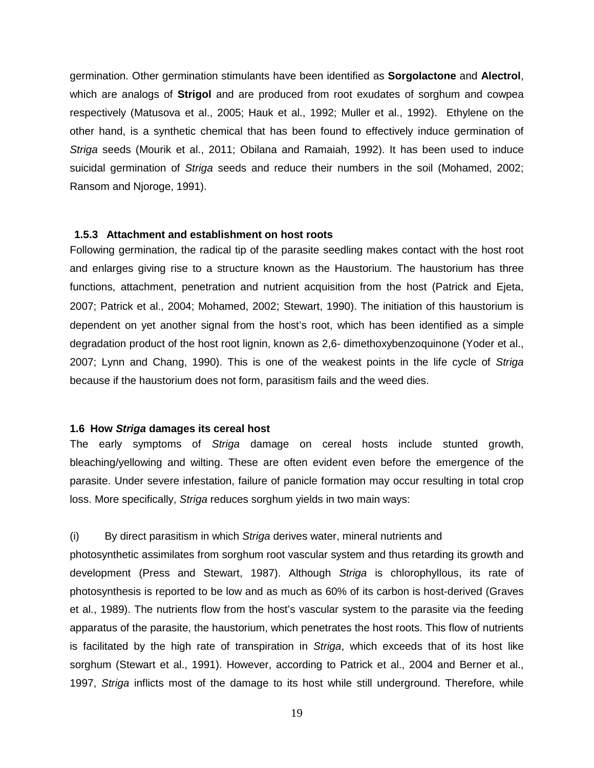germination. Other germination stimulants have been identified as **Sorgolactone** and **Alectrol**, which are analogs of **Strigol** and are produced from root exudates of sorghum and cowpea respectively (Matusova et al., 2005; Hauk et al., 1992; Muller et al., 1992). Ethylene on the other hand, is a synthetic chemical that has been found to effectively induce germination of Striga seeds (Mourik et al., 2011; Obilana and Ramaiah, 1992). It has been used to induce suicidal germination of Striga seeds and reduce their numbers in the soil (Mohamed, 2002; Ransom and Njoroge, 1991).

## **1.5.3 Attachment and establishment on host roots**

Following germination, the radical tip of the parasite seedling makes contact with the host root and enlarges giving rise to a structure known as the Haustorium. The haustorium has three functions, attachment, penetration and nutrient acquisition from the host (Patrick and Ejeta, 2007; Patrick et al., 2004; Mohamed, 2002; Stewart, 1990). The initiation of this haustorium is dependent on yet another signal from the host's root, which has been identified as a simple degradation product of the host root lignin, known as 2,6- dimethoxybenzoquinone (Yoder et al., 2007; Lynn and Chang, 1990). This is one of the weakest points in the life cycle of Striga because if the haustorium does not form, parasitism fails and the weed dies.

### **1.6 How Striga damages its cereal host**

The early symptoms of Striga damage on cereal hosts include stunted growth, bleaching/yellowing and wilting. These are often evident even before the emergence of the parasite. Under severe infestation, failure of panicle formation may occur resulting in total crop loss. More specifically, Striga reduces sorghum yields in two main ways:

### (i) By direct parasitism in which Striga derives water, mineral nutrients and

photosynthetic assimilates from sorghum root vascular system and thus retarding its growth and development (Press and Stewart, 1987). Although Striga is chlorophyllous, its rate of photosynthesis is reported to be low and as much as 60% of its carbon is host-derived (Graves et al., 1989). The nutrients flow from the host's vascular system to the parasite via the feeding apparatus of the parasite, the haustorium, which penetrates the host roots. This flow of nutrients is facilitated by the high rate of transpiration in Striga, which exceeds that of its host like sorghum (Stewart et al., 1991). However, according to Patrick et al., 2004 and Berner et al., 1997, Striga inflicts most of the damage to its host while still underground. Therefore, while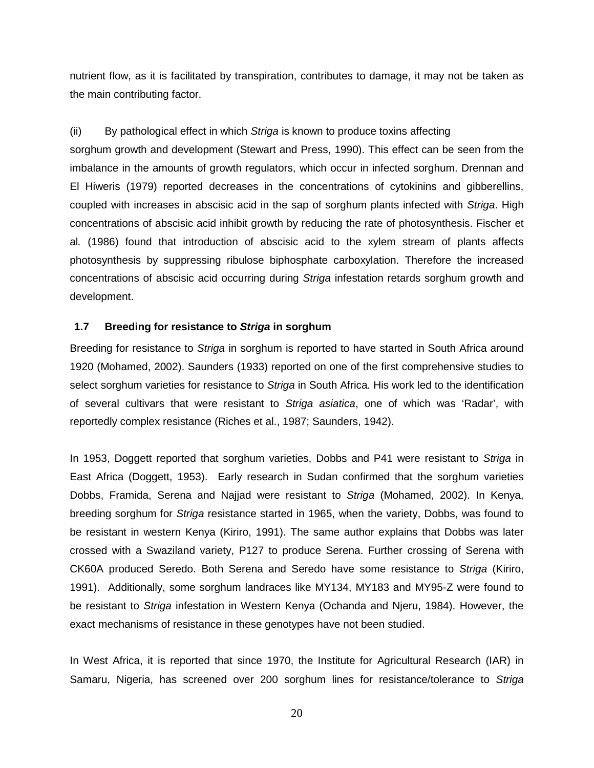nutrient flow, as it is facilitated by transpiration, contributes to damage, it may not be taken as the main contributing factor.

## (ii) By pathological effect in which Striga is known to produce toxins affecting

sorghum growth and development (Stewart and Press, 1990). This effect can be seen from the imbalance in the amounts of growth regulators, which occur in infected sorghum. Drennan and El Hiweris (1979) reported decreases in the concentrations of cytokinins and gibberellins, coupled with increases in abscisic acid in the sap of sorghum plants infected with Striga. High concentrations of abscisic acid inhibit growth by reducing the rate of photosynthesis. Fischer et al. (1986) found that introduction of abscisic acid to the xylem stream of plants affects photosynthesis by suppressing ribulose biphosphate carboxylation. Therefore the increased concentrations of abscisic acid occurring during Striga infestation retards sorghum growth and development.

### **1.7 Breeding for resistance to Striga in sorghum**

Breeding for resistance to Striga in sorghum is reported to have started in South Africa around 1920 (Mohamed, 2002). Saunders (1933) reported on one of the first comprehensive studies to select sorghum varieties for resistance to Striga in South Africa. His work led to the identification of several cultivars that were resistant to Striga asiatica, one of which was 'Radar', with reportedly complex resistance (Riches et al., 1987; Saunders, 1942).

In 1953, Doggett reported that sorghum varieties, Dobbs and P41 were resistant to Striga in East Africa (Doggett, 1953). Early research in Sudan confirmed that the sorghum varieties Dobbs, Framida, Serena and Najjad were resistant to Striga (Mohamed, 2002). In Kenya, breeding sorghum for Striga resistance started in 1965, when the variety, Dobbs, was found to be resistant in western Kenya (Kiriro, 1991). The same author explains that Dobbs was later crossed with a Swaziland variety, P127 to produce Serena. Further crossing of Serena with CK60A produced Seredo. Both Serena and Seredo have some resistance to Striga (Kiriro, 1991). Additionally, some sorghum landraces like MY134, MY183 and MY95-Z were found to be resistant to Striga infestation in Western Kenya (Ochanda and Njeru, 1984). However, the exact mechanisms of resistance in these genotypes have not been studied.

In West Africa, it is reported that since 1970, the Institute for Agricultural Research (IAR) in Samaru, Nigeria, has screened over 200 sorghum lines for resistance/tolerance to Striga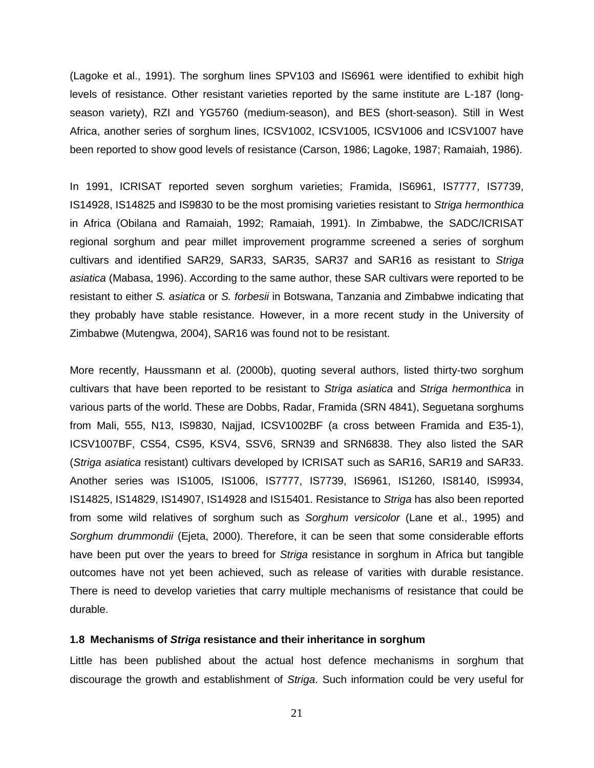(Lagoke et al., 1991). The sorghum lines SPV103 and IS6961 were identified to exhibit high levels of resistance. Other resistant varieties reported by the same institute are L-187 (longseason variety), RZI and YG5760 (medium-season), and BES (short-season). Still in West Africa, another series of sorghum lines, ICSV1002, ICSV1005, ICSV1006 and ICSV1007 have been reported to show good levels of resistance (Carson, 1986; Lagoke, 1987; Ramaiah, 1986).

In 1991, ICRISAT reported seven sorghum varieties; Framida, IS6961, IS7777, IS7739, IS14928, IS14825 and IS9830 to be the most promising varieties resistant to Striga hermonthica in Africa (Obilana and Ramaiah, 1992; Ramaiah, 1991). In Zimbabwe, the SADC/ICRISAT regional sorghum and pear millet improvement programme screened a series of sorghum cultivars and identified SAR29, SAR33, SAR35, SAR37 and SAR16 as resistant to Striga asiatica (Mabasa, 1996). According to the same author, these SAR cultivars were reported to be resistant to either S. asiatica or S. forbesii in Botswana, Tanzania and Zimbabwe indicating that they probably have stable resistance. However, in a more recent study in the University of Zimbabwe (Mutengwa, 2004), SAR16 was found not to be resistant.

More recently, Haussmann et al. (2000b), quoting several authors, listed thirty-two sorghum cultivars that have been reported to be resistant to Striga asiatica and Striga hermonthica in various parts of the world. These are Dobbs, Radar, Framida (SRN 4841), Seguetana sorghums from Mali, 555, N13, IS9830, Najjad, ICSV1002BF (a cross between Framida and E35-1), ICSV1007BF, CS54, CS95, KSV4, SSV6, SRN39 and SRN6838. They also listed the SAR (Striga asiatica resistant) cultivars developed by ICRISAT such as SAR16, SAR19 and SAR33. Another series was IS1005, IS1006, IS7777, IS7739, IS6961, IS1260, IS8140, IS9934, IS14825, IS14829, IS14907, IS14928 and IS15401. Resistance to Striga has also been reported from some wild relatives of sorghum such as Sorghum versicolor (Lane et al., 1995) and Sorghum drummondii (Ejeta, 2000). Therefore, it can be seen that some considerable efforts have been put over the years to breed for Striga resistance in sorghum in Africa but tangible outcomes have not yet been achieved, such as release of varities with durable resistance. There is need to develop varieties that carry multiple mechanisms of resistance that could be durable.

### **1.8 Mechanisms of Striga resistance and their inheritance in sorghum**

Little has been published about the actual host defence mechanisms in sorghum that discourage the growth and establishment of Striga. Such information could be very useful for

21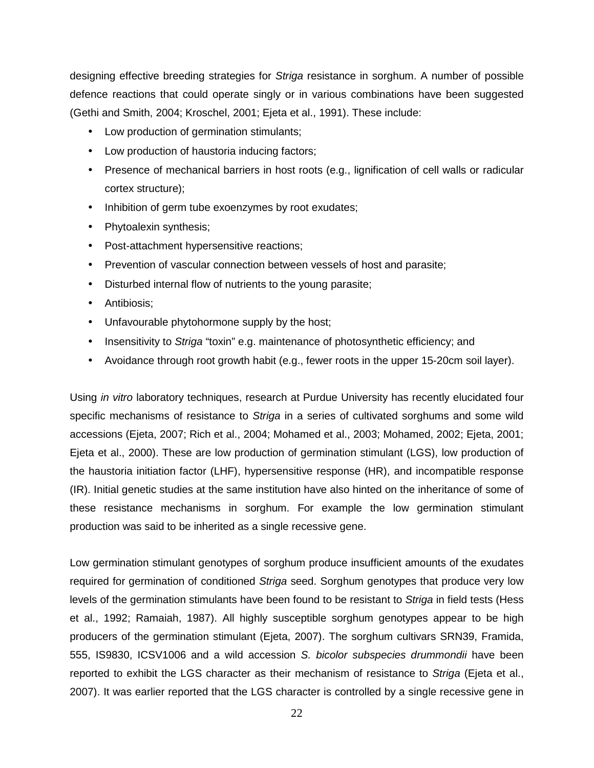designing effective breeding strategies for Striga resistance in sorghum. A number of possible defence reactions that could operate singly or in various combinations have been suggested (Gethi and Smith, 2004; Kroschel, 2001; Ejeta et al., 1991). These include:

- Low production of germination stimulants;
- Low production of haustoria inducing factors;
- Presence of mechanical barriers in host roots (e.g., lignification of cell walls or radicular cortex structure);
- Inhibition of germ tube exoenzymes by root exudates;
- Phytoalexin synthesis;
- Post-attachment hypersensitive reactions;
- Prevention of vascular connection between vessels of host and parasite;
- Disturbed internal flow of nutrients to the young parasite;
- Antibiosis;
- Unfavourable phytohormone supply by the host;
- Insensitivity to Striga "toxin" e.g. maintenance of photosynthetic efficiency; and
- Avoidance through root growth habit (e.g., fewer roots in the upper 15-20cm soil layer).

Using in vitro laboratory techniques, research at Purdue University has recently elucidated four specific mechanisms of resistance to Striga in a series of cultivated sorghums and some wild accessions (Ejeta, 2007; Rich et al., 2004; Mohamed et al., 2003; Mohamed, 2002; Ejeta, 2001; Ejeta et al., 2000). These are low production of germination stimulant (LGS), low production of the haustoria initiation factor (LHF), hypersensitive response (HR), and incompatible response (IR). Initial genetic studies at the same institution have also hinted on the inheritance of some of these resistance mechanisms in sorghum. For example the low germination stimulant production was said to be inherited as a single recessive gene.

Low germination stimulant genotypes of sorghum produce insufficient amounts of the exudates required for germination of conditioned Striga seed. Sorghum genotypes that produce very low levels of the germination stimulants have been found to be resistant to Striga in field tests (Hess et al., 1992; Ramaiah, 1987). All highly susceptible sorghum genotypes appear to be high producers of the germination stimulant (Ejeta, 2007). The sorghum cultivars SRN39, Framida, 555, IS9830, ICSV1006 and a wild accession S. bicolor subspecies drummondii have been reported to exhibit the LGS character as their mechanism of resistance to Striga (Ejeta et al., 2007). It was earlier reported that the LGS character is controlled by a single recessive gene in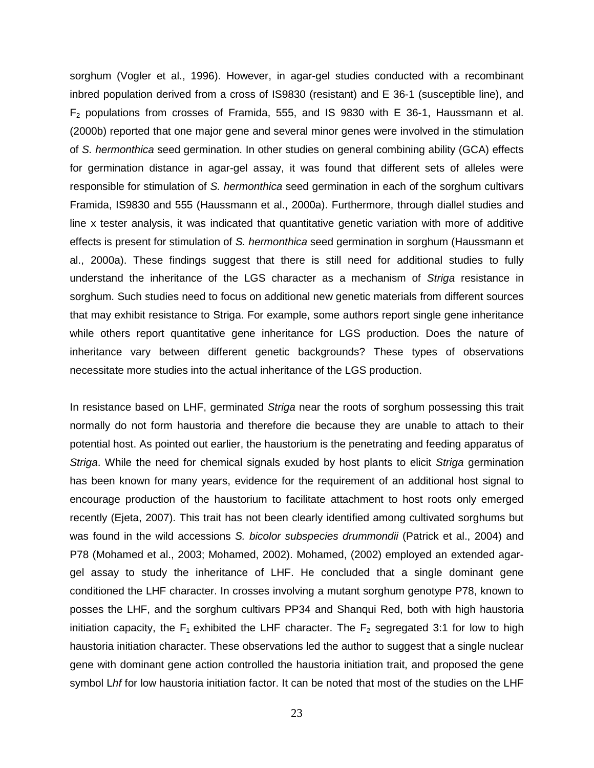sorghum (Vogler et al., 1996). However, in agar-gel studies conducted with a recombinant inbred population derived from a cross of IS9830 (resistant) and E 36-1 (susceptible line), and  $F<sub>2</sub>$  populations from crosses of Framida, 555, and IS 9830 with E 36-1, Haussmann et al. (2000b) reported that one major gene and several minor genes were involved in the stimulation of S. hermonthica seed germination. In other studies on general combining ability (GCA) effects for germination distance in agar-gel assay, it was found that different sets of alleles were responsible for stimulation of S. hermonthica seed germination in each of the sorghum cultivars Framida, IS9830 and 555 (Haussmann et al., 2000a). Furthermore, through diallel studies and line x tester analysis, it was indicated that quantitative genetic variation with more of additive effects is present for stimulation of S. hermonthica seed germination in sorghum (Haussmann et al., 2000a). These findings suggest that there is still need for additional studies to fully understand the inheritance of the LGS character as a mechanism of Striga resistance in sorghum. Such studies need to focus on additional new genetic materials from different sources that may exhibit resistance to Striga. For example, some authors report single gene inheritance while others report quantitative gene inheritance for LGS production. Does the nature of inheritance vary between different genetic backgrounds? These types of observations necessitate more studies into the actual inheritance of the LGS production.

In resistance based on LHF, germinated Striga near the roots of sorghum possessing this trait normally do not form haustoria and therefore die because they are unable to attach to their potential host. As pointed out earlier, the haustorium is the penetrating and feeding apparatus of Striga. While the need for chemical signals exuded by host plants to elicit Striga germination has been known for many years, evidence for the requirement of an additional host signal to encourage production of the haustorium to facilitate attachment to host roots only emerged recently (Ejeta, 2007). This trait has not been clearly identified among cultivated sorghums but was found in the wild accessions S. bicolor subspecies drummondii (Patrick et al., 2004) and P78 (Mohamed et al., 2003; Mohamed, 2002). Mohamed, (2002) employed an extended agargel assay to study the inheritance of LHF. He concluded that a single dominant gene conditioned the LHF character. In crosses involving a mutant sorghum genotype P78, known to posses the LHF, and the sorghum cultivars PP34 and Shanqui Red, both with high haustoria initiation capacity, the  $F_1$  exhibited the LHF character. The  $F_2$  segregated 3:1 for low to high haustoria initiation character. These observations led the author to suggest that a single nuclear gene with dominant gene action controlled the haustoria initiation trait, and proposed the gene symbol Lhf for low haustoria initiation factor. It can be noted that most of the studies on the LHF

23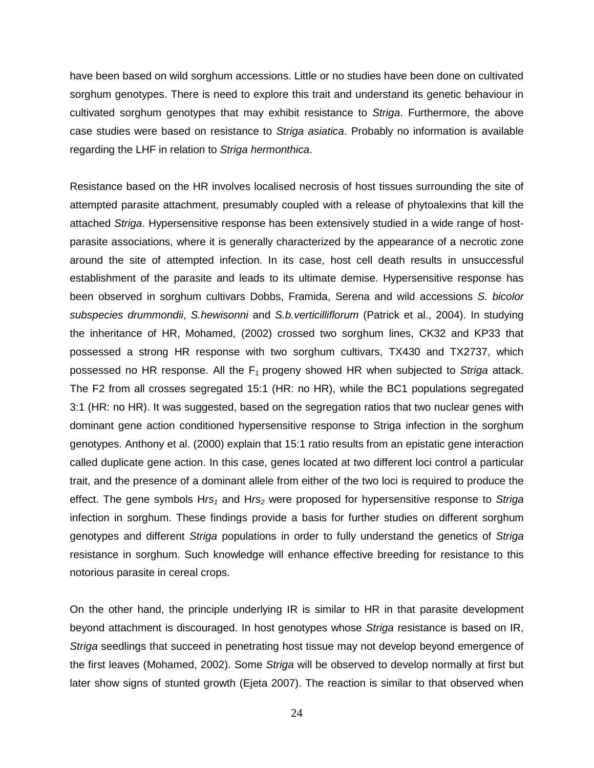have been based on wild sorghum accessions. Little or no studies have been done on cultivated sorghum genotypes. There is need to explore this trait and understand its genetic behaviour in cultivated sorghum genotypes that may exhibit resistance to Striga. Furthermore, the above case studies were based on resistance to Striga asiatica. Probably no information is available regarding the LHF in relation to Striga hermonthica.

Resistance based on the HR involves localised necrosis of host tissues surrounding the site of attempted parasite attachment, presumably coupled with a release of phytoalexins that kill the attached Striga. Hypersensitive response has been extensively studied in a wide range of hostparasite associations, where it is generally characterized by the appearance of a necrotic zone around the site of attempted infection. In its case, host cell death results in unsuccessful establishment of the parasite and leads to its ultimate demise. Hypersensitive response has been observed in sorghum cultivars Dobbs, Framida, Serena and wild accessions S. bicolor subspecies drummondii, S.hewisonni and S.b.verticilliflorum (Patrick et al., 2004). In studying the inheritance of HR, Mohamed, (2002) crossed two sorghum lines, CK32 and KP33 that possessed a strong HR response with two sorghum cultivars, TX430 and TX2737, which possessed no HR response. All the  $F_1$  progeny showed HR when subjected to Striga attack. The F2 from all crosses segregated 15:1 (HR: no HR), while the BC1 populations segregated 3:1 (HR: no HR). It was suggested, based on the segregation ratios that two nuclear genes with dominant gene action conditioned hypersensitive response to Striga infection in the sorghum genotypes. Anthony et al. (2000) explain that 15:1 ratio results from an epistatic gene interaction called duplicate gene action. In this case, genes located at two different loci control a particular trait, and the presence of a dominant allele from either of the two loci is required to produce the effect. The gene symbols  $Hrs<sub>1</sub>$  and  $Hrs<sub>2</sub>$  were proposed for hypersensitive response to Striga infection in sorghum. These findings provide a basis for further studies on different sorghum genotypes and different Striga populations in order to fully understand the genetics of Striga resistance in sorghum. Such knowledge will enhance effective breeding for resistance to this notorious parasite in cereal crops.

On the other hand, the principle underlying IR is similar to HR in that parasite development beyond attachment is discouraged. In host genotypes whose Striga resistance is based on IR, Striga seedlings that succeed in penetrating host tissue may not develop beyond emergence of the first leaves (Mohamed, 2002). Some Striga will be observed to develop normally at first but later show signs of stunted growth (Ejeta 2007). The reaction is similar to that observed when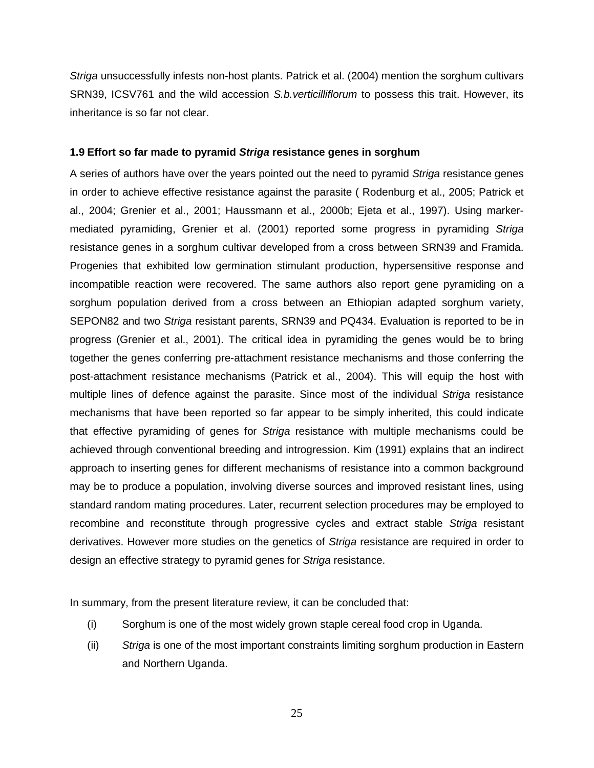Striga unsuccessfully infests non-host plants. Patrick et al. (2004) mention the sorghum cultivars SRN39, ICSV761 and the wild accession S.b. verticilliflorum to possess this trait. However, its inheritance is so far not clear.

### **1.9 Effort so far made to pyramid Striga resistance genes in sorghum**

A series of authors have over the years pointed out the need to pyramid Striga resistance genes in order to achieve effective resistance against the parasite ( Rodenburg et al., 2005; Patrick et al., 2004; Grenier et al., 2001; Haussmann et al., 2000b; Ejeta et al., 1997). Using markermediated pyramiding, Grenier et al. (2001) reported some progress in pyramiding Striga resistance genes in a sorghum cultivar developed from a cross between SRN39 and Framida. Progenies that exhibited low germination stimulant production, hypersensitive response and incompatible reaction were recovered. The same authors also report gene pyramiding on a sorghum population derived from a cross between an Ethiopian adapted sorghum variety, SEPON82 and two Striga resistant parents, SRN39 and PQ434. Evaluation is reported to be in progress (Grenier et al., 2001). The critical idea in pyramiding the genes would be to bring together the genes conferring pre-attachment resistance mechanisms and those conferring the post-attachment resistance mechanisms (Patrick et al., 2004). This will equip the host with multiple lines of defence against the parasite. Since most of the individual Striga resistance mechanisms that have been reported so far appear to be simply inherited, this could indicate that effective pyramiding of genes for Striga resistance with multiple mechanisms could be achieved through conventional breeding and introgression. Kim (1991) explains that an indirect approach to inserting genes for different mechanisms of resistance into a common background may be to produce a population, involving diverse sources and improved resistant lines, using standard random mating procedures. Later, recurrent selection procedures may be employed to recombine and reconstitute through progressive cycles and extract stable Striga resistant derivatives. However more studies on the genetics of Striga resistance are required in order to design an effective strategy to pyramid genes for Striga resistance.

In summary, from the present literature review, it can be concluded that:

- (i) Sorghum is one of the most widely grown staple cereal food crop in Uganda.
- (ii) Striga is one of the most important constraints limiting sorghum production in Eastern and Northern Uganda.

25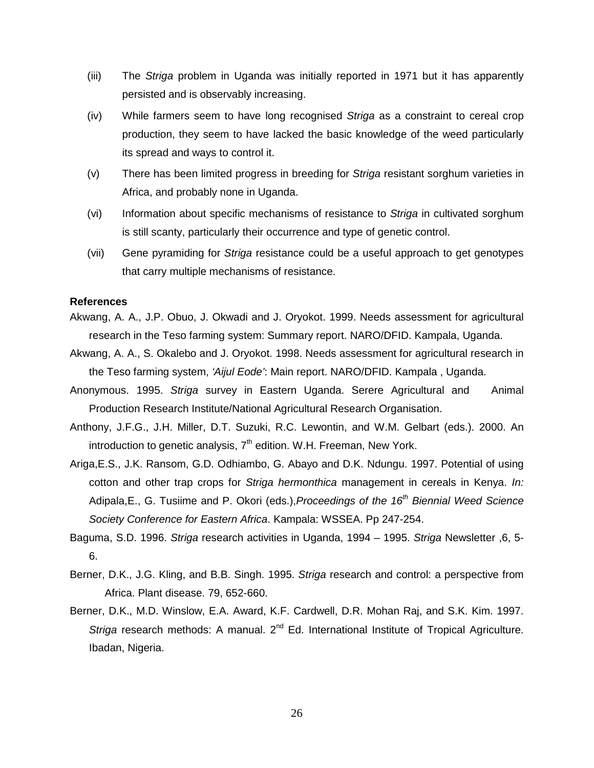- (iii) The Striga problem in Uganda was initially reported in 1971 but it has apparently persisted and is observably increasing.
- (iv) While farmers seem to have long recognised Striga as a constraint to cereal crop production, they seem to have lacked the basic knowledge of the weed particularly its spread and ways to control it.
- (v) There has been limited progress in breeding for Striga resistant sorghum varieties in Africa, and probably none in Uganda.
- (vi) Information about specific mechanisms of resistance to Striga in cultivated sorghum is still scanty, particularly their occurrence and type of genetic control.
- (vii) Gene pyramiding for Striga resistance could be a useful approach to get genotypes that carry multiple mechanisms of resistance.

## **References**

- Akwang, A. A., J.P. Obuo, J. Okwadi and J. Oryokot. 1999. Needs assessment for agricultural research in the Teso farming system: Summary report. NARO/DFID. Kampala, Uganda.
- Akwang, A. A., S. Okalebo and J. Oryokot. 1998. Needs assessment for agricultural research in the Teso farming system, 'Aijul Eode': Main report. NARO/DFID. Kampala , Uganda.
- Anonymous. 1995. Striga survey in Eastern Uganda. Serere Agricultural and Animal Production Research Institute/National Agricultural Research Organisation.
- Anthony, J.F.G., J.H. Miller, D.T. Suzuki, R.C. Lewontin, and W.M. Gelbart (eds.). 2000. An introduction to genetic analysis,  $7<sup>th</sup>$  edition. W.H. Freeman, New York.
- Ariga,E.S., J.K. Ransom, G.D. Odhiambo, G. Abayo and D.K. Ndungu. 1997. Potential of using cotton and other trap crops for Striga hermonthica management in cereals in Kenya. In: Adipala, E., G. Tusiime and P. Okori (eds.), Proceedings of the  $16<sup>th</sup>$  Biennial Weed Science Society Conference for Eastern Africa. Kampala: WSSEA. Pp 247-254.
- Baguma, S.D. 1996. Striga research activities in Uganda, 1994 1995. Striga Newsletter ,6, 5- 6.
- Berner, D.K., J.G. Kling, and B.B. Singh. 1995. Striga research and control: a perspective from Africa. Plant disease. 79, 652-660.
- Berner, D.K., M.D. Winslow, E.A. Award, K.F. Cardwell, D.R. Mohan Raj, and S.K. Kim. 1997. Striga research methods: A manual.  $2^{nd}$  Ed. International Institute of Tropical Agriculture. Ibadan, Nigeria.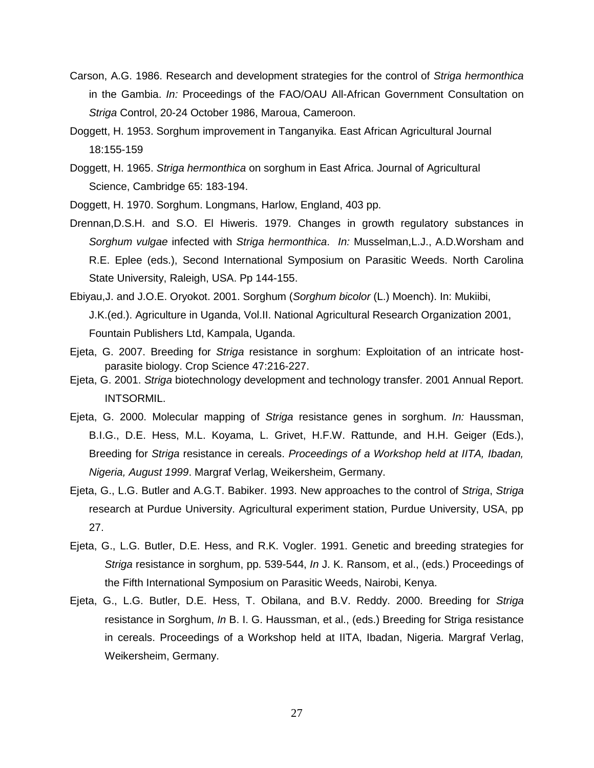- Carson, A.G. 1986. Research and development strategies for the control of Striga hermonthica in the Gambia. In: Proceedings of the FAO/OAU All-African Government Consultation on Striga Control, 20-24 October 1986, Maroua, Cameroon.
- Doggett, H. 1953. Sorghum improvement in Tanganyika. East African Agricultural Journal 18:155-159
- Doggett, H. 1965. Striga hermonthica on sorghum in East Africa. Journal of Agricultural Science, Cambridge 65: 183-194.
- Doggett, H. 1970. Sorghum. Longmans, Harlow, England, 403 pp.
- Drennan,D.S.H. and S.O. El Hiweris. 1979. Changes in growth regulatory substances in Sorghum vulgae infected with Striga hermonthica. In: Musselman, L.J., A.D.Worsham and R.E. Eplee (eds.), Second International Symposium on Parasitic Weeds. North Carolina State University, Raleigh, USA. Pp 144-155.
- Ebiyau,J. and J.O.E. Oryokot. 2001. Sorghum (Sorghum bicolor (L.) Moench). In: Mukiibi, J.K.(ed.). Agriculture in Uganda, Vol.II. National Agricultural Research Organization 2001, Fountain Publishers Ltd, Kampala, Uganda.
- Ejeta, G. 2007. Breeding for Striga resistance in sorghum: Exploitation of an intricate hostparasite biology. Crop Science 47:216-227.
- Ejeta, G. 2001. Striga biotechnology development and technology transfer. 2001 Annual Report. INTSORMIL.
- Ejeta, G. 2000. Molecular mapping of Striga resistance genes in sorghum. In: Haussman, B.I.G., D.E. Hess, M.L. Koyama, L. Grivet, H.F.W. Rattunde, and H.H. Geiger (Eds.), Breeding for Striga resistance in cereals. Proceedings of a Workshop held at IITA, Ibadan, Nigeria, August 1999. Margraf Verlag, Weikersheim, Germany.
- Ejeta, G., L.G. Butler and A.G.T. Babiker. 1993. New approaches to the control of Striga, Striga research at Purdue University. Agricultural experiment station, Purdue University, USA, pp 27.
- Ejeta, G., L.G. Butler, D.E. Hess, and R.K. Vogler. 1991. Genetic and breeding strategies for Striga resistance in sorghum, pp. 539-544, In J. K. Ransom, et al., (eds.) Proceedings of the Fifth International Symposium on Parasitic Weeds, Nairobi, Kenya.
- Ejeta, G., L.G. Butler, D.E. Hess, T. Obilana, and B.V. Reddy. 2000. Breeding for Striga resistance in Sorghum, In B. I. G. Haussman, et al., (eds.) Breeding for Striga resistance in cereals. Proceedings of a Workshop held at IITA, Ibadan, Nigeria. Margraf Verlag, Weikersheim, Germany.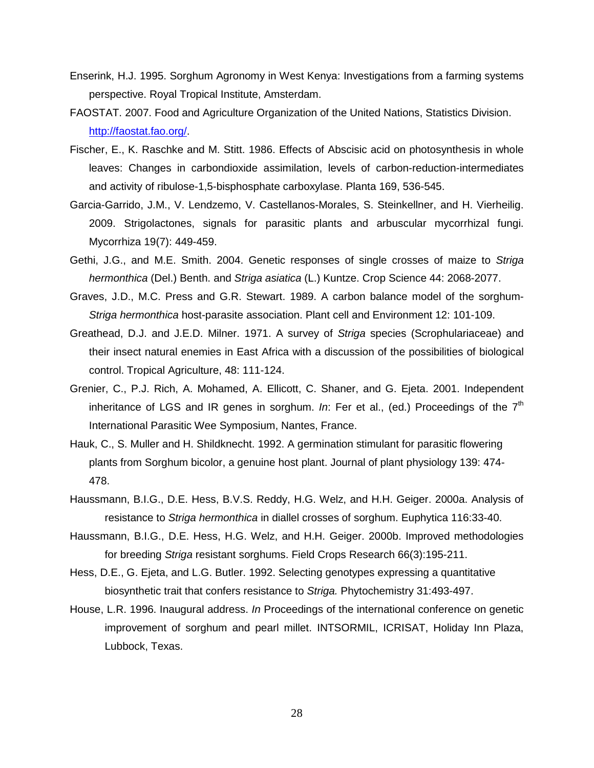- Enserink, H.J. 1995. Sorghum Agronomy in West Kenya: Investigations from a farming systems perspective. Royal Tropical Institute, Amsterdam.
- FAOSTAT. 2007. Food and Agriculture Organization of the United Nations, Statistics Division. http://faostat.fao.org/.
- Fischer, E., K. Raschke and M. Stitt. 1986. Effects of Abscisic acid on photosynthesis in whole leaves: Changes in carbondioxide assimilation, levels of carbon-reduction-intermediates and activity of ribulose-1,5-bisphosphate carboxylase. Planta 169, 536-545.
- Garcia-Garrido, J.M., V. Lendzemo, V. Castellanos-Morales, S. Steinkellner, and H. Vierheilig. 2009. Strigolactones, signals for parasitic plants and arbuscular mycorrhizal fungi. Mycorrhiza 19(7): 449-459.
- Gethi, J.G., and M.E. Smith. 2004. Genetic responses of single crosses of maize to Striga hermonthica (Del.) Benth. and Striga asiatica (L.) Kuntze. Crop Science 44: 2068-2077.
- Graves, J.D., M.C. Press and G.R. Stewart. 1989. A carbon balance model of the sorghum-Striga hermonthica host-parasite association. Plant cell and Environment 12: 101-109.
- Greathead, D.J. and J.E.D. Milner. 1971. A survey of Striga species (Scrophulariaceae) and their insect natural enemies in East Africa with a discussion of the possibilities of biological control. Tropical Agriculture, 48: 111-124.
- Grenier, C., P.J. Rich, A. Mohamed, A. Ellicott, C. Shaner, and G. Ejeta. 2001. Independent inheritance of LGS and IR genes in sorghum. In: Fer et al., (ed.) Proceedings of the  $7<sup>th</sup>$ International Parasitic Wee Symposium, Nantes, France.
- Hauk, C., S. Muller and H. Shildknecht. 1992. A germination stimulant for parasitic flowering plants from Sorghum bicolor, a genuine host plant. Journal of plant physiology 139: 474- 478.
- Haussmann, B.I.G., D.E. Hess, B.V.S. Reddy, H.G. Welz, and H.H. Geiger. 2000a. Analysis of resistance to Striga hermonthica in diallel crosses of sorghum. Euphytica 116:33-40.
- Haussmann, B.I.G., D.E. Hess, H.G. Welz, and H.H. Geiger. 2000b. Improved methodologies for breeding Striga resistant sorghums. Field Crops Research 66(3):195-211.
- Hess, D.E., G. Ejeta, and L.G. Butler. 1992. Selecting genotypes expressing a quantitative biosynthetic trait that confers resistance to Striga. Phytochemistry 31:493-497.
- House, L.R. 1996. Inaugural address. In Proceedings of the international conference on genetic improvement of sorghum and pearl millet. INTSORMIL, ICRISAT, Holiday Inn Plaza, Lubbock, Texas.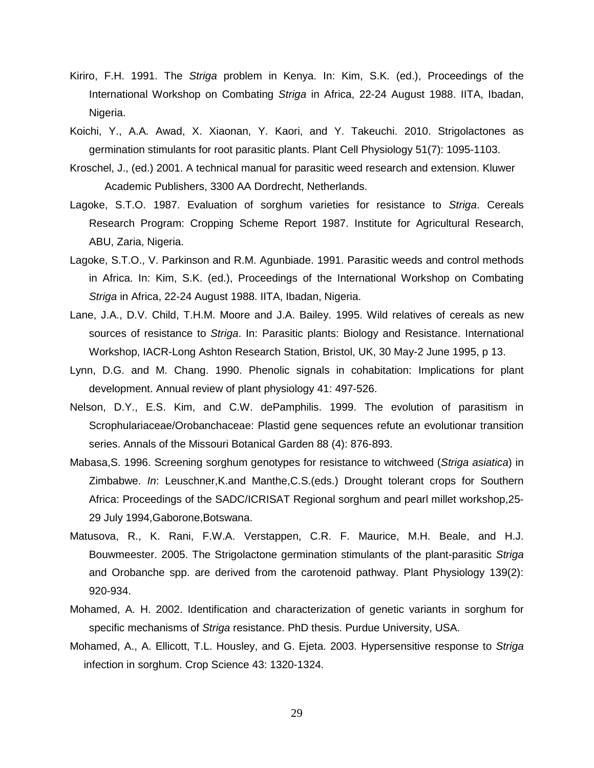- Kiriro, F.H. 1991. The Striga problem in Kenya. In: Kim, S.K. (ed.), Proceedings of the International Workshop on Combating Striga in Africa, 22-24 August 1988. IITA, Ibadan, Nigeria.
- Koichi, Y., A.A. Awad, X. Xiaonan, Y. Kaori, and Y. Takeuchi. 2010. Strigolactones as germination stimulants for root parasitic plants. Plant Cell Physiology 51(7): 1095-1103.
- Kroschel, J., (ed.) 2001. A technical manual for parasitic weed research and extension. Kluwer Academic Publishers, 3300 AA Dordrecht, Netherlands.
- Lagoke, S.T.O. 1987. Evaluation of sorghum varieties for resistance to Striga. Cereals Research Program: Cropping Scheme Report 1987. Institute for Agricultural Research, ABU, Zaria, Nigeria.
- Lagoke, S.T.O., V. Parkinson and R.M. Agunbiade. 1991. Parasitic weeds and control methods in Africa. In: Kim, S.K. (ed.), Proceedings of the International Workshop on Combating Striga in Africa, 22-24 August 1988. IITA, Ibadan, Nigeria.
- Lane, J.A., D.V. Child, T.H.M. Moore and J.A. Bailey. 1995. Wild relatives of cereals as new sources of resistance to Striga. In: Parasitic plants: Biology and Resistance. International Workshop, IACR-Long Ashton Research Station, Bristol, UK, 30 May-2 June 1995, p 13.
- Lynn, D.G. and M. Chang. 1990. Phenolic signals in cohabitation: Implications for plant development. Annual review of plant physiology 41: 497-526.
- Nelson, D.Y., E.S. Kim, and C.W. dePamphilis. 1999. The evolution of parasitism in Scrophulariaceae/Orobanchaceae: Plastid gene sequences refute an evolutionar transition series. Annals of the Missouri Botanical Garden 88 (4): 876-893.
- Mabasa, S. 1996. Screening sorghum genotypes for resistance to witchweed (Striga asiatica) in Zimbabwe. In: Leuschner,K.and Manthe,C.S.(eds.) Drought tolerant crops for Southern Africa: Proceedings of the SADC/ICRISAT Regional sorghum and pearl millet workshop,25- 29 July 1994,Gaborone,Botswana.
- Matusova, R., K. Rani, F.W.A. Verstappen, C.R. F. Maurice, M.H. Beale, and H.J. Bouwmeester. 2005. The Strigolactone germination stimulants of the plant-parasitic Striga and Orobanche spp. are derived from the carotenoid pathway. Plant Physiology 139(2): 920-934.
- Mohamed, A. H. 2002. Identification and characterization of genetic variants in sorghum for specific mechanisms of Striga resistance. PhD thesis. Purdue University, USA.
- Mohamed, A., A. Ellicott, T.L. Housley, and G. Ejeta. 2003. Hypersensitive response to Striga infection in sorghum. Crop Science 43: 1320-1324.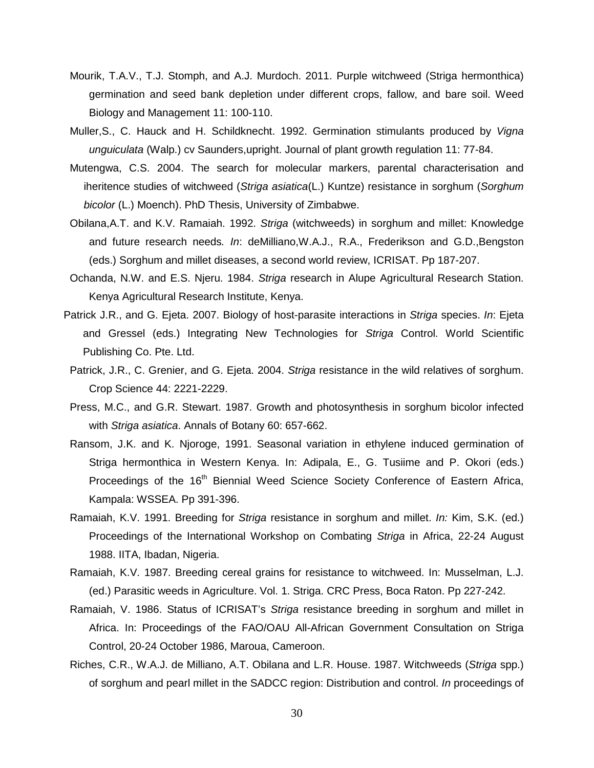- Mourik, T.A.V., T.J. Stomph, and A.J. Murdoch. 2011. Purple witchweed (Striga hermonthica) germination and seed bank depletion under different crops, fallow, and bare soil. Weed Biology and Management 11: 100-110.
- Muller, S., C. Hauck and H. Schildknecht. 1992. Germination stimulants produced by Vigna unguiculata (Walp.) cv Saunders,upright. Journal of plant growth regulation 11: 77-84.
- Mutengwa, C.S. 2004. The search for molecular markers, parental characterisation and iheritence studies of witchweed (Striga asiatica(L.) Kuntze) resistance in sorghum (Sorghum bicolor (L.) Moench). PhD Thesis, University of Zimbabwe.
- Obilana,A.T. and K.V. Ramaiah. 1992. Striga (witchweeds) in sorghum and millet: Knowledge and future research needs. In: deMilliano, W.A.J., R.A., Frederikson and G.D., Bengston (eds.) Sorghum and millet diseases, a second world review, ICRISAT. Pp 187-207.
- Ochanda, N.W. and E.S. Njeru. 1984. Striga research in Alupe Agricultural Research Station. Kenya Agricultural Research Institute, Kenya.
- Patrick J.R., and G. Ejeta. 2007. Biology of host-parasite interactions in Striga species. In: Ejeta and Gressel (eds.) Integrating New Technologies for Striga Control. World Scientific Publishing Co. Pte. Ltd.
- Patrick, J.R., C. Grenier, and G. Ejeta. 2004. Striga resistance in the wild relatives of sorghum. Crop Science 44: 2221-2229.
- Press, M.C., and G.R. Stewart. 1987. Growth and photosynthesis in sorghum bicolor infected with Striga asiatica. Annals of Botany 60: 657-662.
- Ransom, J.K. and K. Njoroge, 1991. Seasonal variation in ethylene induced germination of Striga hermonthica in Western Kenya. In: Adipala, E., G. Tusiime and P. Okori (eds.) Proceedings of the 16<sup>th</sup> Biennial Weed Science Society Conference of Eastern Africa, Kampala: WSSEA. Pp 391-396.
- Ramaiah, K.V. 1991. Breeding for Striga resistance in sorghum and millet. In: Kim, S.K. (ed.) Proceedings of the International Workshop on Combating Striga in Africa, 22-24 August 1988. IITA, Ibadan, Nigeria.
- Ramaiah, K.V. 1987. Breeding cereal grains for resistance to witchweed. In: Musselman, L.J. (ed.) Parasitic weeds in Agriculture. Vol. 1. Striga. CRC Press, Boca Raton. Pp 227-242.
- Ramaiah, V. 1986. Status of ICRISAT's Striga resistance breeding in sorghum and millet in Africa. In: Proceedings of the FAO/OAU All-African Government Consultation on Striga Control, 20-24 October 1986, Maroua, Cameroon.
- Riches, C.R., W.A.J. de Milliano, A.T. Obilana and L.R. House. 1987. Witchweeds (Striga spp.) of sorghum and pearl millet in the SADCC region: Distribution and control. In proceedings of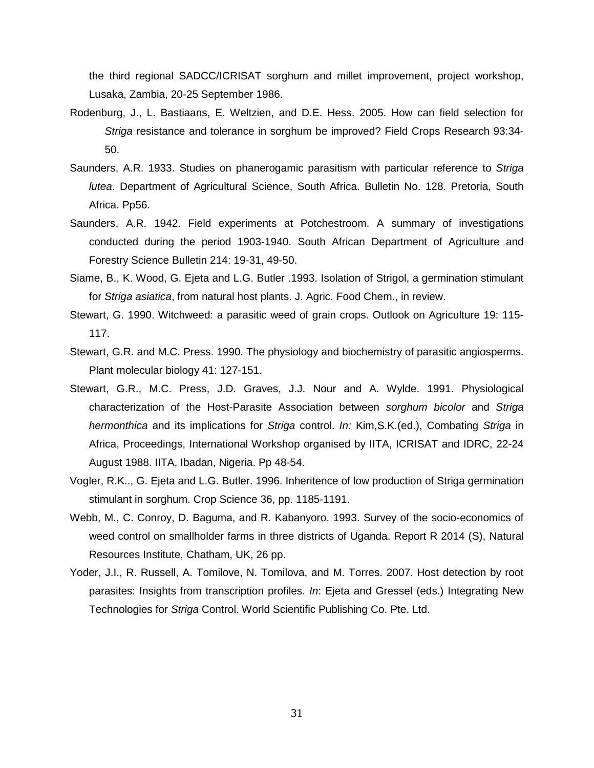the third regional SADCC/ICRISAT sorghum and millet improvement, project workshop, Lusaka, Zambia, 20-25 September 1986.

- Rodenburg, J., L. Bastiaans, E. Weltzien, and D.E. Hess. 2005. How can field selection for Striga resistance and tolerance in sorghum be improved? Field Crops Research 93:34- 50.
- Saunders, A.R. 1933. Studies on phanerogamic parasitism with particular reference to Striga lutea. Department of Agricultural Science, South Africa. Bulletin No. 128. Pretoria, South Africa. Pp56.
- Saunders, A.R. 1942. Field experiments at Potchestroom. A summary of investigations conducted during the period 1903-1940. South African Department of Agriculture and Forestry Science Bulletin 214: 19-31, 49-50.
- Siame, B., K. Wood, G. Ejeta and L.G. Butler .1993. Isolation of Strigol, a germination stimulant for Striga asiatica, from natural host plants. J. Agric. Food Chem., in review.
- Stewart, G. 1990. Witchweed: a parasitic weed of grain crops. Outlook on Agriculture 19: 115- 117.
- Stewart, G.R. and M.C. Press. 1990. The physiology and biochemistry of parasitic angiosperms. Plant molecular biology 41: 127-151.
- Stewart, G.R., M.C. Press, J.D. Graves, J.J. Nour and A. Wylde. 1991. Physiological characterization of the Host-Parasite Association between sorghum bicolor and Striga hermonthica and its implications for Striga control. In: Kim, S.K. (ed.), Combating Striga in Africa, Proceedings, International Workshop organised by IITA, ICRISAT and IDRC, 22-24 August 1988. IITA, Ibadan, Nigeria. Pp 48-54.
- Vogler, R.K.., G. Ejeta and L.G. Butler. 1996. Inheritence of low production of Striga germination stimulant in sorghum. Crop Science 36, pp. 1185-1191.
- Webb, M., C. Conroy, D. Baguma, and R. Kabanyoro. 1993. Survey of the socio-economics of weed control on smallholder farms in three districts of Uganda. Report R 2014 (S), Natural Resources Institute, Chatham, UK, 26 pp.
- Yoder, J.I., R. Russell, A. Tomilove, N. Tomilova, and M. Torres. 2007. Host detection by root parasites: Insights from transcription profiles. In: Ejeta and Gressel (eds.) Integrating New Technologies for Striga Control. World Scientific Publishing Co. Pte. Ltd.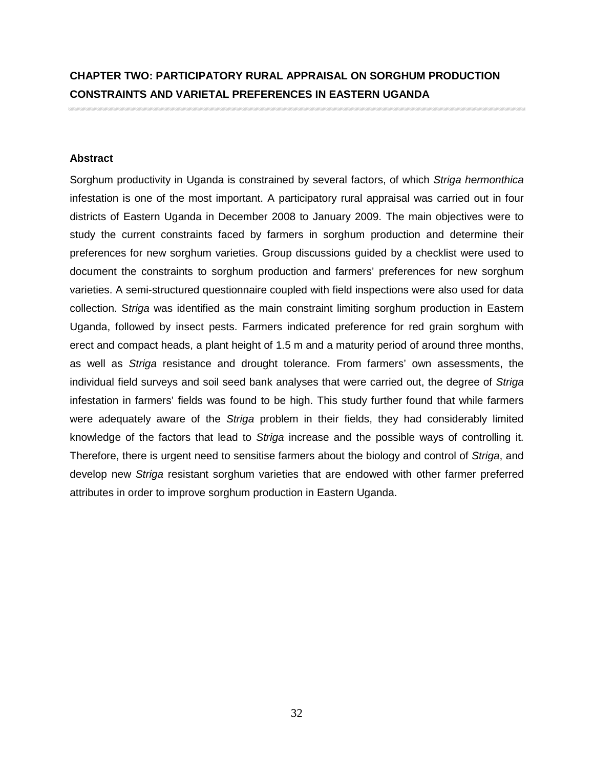# **CHAPTER TWO: PARTICIPATORY RURAL APPRAISAL ON SORGHUM PRODUCTION CONSTRAINTS AND VARIETAL PREFERENCES IN EASTERN UGANDA**

## **Abstract**

Sorghum productivity in Uganda is constrained by several factors, of which Striga hermonthica infestation is one of the most important. A participatory rural appraisal was carried out in four districts of Eastern Uganda in December 2008 to January 2009. The main objectives were to study the current constraints faced by farmers in sorghum production and determine their preferences for new sorghum varieties. Group discussions guided by a checklist were used to document the constraints to sorghum production and farmers' preferences for new sorghum varieties. A semi-structured questionnaire coupled with field inspections were also used for data collection. Striga was identified as the main constraint limiting sorghum production in Eastern Uganda, followed by insect pests. Farmers indicated preference for red grain sorghum with erect and compact heads, a plant height of 1.5 m and a maturity period of around three months, as well as Striga resistance and drought tolerance. From farmers' own assessments, the individual field surveys and soil seed bank analyses that were carried out, the degree of Striga infestation in farmers' fields was found to be high. This study further found that while farmers were adequately aware of the Striga problem in their fields, they had considerably limited knowledge of the factors that lead to Striga increase and the possible ways of controlling it. Therefore, there is urgent need to sensitise farmers about the biology and control of Striga, and develop new Striga resistant sorghum varieties that are endowed with other farmer preferred attributes in order to improve sorghum production in Eastern Uganda.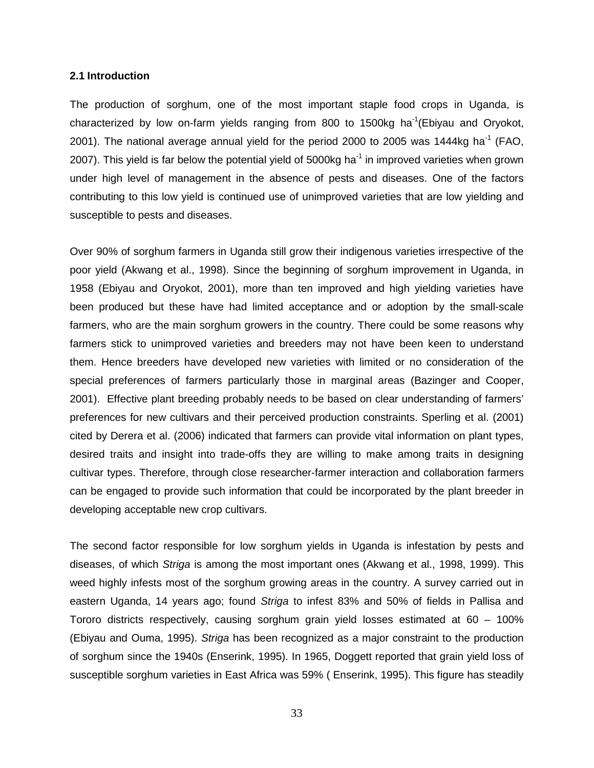### **2.1 Introduction**

The production of sorghum, one of the most important staple food crops in Uganda, is characterized by low on-farm yields ranging from 800 to 1500kg ha<sup>-1</sup>(Ebiyau and Oryokot, 2001). The national average annual yield for the period 2000 to 2005 was 1444kg ha<sup>-1</sup> (FAO, 2007). This yield is far below the potential yield of 5000 $kg$  ha<sup>-1</sup> in improved varieties when grown under high level of management in the absence of pests and diseases. One of the factors contributing to this low yield is continued use of unimproved varieties that are low yielding and susceptible to pests and diseases.

Over 90% of sorghum farmers in Uganda still grow their indigenous varieties irrespective of the poor yield (Akwang et al., 1998). Since the beginning of sorghum improvement in Uganda, in 1958 (Ebiyau and Oryokot, 2001), more than ten improved and high yielding varieties have been produced but these have had limited acceptance and or adoption by the small-scale farmers, who are the main sorghum growers in the country. There could be some reasons why farmers stick to unimproved varieties and breeders may not have been keen to understand them. Hence breeders have developed new varieties with limited or no consideration of the special preferences of farmers particularly those in marginal areas (Bazinger and Cooper, 2001). Effective plant breeding probably needs to be based on clear understanding of farmers' preferences for new cultivars and their perceived production constraints. Sperling et al. (2001) cited by Derera et al. (2006) indicated that farmers can provide vital information on plant types, desired traits and insight into trade-offs they are willing to make among traits in designing cultivar types. Therefore, through close researcher-farmer interaction and collaboration farmers can be engaged to provide such information that could be incorporated by the plant breeder in developing acceptable new crop cultivars.

The second factor responsible for low sorghum yields in Uganda is infestation by pests and diseases, of which Striga is among the most important ones (Akwang et al., 1998, 1999). This weed highly infests most of the sorghum growing areas in the country. A survey carried out in eastern Uganda, 14 years ago; found Striga to infest 83% and 50% of fields in Pallisa and Tororo districts respectively, causing sorghum grain yield losses estimated at 60 – 100% (Ebiyau and Ouma, 1995). Striga has been recognized as a major constraint to the production of sorghum since the 1940s (Enserink, 1995). In 1965, Doggett reported that grain yield loss of susceptible sorghum varieties in East Africa was 59% ( Enserink, 1995). This figure has steadily

33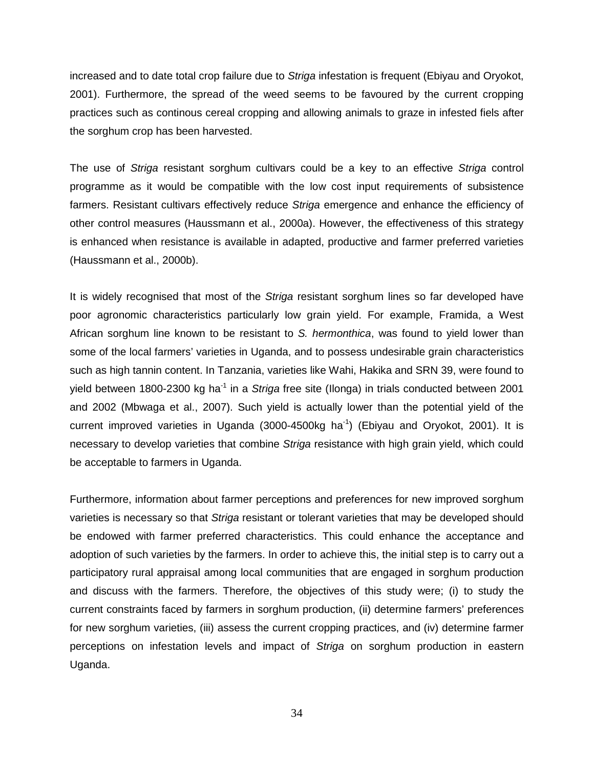increased and to date total crop failure due to Striga infestation is frequent (Ebiyau and Oryokot, 2001). Furthermore, the spread of the weed seems to be favoured by the current cropping practices such as continous cereal cropping and allowing animals to graze in infested fiels after the sorghum crop has been harvested.

The use of Striga resistant sorghum cultivars could be a key to an effective Striga control programme as it would be compatible with the low cost input requirements of subsistence farmers. Resistant cultivars effectively reduce Striga emergence and enhance the efficiency of other control measures (Haussmann et al., 2000a). However, the effectiveness of this strategy is enhanced when resistance is available in adapted, productive and farmer preferred varieties (Haussmann et al., 2000b).

It is widely recognised that most of the Striga resistant sorghum lines so far developed have poor agronomic characteristics particularly low grain yield. For example, Framida, a West African sorghum line known to be resistant to S. hermonthica, was found to yield lower than some of the local farmers' varieties in Uganda, and to possess undesirable grain characteristics such as high tannin content. In Tanzania, varieties like Wahi, Hakika and SRN 39, were found to yield between 1800-2300 kg ha<sup>-1</sup> in a Striga free site (Ilonga) in trials conducted between 2001 and 2002 (Mbwaga et al., 2007). Such yield is actually lower than the potential yield of the current improved varieties in Uganda  $(3000-4500kg \text{ ha}^{-1})$  (Ebiyau and Oryokot, 2001). It is necessary to develop varieties that combine Striga resistance with high grain yield, which could be acceptable to farmers in Uganda.

Furthermore, information about farmer perceptions and preferences for new improved sorghum varieties is necessary so that Striga resistant or tolerant varieties that may be developed should be endowed with farmer preferred characteristics. This could enhance the acceptance and adoption of such varieties by the farmers. In order to achieve this, the initial step is to carry out a participatory rural appraisal among local communities that are engaged in sorghum production and discuss with the farmers. Therefore, the objectives of this study were; (i) to study the current constraints faced by farmers in sorghum production, (ii) determine farmers' preferences for new sorghum varieties, (iii) assess the current cropping practices, and (iv) determine farmer perceptions on infestation levels and impact of Striga on sorghum production in eastern Uganda.

34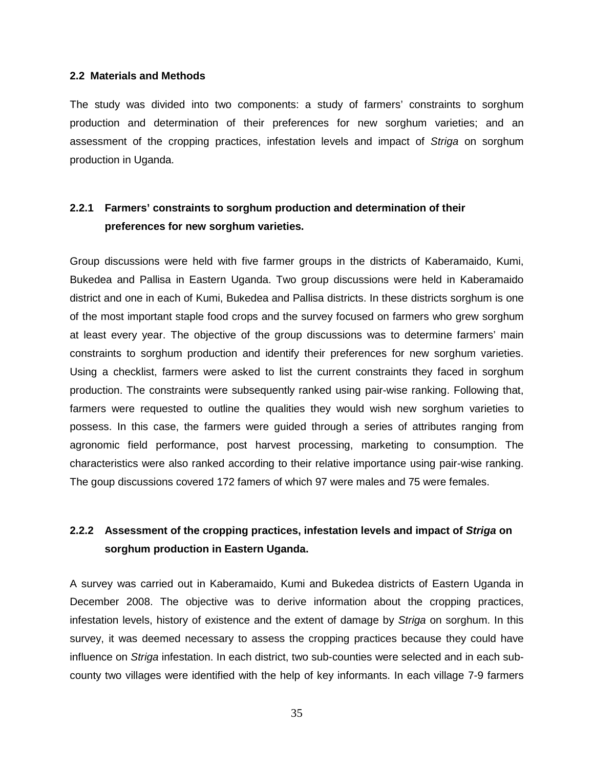### **2.2 Materials and Methods**

The study was divided into two components: a study of farmers' constraints to sorghum production and determination of their preferences for new sorghum varieties; and an assessment of the cropping practices, infestation levels and impact of Striga on sorghum production in Uganda.

## **2.2.1 Farmers' constraints to sorghum production and determination of their preferences for new sorghum varieties.**

Group discussions were held with five farmer groups in the districts of Kaberamaido, Kumi, Bukedea and Pallisa in Eastern Uganda. Two group discussions were held in Kaberamaido district and one in each of Kumi, Bukedea and Pallisa districts. In these districts sorghum is one of the most important staple food crops and the survey focused on farmers who grew sorghum at least every year. The objective of the group discussions was to determine farmers' main constraints to sorghum production and identify their preferences for new sorghum varieties. Using a checklist, farmers were asked to list the current constraints they faced in sorghum production. The constraints were subsequently ranked using pair-wise ranking. Following that, farmers were requested to outline the qualities they would wish new sorghum varieties to possess. In this case, the farmers were guided through a series of attributes ranging from agronomic field performance, post harvest processing, marketing to consumption. The characteristics were also ranked according to their relative importance using pair-wise ranking. The goup discussions covered 172 famers of which 97 were males and 75 were females.

## **2.2.2 Assessment of the cropping practices, infestation levels and impact of Striga on sorghum production in Eastern Uganda.**

A survey was carried out in Kaberamaido, Kumi and Bukedea districts of Eastern Uganda in December 2008. The objective was to derive information about the cropping practices, infestation levels, history of existence and the extent of damage by Striga on sorghum. In this survey, it was deemed necessary to assess the cropping practices because they could have influence on Striga infestation. In each district, two sub-counties were selected and in each subcounty two villages were identified with the help of key informants. In each village 7-9 farmers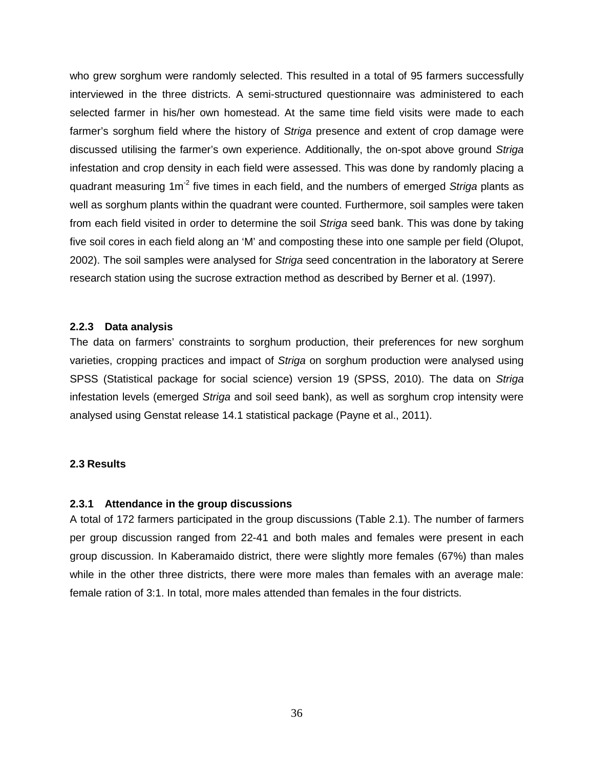who grew sorghum were randomly selected. This resulted in a total of 95 farmers successfully interviewed in the three districts. A semi-structured questionnaire was administered to each selected farmer in his/her own homestead. At the same time field visits were made to each farmer's sorghum field where the history of Striga presence and extent of crop damage were discussed utilising the farmer's own experience. Additionally, the on-spot above ground Striga infestation and crop density in each field were assessed. This was done by randomly placing a quadrant measuring  $1m<sup>-2</sup>$  five times in each field, and the numbers of emerged Striga plants as well as sorghum plants within the quadrant were counted. Furthermore, soil samples were taken from each field visited in order to determine the soil Striga seed bank. This was done by taking five soil cores in each field along an 'M' and composting these into one sample per field (Olupot, 2002). The soil samples were analysed for Striga seed concentration in the laboratory at Serere research station using the sucrose extraction method as described by Berner et al. (1997).

## **2.2.3 Data analysis**

The data on farmers' constraints to sorghum production, their preferences for new sorghum varieties, cropping practices and impact of Striga on sorghum production were analysed using SPSS (Statistical package for social science) version 19 (SPSS, 2010). The data on Striga infestation levels (emerged Striga and soil seed bank), as well as sorghum crop intensity were analysed using Genstat release 14.1 statistical package (Payne et al., 2011).

### **2.3 Results**

### **2.3.1 Attendance in the group discussions**

A total of 172 farmers participated in the group discussions (Table 2.1). The number of farmers per group discussion ranged from 22-41 and both males and females were present in each group discussion. In Kaberamaido district, there were slightly more females (67%) than males while in the other three districts, there were more males than females with an average male: female ration of 3:1. In total, more males attended than females in the four districts.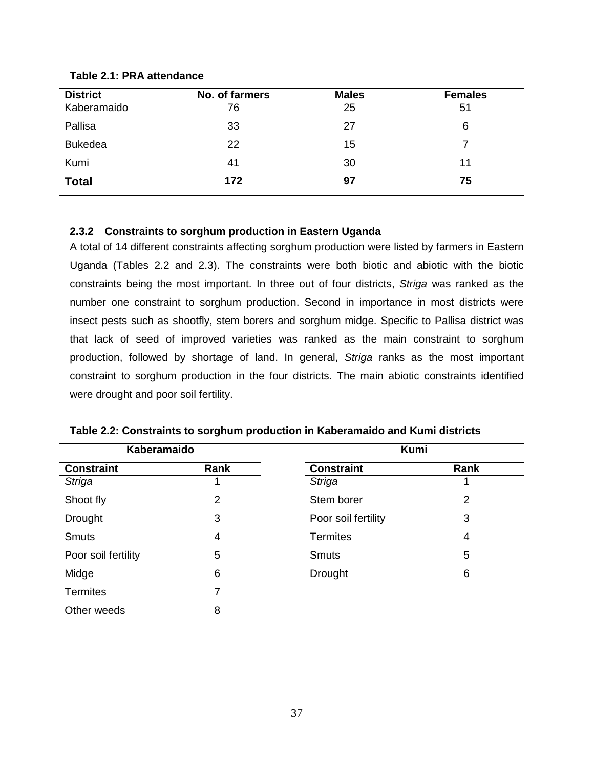| <b>District</b> | No. of farmers | <b>Males</b> | <b>Females</b> |
|-----------------|----------------|--------------|----------------|
| Kaberamaido     | 76             | 25           | 51             |
| Pallisa         | 33             | 27           | 6              |
| <b>Bukedea</b>  | 22             | 15           |                |
| Kumi            | 41             | 30           | 11             |
| <b>Total</b>    | 172            | 97           | 75             |

## **Table 2.1: PRA attendance**

## **2.3.2 Constraints to sorghum production in Eastern Uganda**

A total of 14 different constraints affecting sorghum production were listed by farmers in Eastern Uganda (Tables 2.2 and 2.3). The constraints were both biotic and abiotic with the biotic constraints being the most important. In three out of four districts, Striga was ranked as the number one constraint to sorghum production. Second in importance in most districts were insect pests such as shootfly, stem borers and sorghum midge. Specific to Pallisa district was that lack of seed of improved varieties was ranked as the main constraint to sorghum production, followed by shortage of land. In general, Striga ranks as the most important constraint to sorghum production in the four districts. The main abiotic constraints identified were drought and poor soil fertility.

| Kaberamaido         |                | <b>Kumi</b>         |                |
|---------------------|----------------|---------------------|----------------|
| <b>Constraint</b>   | Rank           | <b>Constraint</b>   | Rank           |
| <b>Striga</b>       |                | Striga              |                |
| Shoot fly           | $\overline{2}$ | Stem borer          | $\overline{2}$ |
| <b>Drought</b>      | 3              | Poor soil fertility | 3              |
| <b>Smuts</b>        | 4              | <b>Termites</b>     | 4              |
| Poor soil fertility | 5              | <b>Smuts</b>        | 5              |
| Midge               | 6              | <b>Drought</b>      | 6              |
| <b>Termites</b>     | 7              |                     |                |
| Other weeds         | 8              |                     |                |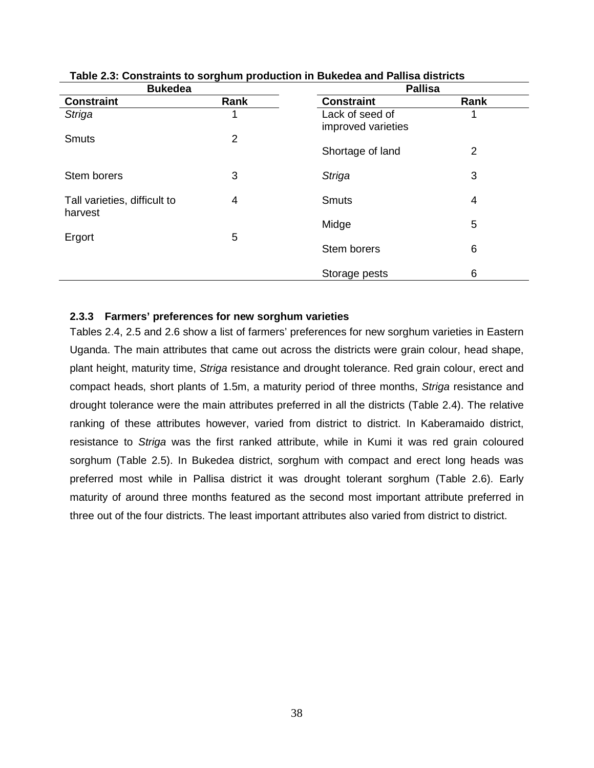| <b>Bukedea</b>                          | יו ייייים יי   | <b>Pallisa</b>                        |      |  |
|-----------------------------------------|----------------|---------------------------------------|------|--|
| <b>Constraint</b>                       | Rank           | <b>Constraint</b>                     | Rank |  |
| <b>Striga</b>                           |                | Lack of seed of<br>improved varieties |      |  |
| <b>Smuts</b>                            | $\overline{2}$ | Shortage of land                      | 2    |  |
| Stem borers                             | 3              | <b>Striga</b>                         | 3    |  |
| Tall varieties, difficult to<br>harvest | 4              | <b>Smuts</b>                          | 4    |  |
| Ergort                                  | 5              | Midge                                 | 5    |  |
|                                         |                | Stem borers                           | 6    |  |
|                                         |                | Storage pests                         | 6    |  |

## **Table 2.3: Constraints to sorghum production in Bukedea and Pallisa districts**

## **2.3.3 Farmers' preferences for new sorghum varieties**

Tables 2.4, 2.5 and 2.6 show a list of farmers' preferences for new sorghum varieties in Eastern Uganda. The main attributes that came out across the districts were grain colour, head shape, plant height, maturity time, Striga resistance and drought tolerance. Red grain colour, erect and compact heads, short plants of 1.5m, a maturity period of three months, Striga resistance and drought tolerance were the main attributes preferred in all the districts (Table 2.4). The relative ranking of these attributes however, varied from district to district. In Kaberamaido district, resistance to Striga was the first ranked attribute, while in Kumi it was red grain coloured sorghum (Table 2.5). In Bukedea district, sorghum with compact and erect long heads was preferred most while in Pallisa district it was drought tolerant sorghum (Table 2.6). Early maturity of around three months featured as the second most important attribute preferred in three out of the four districts. The least important attributes also varied from district to district.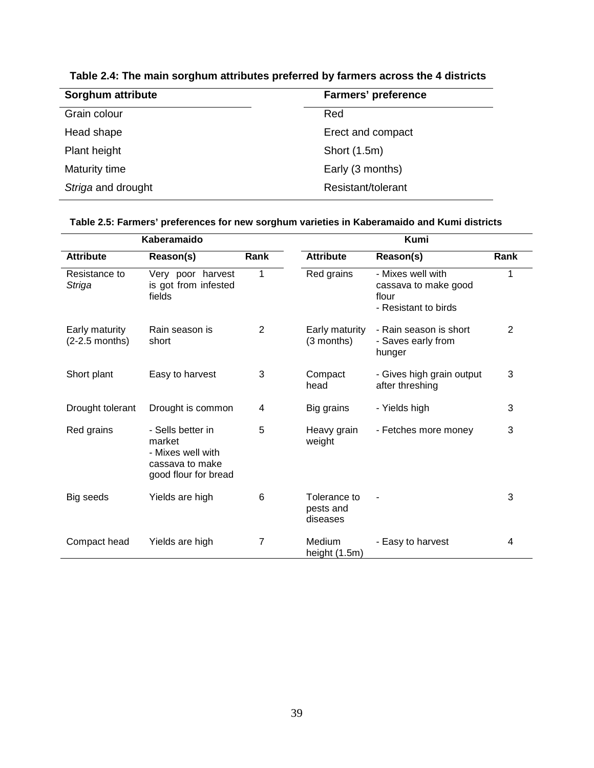| <b>Farmers' preference</b> |
|----------------------------|
| Red                        |
| Erect and compact          |
| Short (1.5m)               |
| Early (3 months)           |
| Resistant/tolerant         |
|                            |

**Table 2.4: The main sorghum attributes preferred by farmers across the 4 districts** 

| Kaberamaido                        |                                                                                             |      | Kumi                                  |                                                                            |                |  |
|------------------------------------|---------------------------------------------------------------------------------------------|------|---------------------------------------|----------------------------------------------------------------------------|----------------|--|
| <b>Attribute</b>                   | Reason(s)                                                                                   | Rank | <b>Attribute</b>                      | Reason(s)                                                                  | Rank           |  |
| Resistance to<br>Striga            | Very poor harvest<br>is got from infested<br>fields                                         | 1    | Red grains                            | - Mixes well with<br>cassava to make good<br>flour<br>- Resistant to birds | 1              |  |
| Early maturity<br>$(2-2.5$ months) | Rain season is<br>short                                                                     | 2    | Early maturity<br>(3 months)          | - Rain season is short<br>- Saves early from<br>hunger                     | $\overline{2}$ |  |
| Short plant                        | Easy to harvest                                                                             | 3    | Compact<br>head                       | - Gives high grain output<br>after threshing                               | 3              |  |
| Drought tolerant                   | Drought is common                                                                           | 4    | Big grains                            | - Yields high                                                              | 3              |  |
| Red grains                         | - Sells better in<br>market<br>- Mixes well with<br>cassava to make<br>good flour for bread | 5    | Heavy grain<br>weight                 | - Fetches more money                                                       | 3              |  |
| Big seeds                          | Yields are high                                                                             | 6    | Tolerance to<br>pests and<br>diseases |                                                                            | 3              |  |
| Compact head                       | Yields are high                                                                             | 7    | Medium<br>height (1.5m)               | - Easy to harvest                                                          | 4              |  |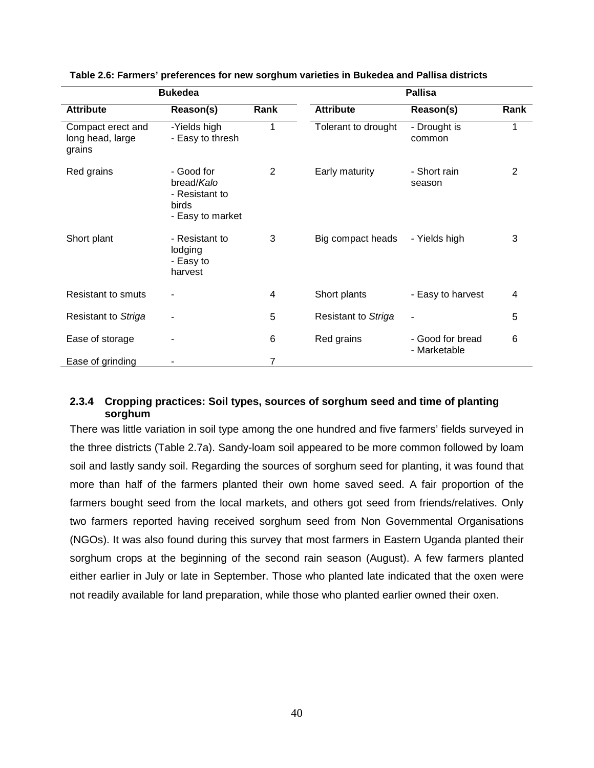| <b>Bukedea</b>                                  |                                                                         |      | <b>Pallisa</b>             |                                  |      |  |
|-------------------------------------------------|-------------------------------------------------------------------------|------|----------------------------|----------------------------------|------|--|
| <b>Attribute</b>                                | Reason(s)                                                               | Rank | <b>Attribute</b>           | Reason(s)                        | Rank |  |
| Compact erect and<br>long head, large<br>grains | -Yields high<br>- Easy to thresh                                        | 1    | Tolerant to drought        | - Drought is<br>common           | 1    |  |
| Red grains                                      | - Good for<br>bread/Kalo<br>- Resistant to<br>birds<br>- Easy to market | 2    | Early maturity             | - Short rain<br>season           | 2    |  |
| Short plant                                     | - Resistant to<br>lodging<br>- Easy to<br>harvest                       | 3    | Big compact heads          | - Yields high                    | 3    |  |
| <b>Resistant to smuts</b>                       |                                                                         | 4    | Short plants               | - Easy to harvest                | 4    |  |
| Resistant to Striga                             |                                                                         | 5    | <b>Resistant to Striga</b> |                                  | 5    |  |
| Ease of storage                                 |                                                                         | 6    | Red grains                 | - Good for bread<br>- Marketable | 6    |  |
| Ease of grinding                                |                                                                         | 7    |                            |                                  |      |  |

**Table 2.6: Farmers' preferences for new sorghum varieties in Bukedea and Pallisa districts** 

## **2.3.4 Cropping practices: Soil types, sources of sorghum seed and time of planting sorghum**

There was little variation in soil type among the one hundred and five farmers' fields surveyed in the three districts (Table 2.7a). Sandy-loam soil appeared to be more common followed by loam soil and lastly sandy soil. Regarding the sources of sorghum seed for planting, it was found that more than half of the farmers planted their own home saved seed. A fair proportion of the farmers bought seed from the local markets, and others got seed from friends/relatives. Only two farmers reported having received sorghum seed from Non Governmental Organisations (NGOs). It was also found during this survey that most farmers in Eastern Uganda planted their sorghum crops at the beginning of the second rain season (August). A few farmers planted either earlier in July or late in September. Those who planted late indicated that the oxen were not readily available for land preparation, while those who planted earlier owned their oxen.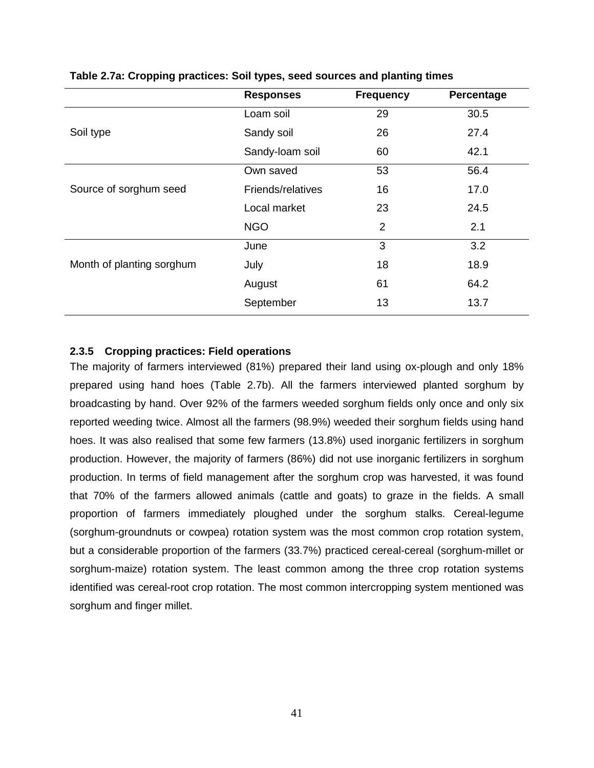|                           | <b>Responses</b>  | <b>Frequency</b> | Percentage |
|---------------------------|-------------------|------------------|------------|
|                           | Loam soil         | 29               | 30.5       |
| Soil type                 | Sandy soil        | 26               | 27.4       |
|                           | Sandy-loam soil   | 60               | 42.1       |
|                           | Own saved         | 53               | 56.4       |
| Source of sorghum seed    | Friends/relatives | 16               | 17.0       |
|                           | Local market      | 23               | 24.5       |
|                           | <b>NGO</b>        | $\overline{2}$   | 2.1        |
|                           | June              | 3                | 3.2        |
| Month of planting sorghum | July              | 18               | 18.9       |
|                           | August            | 61               | 64.2       |
|                           | September         | 13               | 13.7       |

**Table 2.7a: Cropping practices: Soil types, seed sources and planting times** 

## **2.3.5 Cropping practices: Field operations**

The majority of farmers interviewed (81%) prepared their land using ox-plough and only 18% prepared using hand hoes (Table 2.7b). All the farmers interviewed planted sorghum by broadcasting by hand. Over 92% of the farmers weeded sorghum fields only once and only six reported weeding twice. Almost all the farmers (98.9%) weeded their sorghum fields using hand hoes. It was also realised that some few farmers (13.8%) used inorganic fertilizers in sorghum production. However, the majority of farmers (86%) did not use inorganic fertilizers in sorghum production. In terms of field management after the sorghum crop was harvested, it was found that 70% of the farmers allowed animals (cattle and goats) to graze in the fields. A small proportion of farmers immediately ploughed under the sorghum stalks. Cereal-legume (sorghum-groundnuts or cowpea) rotation system was the most common crop rotation system, but a considerable proportion of the farmers (33.7%) practiced cereal-cereal (sorghum-millet or sorghum-maize) rotation system. The least common among the three crop rotation systems identified was cereal-root crop rotation. The most common intercropping system mentioned was sorghum and finger millet.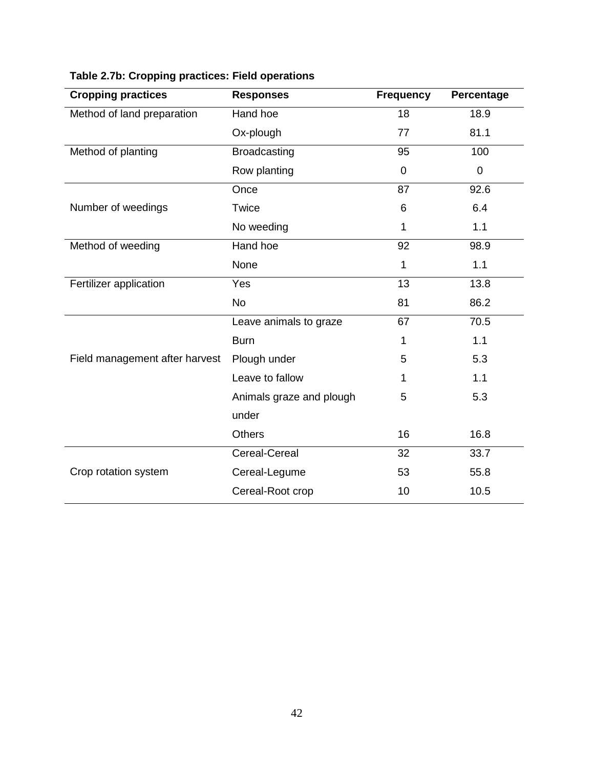| <b>Cropping practices</b>      | <b>Responses</b>         | <b>Frequency</b> | Percentage     |
|--------------------------------|--------------------------|------------------|----------------|
| Method of land preparation     | Hand hoe                 | 18               | 18.9           |
|                                | Ox-plough                | 77               | 81.1           |
| Method of planting             | <b>Broadcasting</b>      | 95               | 100            |
|                                | Row planting             | $\mathbf 0$      | $\overline{0}$ |
|                                | Once                     | 87               | 92.6           |
| Number of weedings             | Twice                    | 6                | 6.4            |
|                                | No weeding               | 1                | 1.1            |
| Method of weeding              | Hand hoe                 | 92               | 98.9           |
|                                | None                     | 1                | 1.1            |
| Fertilizer application         | Yes                      | 13               | 13.8           |
|                                | <b>No</b>                | 81               | 86.2           |
|                                | Leave animals to graze   | 67               | 70.5           |
|                                | <b>Burn</b>              | 1                | 1.1            |
| Field management after harvest | Plough under             | 5                | 5.3            |
|                                | Leave to fallow          | 1                | 1.1            |
|                                | Animals graze and plough | 5                | 5.3            |
|                                | under                    |                  |                |
|                                | <b>Others</b>            | 16               | 16.8           |
|                                | Cereal-Cereal            | 32               | 33.7           |
| Crop rotation system           | Cereal-Legume            | 53               | 55.8           |
|                                | Cereal-Root crop         | 10               | 10.5           |

# **Table 2.7b: Cropping practices: Field operations**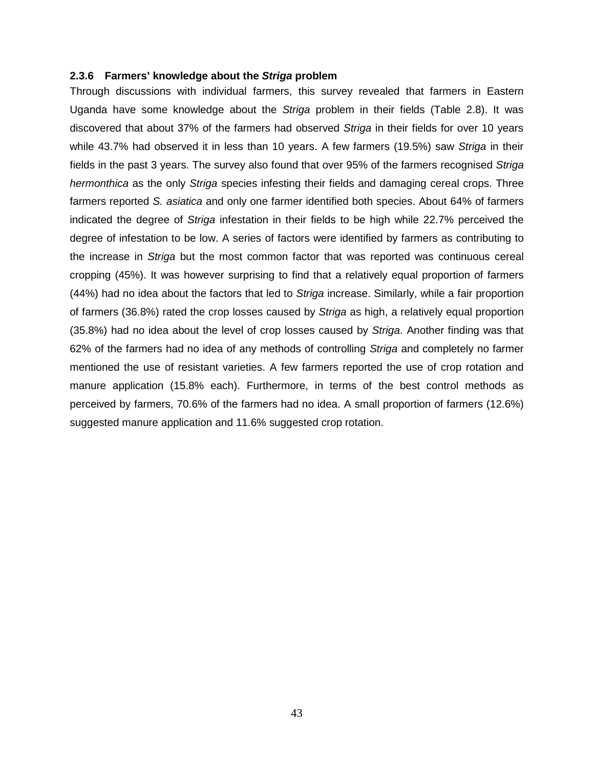### **2.3.6 Farmers' knowledge about the Striga problem**

Through discussions with individual farmers, this survey revealed that farmers in Eastern Uganda have some knowledge about the Striga problem in their fields (Table 2.8). It was discovered that about 37% of the farmers had observed Striga in their fields for over 10 years while 43.7% had observed it in less than 10 years. A few farmers (19.5%) saw Striga in their fields in the past 3 years. The survey also found that over 95% of the farmers recognised Striga hermonthica as the only Striga species infesting their fields and damaging cereal crops. Three farmers reported S. asiatica and only one farmer identified both species. About 64% of farmers indicated the degree of Striga infestation in their fields to be high while 22.7% perceived the degree of infestation to be low. A series of factors were identified by farmers as contributing to the increase in Striga but the most common factor that was reported was continuous cereal cropping (45%). It was however surprising to find that a relatively equal proportion of farmers (44%) had no idea about the factors that led to Striga increase. Similarly, while a fair proportion of farmers (36.8%) rated the crop losses caused by Striga as high, a relatively equal proportion (35.8%) had no idea about the level of crop losses caused by Striga. Another finding was that 62% of the farmers had no idea of any methods of controlling Striga and completely no farmer mentioned the use of resistant varieties. A few farmers reported the use of crop rotation and manure application (15.8% each). Furthermore, in terms of the best control methods as perceived by farmers, 70.6% of the farmers had no idea. A small proportion of farmers (12.6%) suggested manure application and 11.6% suggested crop rotation.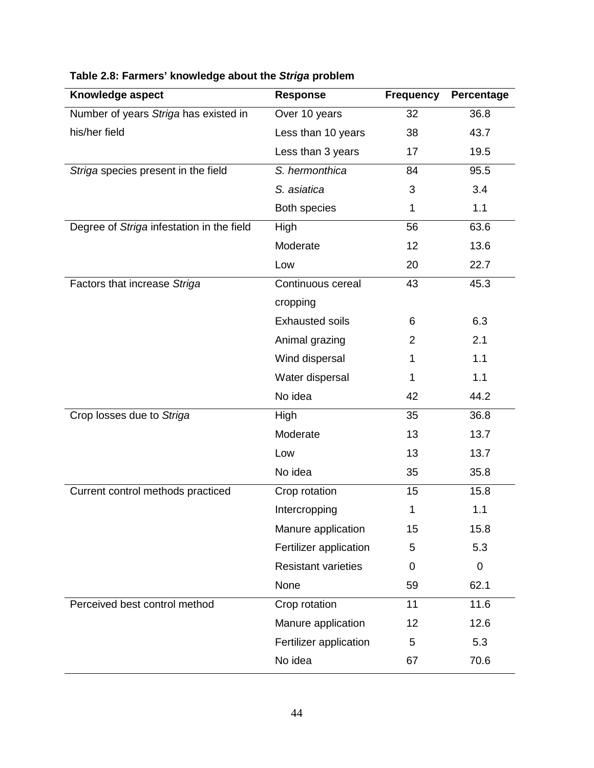| Knowledge aspect                          | <b>Response</b>            | <b>Frequency</b> | Percentage |
|-------------------------------------------|----------------------------|------------------|------------|
| Number of years Striga has existed in     | Over 10 years              | 32               | 36.8       |
| his/her field                             | Less than 10 years         | 38               | 43.7       |
|                                           | Less than 3 years          | 17               | 19.5       |
| Striga species present in the field       | S. hermonthica             | 84               | 95.5       |
|                                           | S. asiatica                | 3                | 3.4        |
|                                           | Both species               | 1                | 1.1        |
| Degree of Striga infestation in the field | <b>High</b>                | 56               | 63.6       |
|                                           | Moderate                   | 12               | 13.6       |
|                                           | Low                        | 20               | 22.7       |
| Factors that increase Striga              | Continuous cereal          | 43               | 45.3       |
|                                           | cropping                   |                  |            |
|                                           | <b>Exhausted soils</b>     | 6                | 6.3        |
|                                           | Animal grazing             | $\overline{2}$   | 2.1        |
|                                           | Wind dispersal             | 1                | 1.1        |
|                                           | Water dispersal            | 1                | 1.1        |
|                                           | No idea                    | 42               | 44.2       |
| Crop losses due to Striga                 | High                       | 35               | 36.8       |
|                                           | Moderate                   | 13               | 13.7       |
|                                           | Low                        | 13               | 13.7       |
|                                           | No idea                    | 35               | 35.8       |
| Current control methods practiced         | Crop rotation              | 15               | 15.8       |
|                                           | Intercropping              | 1                | 1.1        |
|                                           | Manure application         | 15               | 15.8       |
|                                           | Fertilizer application     | 5                | 5.3        |
|                                           | <b>Resistant varieties</b> | 0                | 0          |
|                                           | None                       | 59               | 62.1       |
| Perceived best control method             | Crop rotation              | 11               | 11.6       |
|                                           | Manure application         | 12               | 12.6       |
|                                           | Fertilizer application     | 5                | 5.3        |
|                                           | No idea                    | 67               | 70.6       |

# **Table 2.8: Farmers' knowledge about the Striga problem**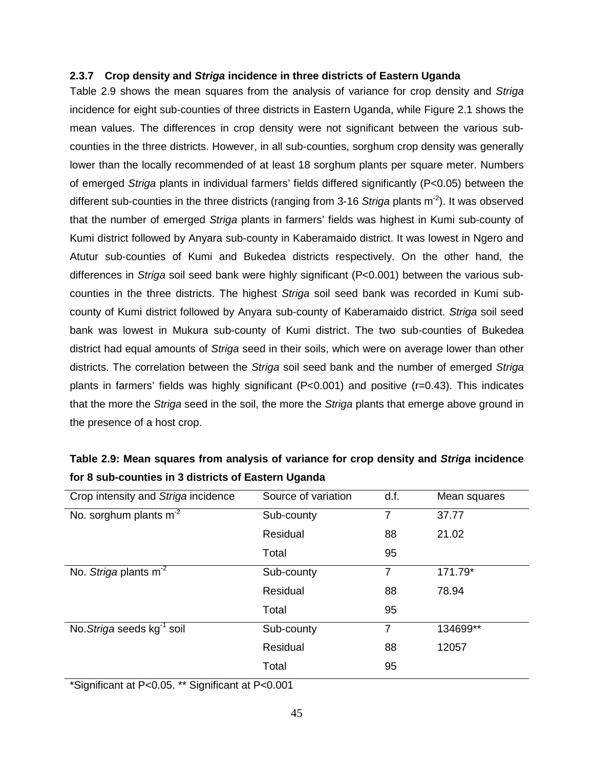## **2.3.7 Crop density and Striga incidence in three districts of Eastern Uganda**

Table 2.9 shows the mean squares from the analysis of variance for crop density and Striga incidence for eight sub-counties of three districts in Eastern Uganda, while Figure 2.1 shows the mean values. The differences in crop density were not significant between the various subcounties in the three districts. However, in all sub-counties, sorghum crop density was generally lower than the locally recommended of at least 18 sorghum plants per square meter. Numbers of emerged Striga plants in individual farmers' fields differed significantly (P<0.05) between the different sub-counties in the three districts (ranging from 3-16 Striga plants  $m<sup>-2</sup>$ ). It was observed that the number of emerged Striga plants in farmers' fields was highest in Kumi sub-county of Kumi district followed by Anyara sub-county in Kaberamaido district. It was lowest in Ngero and Atutur sub-counties of Kumi and Bukedea districts respectively. On the other hand, the differences in Striga soil seed bank were highly significant (P<0.001) between the various subcounties in the three districts. The highest Striga soil seed bank was recorded in Kumi subcounty of Kumi district followed by Anyara sub-county of Kaberamaido district. Striga soil seed bank was lowest in Mukura sub-county of Kumi district. The two sub-counties of Bukedea district had equal amounts of Striga seed in their soils, which were on average lower than other districts. The correlation between the Striga soil seed bank and the number of emerged Striga plants in farmers' fields was highly significant  $(P<0.001)$  and positive  $(r=0.43)$ . This indicates that the more the Striga seed in the soil, the more the Striga plants that emerge above ground in the presence of a host crop.

| Crop intensity and Striga incidence    | Source of variation | d.f. | Mean squares |
|----------------------------------------|---------------------|------|--------------|
| No. sorghum plants $m-2$               | Sub-county          | 7    | 37.77        |
|                                        | Residual            | 88   | 21.02        |
|                                        | Total               | 95   |              |
| No. Striga plants m <sup>-2</sup>      | Sub-county          | 7    | 171.79*      |
|                                        | Residual            | 88   | 78.94        |
|                                        | Total               | 95   |              |
| No. Striga seeds kg <sup>-1</sup> soil | Sub-county          | 7    | 134699**     |
|                                        | Residual            | 88   | 12057        |
|                                        | Total               | 95   |              |

**Table 2.9: Mean squares from analysis of variance for crop density and Striga incidence for 8 sub-counties in 3 districts of Eastern Uganda** 

\*Significant at P<0.05. \*\* Significant at P<0.001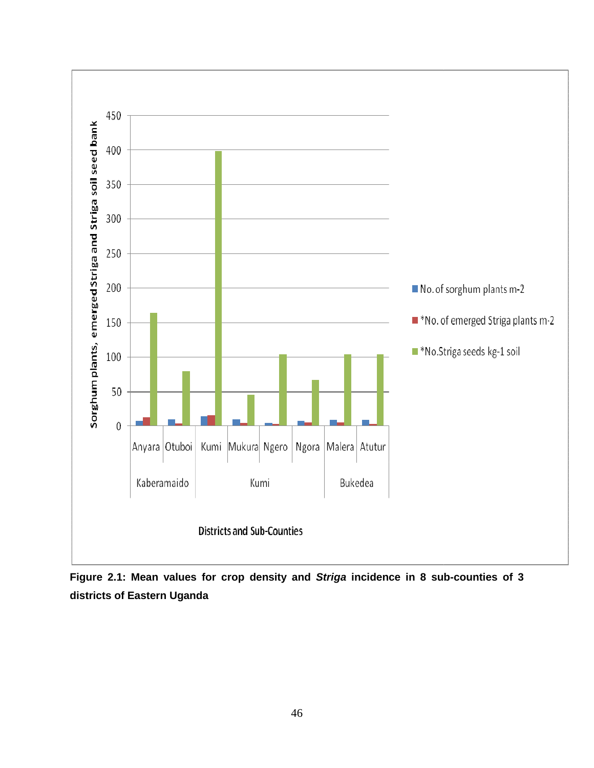

**Figure 2.1: Mean values for c crop density and Striga incidence in 8 sub-counties of 3 districts of Eastern Uganda**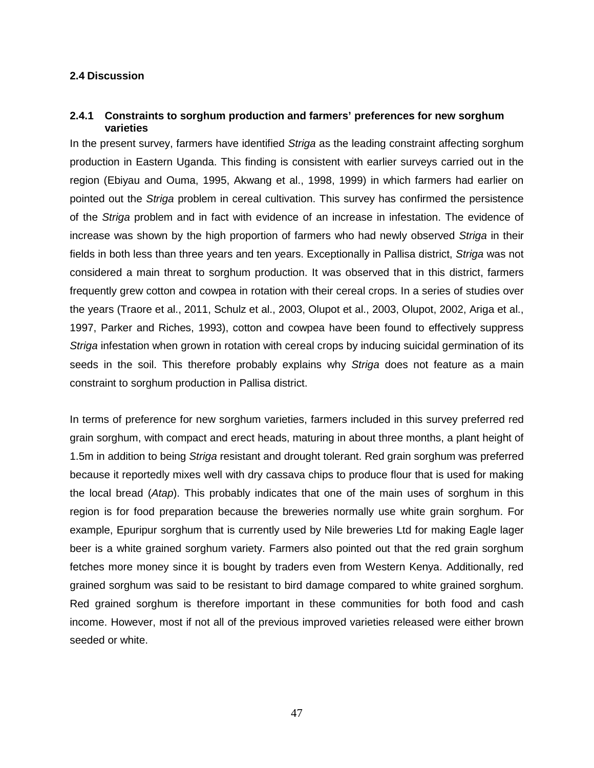## **2.4 Discussion**

## **2.4.1 Constraints to sorghum production and farmers' preferences for new sorghum varieties**

In the present survey, farmers have identified Striga as the leading constraint affecting sorghum production in Eastern Uganda. This finding is consistent with earlier surveys carried out in the region (Ebiyau and Ouma, 1995, Akwang et al., 1998, 1999) in which farmers had earlier on pointed out the Striga problem in cereal cultivation. This survey has confirmed the persistence of the Striga problem and in fact with evidence of an increase in infestation. The evidence of increase was shown by the high proportion of farmers who had newly observed Striga in their fields in both less than three years and ten years. Exceptionally in Pallisa district, Striga was not considered a main threat to sorghum production. It was observed that in this district, farmers frequently grew cotton and cowpea in rotation with their cereal crops. In a series of studies over the years (Traore et al., 2011, Schulz et al., 2003, Olupot et al., 2003, Olupot, 2002, Ariga et al., 1997, Parker and Riches, 1993), cotton and cowpea have been found to effectively suppress Striga infestation when grown in rotation with cereal crops by inducing suicidal germination of its seeds in the soil. This therefore probably explains why Striga does not feature as a main constraint to sorghum production in Pallisa district.

In terms of preference for new sorghum varieties, farmers included in this survey preferred red grain sorghum, with compact and erect heads, maturing in about three months, a plant height of 1.5m in addition to being Striga resistant and drought tolerant. Red grain sorghum was preferred because it reportedly mixes well with dry cassava chips to produce flour that is used for making the local bread (Atap). This probably indicates that one of the main uses of sorghum in this region is for food preparation because the breweries normally use white grain sorghum. For example, Epuripur sorghum that is currently used by Nile breweries Ltd for making Eagle lager beer is a white grained sorghum variety. Farmers also pointed out that the red grain sorghum fetches more money since it is bought by traders even from Western Kenya. Additionally, red grained sorghum was said to be resistant to bird damage compared to white grained sorghum. Red grained sorghum is therefore important in these communities for both food and cash income. However, most if not all of the previous improved varieties released were either brown seeded or white.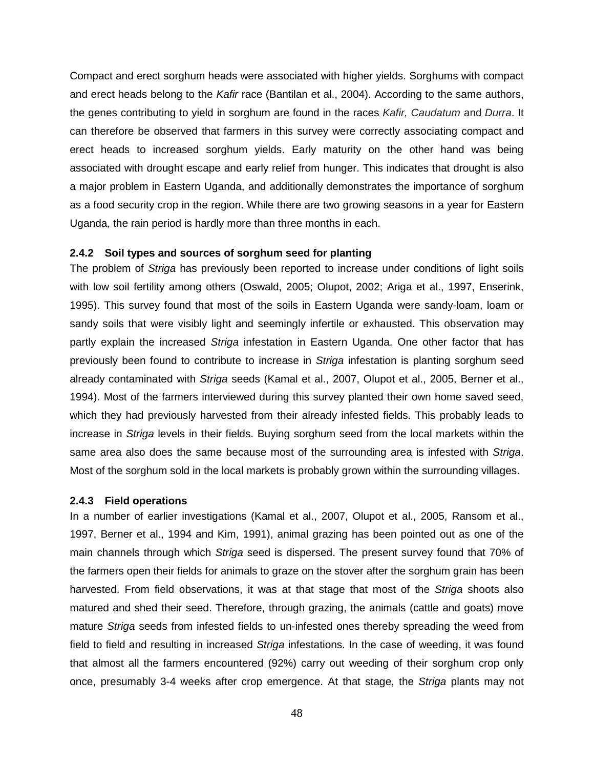Compact and erect sorghum heads were associated with higher yields. Sorghums with compact and erect heads belong to the Kafir race (Bantilan et al., 2004). According to the same authors, the genes contributing to yield in sorghum are found in the races Kafir, Caudatum and Durra. It can therefore be observed that farmers in this survey were correctly associating compact and erect heads to increased sorghum yields. Early maturity on the other hand was being associated with drought escape and early relief from hunger. This indicates that drought is also a major problem in Eastern Uganda, and additionally demonstrates the importance of sorghum as a food security crop in the region. While there are two growing seasons in a year for Eastern Uganda, the rain period is hardly more than three months in each.

## **2.4.2 Soil types and sources of sorghum seed for planting**

The problem of Striga has previously been reported to increase under conditions of light soils with low soil fertility among others (Oswald, 2005; Olupot, 2002; Ariga et al., 1997, Enserink, 1995). This survey found that most of the soils in Eastern Uganda were sandy-loam, loam or sandy soils that were visibly light and seemingly infertile or exhausted. This observation may partly explain the increased Striga infestation in Eastern Uganda. One other factor that has previously been found to contribute to increase in Striga infestation is planting sorghum seed already contaminated with Striga seeds (Kamal et al., 2007, Olupot et al., 2005, Berner et al., 1994). Most of the farmers interviewed during this survey planted their own home saved seed, which they had previously harvested from their already infested fields. This probably leads to increase in Striga levels in their fields. Buying sorghum seed from the local markets within the same area also does the same because most of the surrounding area is infested with Striga. Most of the sorghum sold in the local markets is probably grown within the surrounding villages.

### **2.4.3 Field operations**

In a number of earlier investigations (Kamal et al., 2007, Olupot et al., 2005, Ransom et al., 1997, Berner et al., 1994 and Kim, 1991), animal grazing has been pointed out as one of the main channels through which Striga seed is dispersed. The present survey found that 70% of the farmers open their fields for animals to graze on the stover after the sorghum grain has been harvested. From field observations, it was at that stage that most of the Striga shoots also matured and shed their seed. Therefore, through grazing, the animals (cattle and goats) move mature Striga seeds from infested fields to un-infested ones thereby spreading the weed from field to field and resulting in increased Striga infestations. In the case of weeding, it was found that almost all the farmers encountered (92%) carry out weeding of their sorghum crop only once, presumably 3-4 weeks after crop emergence. At that stage, the Striga plants may not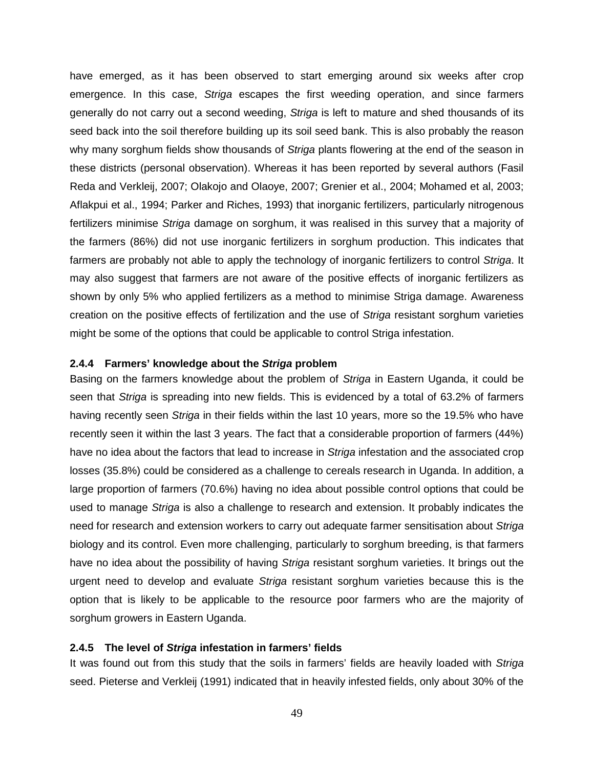have emerged, as it has been observed to start emerging around six weeks after crop emergence. In this case, Striga escapes the first weeding operation, and since farmers generally do not carry out a second weeding, Striga is left to mature and shed thousands of its seed back into the soil therefore building up its soil seed bank. This is also probably the reason why many sorghum fields show thousands of Striga plants flowering at the end of the season in these districts (personal observation). Whereas it has been reported by several authors (Fasil Reda and Verkleij, 2007; Olakojo and Olaoye, 2007; Grenier et al., 2004; Mohamed et al, 2003; Aflakpui et al., 1994; Parker and Riches, 1993) that inorganic fertilizers, particularly nitrogenous fertilizers minimise Striga damage on sorghum, it was realised in this survey that a majority of the farmers (86%) did not use inorganic fertilizers in sorghum production. This indicates that farmers are probably not able to apply the technology of inorganic fertilizers to control Striga. It may also suggest that farmers are not aware of the positive effects of inorganic fertilizers as shown by only 5% who applied fertilizers as a method to minimise Striga damage. Awareness creation on the positive effects of fertilization and the use of Striga resistant sorghum varieties might be some of the options that could be applicable to control Striga infestation.

## **2.4.4 Farmers' knowledge about the Striga problem**

Basing on the farmers knowledge about the problem of Striga in Eastern Uganda, it could be seen that Striga is spreading into new fields. This is evidenced by a total of 63.2% of farmers having recently seen Striga in their fields within the last 10 years, more so the 19.5% who have recently seen it within the last 3 years. The fact that a considerable proportion of farmers (44%) have no idea about the factors that lead to increase in Striga infestation and the associated crop losses (35.8%) could be considered as a challenge to cereals research in Uganda. In addition, a large proportion of farmers (70.6%) having no idea about possible control options that could be used to manage Striga is also a challenge to research and extension. It probably indicates the need for research and extension workers to carry out adequate farmer sensitisation about Striga biology and its control. Even more challenging, particularly to sorghum breeding, is that farmers have no idea about the possibility of having *Striga* resistant sorghum varieties. It brings out the urgent need to develop and evaluate Striga resistant sorghum varieties because this is the option that is likely to be applicable to the resource poor farmers who are the majority of sorghum growers in Eastern Uganda.

### **2.4.5 The level of Striga infestation in farmers' fields**

It was found out from this study that the soils in farmers' fields are heavily loaded with Striga seed. Pieterse and Verkleij (1991) indicated that in heavily infested fields, only about 30% of the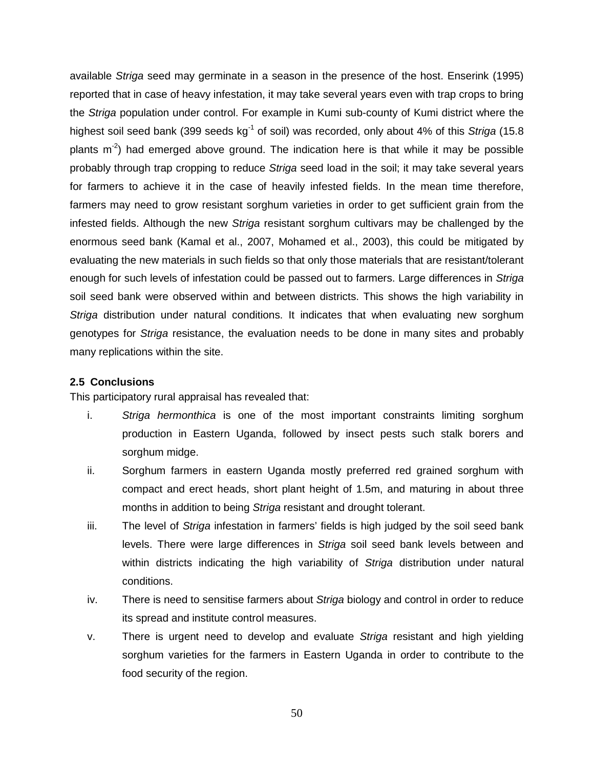available Striga seed may germinate in a season in the presence of the host. Enserink (1995) reported that in case of heavy infestation, it may take several years even with trap crops to bring the Striga population under control. For example in Kumi sub-county of Kumi district where the highest soil seed bank (399 seeds  $kg^{-1}$  of soil) was recorded, only about 4% of this Striga (15.8 plants  $m<sup>2</sup>$ ) had emerged above ground. The indication here is that while it may be possible probably through trap cropping to reduce Striga seed load in the soil; it may take several years for farmers to achieve it in the case of heavily infested fields. In the mean time therefore, farmers may need to grow resistant sorghum varieties in order to get sufficient grain from the infested fields. Although the new Striga resistant sorghum cultivars may be challenged by the enormous seed bank (Kamal et al., 2007, Mohamed et al., 2003), this could be mitigated by evaluating the new materials in such fields so that only those materials that are resistant/tolerant enough for such levels of infestation could be passed out to farmers. Large differences in Striga soil seed bank were observed within and between districts. This shows the high variability in Striga distribution under natural conditions. It indicates that when evaluating new sorghum genotypes for Striga resistance, the evaluation needs to be done in many sites and probably many replications within the site.

## **2.5 Conclusions**

This participatory rural appraisal has revealed that:

- i. Striga hermonthica is one of the most important constraints limiting sorghum production in Eastern Uganda, followed by insect pests such stalk borers and sorghum midge.
- ii. Sorghum farmers in eastern Uganda mostly preferred red grained sorghum with compact and erect heads, short plant height of 1.5m, and maturing in about three months in addition to being Striga resistant and drought tolerant.
- iii. The level of Striga infestation in farmers' fields is high judged by the soil seed bank levels. There were large differences in Striga soil seed bank levels between and within districts indicating the high variability of Striga distribution under natural conditions.
- iv. There is need to sensitise farmers about Striga biology and control in order to reduce its spread and institute control measures.
- v. There is urgent need to develop and evaluate Striga resistant and high yielding sorghum varieties for the farmers in Eastern Uganda in order to contribute to the food security of the region.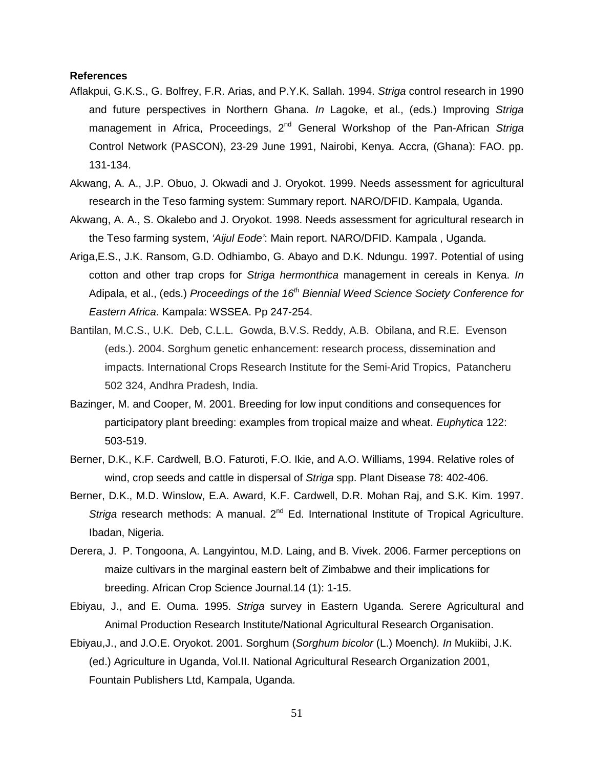### **References**

- Aflakpui, G.K.S., G. Bolfrey, F.R. Arias, and P.Y.K. Sallah. 1994. Striga control research in 1990 and future perspectives in Northern Ghana. In Lagoke, et al., (eds.) Improving Striga management in Africa, Proceedings, 2<sup>nd</sup> General Workshop of the Pan-African Striga Control Network (PASCON), 23-29 June 1991, Nairobi, Kenya. Accra, (Ghana): FAO. pp. 131-134.
- Akwang, A. A., J.P. Obuo, J. Okwadi and J. Oryokot. 1999. Needs assessment for agricultural research in the Teso farming system: Summary report. NARO/DFID. Kampala, Uganda.
- Akwang, A. A., S. Okalebo and J. Oryokot. 1998. Needs assessment for agricultural research in the Teso farming system, 'Aijul Eode': Main report. NARO/DFID. Kampala , Uganda.
- Ariga,E.S., J.K. Ransom, G.D. Odhiambo, G. Abayo and D.K. Ndungu. 1997. Potential of using cotton and other trap crops for Striga hermonthica management in cereals in Kenya. In Adipala, et al., (eds.) Proceedings of the  $16<sup>th</sup>$  Biennial Weed Science Society Conference for Eastern Africa. Kampala: WSSEA. Pp 247-254.
- Bantilan, M.C.S., U.K. Deb, C.L.L. Gowda, B.V.S. Reddy, A.B. Obilana, and R.E. Evenson (eds.). 2004. Sorghum genetic enhancement: research process, dissemination and impacts. International Crops Research Institute for the Semi-Arid Tropics, Patancheru 502 324, Andhra Pradesh, India.
- Bazinger, M. and Cooper, M. 2001. Breeding for low input conditions and consequences for participatory plant breeding: examples from tropical maize and wheat. Euphytica 122: 503-519.
- Berner, D.K., K.F. Cardwell, B.O. Faturoti, F.O. Ikie, and A.O. Williams, 1994. Relative roles of wind, crop seeds and cattle in dispersal of Striga spp. Plant Disease 78: 402-406.
- Berner, D.K., M.D. Winslow, E.A. Award, K.F. Cardwell, D.R. Mohan Raj, and S.K. Kim. 1997. Striga research methods: A manual.  $2^{nd}$  Ed. International Institute of Tropical Agriculture. Ibadan, Nigeria.
- Derera, J. P. Tongoona, A. Langyintou, M.D. Laing, and B. Vivek. 2006. Farmer perceptions on maize cultivars in the marginal eastern belt of Zimbabwe and their implications for breeding. African Crop Science Journal.14 (1): 1-15.
- Ebiyau, J., and E. Ouma. 1995. Striga survey in Eastern Uganda. Serere Agricultural and Animal Production Research Institute/National Agricultural Research Organisation.
- Ebiyau,J., and J.O.E. Oryokot. 2001. Sorghum (Sorghum bicolor (L.) Moench). In Mukiibi, J.K. (ed.) Agriculture in Uganda, Vol.II. National Agricultural Research Organization 2001, Fountain Publishers Ltd, Kampala, Uganda.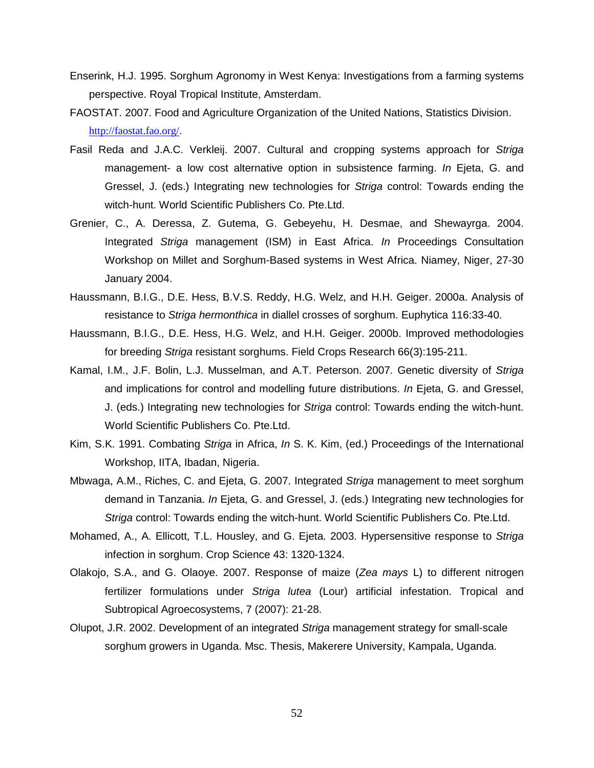- Enserink, H.J. 1995. Sorghum Agronomy in West Kenya: Investigations from a farming systems perspective. Royal Tropical Institute, Amsterdam.
- FAOSTAT. 2007. Food and Agriculture Organization of the United Nations, Statistics Division. http://faostat.fao.org/.
- Fasil Reda and J.A.C. Verkleij. 2007. Cultural and cropping systems approach for Striga management- a low cost alternative option in subsistence farming. In Ejeta, G. and Gressel, J. (eds.) Integrating new technologies for Striga control: Towards ending the witch-hunt. World Scientific Publishers Co. Pte.Ltd.
- Grenier, C., A. Deressa, Z. Gutema, G. Gebeyehu, H. Desmae, and Shewayrga. 2004. Integrated Striga management (ISM) in East Africa. In Proceedings Consultation Workshop on Millet and Sorghum-Based systems in West Africa. Niamey, Niger, 27-30 January 2004.
- Haussmann, B.I.G., D.E. Hess, B.V.S. Reddy, H.G. Welz, and H.H. Geiger. 2000a. Analysis of resistance to Striga hermonthica in diallel crosses of sorghum. Euphytica 116:33-40.
- Haussmann, B.I.G., D.E. Hess, H.G. Welz, and H.H. Geiger. 2000b. Improved methodologies for breeding Striga resistant sorghums. Field Crops Research 66(3):195-211.
- Kamal, I.M., J.F. Bolin, L.J. Musselman, and A.T. Peterson. 2007. Genetic diversity of Striga and implications for control and modelling future distributions. In Ejeta, G. and Gressel, J. (eds.) Integrating new technologies for Striga control: Towards ending the witch-hunt. World Scientific Publishers Co. Pte.Ltd.
- Kim, S.K. 1991. Combating Striga in Africa, In S. K. Kim, (ed.) Proceedings of the International Workshop, IITA, Ibadan, Nigeria.
- Mbwaga, A.M., Riches, C. and Ejeta, G. 2007. Integrated Striga management to meet sorghum demand in Tanzania. In Ejeta, G. and Gressel, J. (eds.) Integrating new technologies for Striga control: Towards ending the witch-hunt. World Scientific Publishers Co. Pte.Ltd.
- Mohamed, A., A. Ellicott, T.L. Housley, and G. Ejeta. 2003. Hypersensitive response to Striga infection in sorghum. Crop Science 43: 1320-1324.
- Olakojo, S.A., and G. Olaoye. 2007. Response of maize (Zea mays L) to different nitrogen fertilizer formulations under Striga lutea (Lour) artificial infestation. Tropical and Subtropical Agroecosystems, 7 (2007): 21-28.
- Olupot, J.R. 2002. Development of an integrated Striga management strategy for small-scale sorghum growers in Uganda. Msc. Thesis, Makerere University, Kampala, Uganda.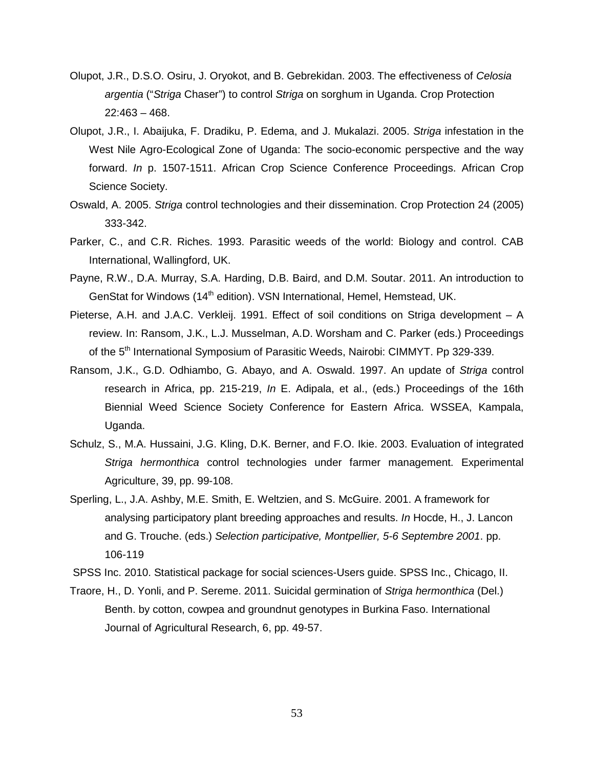- Olupot, J.R., D.S.O. Osiru, J. Oryokot, and B. Gebrekidan. 2003. The effectiveness of Celosia argentia ("Striga Chaser") to control Striga on sorghum in Uganda. Crop Protection 22:463 – 468.
- Olupot, J.R., I. Abaijuka, F. Dradiku, P. Edema, and J. Mukalazi. 2005. Striga infestation in the West Nile Agro-Ecological Zone of Uganda: The socio-economic perspective and the way forward. In p. 1507-1511. African Crop Science Conference Proceedings. African Crop Science Society.
- Oswald, A. 2005. Striga control technologies and their dissemination. Crop Protection 24 (2005) 333-342.
- Parker, C., and C.R. Riches. 1993. Parasitic weeds of the world: Biology and control. CAB International, Wallingford, UK.
- Payne, R.W., D.A. Murray, S.A. Harding, D.B. Baird, and D.M. Soutar. 2011. An introduction to GenStat for Windows (14<sup>th</sup> edition). VSN International, Hemel, Hemstead, UK.
- Pieterse, A.H. and J.A.C. Verkleij. 1991. Effect of soil conditions on Striga development A review. In: Ransom, J.K., L.J. Musselman, A.D. Worsham and C. Parker (eds.) Proceedings of the 5<sup>th</sup> International Symposium of Parasitic Weeds, Nairobi: CIMMYT. Pp 329-339.
- Ransom, J.K., G.D. Odhiambo, G. Abayo, and A. Oswald. 1997. An update of Striga control research in Africa, pp. 215-219, In E. Adipala, et al., (eds.) Proceedings of the 16th Biennial Weed Science Society Conference for Eastern Africa. WSSEA, Kampala, Uganda.
- Schulz, S., M.A. Hussaini, J.G. Kling, D.K. Berner, and F.O. Ikie. 2003. Evaluation of integrated Striga hermonthica control technologies under farmer management. Experimental Agriculture, 39, pp. 99-108.
- Sperling, L., J.A. Ashby, M.E. Smith, E. Weltzien, and S. McGuire. 2001. A framework for analysing participatory plant breeding approaches and results. In Hocde, H., J. Lancon and G. Trouche. (eds.) Selection participative, Montpellier, 5-6 Septembre 2001. pp. 106-119
- SPSS Inc. 2010. Statistical package for social sciences-Users guide. SPSS Inc., Chicago, II.
- Traore, H., D. Yonli, and P. Sereme. 2011. Suicidal germination of Striga hermonthica (Del.) Benth. by cotton, cowpea and groundnut genotypes in Burkina Faso. International Journal of Agricultural Research, 6, pp. 49-57.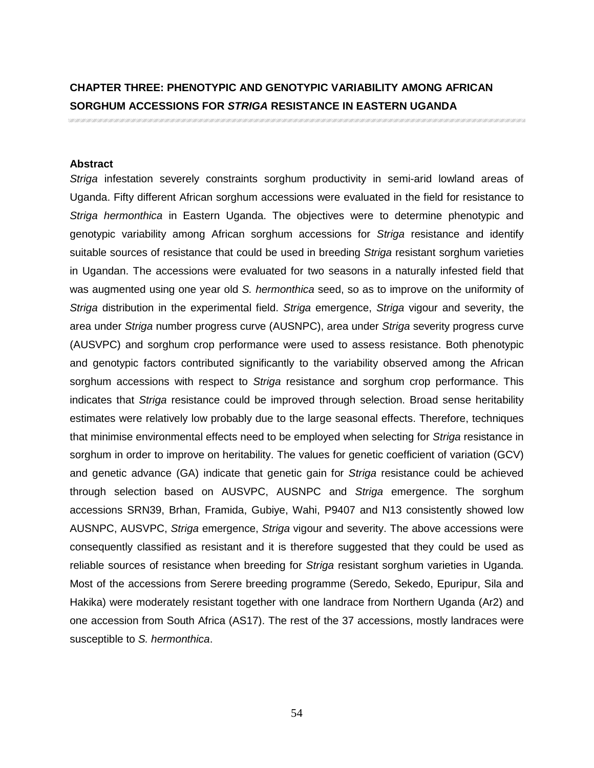## **CHAPTER THREE: PHENOTYPIC AND GENOTYPIC VARIABILITY AMONG AFRICAN SORGHUM ACCESSIONS FOR STRIGA RESISTANCE IN EASTERN UGANDA**

#### **Abstract**

Striga infestation severely constraints sorghum productivity in semi-arid lowland areas of Uganda. Fifty different African sorghum accessions were evaluated in the field for resistance to Striga hermonthica in Eastern Uganda. The objectives were to determine phenotypic and genotypic variability among African sorghum accessions for Striga resistance and identify suitable sources of resistance that could be used in breeding Striga resistant sorghum varieties in Ugandan. The accessions were evaluated for two seasons in a naturally infested field that was augmented using one year old S. hermonthica seed, so as to improve on the uniformity of Striga distribution in the experimental field. Striga emergence, Striga vigour and severity, the area under Striga number progress curve (AUSNPC), area under Striga severity progress curve (AUSVPC) and sorghum crop performance were used to assess resistance. Both phenotypic and genotypic factors contributed significantly to the variability observed among the African sorghum accessions with respect to Striga resistance and sorghum crop performance. This indicates that Striga resistance could be improved through selection. Broad sense heritability estimates were relatively low probably due to the large seasonal effects. Therefore, techniques that minimise environmental effects need to be employed when selecting for Striga resistance in sorghum in order to improve on heritability. The values for genetic coefficient of variation (GCV) and genetic advance (GA) indicate that genetic gain for Striga resistance could be achieved through selection based on AUSVPC, AUSNPC and Striga emergence. The sorghum accessions SRN39, Brhan, Framida, Gubiye, Wahi, P9407 and N13 consistently showed low AUSNPC, AUSVPC, Striga emergence, Striga vigour and severity. The above accessions were consequently classified as resistant and it is therefore suggested that they could be used as reliable sources of resistance when breeding for Striga resistant sorghum varieties in Uganda. Most of the accessions from Serere breeding programme (Seredo, Sekedo, Epuripur, Sila and Hakika) were moderately resistant together with one landrace from Northern Uganda (Ar2) and one accession from South Africa (AS17). The rest of the 37 accessions, mostly landraces were susceptible to S. hermonthica.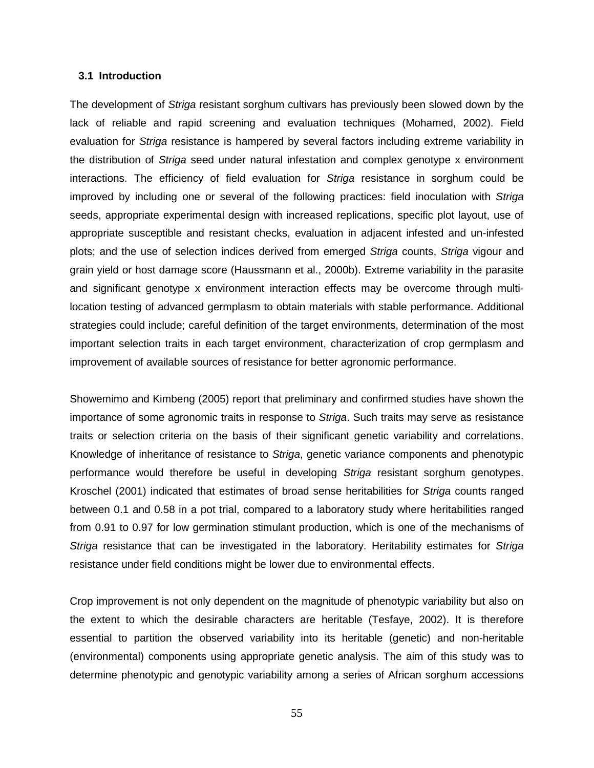## **3.1 Introduction**

The development of Striga resistant sorghum cultivars has previously been slowed down by the lack of reliable and rapid screening and evaluation techniques (Mohamed, 2002). Field evaluation for Striga resistance is hampered by several factors including extreme variability in the distribution of Striga seed under natural infestation and complex genotype x environment interactions. The efficiency of field evaluation for Striga resistance in sorghum could be improved by including one or several of the following practices: field inoculation with Striga seeds, appropriate experimental design with increased replications, specific plot layout, use of appropriate susceptible and resistant checks, evaluation in adjacent infested and un-infested plots; and the use of selection indices derived from emerged Striga counts, Striga vigour and grain yield or host damage score (Haussmann et al., 2000b). Extreme variability in the parasite and significant genotype x environment interaction effects may be overcome through multilocation testing of advanced germplasm to obtain materials with stable performance. Additional strategies could include; careful definition of the target environments, determination of the most important selection traits in each target environment, characterization of crop germplasm and improvement of available sources of resistance for better agronomic performance.

Showemimo and Kimbeng (2005) report that preliminary and confirmed studies have shown the importance of some agronomic traits in response to Striga. Such traits may serve as resistance traits or selection criteria on the basis of their significant genetic variability and correlations. Knowledge of inheritance of resistance to Striga, genetic variance components and phenotypic performance would therefore be useful in developing Striga resistant sorghum genotypes. Kroschel (2001) indicated that estimates of broad sense heritabilities for Striga counts ranged between 0.1 and 0.58 in a pot trial, compared to a laboratory study where heritabilities ranged from 0.91 to 0.97 for low germination stimulant production, which is one of the mechanisms of Striga resistance that can be investigated in the laboratory. Heritability estimates for Striga resistance under field conditions might be lower due to environmental effects.

Crop improvement is not only dependent on the magnitude of phenotypic variability but also on the extent to which the desirable characters are heritable (Tesfaye, 2002). It is therefore essential to partition the observed variability into its heritable (genetic) and non-heritable (environmental) components using appropriate genetic analysis. The aim of this study was to determine phenotypic and genotypic variability among a series of African sorghum accessions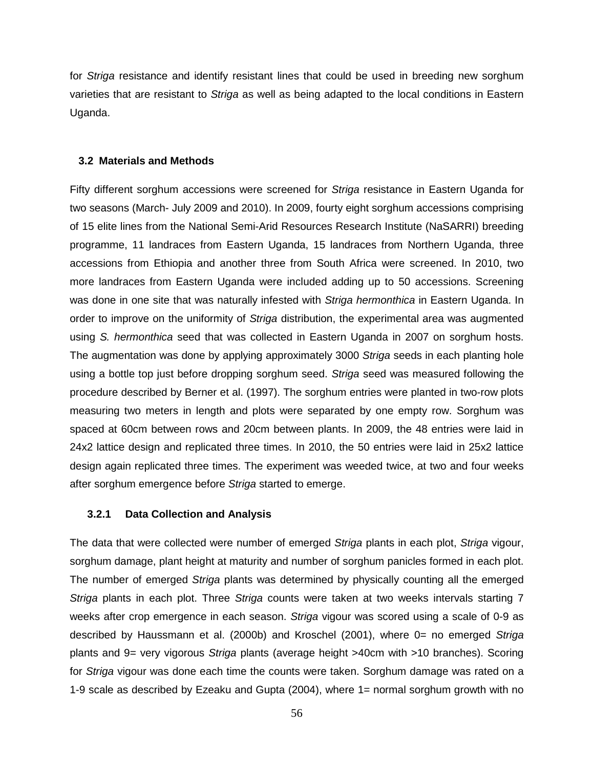for *Striga* resistance and identify resistant lines that could be used in breeding new sorghum varieties that are resistant to Striga as well as being adapted to the local conditions in Eastern Uganda.

#### **3.2 Materials and Methods**

Fifty different sorghum accessions were screened for *Striga* resistance in Eastern Uganda for two seasons (March- July 2009 and 2010). In 2009, fourty eight sorghum accessions comprising of 15 elite lines from the National Semi-Arid Resources Research Institute (NaSARRI) breeding programme, 11 landraces from Eastern Uganda, 15 landraces from Northern Uganda, three accessions from Ethiopia and another three from South Africa were screened. In 2010, two more landraces from Eastern Uganda were included adding up to 50 accessions. Screening was done in one site that was naturally infested with Striga hermonthica in Eastern Uganda. In order to improve on the uniformity of Striga distribution, the experimental area was augmented using S. hermonthica seed that was collected in Eastern Uganda in 2007 on sorghum hosts. The augmentation was done by applying approximately 3000 Striga seeds in each planting hole using a bottle top just before dropping sorghum seed. Striga seed was measured following the procedure described by Berner et al. (1997). The sorghum entries were planted in two-row plots measuring two meters in length and plots were separated by one empty row. Sorghum was spaced at 60cm between rows and 20cm between plants. In 2009, the 48 entries were laid in 24x2 lattice design and replicated three times. In 2010, the 50 entries were laid in 25x2 lattice design again replicated three times. The experiment was weeded twice, at two and four weeks after sorghum emergence before Striga started to emerge.

#### **3.2.1 Data Collection and Analysis**

The data that were collected were number of emerged Striga plants in each plot, Striga vigour, sorghum damage, plant height at maturity and number of sorghum panicles formed in each plot. The number of emerged Striga plants was determined by physically counting all the emerged Striga plants in each plot. Three Striga counts were taken at two weeks intervals starting 7 weeks after crop emergence in each season. Striga vigour was scored using a scale of 0-9 as described by Haussmann et al. (2000b) and Kroschel (2001), where 0= no emerged Striga plants and 9= very vigorous Striga plants (average height >40cm with >10 branches). Scoring for Striga vigour was done each time the counts were taken. Sorghum damage was rated on a 1-9 scale as described by Ezeaku and Gupta (2004), where 1= normal sorghum growth with no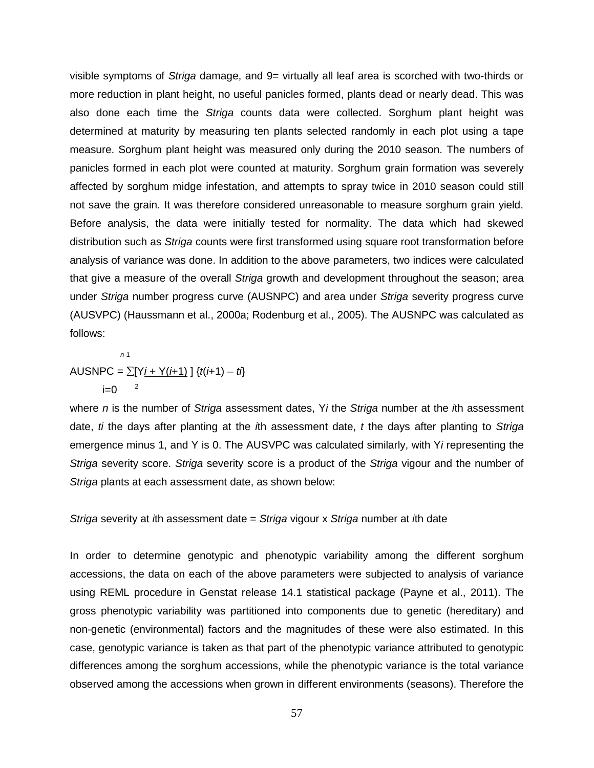visible symptoms of Striga damage, and 9= virtually all leaf area is scorched with two-thirds or more reduction in plant height, no useful panicles formed, plants dead or nearly dead. This was also done each time the Striga counts data were collected. Sorghum plant height was determined at maturity by measuring ten plants selected randomly in each plot using a tape measure. Sorghum plant height was measured only during the 2010 season. The numbers of panicles formed in each plot were counted at maturity. Sorghum grain formation was severely affected by sorghum midge infestation, and attempts to spray twice in 2010 season could still not save the grain. It was therefore considered unreasonable to measure sorghum grain yield. Before analysis, the data were initially tested for normality. The data which had skewed distribution such as Striga counts were first transformed using square root transformation before analysis of variance was done. In addition to the above parameters, two indices were calculated that give a measure of the overall Striga growth and development throughout the season; area under Striga number progress curve (AUSNPC) and area under Striga severity progress curve (AUSVPC) (Haussmann et al., 2000a; Rodenburg et al., 2005). The AUSNPC was calculated as follows:

$$
^{n-1}
$$
   
ALUSNPC =  $\sum [Yj + Y(j+1)] \{t(j+1) - ti\}$   
 i=0

where n is the number of Striga assessment dates, Yi the Striga number at the  $i$ th assessment date, ti the days after planting at the  $i$ th assessment date, t the days after planting to Striga emergence minus 1, and Y is 0. The AUSVPC was calculated similarly, with Yi representing the Striga severity score. Striga severity score is a product of the Striga vigour and the number of Striga plants at each assessment date, as shown below:

Striga severity at ith assessment date =  $Striga$  vigour x Striga number at ith date

In order to determine genotypic and phenotypic variability among the different sorghum accessions, the data on each of the above parameters were subjected to analysis of variance using REML procedure in Genstat release 14.1 statistical package (Payne et al., 2011). The gross phenotypic variability was partitioned into components due to genetic (hereditary) and non-genetic (environmental) factors and the magnitudes of these were also estimated. In this case, genotypic variance is taken as that part of the phenotypic variance attributed to genotypic differences among the sorghum accessions, while the phenotypic variance is the total variance observed among the accessions when grown in different environments (seasons). Therefore the

57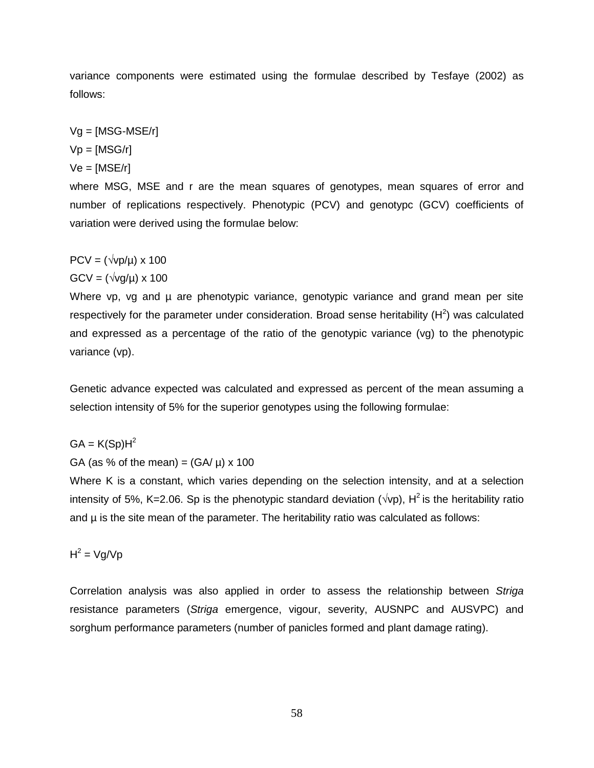variance components were estimated using the formulae described by Tesfaye (2002) as follows:

 $Vg = [MSG-MSE/r]$ 

 $Vp = [MSG/r]$ 

 $Ve = [MSE/r]$ 

where MSG, MSE and r are the mean squares of genotypes, mean squares of error and number of replications respectively. Phenotypic (PCV) and genotypc (GCV) coefficients of variation were derived using the formulae below:

 $PCV = (\sqrt{vp}/\mu) \times 100$ 

 $GCV = (\sqrt{vq/u}) \times 100$ 

Where vp, vg and  $\mu$  are phenotypic variance, genotypic variance and grand mean per site respectively for the parameter under consideration. Broad sense heritability  $(H^2)$  was calculated and expressed as a percentage of the ratio of the genotypic variance (vg) to the phenotypic variance (vp).

Genetic advance expected was calculated and expressed as percent of the mean assuming a selection intensity of 5% for the superior genotypes using the following formulae:

 $GA = K(Sp)H<sup>2</sup>$ 

GA (as % of the mean) =  $(GA/\mu) \times 100$ 

Where K is a constant, which varies depending on the selection intensity, and at a selection intensity of 5%, K=2.06. Sp is the phenotypic standard deviation ( $\sqrt{vp}$ ), H<sup>2</sup> is the heritability ratio and  $\mu$  is the site mean of the parameter. The heritability ratio was calculated as follows:

 $H^2 = Vg/Vp$ 

Correlation analysis was also applied in order to assess the relationship between Striga resistance parameters (Striga emergence, vigour, severity, AUSNPC and AUSVPC) and sorghum performance parameters (number of panicles formed and plant damage rating).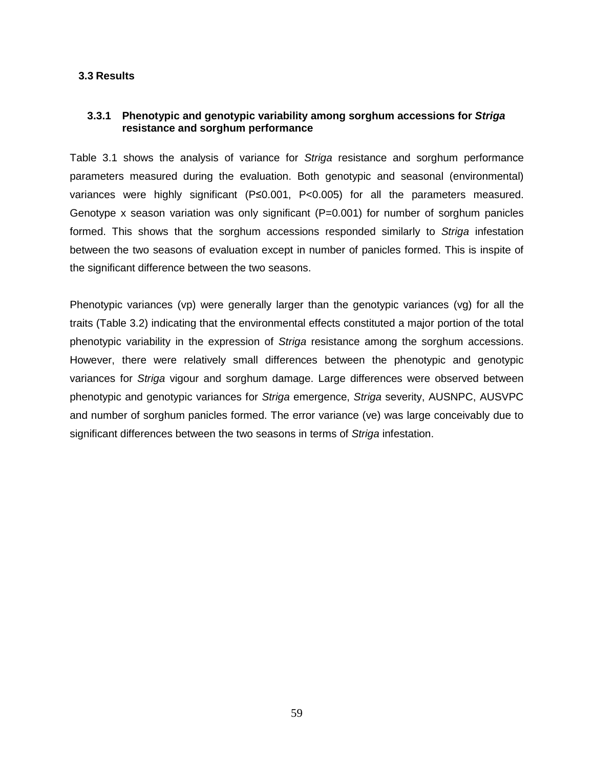## **3.3 Results**

## **3.3.1 Phenotypic and genotypic variability among sorghum accessions for Striga resistance and sorghum performance**

Table 3.1 shows the analysis of variance for Striga resistance and sorghum performance parameters measured during the evaluation. Both genotypic and seasonal (environmental) variances were highly significant (P≤0.001, P<0.005) for all the parameters measured. Genotype x season variation was only significant  $(P=0.001)$  for number of sorghum panicles formed. This shows that the sorghum accessions responded similarly to Striga infestation between the two seasons of evaluation except in number of panicles formed. This is inspite of the significant difference between the two seasons.

Phenotypic variances (vp) were generally larger than the genotypic variances (vg) for all the traits (Table 3.2) indicating that the environmental effects constituted a major portion of the total phenotypic variability in the expression of Striga resistance among the sorghum accessions. However, there were relatively small differences between the phenotypic and genotypic variances for Striga vigour and sorghum damage. Large differences were observed between phenotypic and genotypic variances for Striga emergence, Striga severity, AUSNPC, AUSVPC and number of sorghum panicles formed. The error variance (ve) was large conceivably due to significant differences between the two seasons in terms of Striga infestation.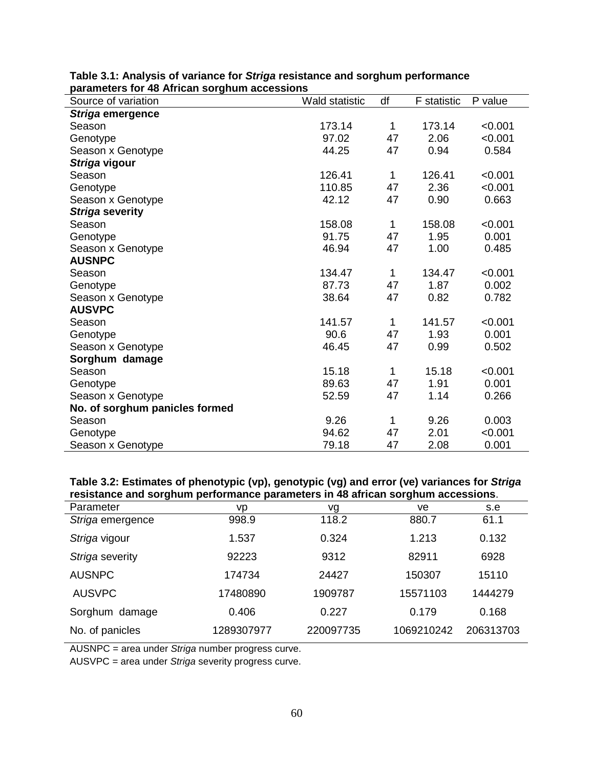| Source of variation            | <b>Wald statistic</b> | df           | <b>F</b> statistic | P value |
|--------------------------------|-----------------------|--------------|--------------------|---------|
| Striga emergence               |                       |              |                    |         |
| Season                         | 173.14                | 1            | 173.14             | < 0.001 |
| Genotype                       | 97.02                 | 47           | 2.06               | < 0.001 |
| Season x Genotype              | 44.25                 | 47           | 0.94               | 0.584   |
| Striga vigour                  |                       |              |                    |         |
| Season                         | 126.41                | 1            | 126.41             | < 0.001 |
| Genotype                       | 110.85                | 47           | 2.36               | < 0.001 |
| Season x Genotype              | 42.12                 | 47           | 0.90               | 0.663   |
| Striga severity                |                       |              |                    |         |
| Season                         | 158.08                | 1            | 158.08             | < 0.001 |
| Genotype                       | 91.75                 | 47           | 1.95               | 0.001   |
| Season x Genotype              | 46.94                 | 47           | 1.00               | 0.485   |
| <b>AUSNPC</b>                  |                       |              |                    |         |
| Season                         | 134.47                | 1            | 134.47             | < 0.001 |
| Genotype                       | 87.73                 | 47           | 1.87               | 0.002   |
| Season x Genotype              | 38.64                 | 47           | 0.82               | 0.782   |
| <b>AUSVPC</b>                  |                       |              |                    |         |
| Season                         | 141.57                | $\mathbf{1}$ | 141.57             | < 0.001 |
| Genotype                       | 90.6                  | 47           | 1.93               | 0.001   |
| Season x Genotype              | 46.45                 | 47           | 0.99               | 0.502   |
| Sorghum damage                 |                       |              |                    |         |
| Season                         | 15.18                 | 1            | 15.18              | < 0.001 |
| Genotype                       | 89.63                 | 47           | 1.91               | 0.001   |
| Season x Genotype              | 52.59                 | 47           | 1.14               | 0.266   |
| No. of sorghum panicles formed |                       |              |                    |         |
| Season                         | 9.26                  | 1            | 9.26               | 0.003   |
| Genotype                       | 94.62                 | 47           | 2.01               | < 0.001 |
| Season x Genotype              | 79.18                 | 47           | 2.08               | 0.001   |

## **Table 3.1: Analysis of variance for Striga resistance and sorghum performance parameters for 48 African sorghum accessions**

## **Table 3.2: Estimates of phenotypic (vp), genotypic (vg) and error (ve) variances for Striga resistance and sorghum performance parameters in 48 african sorghum accessions**.

| Parameter        | vp         | vg        | ve         | s.e       |
|------------------|------------|-----------|------------|-----------|
| Striga emergence | 998.9      | 118.2     | 880.7      | 61.1      |
| Striga vigour    | 1.537      | 0.324     | 1.213      | 0.132     |
| Striga severity  | 92223      | 9312      | 82911      | 6928      |
| <b>AUSNPC</b>    | 174734     | 24427     | 150307     | 15110     |
| <b>AUSVPC</b>    | 17480890   | 1909787   | 15571103   | 1444279   |
| Sorghum damage   | 0.406      | 0.227     | 0.179      | 0.168     |
| No. of panicles  | 1289307977 | 220097735 | 1069210242 | 206313703 |

AUSNPC = area under Striga number progress curve.

AUSVPC = area under Striga severity progress curve.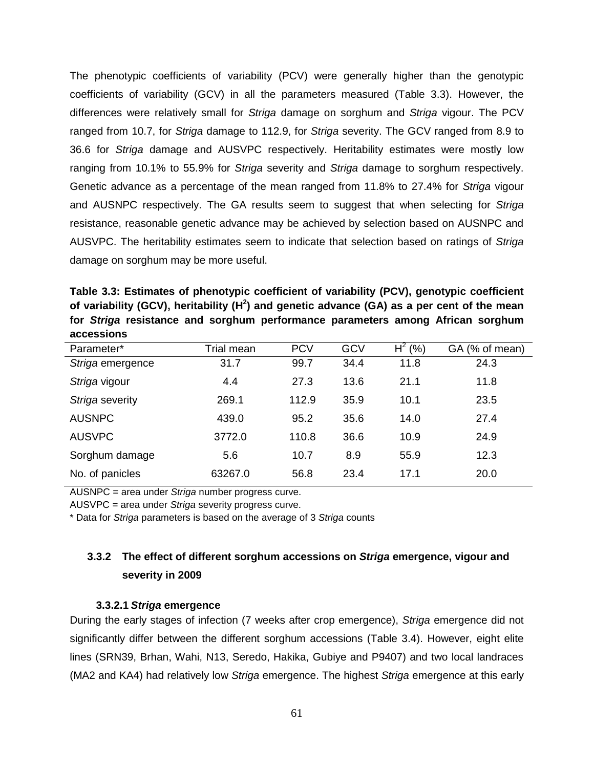The phenotypic coefficients of variability (PCV) were generally higher than the genotypic coefficients of variability (GCV) in all the parameters measured (Table 3.3). However, the differences were relatively small for Striga damage on sorghum and Striga vigour. The PCV ranged from 10.7, for Striga damage to 112.9, for Striga severity. The GCV ranged from 8.9 to 36.6 for Striga damage and AUSVPC respectively. Heritability estimates were mostly low ranging from 10.1% to 55.9% for Striga severity and Striga damage to sorghum respectively. Genetic advance as a percentage of the mean ranged from 11.8% to 27.4% for Striga vigour and AUSNPC respectively. The GA results seem to suggest that when selecting for Striga resistance, reasonable genetic advance may be achieved by selection based on AUSNPC and AUSVPC. The heritability estimates seem to indicate that selection based on ratings of Striga damage on sorghum may be more useful.

**Table 3.3: Estimates of phenotypic coefficient of variability (PCV), genotypic coefficient of variability (GCV), heritability (H<sup>2</sup> ) and genetic advance (GA) as a per cent of the mean for Striga resistance and sorghum performance parameters among African sorghum accessions** 

| Parameter*       | Trial mean | <b>PCV</b> | GCV  | $H^2(% )$ | GA (% of mean) |
|------------------|------------|------------|------|-----------|----------------|
| Striga emergence | 31.7       | 99.7       | 34.4 | 11.8      | 24.3           |
| Striga vigour    | 4.4        | 27.3       | 13.6 | 21.1      | 11.8           |
| Striga severity  | 269.1      | 112.9      | 35.9 | 10.1      | 23.5           |
| <b>AUSNPC</b>    | 439.0      | 95.2       | 35.6 | 14.0      | 27.4           |
| <b>AUSVPC</b>    | 3772.0     | 110.8      | 36.6 | 10.9      | 24.9           |
| Sorghum damage   | 5.6        | 10.7       | 8.9  | 55.9      | 12.3           |
| No. of panicles  | 63267.0    | 56.8       | 23.4 | 17.1      | 20.0           |

AUSNPC = area under Striga number progress curve.

AUSVPC = area under Striga severity progress curve.

\* Data for Striga parameters is based on the average of 3 Striga counts

## **3.3.2 The effect of different sorghum accessions on Striga emergence, vigour and severity in 2009**

## **3.3.2.1 Striga emergence**

During the early stages of infection (7 weeks after crop emergence), Striga emergence did not significantly differ between the different sorghum accessions (Table 3.4). However, eight elite lines (SRN39, Brhan, Wahi, N13, Seredo, Hakika, Gubiye and P9407) and two local landraces (MA2 and KA4) had relatively low Striga emergence. The highest Striga emergence at this early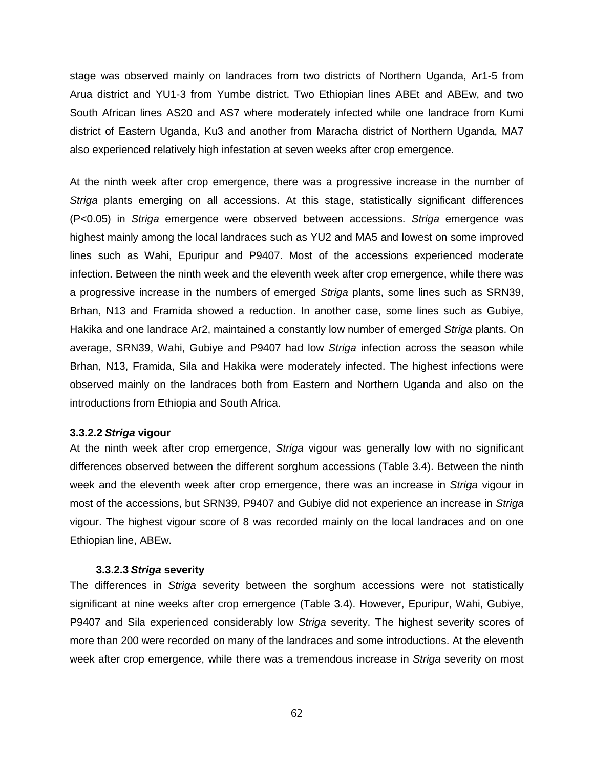stage was observed mainly on landraces from two districts of Northern Uganda, Ar1-5 from Arua district and YU1-3 from Yumbe district. Two Ethiopian lines ABEt and ABEw, and two South African lines AS20 and AS7 where moderately infected while one landrace from Kumi district of Eastern Uganda, Ku3 and another from Maracha district of Northern Uganda, MA7 also experienced relatively high infestation at seven weeks after crop emergence.

At the ninth week after crop emergence, there was a progressive increase in the number of Striga plants emerging on all accessions. At this stage, statistically significant differences (P<0.05) in Striga emergence were observed between accessions. Striga emergence was highest mainly among the local landraces such as YU2 and MA5 and lowest on some improved lines such as Wahi, Epuripur and P9407. Most of the accessions experienced moderate infection. Between the ninth week and the eleventh week after crop emergence, while there was a progressive increase in the numbers of emerged Striga plants, some lines such as SRN39, Brhan, N13 and Framida showed a reduction. In another case, some lines such as Gubiye, Hakika and one landrace Ar2, maintained a constantly low number of emerged Striga plants. On average, SRN39, Wahi, Gubiye and P9407 had low Striga infection across the season while Brhan, N13, Framida, Sila and Hakika were moderately infected. The highest infections were observed mainly on the landraces both from Eastern and Northern Uganda and also on the introductions from Ethiopia and South Africa.

## **3.3.2.2 Striga vigour**

At the ninth week after crop emergence, Striga vigour was generally low with no significant differences observed between the different sorghum accessions (Table 3.4). Between the ninth week and the eleventh week after crop emergence, there was an increase in Striga vigour in most of the accessions, but SRN39, P9407 and Gubiye did not experience an increase in Striga vigour. The highest vigour score of 8 was recorded mainly on the local landraces and on one Ethiopian line, ABEw.

#### **3.3.2.3 Striga severity**

The differences in *Striga* severity between the sorghum accessions were not statistically significant at nine weeks after crop emergence (Table 3.4). However, Epuripur, Wahi, Gubiye, P9407 and Sila experienced considerably low Striga severity. The highest severity scores of more than 200 were recorded on many of the landraces and some introductions. At the eleventh week after crop emergence, while there was a tremendous increase in *Striga* severity on most

62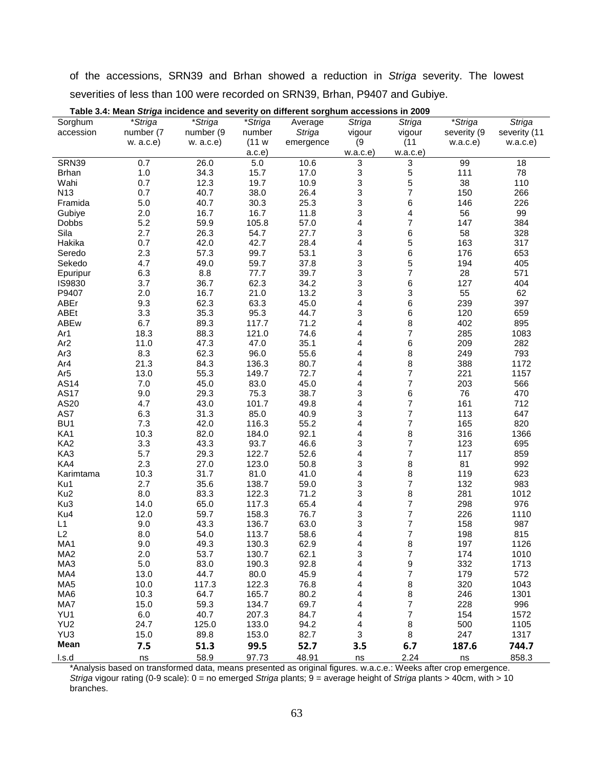of the accessions, SRN39 and Brhan showed a reduction in Striga severity. The lowest severities of less than 100 were recorded on SRN39, Brhan, P9407 and Gubiye.

| Sorghum         | *Striga   | *Striga   | *Striga | Average   | <b>Striga</b>             | <b>Striga</b>            | *Striga         | <b>Striga</b> |
|-----------------|-----------|-----------|---------|-----------|---------------------------|--------------------------|-----------------|---------------|
| accession       | number (7 | number (9 | number  | Striga    | vigour                    | vigour                   | severity (9     | severity (11  |
|                 | w. a.c.e) | w. a.c.e) | (11 w   | emergence | (9)                       | (11)                     | w.a.c.e)        | w.a.c.e)      |
|                 |           |           | a.c.e   |           | w.a.c.e                   | w.a.c.e                  |                 |               |
| SRN39           | 0.7       | 26.0      | 5.0     | 10.6      | 3                         | 3                        | $\overline{99}$ | 18            |
| <b>Brhan</b>    | 1.0       | 34.3      | 15.7    | 17.0      | 3                         | $\frac{5}{5}$            | 111             | 78            |
| Wahi            | 0.7       | 12.3      | 19.7    | 10.9      | 3                         |                          | 38              | 110           |
| N <sub>13</sub> | 0.7       | 40.7      | 38.0    | 26.4      | 3                         | $\overline{7}$           | 150             | 266           |
| Framida         | 5.0       | 40.7      | 30.3    | 25.3      | 3                         | 6                        | 146             | 226           |
| Gubiye          | 2.0       | 16.7      | 16.7    | 11.8      | 3                         | 4                        | 56              | 99            |
| <b>Dobbs</b>    | 5.2       | 59.9      | 105.8   | 57.0      | 4                         | $\overline{7}$           | 147             | 384           |
| Sila            | 2.7       | 26.3      | 54.7    | 27.7      | 3                         | 6                        | 58              | 328           |
| Hakika          | 0.7       | 42.0      | 42.7    | 28.4      | 4                         | 5                        | 163             | 317           |
| Seredo          | 2.3       | 57.3      | 99.7    | 53.1      | 3                         | 6                        | 176             | 653           |
| Sekedo          | 4.7       | 49.0      | 59.7    | 37.8      | 3                         | 5                        | 194             | 405           |
| Epuripur        | 6.3       | 8.8       | 77.7    | 39.7      | 3                         | $\overline{\mathbf{7}}$  | 28              | 571           |
| IS9830          | 3.7       | 36.7      | 62.3    | 34.2      | 3                         | 6                        | 127             | 404           |
| P9407           | 2.0       | 16.7      | 21.0    | 13.2      | 3                         | 3                        | 55              | 62            |
| ABEr            | 9.3       | 62.3      | 63.3    | 45.0      | 4                         | 6                        | 239             | 397           |
| <b>ABEt</b>     | 3.3       | 35.3      | 95.3    | 44.7      | 3                         | 6                        | 120             | 659           |
| ABEw            | 6.7       | 89.3      | 117.7   | 71.2      | 4                         | 8                        | 402             | 895           |
| Ar1             | 18.3      | 88.3      | 121.0   | 74.6      | 4                         | $\overline{\mathcal{I}}$ | 285             | 1083          |
| Ar <sub>2</sub> | 11.0      | 47.3      | 47.0    | 35.1      | 4                         | 6                        | 209             | 282           |
| Ar <sub>3</sub> | 8.3       | 62.3      | 96.0    | 55.6      | 4                         | 8                        | 249             | 793           |
| Ar4             | 21.3      | 84.3      | 136.3   | 80.7      | 4                         | 8                        | 388             | 1172          |
| Ar <sub>5</sub> | 13.0      | 55.3      | 149.7   | 72.7      | 4                         | $\overline{\mathcal{I}}$ | 221             | 1157          |
| <b>AS14</b>     | 7.0       | 45.0      | 83.0    | 45.0      | 4                         | $\overline{7}$           | 203             | 566           |
| <b>AS17</b>     | 9.0       | 29.3      | 75.3    | 38.7      | 3                         | 6                        | 76              | 470           |
| AS20            | 4.7       | 43.0      | 101.7   | 49.8      | 4                         | $\overline{\mathbf{7}}$  | 161             | 712           |
| AS7             | 6.3       | 31.3      | 85.0    | 40.9      | 3                         | $\overline{7}$           | 113             | 647           |
| BU <sub>1</sub> | 7.3       | 42.0      | 116.3   | 55.2      | 4                         | $\boldsymbol{7}$         | 165             | 820           |
| KA1             | 10.3      | 82.0      | 184.0   | 92.1      | 4                         | 8                        | 316             | 1366          |
| KA <sub>2</sub> | 3.3       | 43.3      | 93.7    | 46.6      | 3                         | $\overline{7}$           | 123             | 695           |
| KA3             | 5.7       | 29.3      | 122.7   | 52.6      | 4                         | $\overline{7}$           | 117             | 859           |
| KA4             | 2.3       | 27.0      | 123.0   | 50.8      | 3                         | 8                        | 81              | 992           |
| Karimtama       | 10.3      | 31.7      | 81.0    | 41.0      | 4                         | 8                        | 119             | 623           |
| Ku1             | 2.7       | 35.6      | 138.7   | 59.0      | 3                         | $\overline{7}$           | 132             | 983           |
| Ku <sub>2</sub> | 8.0       | 83.3      | 122.3   | 71.2      | 3                         | 8                        | 281             | 1012          |
| Ku3             | 14.0      | 65.0      | 117.3   | 65.4      | 4                         | $\boldsymbol{7}$         | 298             | 976           |
| Ku4             | 12.0      | 59.7      | 158.3   | 76.7      | 3                         | $\overline{\mathcal{I}}$ | 226             | 1110          |
| L1              | 9.0       | 43.3      | 136.7   | 63.0      | 3                         | $\overline{7}$           | 158             | 987           |
| L2              | 8.0       | 54.0      | 113.7   | 58.6      | 4                         | $\overline{\mathbf{7}}$  | 198             | 815           |
| MA1             | 9.0       | 49.3      | 130.3   | 62.9      | 4                         | 8                        | 197             | 1126          |
| MA2             | 2.0       | 53.7      | 130.7   | 62.1      | 3                         | 7                        | 174             | 1010          |
| MA3             | $5.0\,$   | 83.0      | 190.3   | 92.8      | 4                         | 9                        | 332             | 1713          |
| MA4             | 13.0      | 44.7      | 80.0    | 45.9      | 4                         | $\overline{\mathbf{7}}$  | 179             | 572           |
| MA <sub>5</sub> | 10.0      | 117.3     | 122.3   | 76.8      | 4                         | 8                        | 320             | 1043          |
| MA6             | 10.3      | 64.7      | 165.7   | 80.2      | 4                         | $\bf 8$                  | 246             | 1301          |
| MA7             | 15.0      | 59.3      | 134.7   | 69.7      | 4                         | $\overline{\mathcal{I}}$ | 228             | 996           |
| YU1             | 6.0       | 40.7      | 207.3   | 84.7      | 4                         | $\overline{\mathbf{7}}$  | 154             | 1572          |
| YU <sub>2</sub> | 24.7      | 125.0     | 133.0   | 94.2      | 4                         | $\bf 8$                  | 500             | 1105          |
| YU3             | 15.0      | 89.8      | 153.0   | 82.7      | $\ensuremath{\mathsf{3}}$ | $\bf 8$                  | 247             | 1317          |
| Mean            | 7.5       | 51.3      | 99.5    | 52.7      | 3.5                       | 6.7                      | 187.6           | 744.7         |
| l.s.d           | ns        | 58.9      | 97.73   | 48.91     | ns                        | 2.24                     | ns              | 858.3         |

**Table 3.4: Mean Striga incidence and severity on different sorghum accessions in 2009** 

\*Analysis based on transformed data, means presented as original figures. w.a.c.e.: Weeks after crop emergence. Striga vigour rating (0-9 scale):  $0 =$  no emerged Striga plants;  $9 =$  average height of Striga plants > 40cm, with > 10 branches.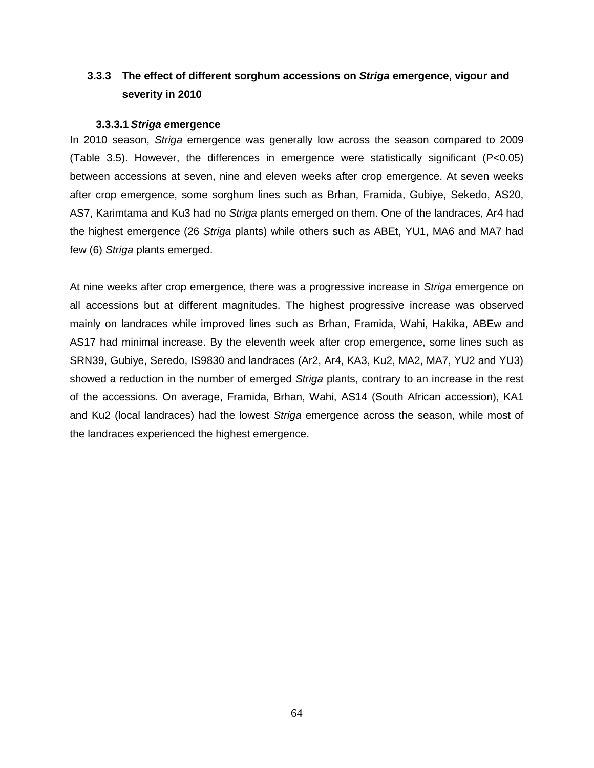## **3.3.3 The effect of different sorghum accessions on Striga emergence, vigour and severity in 2010**

## **3.3.3.1 Striga emergence**

In 2010 season, Striga emergence was generally low across the season compared to 2009 (Table 3.5). However, the differences in emergence were statistically significant (P<0.05) between accessions at seven, nine and eleven weeks after crop emergence. At seven weeks after crop emergence, some sorghum lines such as Brhan, Framida, Gubiye, Sekedo, AS20, AS7, Karimtama and Ku3 had no Striga plants emerged on them. One of the landraces, Ar4 had the highest emergence (26 Striga plants) while others such as ABEt, YU1, MA6 and MA7 had few (6) Striga plants emerged.

At nine weeks after crop emergence, there was a progressive increase in Striga emergence on all accessions but at different magnitudes. The highest progressive increase was observed mainly on landraces while improved lines such as Brhan, Framida, Wahi, Hakika, ABEw and AS17 had minimal increase. By the eleventh week after crop emergence, some lines such as SRN39, Gubiye, Seredo, IS9830 and landraces (Ar2, Ar4, KA3, Ku2, MA2, MA7, YU2 and YU3) showed a reduction in the number of emerged Striga plants, contrary to an increase in the rest of the accessions. On average, Framida, Brhan, Wahi, AS14 (South African accession), KA1 and Ku2 (local landraces) had the lowest Striga emergence across the season, while most of the landraces experienced the highest emergence.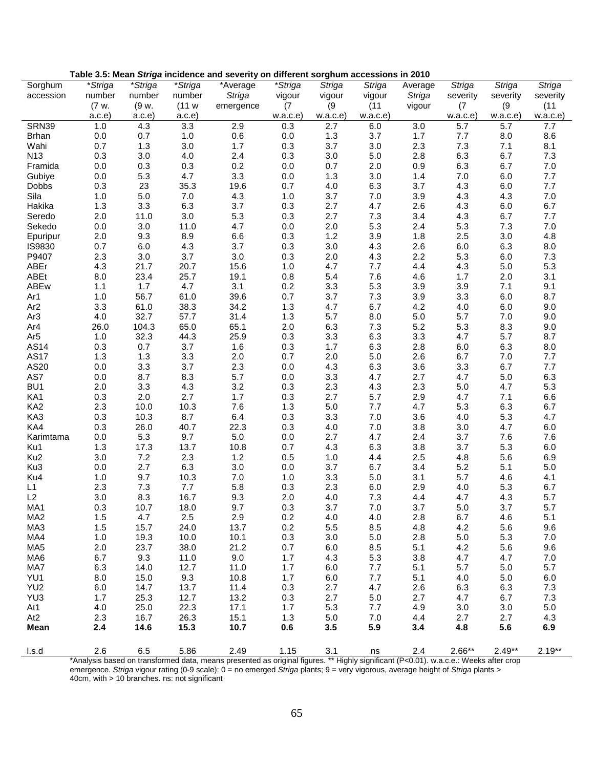|                        |            |             |                  | Table 3.5: Mean Striga incluence and severity on different sorgnum accessions in 2010 |            |            |               |               |                  |            |            |
|------------------------|------------|-------------|------------------|---------------------------------------------------------------------------------------|------------|------------|---------------|---------------|------------------|------------|------------|
| Sorghum                | *Striga    | *Striga     | *Striga          | *Average                                                                              | *Striga    | Striga     | <b>Striga</b> | Average       | Striga           | Striga     | Striga     |
| accession              | number     | number      | number           | Striga                                                                                | vigour     | vigour     | vigour        | <b>Striga</b> | severity         | severity   | severity   |
|                        | (7 w.      | (9 w.       | (11 w            | emergence                                                                             | (7)        | (9)        | (11)          | vigour        | (7)              | (9)        | (11)       |
|                        | a.c.e      | a.c.e       | a.c.e            |                                                                                       | w.a.c.e)   | w.a.c.e    | w.a.c.e       |               | w.a.c.e          | w.a.c.e    | w.a.c.e)   |
| <b>SRN39</b>           | 1.0        | 4.3         | $\overline{3.3}$ | 2.9                                                                                   | 0.3        | 2.7        | 6.0           | 3.0           | $\overline{5.7}$ | 5.7        | 7.7        |
| <b>Brhan</b>           | 0.0        | 0.7         | 1.0              | 0.6                                                                                   | $0.0\,$    | 1.3        | 3.7           | 1.7           | 7.7              | 8.0        | 8.6        |
| Wahi                   | 0.7        | 1.3         | 3.0              | 1.7                                                                                   | 0.3        | 3.7        | 3.0           | 2.3           | 7.3              | 7.1        | 8.1        |
| N <sub>13</sub>        | 0.3        | 3.0         | 4.0              | 2.4                                                                                   | 0.3        | 3.0        | 5.0           | 2.8           | 6.3              | 6.7        | 7.3        |
| Framida                | 0.0        | 0.3         | 0.3              | 0.2                                                                                   | 0.0        | 0.7        | 2.0           | 0.9           | 6.3              | 6.7        | 7.0        |
| Gubiye                 | 0.0        | 5.3         | 4.7              | 3.3                                                                                   | 0.0        | 1.3        | 3.0           | 1.4           | $7.0\,$          | 6.0        | 7.7        |
| <b>Dobbs</b>           | 0.3        | 23          | 35.3             | 19.6                                                                                  | 0.7        | 4.0        | 6.3           | 3.7           | 4.3              | 6.0        | 7.7        |
| Sila                   | 1.0        | 5.0         | 7.0              | 4.3                                                                                   | 1.0        | 3.7        | 7.0           | 3.9           | 4.3              | 4.3        | 7.0        |
| Hakika                 | 1.3        | 3.3         | 6.3              | 3.7                                                                                   | 0.3        | 2.7        | 4.7           | 2.6           | 4.3              | 6.0        | 6.7        |
| Seredo                 | 2.0        | 11.0        | 3.0              | 5.3                                                                                   | 0.3        | 2.7        | 7.3           | 3.4           | 4.3              | 6.7        | 7.7        |
| Sekedo                 | 0.0        | 3.0         | 11.0             | 4.7                                                                                   | 0.0        | 2.0        | 5.3           | 2.4           | 5.3              | 7.3        | 7.0        |
| Epuripur               | 2.0        | 9.3         | 8.9              | 6.6                                                                                   | 0.3        | 1.2        | 3.9           | 1.8           | 2.5              | 3.0        | 4.8        |
| IS9830                 | 0.7        | 6.0         | 4.3              | 3.7                                                                                   | 0.3        | 3.0        | 4.3           | 2.6           | 6.0              | 6.3        | 8.0        |
| P9407                  | 2.3        | 3.0         | 3.7              | 3.0                                                                                   | 0.3        | 2.0        | 4.3           | 2.2           | 5.3              | 6.0        | 7.3        |
| ABEr                   | 4.3        | 21.7        | 20.7             | 15.6                                                                                  | 1.0        | 4.7        | 7.7           | 4.4           | 4.3              | $5.0$      | 5.3        |
| ABEt                   | 8.0        | 23.4        | 25.7             | 19.1                                                                                  | 0.8        | 5.4        | 7.6           | 4.6           | 1.7              | 2.0        | 3.1        |
| ABEw                   | 1.1        | 1.7<br>56.7 | 4.7              | 3.1<br>39.6                                                                           | 0.2        | 3.3        | 5.3           | 3.9           | 3.9              | 7.1<br>6.0 | 9.1<br>8.7 |
| Ar1<br>Ar <sub>2</sub> | 1.0<br>3.3 | 61.0        | 61.0<br>38.3     | 34.2                                                                                  | 0.7<br>1.3 | 3.7<br>4.7 | 7.3<br>6.7    | 3.9<br>4.2    | 3.3<br>4.0       | 6.0        | 9.0        |
| Ar <sub>3</sub>        | 4.0        | 32.7        | 57.7             | 31.4                                                                                  | 1.3        | 5.7        | 8.0           | 5.0           | 5.7              | 7.0        | 9.0        |
| Ar4                    | 26.0       | 104.3       | 65.0             | 65.1                                                                                  | 2.0        | 6.3        | 7.3           | 5.2           | 5.3              | 8.3        | 9.0        |
| Ar <sub>5</sub>        | 1.0        | 32.3        | 44.3             | 25.9                                                                                  | 0.3        | 3.3        | 6.3           | 3.3           | 4.7              | 5.7        | 8.7        |
| AS14                   | 0.3        | 0.7         | 3.7              | 1.6                                                                                   | 0.3        | 1.7        | 6.3           | 2.8           | 6.0              | 6.3        | 8.0        |
| <b>AS17</b>            | 1.3        | 1.3         | 3.3              | 2.0                                                                                   | 0.7        | 2.0        | 5.0           | 2.6           | 6.7              | $7.0\,$    | 7.7        |
| AS20                   | 0.0        | 3.3         | 3.7              | 2.3                                                                                   | 0.0        | 4.3        | 6.3           | 3.6           | 3.3              | 6.7        | 7.7        |
| AS7                    | 0.0        | 8.7         | 8.3              | 5.7                                                                                   | 0.0        | 3.3        | 4.7           | 2.7           | 4.7              | $5.0\,$    | 6.3        |
| BU <sub>1</sub>        | 2.0        | 3.3         | 4.3              | 3.2                                                                                   | 0.3        | 2.3        | 4.3           | 2.3           | $5.0\,$          | 4.7        | 5.3        |
| KA1                    | 0.3        | 2.0         | 2.7              | 1.7                                                                                   | 0.3        | 2.7        | 5.7           | 2.9           | 4.7              | 7.1        | 6.6        |
| KA <sub>2</sub>        | 2.3        | 10.0        | 10.3             | 7.6                                                                                   | 1.3        | 5.0        | 7.7           | 4.7           | 5.3              | 6.3        | 6.7        |
| KA3                    | 0.3        | 10.3        | 8.7              | 6.4                                                                                   | 0.3        | 3.3        | 7.0           | 3.6           | 4.0              | 5.3        | 4.7        |
| KA4                    | 0.3        | 26.0        | 40.7             | 22.3                                                                                  | 0.3        | 4.0        | 7.0           | 3.8           | 3.0              | 4.7        | 6.0        |
| Karimtama              | 0.0        | 5.3         | 9.7              | 5.0                                                                                   | 0.0        | 2.7        | 4.7           | 2.4           | 3.7              | 7.6        | 7.6        |
| Ku1                    | 1.3        | 17.3        | 13.7             | 10.8                                                                                  | 0.7        | 4.3        | 6.3           | 3.8           | 3.7              | 5.3        | 6.0        |
| Ku <sub>2</sub>        | 3.0        | 7.2         | 2.3              | 1.2                                                                                   | 0.5        | 1.0        | 4.4           | 2.5           | 4.8              | 5.6        | 6.9        |
| Ku3                    | 0.0        | 2.7         | 6.3              | 3.0                                                                                   | 0.0        | 3.7        | 6.7           | 3.4           | 5.2              | 5.1        | 5.0        |
| Ku4                    | 1.0        | 9.7         | 10.3             | 7.0                                                                                   | 1.0        | 3.3        | 5.0           | 3.1           | 5.7              | 4.6        | 4.1        |
| L1                     | 2.3        | 7.3         | 7.7              | 5.8                                                                                   | 0.3        | 2.3        | 6.0           | 2.9           | 4.0              | 5.3        | 6.7        |
| L2                     | 3.0        | 8.3         | 16.7             | 9.3                                                                                   | 2.0        | 4.0        | 7.3           | 4.4           | 4.7              | 4.3        | 5.7        |
| MA1                    | 0.3        | 10.7        | 18.0             | 9.7                                                                                   | 0.3        | 3.7        | $7.0$         | 3.7           | 5.0              | 3.7        | 5.7        |
| MA <sub>2</sub>        | 1.5        | 4.7         | 2.5              | 2.9                                                                                   | 0.2        | 4.0        | 4.0           | 2.8           | 6.7              | 4.6        | 5.1        |
| MA3                    | 1.5        | 15.7        | 24.0             | 13.7                                                                                  | 0.2        | 5.5        | 8.5           | 4.8           | 4.2              | 5.6        | 9.6        |
| MA4                    | 1.0        | 19.3        | 10.0             | 10.1                                                                                  | 0.3        | 3.0        | 5.0           | 2.8           | 5.0              | 5.3        | 7.0        |
| MA <sub>5</sub>        | 2.0        | 23.7        | 38.0             | 21.2                                                                                  | 0.7        | 6.0        | 8.5           | 5.1           | 4.2              | 5.6        | 9.6        |
| MA6                    | 6.7        | 9.3         | 11.0             | 9.0                                                                                   | 1.7        | 4.3        | 5.3           | 3.8           | 4.7              | 4.7        | $7.0\,$    |
| MA7                    | 6.3        | 14.0        | 12.7             | 11.0                                                                                  | 1.7        | 6.0        | 7.7           | 5.1           | 5.7              | 5.0        | 5.7        |
| YU1                    | 8.0        | 15.0        | 9.3              | 10.8                                                                                  | 1.7        | 6.0        | 7.7           | 5.1           | 4.0              | 5.0        | $6.0\,$    |
| YU <sub>2</sub>        | 6.0        | 14.7        | 13.7             | 11.4                                                                                  | 0.3        | 2.7        | 4.7           | 2.6           | 6.3              | 6.3        | 7.3        |
| YU3                    | 1.7        | 25.3        | 12.7             | 13.2                                                                                  | 0.3        | 2.7        | 5.0           | 2.7           | 4.7              | 6.7        | 7.3        |
| At1                    | 4.0        | 25.0        | 22.3             | 17.1                                                                                  | 1.7        | 5.3        | 7.7           | 4.9           | 3.0              | 3.0        | 5.0        |
| At <sub>2</sub>        | 2.3        | 16.7        | 26.3             | 15.1                                                                                  | 1.3        | $5.0\,$    | 7.0           | 4.4           | 2.7              | 2.7        | 4.3        |
| <b>Mean</b>            | 2.4        | 14.6        | 15.3             | 10.7                                                                                  | 0.6        | 3.5        | 5.9           | 3.4           | 4.8              | 5.6        | 6.9        |
| l.s.d                  | 2.6        | 6.5         | 5.86             | 2.49                                                                                  | 1.15       | 3.1        | ns            | 2.4           | $2.66**$         | $2.49**$   | $2.19***$  |

**Table 3.5: Mean Striga incidence and severity on different sorghum accessions in 2010** 

\*Analysis based on transformed data, means presented as original figures. \*\* Highly significant (P<0.01). w.a.c.e.: Weeks after crop emergence. Striga vigour rating (0-9 scale): 0 = no emerged Striga plants; 9 = very vigorous, average height of Striga plants > 40cm, with > 10 branches. ns: not significant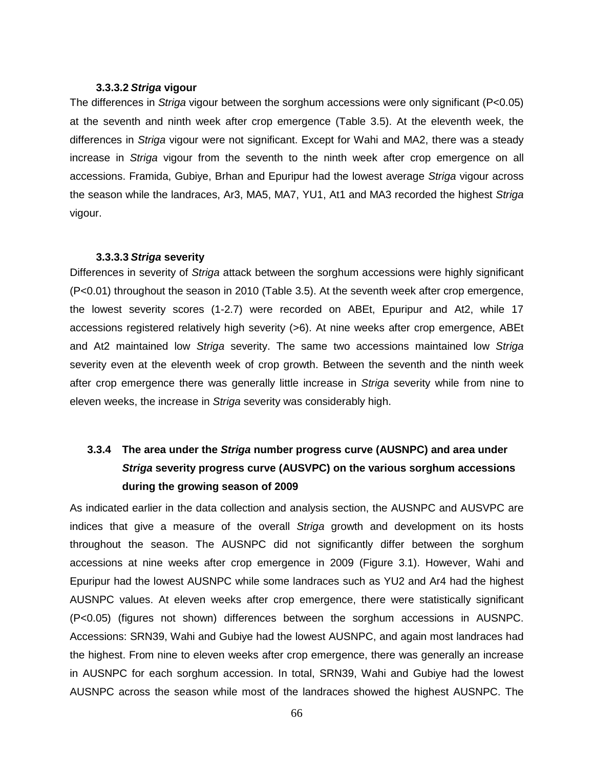### **3.3.3.2 Striga vigour**

The differences in Striga vigour between the sorghum accessions were only significant (P<0.05) at the seventh and ninth week after crop emergence (Table 3.5). At the eleventh week, the differences in Striga vigour were not significant. Except for Wahi and MA2, there was a steady increase in Striga vigour from the seventh to the ninth week after crop emergence on all accessions. Framida, Gubiye, Brhan and Epuripur had the lowest average Striga vigour across the season while the landraces, Ar3, MA5, MA7, YU1, At1 and MA3 recorded the highest Striga vigour.

#### **3.3.3.3 Striga severity**

Differences in severity of Striga attack between the sorghum accessions were highly significant (P<0.01) throughout the season in 2010 (Table 3.5). At the seventh week after crop emergence, the lowest severity scores (1-2.7) were recorded on ABEt, Epuripur and At2, while 17 accessions registered relatively high severity (>6). At nine weeks after crop emergence, ABEt and At2 maintained low Striga severity. The same two accessions maintained low Striga severity even at the eleventh week of crop growth. Between the seventh and the ninth week after crop emergence there was generally little increase in Striga severity while from nine to eleven weeks, the increase in Striga severity was considerably high.

# **3.3.4 The area under the Striga number progress curve (AUSNPC) and area under Striga severity progress curve (AUSVPC) on the various sorghum accessions during the growing season of 2009**

As indicated earlier in the data collection and analysis section, the AUSNPC and AUSVPC are indices that give a measure of the overall Striga growth and development on its hosts throughout the season. The AUSNPC did not significantly differ between the sorghum accessions at nine weeks after crop emergence in 2009 (Figure 3.1). However, Wahi and Epuripur had the lowest AUSNPC while some landraces such as YU2 and Ar4 had the highest AUSNPC values. At eleven weeks after crop emergence, there were statistically significant (P<0.05) (figures not shown) differences between the sorghum accessions in AUSNPC. Accessions: SRN39, Wahi and Gubiye had the lowest AUSNPC, and again most landraces had the highest. From nine to eleven weeks after crop emergence, there was generally an increase in AUSNPC for each sorghum accession. In total, SRN39, Wahi and Gubiye had the lowest AUSNPC across the season while most of the landraces showed the highest AUSNPC. The

66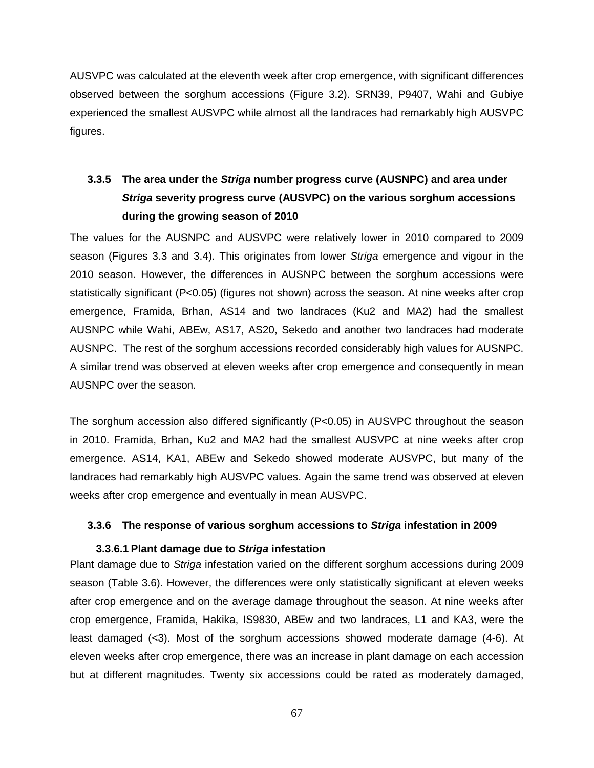AUSVPC was calculated at the eleventh week after crop emergence, with significant differences observed between the sorghum accessions (Figure 3.2). SRN39, P9407, Wahi and Gubiye experienced the smallest AUSVPC while almost all the landraces had remarkably high AUSVPC figures.

# **3.3.5 The area under the Striga number progress curve (AUSNPC) and area under Striga severity progress curve (AUSVPC) on the various sorghum accessions during the growing season of 2010**

The values for the AUSNPC and AUSVPC were relatively lower in 2010 compared to 2009 season (Figures 3.3 and 3.4). This originates from lower Striga emergence and vigour in the 2010 season. However, the differences in AUSNPC between the sorghum accessions were statistically significant (P<0.05) (figures not shown) across the season. At nine weeks after crop emergence, Framida, Brhan, AS14 and two landraces (Ku2 and MA2) had the smallest AUSNPC while Wahi, ABEw, AS17, AS20, Sekedo and another two landraces had moderate AUSNPC. The rest of the sorghum accessions recorded considerably high values for AUSNPC. A similar trend was observed at eleven weeks after crop emergence and consequently in mean AUSNPC over the season.

The sorghum accession also differed significantly (P<0.05) in AUSVPC throughout the season in 2010. Framida, Brhan, Ku2 and MA2 had the smallest AUSVPC at nine weeks after crop emergence. AS14, KA1, ABEw and Sekedo showed moderate AUSVPC, but many of the landraces had remarkably high AUSVPC values. Again the same trend was observed at eleven weeks after crop emergence and eventually in mean AUSVPC.

## **3.3.6 The response of various sorghum accessions to Striga infestation in 2009**

## **3.3.6.1 Plant damage due to Striga infestation**

Plant damage due to Striga infestation varied on the different sorghum accessions during 2009 season (Table 3.6). However, the differences were only statistically significant at eleven weeks after crop emergence and on the average damage throughout the season. At nine weeks after crop emergence, Framida, Hakika, IS9830, ABEw and two landraces, L1 and KA3, were the least damaged (<3). Most of the sorghum accessions showed moderate damage (4-6). At eleven weeks after crop emergence, there was an increase in plant damage on each accession but at different magnitudes. Twenty six accessions could be rated as moderately damaged,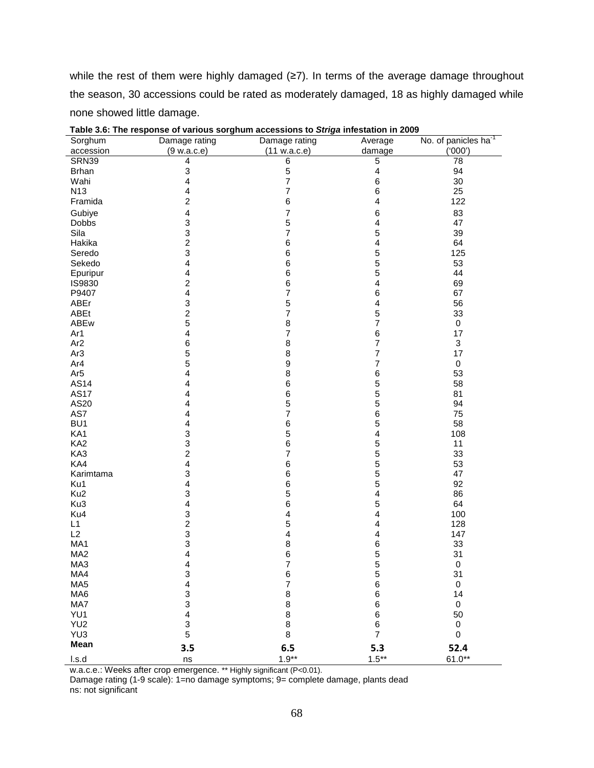while the rest of them were highly damaged (≥7). In terms of the average damage throughout the season, 30 accessions could be rated as moderately damaged, 18 as highly damaged while none showed little damage.

| Sorghum         | Damage rating           | Damage rating                         | Average                 | No. of panicles ha <sup>-1</sup> |
|-----------------|-------------------------|---------------------------------------|-------------------------|----------------------------------|
| accession       | (9 w.a.c.e)             | (11 w.a.c.e)                          | damage                  | (000')                           |
| SRN39           | 4                       | $\overline{6}$                        | $\overline{5}$          | $\overline{78}$                  |
| <b>Brhan</b>    | 3                       | 5                                     | 4                       | 94                               |
| Wahi            | 4                       | $\overline{7}$                        | 6                       | 30                               |
| N <sub>13</sub> | 4                       | 7                                     | 6                       | 25                               |
| Framida         | $\overline{c}$          | $\,$ 6 $\,$                           | 4                       | 122                              |
| Gubiye          | $\overline{\mathbf{4}}$ | 7                                     | 6                       | 83                               |
| Dobbs           | 3                       | 5                                     | $\overline{\mathbf{4}}$ | 47                               |
| Sila            | 3                       | 7                                     | 5                       | 39                               |
| Hakika          | $\overline{\mathbf{c}}$ | 6                                     | $\overline{\mathbf{4}}$ | 64                               |
| Seredo          | 3                       | 6                                     | 5                       | 125                              |
| Sekedo          | 4                       | $\,6$                                 | 5                       | 53                               |
| Epuripur        | 4                       | 6                                     | 5                       | 44                               |
| IS9830          | $\overline{c}$          | 6                                     | $\overline{\mathbf{4}}$ | 69                               |
| P9407           | $\overline{\mathbf{4}}$ | $\overline{7}$                        | 6                       | 67                               |
| ABEr            | 3                       | 5                                     | $\overline{\mathbf{4}}$ | 56                               |
| ABEt            | $\overline{\mathbf{c}}$ | $\overline{\mathbf{7}}$               | 5                       | 33                               |
| ABEw            | 5                       | 8                                     | $\overline{7}$          | 0                                |
| Ar1             | $\overline{\mathbf{4}}$ | $\overline{\mathbf{7}}$               | 6                       | 17                               |
| Ar <sub>2</sub> | 6                       | 8                                     | $\overline{\mathbf{7}}$ | 3                                |
|                 |                         |                                       | $\overline{7}$          |                                  |
| Ar <sub>3</sub> | 5<br>5                  | 8<br>$\boldsymbol{9}$                 | $\overline{7}$          | 17                               |
| Ar4             |                         |                                       |                         | 0                                |
| Ar <sub>5</sub> | 4                       | 8                                     | 6                       | 53                               |
| AS14            | 4                       | 6                                     | 5                       | 58                               |
| <b>AS17</b>     | 4                       | 6                                     | 5                       | 81                               |
| AS20            | 4                       | 5                                     | 5                       | 94                               |
| AS7             | 4                       | 7                                     | 6                       | 75                               |
| BU <sub>1</sub> | 4                       | 6                                     | 5                       | 58                               |
| KA1             | 3                       | 5                                     | $\overline{\mathbf{4}}$ | 108                              |
| KA <sub>2</sub> | 3                       | 6                                     | 5                       | 11                               |
| KA3             | $\overline{\mathbf{c}}$ | 7                                     | 5                       | 33                               |
| KA4             | 4                       | 6                                     | 5                       | 53                               |
| Karimtama       | 3                       | 6                                     | 5                       | 47                               |
| Ku1             | 4                       | $\,6$                                 | 5                       | 92                               |
| Ku <sub>2</sub> | 3                       | 5                                     | 4                       | 86                               |
| Ku3             | 4                       | 6                                     | 5                       | 64                               |
| Ku4             | 3                       | 4                                     | $\overline{\mathbf{4}}$ | 100                              |
| L1              | $\frac{2}{3}$           | 5                                     | $\overline{\mathbf{4}}$ | 128                              |
| L2              |                         | 4                                     | 4                       | 147                              |
| MA1             | 3                       | 8                                     | 6                       | 33                               |
| MA <sub>2</sub> | 4                       | $\overline{6}$                        | 5                       | 31                               |
| MA3             | $\overline{\mathbf{4}}$ | $\overline{7}$                        | 5                       | $\pmb{0}$                        |
| MA4             | $\frac{3}{4}$           | $\begin{array}{c} 6 \\ 7 \end{array}$ | 5                       | 31                               |
| MA <sub>5</sub> |                         |                                       | 6                       | $\pmb{0}$                        |
| MA6             | 3                       | $\bf 8$                               | $\,6$                   | 14                               |
| MA7             | $\frac{3}{4}$           | 8                                     | 6                       | $\pmb{0}$                        |
| YU1             |                         | 8                                     | 6                       | 50                               |
| YU <sub>2</sub> | 3                       | $\bf 8$                               | $\,6$                   | $\pmb{0}$                        |
| YU3             | 5                       | 8                                     | $\overline{7}$          | $\mathsf 0$                      |
| Mean            | 3.5                     | 6.5                                   | 5.3                     | 52.4                             |
|                 |                         | $1.9**$                               | $1.5***$                | $61.0**$                         |
| l.s.d           | ns                      |                                       |                         |                                  |

w.a.c.e.: Weeks after crop emergence. \*\* Highly significant (P<0.01).

Damage rating (1-9 scale): 1=no damage symptoms; 9= complete damage, plants dead ns: not significant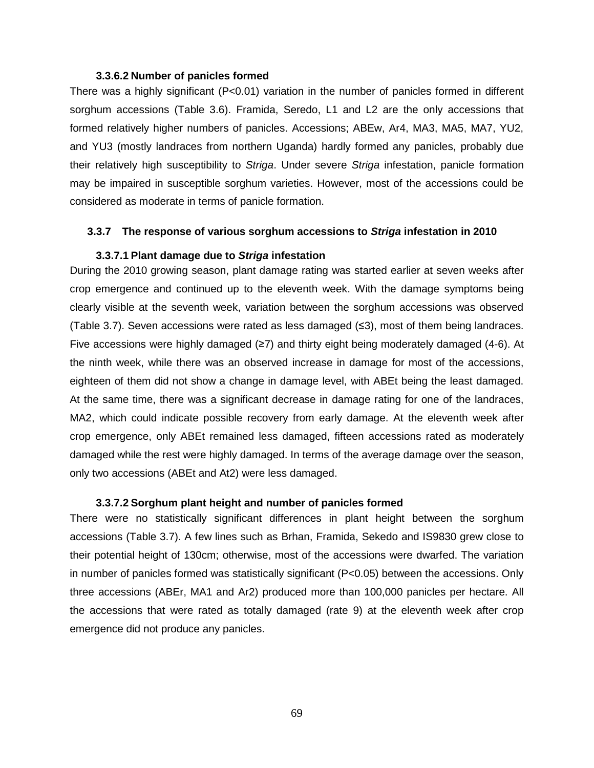#### **3.3.6.2 Number of panicles formed**

There was a highly significant (P<0.01) variation in the number of panicles formed in different sorghum accessions (Table 3.6). Framida, Seredo, L1 and L2 are the only accessions that formed relatively higher numbers of panicles. Accessions; ABEw, Ar4, MA3, MA5, MA7, YU2, and YU3 (mostly landraces from northern Uganda) hardly formed any panicles, probably due their relatively high susceptibility to Striga. Under severe Striga infestation, panicle formation may be impaired in susceptible sorghum varieties. However, most of the accessions could be considered as moderate in terms of panicle formation.

#### **3.3.7 The response of various sorghum accessions to Striga infestation in 2010**

#### **3.3.7.1 Plant damage due to Striga infestation**

During the 2010 growing season, plant damage rating was started earlier at seven weeks after crop emergence and continued up to the eleventh week. With the damage symptoms being clearly visible at the seventh week, variation between the sorghum accessions was observed (Table 3.7). Seven accessions were rated as less damaged (≤3), most of them being landraces. Five accessions were highly damaged (≥7) and thirty eight being moderately damaged (4-6). At the ninth week, while there was an observed increase in damage for most of the accessions, eighteen of them did not show a change in damage level, with ABEt being the least damaged. At the same time, there was a significant decrease in damage rating for one of the landraces, MA2, which could indicate possible recovery from early damage. At the eleventh week after crop emergence, only ABEt remained less damaged, fifteen accessions rated as moderately damaged while the rest were highly damaged. In terms of the average damage over the season, only two accessions (ABEt and At2) were less damaged.

### **3.3.7.2 Sorghum plant height and number of panicles formed**

There were no statistically significant differences in plant height between the sorghum accessions (Table 3.7). A few lines such as Brhan, Framida, Sekedo and IS9830 grew close to their potential height of 130cm; otherwise, most of the accessions were dwarfed. The variation in number of panicles formed was statistically significant (P<0.05) between the accessions. Only three accessions (ABEr, MA1 and Ar2) produced more than 100,000 panicles per hectare. All the accessions that were rated as totally damaged (rate 9) at the eleventh week after crop emergence did not produce any panicles.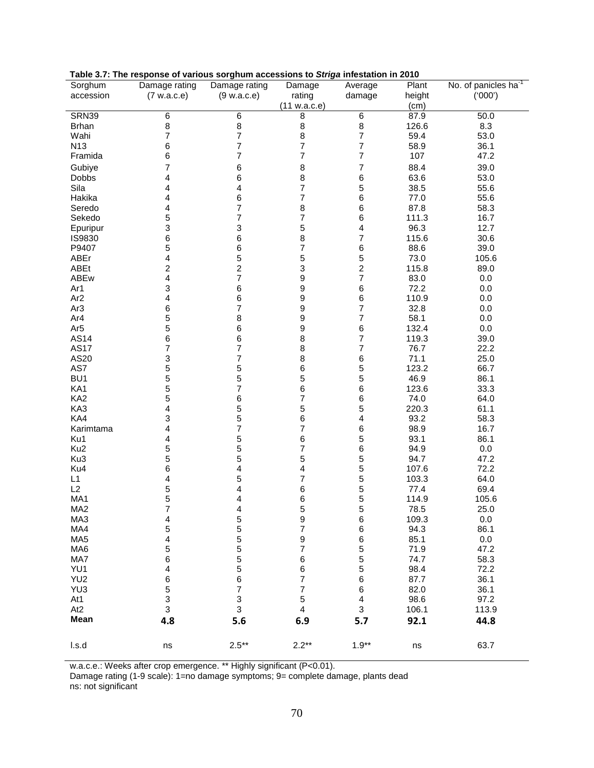| Sorghum         | Damage rating                              | Damage rating           | Damage                  | Average                 | Plant  | No. of panicles ha <sup>-1</sup> |
|-----------------|--------------------------------------------|-------------------------|-------------------------|-------------------------|--------|----------------------------------|
| accession       | (7 w.a.c.e)                                | (9 w.a.c.e)             | rating                  | damage                  | height | (000')                           |
|                 |                                            |                         | (11 w.a.c.e)            |                         | (cm)   |                                  |
| SRN39           | $\,6$                                      | 6                       | 8                       | 6                       | 87.9   | 50.0                             |
| <b>Brhan</b>    | 8                                          | 8                       | 8                       | 8                       | 126.6  | 8.3                              |
| Wahi            | 7                                          | 7                       | 8                       | $\overline{\mathbf{7}}$ | 59.4   | 53.0                             |
| N <sub>13</sub> | 6                                          | 7                       | 7                       | $\overline{7}$          | 58.9   | 36.1                             |
| Framida         | 6                                          | $\overline{7}$          | $\overline{7}$          | $\overline{7}$          | 107    | 47.2                             |
| Gubiye          | 7                                          | $\,6$                   | 8                       | 7                       | 88.4   | 39.0                             |
| Dobbs           | 4                                          | 6                       | $\bf8$                  | 6                       | 63.6   | 53.0                             |
| Sila            | 4                                          | 4                       | 7                       | 5                       | 38.5   | 55.6                             |
| Hakika          | 4                                          | 6                       | 7                       | 6                       | 77.0   | 55.6                             |
| Seredo          | 4                                          | $\overline{7}$          | 8                       | 6                       | 87.8   | 58.3                             |
|                 | 5                                          | 7                       | 7                       | 6                       | 111.3  | 16.7                             |
| Sekedo          |                                            |                         |                         |                         | 96.3   | 12.7                             |
| Epuripur        | 3                                          | 3<br>6                  | 5<br>8                  | 4<br>$\overline{7}$     |        |                                  |
| IS9830          | 6                                          |                         |                         |                         | 115.6  | 30.6                             |
| P9407           | 5                                          | 6                       | $\overline{7}$          | 6                       | 88.6   | 39.0                             |
| ABEr            | 4                                          | 5                       | 5                       | 5                       | 73.0   | 105.6                            |
| ABEt            | $\overline{c}$                             | $\overline{\mathbf{c}}$ | $\mathsf 3$             | $\overline{\mathbf{c}}$ | 115.8  | 89.0                             |
| ABEw            | 4                                          | $\overline{7}$          | 9                       | $\overline{7}$          | 83.0   | 0.0                              |
| Ar1             | 3                                          | 6                       | 9                       | 6                       | 72.2   | 0.0                              |
| Ar <sub>2</sub> | 4                                          | 6                       | 9                       | 6                       | 110.9  | 0.0                              |
| Ar <sub>3</sub> | $\,6$                                      | 7                       | 9                       | $\overline{7}$          | 32.8   | 0.0                              |
| Ar4             | 5                                          | 8                       | 9                       | $\overline{7}$          | 58.1   | 0.0                              |
| Ar <sub>5</sub> | 5                                          | 6                       | 9                       | 6                       | 132.4  | 0.0                              |
| AS14            | 6                                          | 6                       | 8                       | $\overline{\mathbf{7}}$ | 119.3  | 39.0                             |
| <b>AS17</b>     | $\overline{7}$                             | $\overline{7}$          | 8                       | $\overline{7}$          | 76.7   | 22.2                             |
| AS20            | 3                                          | 7                       | 8                       | 6                       | 71.1   | 25.0                             |
| AS7             | 5                                          | 5                       | 6                       | 5                       | 123.2  | 66.7                             |
| BU <sub>1</sub> | 5                                          | 5                       | 5                       | 5                       | 46.9   | 86.1                             |
| KA1             | 5                                          | $\overline{\mathbf{7}}$ | 6                       | 6                       | 123.6  | 33.3                             |
| KA <sub>2</sub> | 5                                          | 6                       | 7                       | 6                       | 74.0   | 64.0                             |
| KA3             | 4                                          | 5                       | 5                       | 5                       | 220.3  | 61.1                             |
| KA4             | 3                                          | 5                       | 6                       | 4                       | 93.2   | 58.3                             |
| Karimtama       | 4                                          | $\overline{7}$          | $\overline{7}$          | 6                       | 98.9   | 16.7                             |
| Ku1             | 4                                          | 5                       | 6                       | 5                       | 93.1   | 86.1                             |
| Ku <sub>2</sub> | 5                                          | 5                       | $\overline{7}$          | 6                       | 94.9   | 0.0                              |
| Ku3             | 5                                          | 5                       | 5                       | 5                       | 94.7   | 47.2                             |
| Ku4             | 6                                          | 4                       | 4                       | 5                       | 107.6  | 72.2                             |
| L1              | 4                                          | 5                       | $\overline{7}$          | 5                       | 103.3  | 64.0                             |
| L2              | 5                                          | 4                       | 6                       | 5                       | 77.4   | 69.4                             |
| MA1             | 5                                          | 4                       | $\,6$                   | 5                       | 114.9  | 105.6                            |
| MA <sub>2</sub> | $\overline{7}$                             | 4                       | 5                       | 5                       | 78.5   | 25.0                             |
| MA3             | 4                                          | 5                       | 9                       | 6                       | 109.3  | 0.0                              |
| MA4             | 5                                          | 5<br>5                  | 7<br>9                  | 6                       | 94.3   | 86.1                             |
| MA <sub>5</sub> | $\overline{\mathbf{r}}$                    |                         |                         | 6                       | 85.1   | $0.0\,$                          |
| MA <sub>6</sub> | 5                                          | 5<br>5<br>5<br>5        | 7                       | 5<br>5                  | 71.9   | 47.2                             |
| MA7             | 6                                          |                         | 6                       |                         | 74.7   | 58.3                             |
| YU1             | 4                                          |                         | 6                       | 5                       | 98.4   | 72.2                             |
| YU <sub>2</sub> | 6                                          | $\overline{6}$          | $\overline{7}$          | 6                       | 87.7   | 36.1                             |
| YU3             |                                            | $\overline{7}$          | $\overline{7}$          | 6                       | 82.0   | 36.1                             |
| At1             | $\begin{array}{c} 5 \\ 3 \\ 3 \end{array}$ | $\frac{3}{3}$           | 5                       | $\overline{\mathbf{4}}$ | 98.6   | 97.2                             |
| At <sub>2</sub> |                                            |                         | $\overline{\mathbf{4}}$ | 3                       | 106.1  | 113.9                            |
| Mean            | 4.8                                        | 5.6                     | 6.9                     | 5.7                     | 92.1   | 44.8                             |
|                 |                                            |                         |                         |                         |        |                                  |
| l.s.d           | ns                                         | $2.5***$                | $2.2**$                 | $1.9**$                 | ns     | 63.7                             |

#### **Table 3.7: The response of various sorghum accessions to Striga infestation in 2010**

w.a.c.e.: Weeks after crop emergence. \*\* Highly significant (P<0.01).

Damage rating (1-9 scale): 1=no damage symptoms; 9= complete damage, plants dead ns: not significant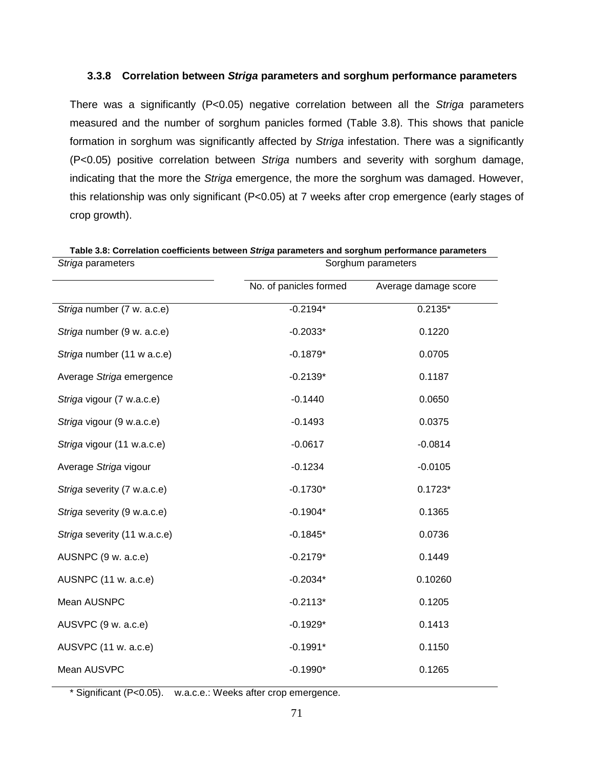## **3.3.8 Correlation between Striga parameters and sorghum performance parameters**

There was a significantly (P<0.05) negative correlation between all the Striga parameters measured and the number of sorghum panicles formed (Table 3.8). This shows that panicle formation in sorghum was significantly affected by Striga infestation. There was a significantly (P<0.05) positive correlation between Striga numbers and severity with sorghum damage, indicating that the more the Striga emergence, the more the sorghum was damaged. However, this relationship was only significant (P<0.05) at 7 weeks after crop emergence (early stages of crop growth).

| Striga parameters            | Sorghum parameters     |                      |  |  |  |
|------------------------------|------------------------|----------------------|--|--|--|
|                              | No. of panicles formed | Average damage score |  |  |  |
| Striga number (7 w. a.c.e)   | $-0.2194*$             | $0.2135*$            |  |  |  |
| Striga number (9 w. a.c.e)   | $-0.2033*$             | 0.1220               |  |  |  |
| Striga number (11 w a.c.e)   | $-0.1879*$             | 0.0705               |  |  |  |
| Average Striga emergence     | $-0.2139*$             | 0.1187               |  |  |  |
| Striga vigour (7 w.a.c.e)    | $-0.1440$              | 0.0650               |  |  |  |
| Striga vigour (9 w.a.c.e)    | $-0.1493$              | 0.0375               |  |  |  |
| Striga vigour (11 w.a.c.e)   | $-0.0617$              | $-0.0814$            |  |  |  |
| Average Striga vigour        | $-0.1234$              | $-0.0105$            |  |  |  |
| Striga severity (7 w.a.c.e)  | $-0.1730*$             | $0.1723*$            |  |  |  |
| Striga severity (9 w.a.c.e)  | $-0.1904*$             | 0.1365               |  |  |  |
| Striga severity (11 w.a.c.e) | $-0.1845*$             | 0.0736               |  |  |  |
| AUSNPC (9 w. a.c.e)          | $-0.2179*$             | 0.1449               |  |  |  |
| AUSNPC (11 w. a.c.e)         | $-0.2034*$             | 0.10260              |  |  |  |
| Mean AUSNPC                  | $-0.2113*$             | 0.1205               |  |  |  |
| AUSVPC (9 w. a.c.e)          | $-0.1929*$             | 0.1413               |  |  |  |
| AUSVPC (11 w. a.c.e)         | $-0.1991*$             | 0.1150               |  |  |  |
| Mean AUSVPC                  | $-0.1990*$             | 0.1265               |  |  |  |

**Table 3.8: Correlation coefficients between Striga parameters and sorghum performance parameters** 

\* Significant (P<0.05). w.a.c.e.: Weeks after crop emergence.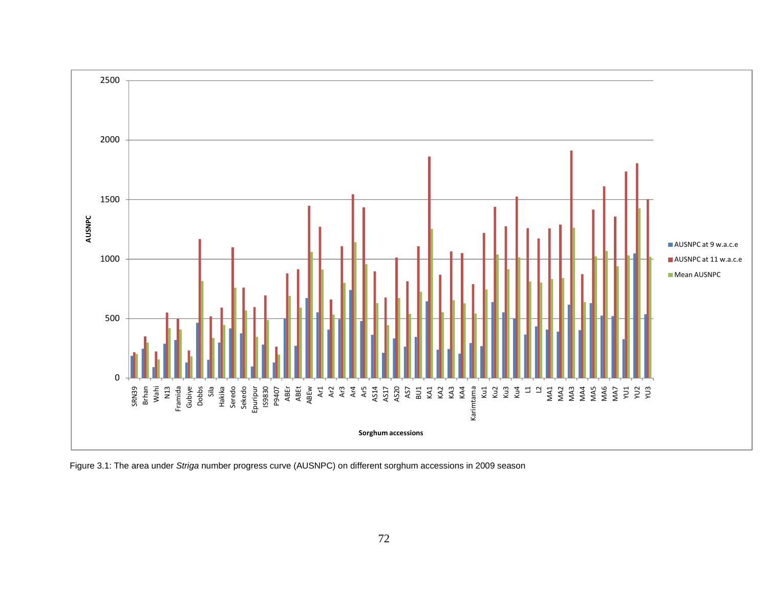

Figure 3.1: The area under Striga number progress curve (AUSNPC) on different sorghum accessions in 2009 season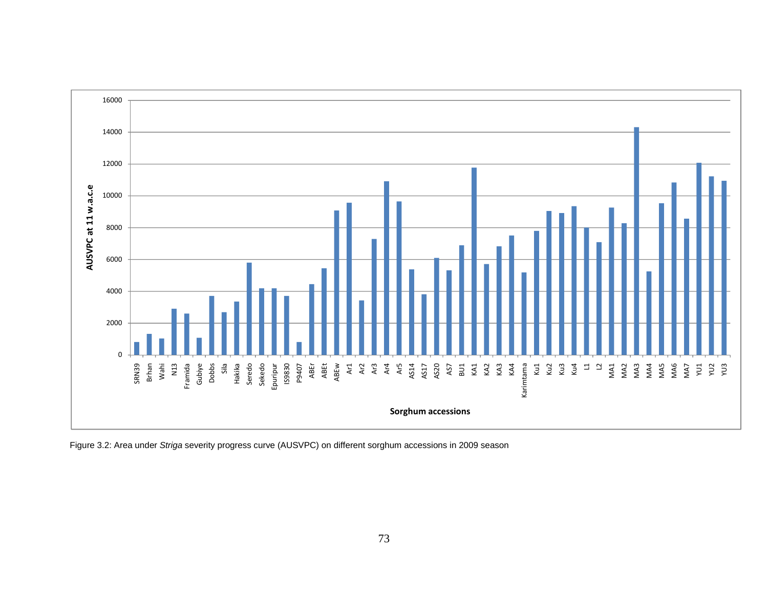

Figure 3.2: Area under Striga severity progress curve (AUSVPC) on different sorghum accessions in 2009 season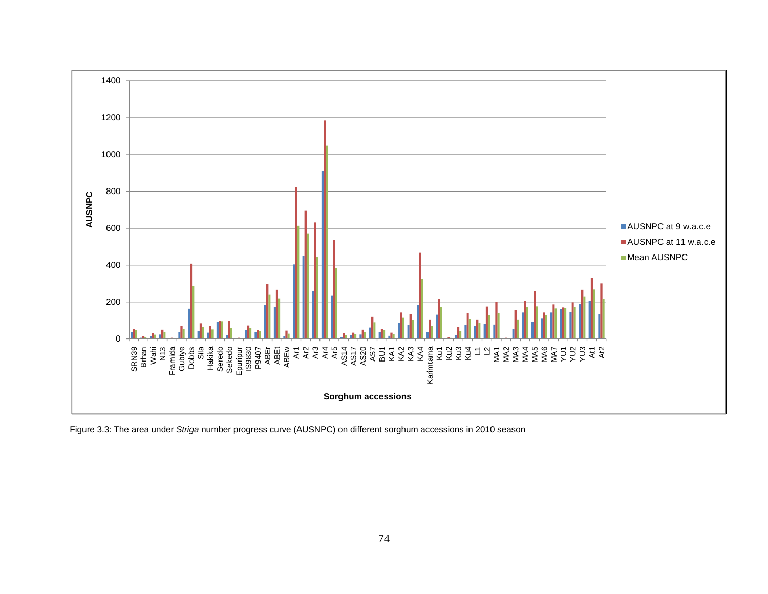

Figure 3.3: The area under Striga number progress curve (AUSNPC) on different sorghum accessions in 2010 season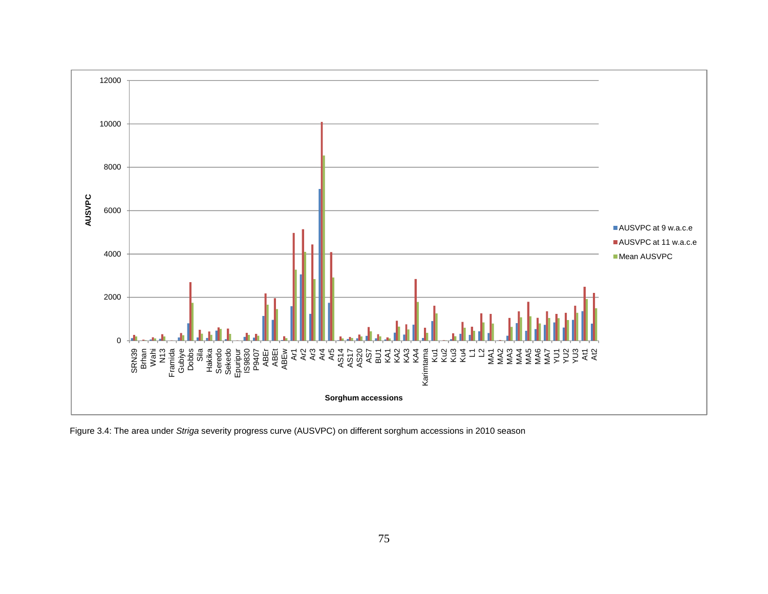

Figure 3.4: The area under Striga severity progress curve (AUSVPC) on different sorghum accessions in 2010 season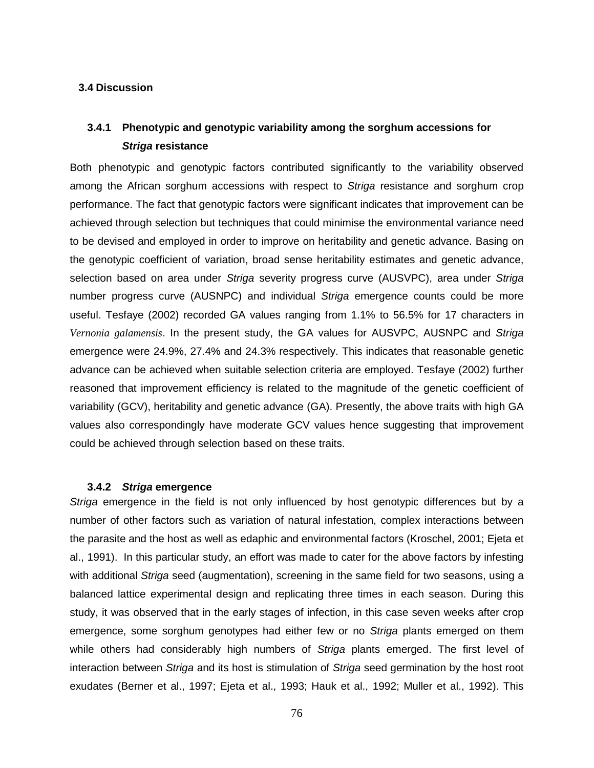## **3.4 Discussion**

## **3.4.1 Phenotypic and genotypic variability among the sorghum accessions for Striga resistance**

Both phenotypic and genotypic factors contributed significantly to the variability observed among the African sorghum accessions with respect to Striga resistance and sorghum crop performance. The fact that genotypic factors were significant indicates that improvement can be achieved through selection but techniques that could minimise the environmental variance need to be devised and employed in order to improve on heritability and genetic advance. Basing on the genotypic coefficient of variation, broad sense heritability estimates and genetic advance, selection based on area under Striga severity progress curve (AUSVPC), area under Striga number progress curve (AUSNPC) and individual Striga emergence counts could be more useful. Tesfaye (2002) recorded GA values ranging from 1.1% to 56.5% for 17 characters in *Vernonia galamensis*. In the present study, the GA values for AUSVPC, AUSNPC and Striga emergence were 24.9%, 27.4% and 24.3% respectively. This indicates that reasonable genetic advance can be achieved when suitable selection criteria are employed. Tesfaye (2002) further reasoned that improvement efficiency is related to the magnitude of the genetic coefficient of variability (GCV), heritability and genetic advance (GA). Presently, the above traits with high GA values also correspondingly have moderate GCV values hence suggesting that improvement could be achieved through selection based on these traits.

#### **3.4.2 Striga emergence**

Striga emergence in the field is not only influenced by host genotypic differences but by a number of other factors such as variation of natural infestation, complex interactions between the parasite and the host as well as edaphic and environmental factors (Kroschel, 2001; Ejeta et al., 1991). In this particular study, an effort was made to cater for the above factors by infesting with additional Striga seed (augmentation), screening in the same field for two seasons, using a balanced lattice experimental design and replicating three times in each season. During this study, it was observed that in the early stages of infection, in this case seven weeks after crop emergence, some sorghum genotypes had either few or no Striga plants emerged on them while others had considerably high numbers of Striga plants emerged. The first level of interaction between Striga and its host is stimulation of Striga seed germination by the host root exudates (Berner et al., 1997; Ejeta et al., 1993; Hauk et al., 1992; Muller et al., 1992). This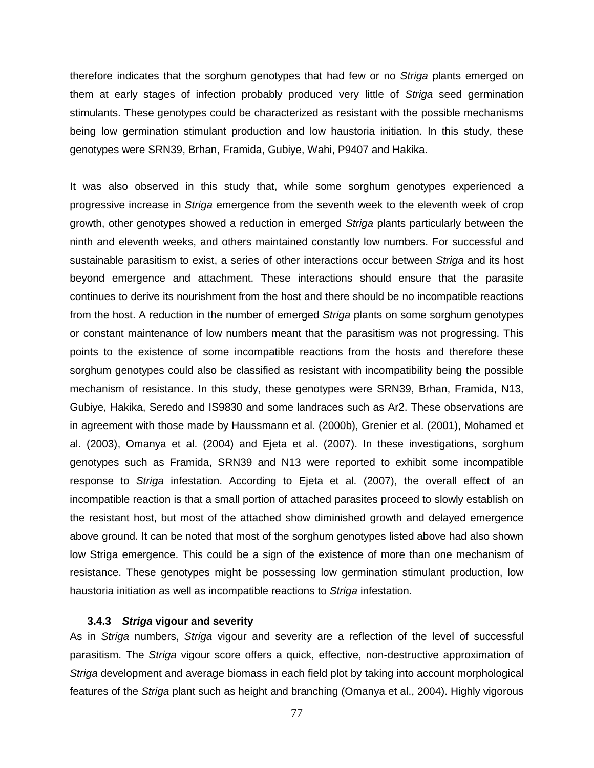therefore indicates that the sorghum genotypes that had few or no Striga plants emerged on them at early stages of infection probably produced very little of Striga seed germination stimulants. These genotypes could be characterized as resistant with the possible mechanisms being low germination stimulant production and low haustoria initiation. In this study, these genotypes were SRN39, Brhan, Framida, Gubiye, Wahi, P9407 and Hakika.

It was also observed in this study that, while some sorghum genotypes experienced a progressive increase in Striga emergence from the seventh week to the eleventh week of crop growth, other genotypes showed a reduction in emerged Striga plants particularly between the ninth and eleventh weeks, and others maintained constantly low numbers. For successful and sustainable parasitism to exist, a series of other interactions occur between Striga and its host beyond emergence and attachment. These interactions should ensure that the parasite continues to derive its nourishment from the host and there should be no incompatible reactions from the host. A reduction in the number of emerged Striga plants on some sorghum genotypes or constant maintenance of low numbers meant that the parasitism was not progressing. This points to the existence of some incompatible reactions from the hosts and therefore these sorghum genotypes could also be classified as resistant with incompatibility being the possible mechanism of resistance. In this study, these genotypes were SRN39, Brhan, Framida, N13, Gubiye, Hakika, Seredo and IS9830 and some landraces such as Ar2. These observations are in agreement with those made by Haussmann et al. (2000b), Grenier et al. (2001), Mohamed et al. (2003), Omanya et al. (2004) and Ejeta et al. (2007). In these investigations, sorghum genotypes such as Framida, SRN39 and N13 were reported to exhibit some incompatible response to Striga infestation. According to Ejeta et al. (2007), the overall effect of an incompatible reaction is that a small portion of attached parasites proceed to slowly establish on the resistant host, but most of the attached show diminished growth and delayed emergence above ground. It can be noted that most of the sorghum genotypes listed above had also shown low Striga emergence. This could be a sign of the existence of more than one mechanism of resistance. These genotypes might be possessing low germination stimulant production, low haustoria initiation as well as incompatible reactions to Striga infestation.

## **3.4.3 Striga vigour and severity**

As in Striga numbers, Striga vigour and severity are a reflection of the level of successful parasitism. The Striga vigour score offers a quick, effective, non-destructive approximation of Striga development and average biomass in each field plot by taking into account morphological features of the Striga plant such as height and branching (Omanya et al., 2004). Highly vigorous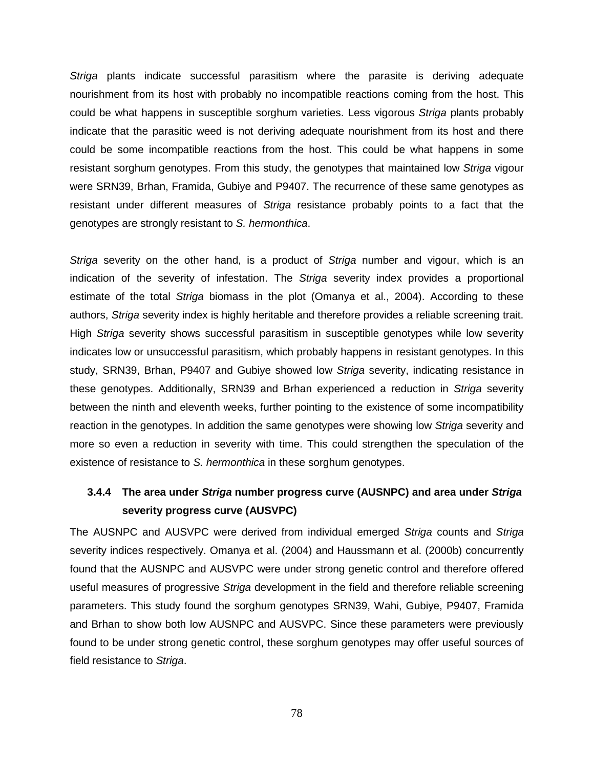Striga plants indicate successful parasitism where the parasite is deriving adequate nourishment from its host with probably no incompatible reactions coming from the host. This could be what happens in susceptible sorghum varieties. Less vigorous Striga plants probably indicate that the parasitic weed is not deriving adequate nourishment from its host and there could be some incompatible reactions from the host. This could be what happens in some resistant sorghum genotypes. From this study, the genotypes that maintained low Striga vigour were SRN39, Brhan, Framida, Gubiye and P9407. The recurrence of these same genotypes as resistant under different measures of Striga resistance probably points to a fact that the genotypes are strongly resistant to S. hermonthica.

Striga severity on the other hand, is a product of Striga number and vigour, which is an indication of the severity of infestation. The Striga severity index provides a proportional estimate of the total Striga biomass in the plot (Omanya et al., 2004). According to these authors, Striga severity index is highly heritable and therefore provides a reliable screening trait. High Striga severity shows successful parasitism in susceptible genotypes while low severity indicates low or unsuccessful parasitism, which probably happens in resistant genotypes. In this study, SRN39, Brhan, P9407 and Gubiye showed low Striga severity, indicating resistance in these genotypes. Additionally, SRN39 and Brhan experienced a reduction in Striga severity between the ninth and eleventh weeks, further pointing to the existence of some incompatibility reaction in the genotypes. In addition the same genotypes were showing low Striga severity and more so even a reduction in severity with time. This could strengthen the speculation of the existence of resistance to S. hermonthica in these sorghum genotypes.

## **3.4.4 The area under Striga number progress curve (AUSNPC) and area under Striga severity progress curve (AUSVPC)**

The AUSNPC and AUSVPC were derived from individual emerged Striga counts and Striga severity indices respectively. Omanya et al. (2004) and Haussmann et al. (2000b) concurrently found that the AUSNPC and AUSVPC were under strong genetic control and therefore offered useful measures of progressive Striga development in the field and therefore reliable screening parameters. This study found the sorghum genotypes SRN39, Wahi, Gubiye, P9407, Framida and Brhan to show both low AUSNPC and AUSVPC. Since these parameters were previously found to be under strong genetic control, these sorghum genotypes may offer useful sources of field resistance to Striga.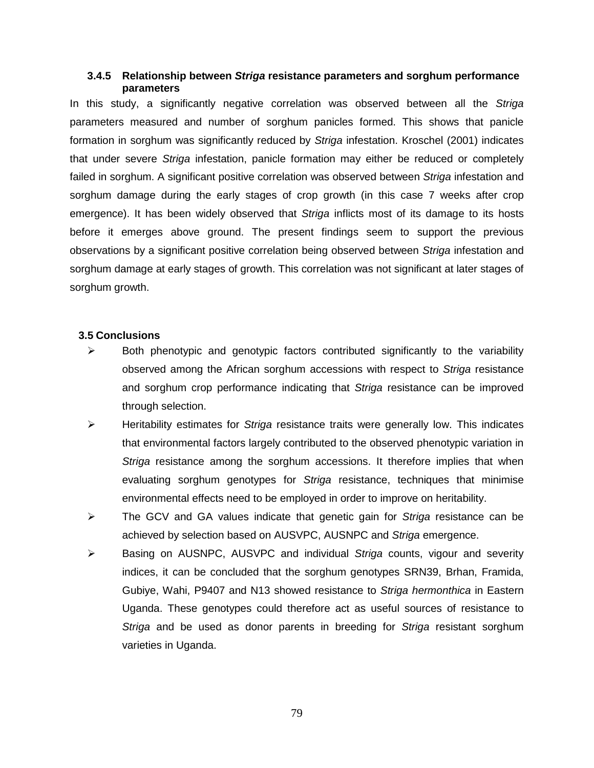## **3.4.5 Relationship between Striga resistance parameters and sorghum performance parameters**

In this study, a significantly negative correlation was observed between all the Striga parameters measured and number of sorghum panicles formed. This shows that panicle formation in sorghum was significantly reduced by Striga infestation. Kroschel (2001) indicates that under severe Striga infestation, panicle formation may either be reduced or completely failed in sorghum. A significant positive correlation was observed between Striga infestation and sorghum damage during the early stages of crop growth (in this case 7 weeks after crop emergence). It has been widely observed that *Striga* inflicts most of its damage to its hosts before it emerges above ground. The present findings seem to support the previous observations by a significant positive correlation being observed between Striga infestation and sorghum damage at early stages of growth. This correlation was not significant at later stages of sorghum growth.

## **3.5 Conclusions**

- $\triangleright$  Both phenotypic and genotypic factors contributed significantly to the variability observed among the African sorghum accessions with respect to Striga resistance and sorghum crop performance indicating that Striga resistance can be improved through selection.
- $\triangleright$  Heritability estimates for Striga resistance traits were generally low. This indicates that environmental factors largely contributed to the observed phenotypic variation in Striga resistance among the sorghum accessions. It therefore implies that when evaluating sorghum genotypes for Striga resistance, techniques that minimise environmental effects need to be employed in order to improve on heritability.
- $\triangleright$  The GCV and GA values indicate that genetic gain for Striga resistance can be achieved by selection based on AUSVPC, AUSNPC and Striga emergence.
- $\triangleright$  Basing on AUSNPC, AUSVPC and individual Striga counts, vigour and severity indices, it can be concluded that the sorghum genotypes SRN39, Brhan, Framida, Gubiye, Wahi, P9407 and N13 showed resistance to Striga hermonthica in Eastern Uganda. These genotypes could therefore act as useful sources of resistance to Striga and be used as donor parents in breeding for Striga resistant sorghum varieties in Uganda.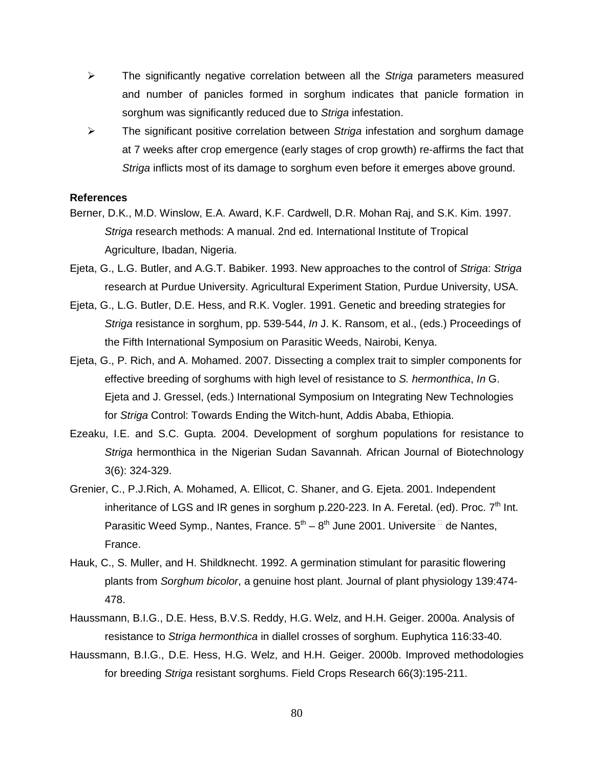- $\triangleright$  The significantly negative correlation between all the Striga parameters measured and number of panicles formed in sorghum indicates that panicle formation in sorghum was significantly reduced due to Striga infestation.
- $\triangleright$  The significant positive correlation between Striga infestation and sorghum damage at 7 weeks after crop emergence (early stages of crop growth) re-affirms the fact that Striga inflicts most of its damage to sorghum even before it emerges above ground.

### **References**

- Berner, D.K., M.D. Winslow, E.A. Award, K.F. Cardwell, D.R. Mohan Raj, and S.K. Kim. 1997. Striga research methods: A manual. 2nd ed. International Institute of Tropical Agriculture, Ibadan, Nigeria.
- Ejeta, G., L.G. Butler, and A.G.T. Babiker. 1993. New approaches to the control of Striga: Striga research at Purdue University. Agricultural Experiment Station, Purdue University, USA.
- Ejeta, G., L.G. Butler, D.E. Hess, and R.K. Vogler. 1991. Genetic and breeding strategies for Striga resistance in sorghum, pp. 539-544, In J. K. Ransom, et al., (eds.) Proceedings of the Fifth International Symposium on Parasitic Weeds, Nairobi, Kenya.
- Ejeta, G., P. Rich, and A. Mohamed. 2007. Dissecting a complex trait to simpler components for effective breeding of sorghums with high level of resistance to S. hermonthica, In G. Ejeta and J. Gressel, (eds.) International Symposium on Integrating New Technologies for Striga Control: Towards Ending the Witch-hunt, Addis Ababa, Ethiopia.
- Ezeaku, I.E. and S.C. Gupta. 2004. Development of sorghum populations for resistance to Striga hermonthica in the Nigerian Sudan Savannah. African Journal of Biotechnology 3(6): 324-329.
- Grenier, C., P.J.Rich, A. Mohamed, A. Ellicot, C. Shaner, and G. Ejeta. 2001. Independent inheritance of LGS and IR genes in sorghum p.220-223. In A. Feretal. (ed). Proc.  $7<sup>th</sup>$  Int. Parasitic Weed Symp., Nantes, France.  $5^{th} - 8^{th}$  June 2001. Universite  $\Box$  de Nantes, France.
- Hauk, C., S. Muller, and H. Shildknecht. 1992. A germination stimulant for parasitic flowering plants from Sorghum bicolor, a genuine host plant. Journal of plant physiology 139:474- 478.
- Haussmann, B.I.G., D.E. Hess, B.V.S. Reddy, H.G. Welz, and H.H. Geiger. 2000a. Analysis of resistance to Striga hermonthica in diallel crosses of sorghum. Euphytica 116:33-40.
- Haussmann, B.I.G., D.E. Hess, H.G. Welz, and H.H. Geiger. 2000b. Improved methodologies for breeding Striga resistant sorghums. Field Crops Research 66(3):195-211.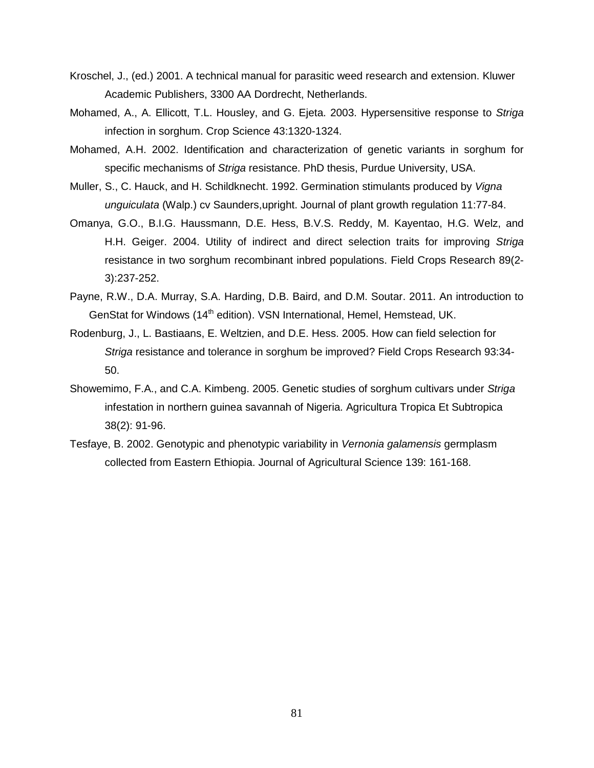- Kroschel, J., (ed.) 2001. A technical manual for parasitic weed research and extension. Kluwer Academic Publishers, 3300 AA Dordrecht, Netherlands.
- Mohamed, A., A. Ellicott, T.L. Housley, and G. Ejeta. 2003. Hypersensitive response to Striga infection in sorghum. Crop Science 43:1320-1324.
- Mohamed, A.H. 2002. Identification and characterization of genetic variants in sorghum for specific mechanisms of Striga resistance. PhD thesis, Purdue University, USA.
- Muller, S., C. Hauck, and H. Schildknecht. 1992. Germination stimulants produced by Vigna unguiculata (Walp.) cv Saunders,upright. Journal of plant growth regulation 11:77-84.
- Omanya, G.O., B.I.G. Haussmann, D.E. Hess, B.V.S. Reddy, M. Kayentao, H.G. Welz, and H.H. Geiger. 2004. Utility of indirect and direct selection traits for improving Striga resistance in two sorghum recombinant inbred populations. Field Crops Research 89(2- 3):237-252.
- Payne, R.W., D.A. Murray, S.A. Harding, D.B. Baird, and D.M. Soutar. 2011. An introduction to GenStat for Windows (14<sup>th</sup> edition). VSN International, Hemel, Hemstead, UK.
- Rodenburg, J., L. Bastiaans, E. Weltzien, and D.E. Hess. 2005. How can field selection for Striga resistance and tolerance in sorghum be improved? Field Crops Research 93:34- 50.
- Showemimo, F.A., and C.A. Kimbeng. 2005. Genetic studies of sorghum cultivars under Striga infestation in northern guinea savannah of Nigeria. Agricultura Tropica Et Subtropica 38(2): 91-96.
- Tesfaye, B. 2002. Genotypic and phenotypic variability in Vernonia galamensis germplasm collected from Eastern Ethiopia. Journal of Agricultural Science 139: 161-168.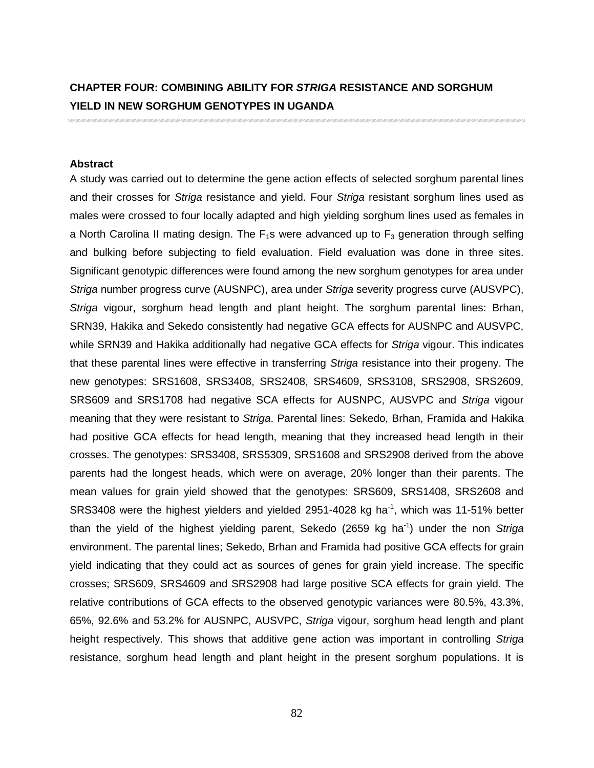# **CHAPTER FOUR: COMBINING ABILITY FOR STRIGA RESISTANCE AND SORGHUM YIELD IN NEW SORGHUM GENOTYPES IN UGANDA**

#### **Abstract**

A study was carried out to determine the gene action effects of selected sorghum parental lines and their crosses for Striga resistance and yield. Four Striga resistant sorghum lines used as males were crossed to four locally adapted and high yielding sorghum lines used as females in a North Carolina II mating design. The  $F_1$ s were advanced up to  $F_3$  generation through selfing and bulking before subjecting to field evaluation. Field evaluation was done in three sites. Significant genotypic differences were found among the new sorghum genotypes for area under Striga number progress curve (AUSNPC), area under Striga severity progress curve (AUSVPC), Striga vigour, sorghum head length and plant height. The sorghum parental lines: Brhan, SRN39, Hakika and Sekedo consistently had negative GCA effects for AUSNPC and AUSVPC, while SRN39 and Hakika additionally had negative GCA effects for Striga vigour. This indicates that these parental lines were effective in transferring Striga resistance into their progeny. The new genotypes: SRS1608, SRS3408, SRS2408, SRS4609, SRS3108, SRS2908, SRS2609, SRS609 and SRS1708 had negative SCA effects for AUSNPC, AUSVPC and Striga vigour meaning that they were resistant to Striga. Parental lines: Sekedo, Brhan, Framida and Hakika had positive GCA effects for head length, meaning that they increased head length in their crosses. The genotypes: SRS3408, SRS5309, SRS1608 and SRS2908 derived from the above parents had the longest heads, which were on average, 20% longer than their parents. The mean values for grain yield showed that the genotypes: SRS609, SRS1408, SRS2608 and SRS3408 were the highest yielders and yielded 2951-4028 kg ha<sup>-1</sup>, which was 11-51% better than the yield of the highest yielding parent, Sekedo (2659 kg ha<sup>-1</sup>) under the non Striga environment. The parental lines; Sekedo, Brhan and Framida had positive GCA effects for grain yield indicating that they could act as sources of genes for grain yield increase. The specific crosses; SRS609, SRS4609 and SRS2908 had large positive SCA effects for grain yield. The relative contributions of GCA effects to the observed genotypic variances were 80.5%, 43.3%, 65%, 92.6% and 53.2% for AUSNPC, AUSVPC, Striga vigour, sorghum head length and plant height respectively. This shows that additive gene action was important in controlling Striga resistance, sorghum head length and plant height in the present sorghum populations. It is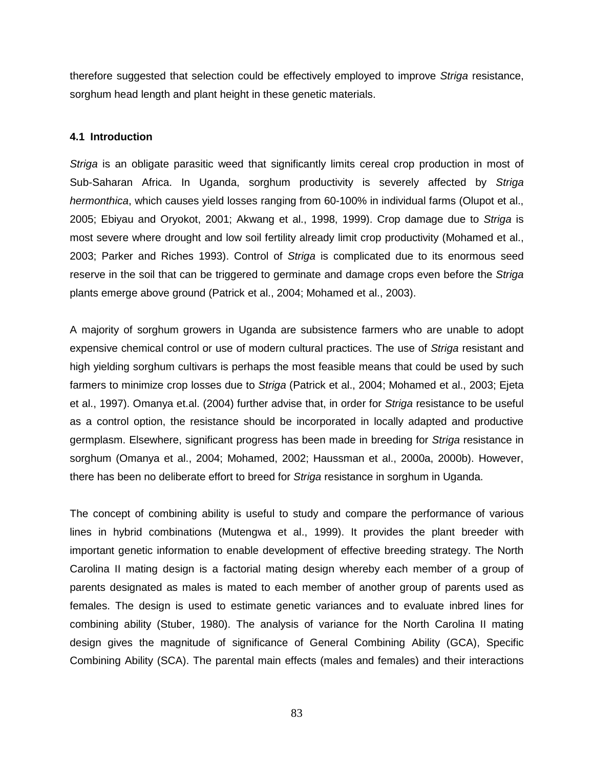therefore suggested that selection could be effectively employed to improve Striga resistance, sorghum head length and plant height in these genetic materials.

## **4.1 Introduction**

Striga is an obligate parasitic weed that significantly limits cereal crop production in most of Sub-Saharan Africa. In Uganda, sorghum productivity is severely affected by Striga hermonthica, which causes yield losses ranging from 60-100% in individual farms (Olupot et al., 2005; Ebiyau and Oryokot, 2001; Akwang et al., 1998, 1999). Crop damage due to Striga is most severe where drought and low soil fertility already limit crop productivity (Mohamed et al., 2003; Parker and Riches 1993). Control of Striga is complicated due to its enormous seed reserve in the soil that can be triggered to germinate and damage crops even before the Striga plants emerge above ground (Patrick et al., 2004; Mohamed et al., 2003).

A majority of sorghum growers in Uganda are subsistence farmers who are unable to adopt expensive chemical control or use of modern cultural practices. The use of Striga resistant and high yielding sorghum cultivars is perhaps the most feasible means that could be used by such farmers to minimize crop losses due to Striga (Patrick et al., 2004; Mohamed et al., 2003; Ejeta et al., 1997). Omanya et.al. (2004) further advise that, in order for Striga resistance to be useful as a control option, the resistance should be incorporated in locally adapted and productive germplasm. Elsewhere, significant progress has been made in breeding for Striga resistance in sorghum (Omanya et al., 2004; Mohamed, 2002; Haussman et al., 2000a, 2000b). However, there has been no deliberate effort to breed for Striga resistance in sorghum in Uganda.

The concept of combining ability is useful to study and compare the performance of various lines in hybrid combinations (Mutengwa et al., 1999). It provides the plant breeder with important genetic information to enable development of effective breeding strategy. The North Carolina II mating design is a factorial mating design whereby each member of a group of parents designated as males is mated to each member of another group of parents used as females. The design is used to estimate genetic variances and to evaluate inbred lines for combining ability (Stuber, 1980). The analysis of variance for the North Carolina II mating design gives the magnitude of significance of General Combining Ability (GCA), Specific Combining Ability (SCA). The parental main effects (males and females) and their interactions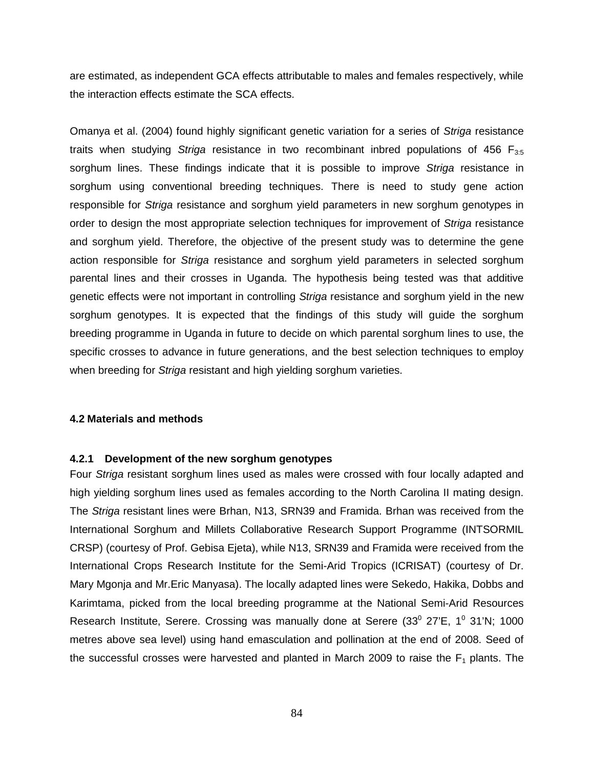are estimated, as independent GCA effects attributable to males and females respectively, while the interaction effects estimate the SCA effects.

Omanya et al. (2004) found highly significant genetic variation for a series of Striga resistance traits when studying Striga resistance in two recombinant inbred populations of 456  $F_{3:5}$ sorghum lines. These findings indicate that it is possible to improve Striga resistance in sorghum using conventional breeding techniques. There is need to study gene action responsible for Striga resistance and sorghum yield parameters in new sorghum genotypes in order to design the most appropriate selection techniques for improvement of Striga resistance and sorghum yield. Therefore, the objective of the present study was to determine the gene action responsible for Striga resistance and sorghum yield parameters in selected sorghum parental lines and their crosses in Uganda. The hypothesis being tested was that additive genetic effects were not important in controlling Striga resistance and sorghum yield in the new sorghum genotypes. It is expected that the findings of this study will guide the sorghum breeding programme in Uganda in future to decide on which parental sorghum lines to use, the specific crosses to advance in future generations, and the best selection techniques to employ when breeding for Striga resistant and high yielding sorghum varieties.

## **4.2 Materials and methods**

#### **4.2.1 Development of the new sorghum genotypes**

Four Striga resistant sorghum lines used as males were crossed with four locally adapted and high yielding sorghum lines used as females according to the North Carolina II mating design. The Striga resistant lines were Brhan, N13, SRN39 and Framida. Brhan was received from the International Sorghum and Millets Collaborative Research Support Programme (INTSORMIL CRSP) (courtesy of Prof. Gebisa Ejeta), while N13, SRN39 and Framida were received from the International Crops Research Institute for the Semi-Arid Tropics (ICRISAT) (courtesy of Dr. Mary Mgonja and Mr.Eric Manyasa). The locally adapted lines were Sekedo, Hakika, Dobbs and Karimtama, picked from the local breeding programme at the National Semi-Arid Resources Research Institute, Serere. Crossing was manually done at Serere  $(33^0 27'E, 1^0 31'N; 1000$ metres above sea level) using hand emasculation and pollination at the end of 2008. Seed of the successful crosses were harvested and planted in March 2009 to raise the  $F_1$  plants. The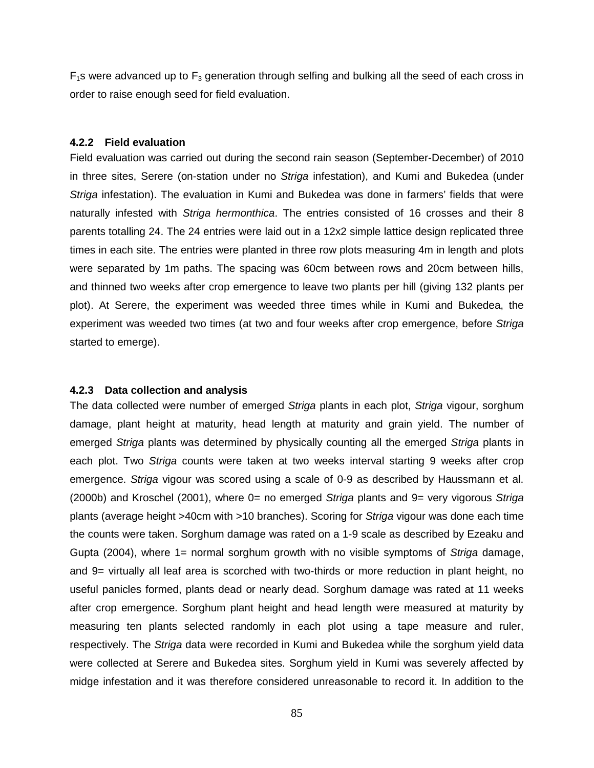$F_1$ s were advanced up to  $F_3$  generation through selfing and bulking all the seed of each cross in order to raise enough seed for field evaluation.

### **4.2.2 Field evaluation**

Field evaluation was carried out during the second rain season (September-December) of 2010 in three sites, Serere (on-station under no Striga infestation), and Kumi and Bukedea (under Striga infestation). The evaluation in Kumi and Bukedea was done in farmers' fields that were naturally infested with Striga hermonthica. The entries consisted of 16 crosses and their 8 parents totalling 24. The 24 entries were laid out in a 12x2 simple lattice design replicated three times in each site. The entries were planted in three row plots measuring 4m in length and plots were separated by 1m paths. The spacing was 60cm between rows and 20cm between hills, and thinned two weeks after crop emergence to leave two plants per hill (giving 132 plants per plot). At Serere, the experiment was weeded three times while in Kumi and Bukedea, the experiment was weeded two times (at two and four weeks after crop emergence, before Striga started to emerge).

#### **4.2.3 Data collection and analysis**

The data collected were number of emerged Striga plants in each plot, Striga vigour, sorghum damage, plant height at maturity, head length at maturity and grain yield. The number of emerged Striga plants was determined by physically counting all the emerged Striga plants in each plot. Two Striga counts were taken at two weeks interval starting 9 weeks after crop emergence. Striga vigour was scored using a scale of 0-9 as described by Haussmann et al. (2000b) and Kroschel (2001), where  $0=$  no emerged Striga plants and  $9=$  very vigorous Striga plants (average height >40cm with >10 branches). Scoring for Striga vigour was done each time the counts were taken. Sorghum damage was rated on a 1-9 scale as described by Ezeaku and Gupta (2004), where  $1=$  normal sorghum growth with no visible symptoms of Striga damage, and 9= virtually all leaf area is scorched with two-thirds or more reduction in plant height, no useful panicles formed, plants dead or nearly dead. Sorghum damage was rated at 11 weeks after crop emergence. Sorghum plant height and head length were measured at maturity by measuring ten plants selected randomly in each plot using a tape measure and ruler, respectively. The Striga data were recorded in Kumi and Bukedea while the sorghum yield data were collected at Serere and Bukedea sites. Sorghum yield in Kumi was severely affected by midge infestation and it was therefore considered unreasonable to record it. In addition to the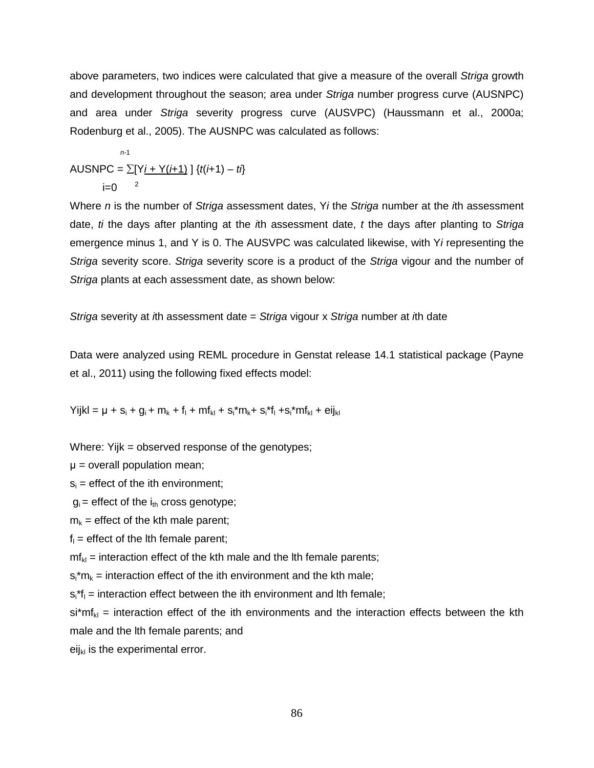above parameters, two indices were calculated that give a measure of the overall Striga growth and development throughout the season; area under Striga number progress curve (AUSNPC) and area under Striga severity progress curve (AUSVPC) (Haussmann et al., 2000a; Rodenburg et al., 2005). The AUSNPC was calculated as follows:

 n-<sup>1</sup> AUSNPC =  $\sum [Y_i + Y(i+1)] \{t(i+1) - t\}$  $i=0$ 

Where  $n$  is the number of Striga assessment dates, Yi the Striga number at the  $i$ th assessment date,  $t$  the days after planting at the  $t$ th assessment date,  $t$  the days after planting to Striga emergence minus 1, and Y is 0. The AUSVPC was calculated likewise, with Yi representing the Striga severity score. Striga severity score is a product of the Striga vigour and the number of Striga plants at each assessment date, as shown below:

Striga severity at ith assessment date  $=$  Striga vigour x Striga number at ith date

Data were analyzed using REML procedure in Genstat release 14.1 statistical package (Payne et al., 2011) using the following fixed effects model:

 $YijkI = \mu + s_i + g_i + m_k + f_l + mf_{kl} + s_i * m_k + s_i * f_l + s_i * mf_{kl} + eij_{kl}$ 

Where: Yijk = observed response of the genotypes;

 $\mu$  = overall population mean;

 $s_i$  = effect of the ith environment;

 $g_i$  = effect of the  $i_{th}$  cross genotype;

 $m_k$  = effect of the kth male parent;

 $f_1$  = effect of the lth female parent;

 $m f_{kl}$  = interaction effect of the kth male and the lth female parents;

 $s_i$ <sup>\*</sup>m<sub>k</sub> = interaction effect of the ith environment and the kth male;

 $s_i^*f_i$  = interaction effect between the ith environment and lth female;

 $s^{i*}m f_{kl}$  = interaction effect of the ith environments and the interaction effects between the kth male and the lth female parents; and

eij $_{kl}$  is the experimental error.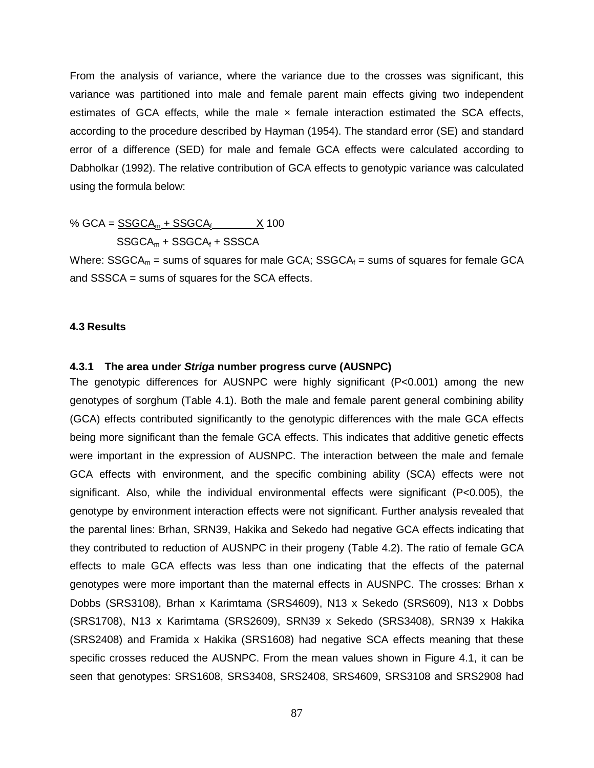From the analysis of variance, where the variance due to the crosses was significant, this variance was partitioned into male and female parent main effects giving two independent estimates of GCA effects, while the male  $\times$  female interaction estimated the SCA effects, according to the procedure described by Hayman (1954). The standard error (SE) and standard error of a difference (SED) for male and female GCA effects were calculated according to Dabholkar (1992). The relative contribution of GCA effects to genotypic variance was calculated using the formula below:

% GCA =  $SSGCA_m + SSGCA_f$   $X$  100

$$
SSGCA_m + SSGCA_f + SSSCA
$$

Where:  $SSGCA_m =$  sums of squares for male  $GCA$ ;  $SSGCA_f =$  sums of squares for female  $GCA$ and SSSCA = sums of squares for the SCA effects.

## **4.3 Results**

#### **4.3.1 The area under Striga number progress curve (AUSNPC)**

The genotypic differences for AUSNPC were highly significant (P<0.001) among the new genotypes of sorghum (Table 4.1). Both the male and female parent general combining ability (GCA) effects contributed significantly to the genotypic differences with the male GCA effects being more significant than the female GCA effects. This indicates that additive genetic effects were important in the expression of AUSNPC. The interaction between the male and female GCA effects with environment, and the specific combining ability (SCA) effects were not significant. Also, while the individual environmental effects were significant (P<0.005), the genotype by environment interaction effects were not significant. Further analysis revealed that the parental lines: Brhan, SRN39, Hakika and Sekedo had negative GCA effects indicating that they contributed to reduction of AUSNPC in their progeny (Table 4.2). The ratio of female GCA effects to male GCA effects was less than one indicating that the effects of the paternal genotypes were more important than the maternal effects in AUSNPC. The crosses: Brhan x Dobbs (SRS3108), Brhan x Karimtama (SRS4609), N13 x Sekedo (SRS609), N13 x Dobbs (SRS1708), N13 x Karimtama (SRS2609), SRN39 x Sekedo (SRS3408), SRN39 x Hakika (SRS2408) and Framida x Hakika (SRS1608) had negative SCA effects meaning that these specific crosses reduced the AUSNPC. From the mean values shown in Figure 4.1, it can be seen that genotypes: SRS1608, SRS3408, SRS2408, SRS4609, SRS3108 and SRS2908 had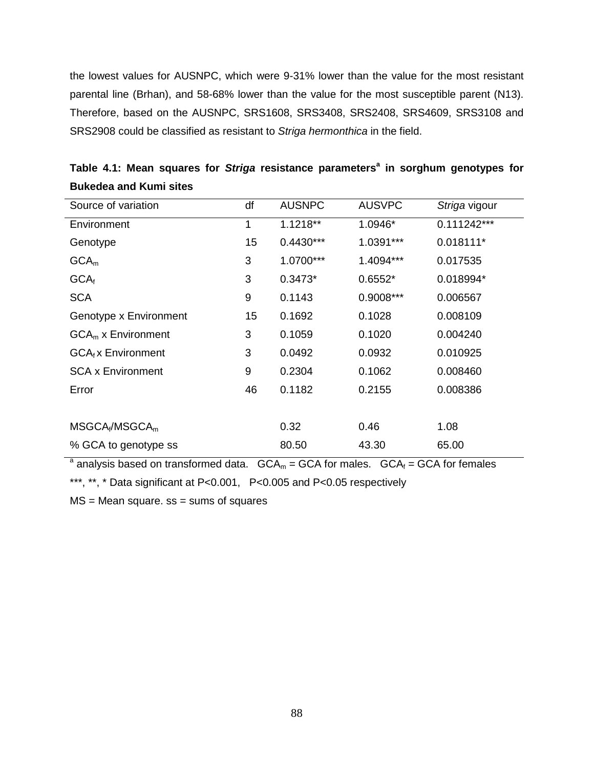the lowest values for AUSNPC, which were 9-31% lower than the value for the most resistant parental line (Brhan), and 58-68% lower than the value for the most susceptible parent (N13). Therefore, based on the AUSNPC, SRS1608, SRS3408, SRS2408, SRS4609, SRS3108 and SRS2908 could be classified as resistant to Striga hermonthica in the field.

| Source of variation      | df | <b>AUSNPC</b> | <b>AUSVPC</b> | Striga vigour |
|--------------------------|----|---------------|---------------|---------------|
| Environment              | 1  | $1.1218**$    | 1.0946*       | $0.111242***$ |
| Genotype                 | 15 | $0.4430***$   | 1.0391***     | $0.018111*$   |
| GCA <sub>m</sub>         | 3  | 1.0700***     | 1.4094***     | 0.017535      |
| GCA <sub>f</sub>         | 3  | $0.3473*$     | $0.6552*$     | 0.018994*     |
| <b>SCA</b>               | 9  | 0.1143        | 0.9008***     | 0.006567      |
| Genotype x Environment   | 15 | 0.1692        | 0.1028        | 0.008109      |
| $GCAm$ x Environment     | 3  | 0.1059        | 0.1020        | 0.004240      |
| $GCAf$ x Environment     | 3  | 0.0492        | 0.0932        | 0.010925      |
| <b>SCA x Environment</b> | 9  | 0.2304        | 0.1062        | 0.008460      |
| Error                    | 46 | 0.1182        | 0.2155        | 0.008386      |
|                          |    |               |               |               |
| $MSGCA_f/MSGCA_m$        |    | 0.32          | 0.46          | 1.08          |
| % GCA to genotype ss     |    | 80.50         | 43.30         | 65.00         |

**Table 4.1: Mean squares for Striga resistance parameters<sup>a</sup> in sorghum genotypes for Bukedea and Kumi sites** 

<sup>a</sup> analysis based on transformed data.  $GCA_m = GCA$  for males.  $GCA_f = GCA$  for females

\*\*\*, \*\*, \* Data significant at P<0.001, P<0.005 and P<0.05 respectively

 $MS = Mean square.$   $ss = sums$  of squares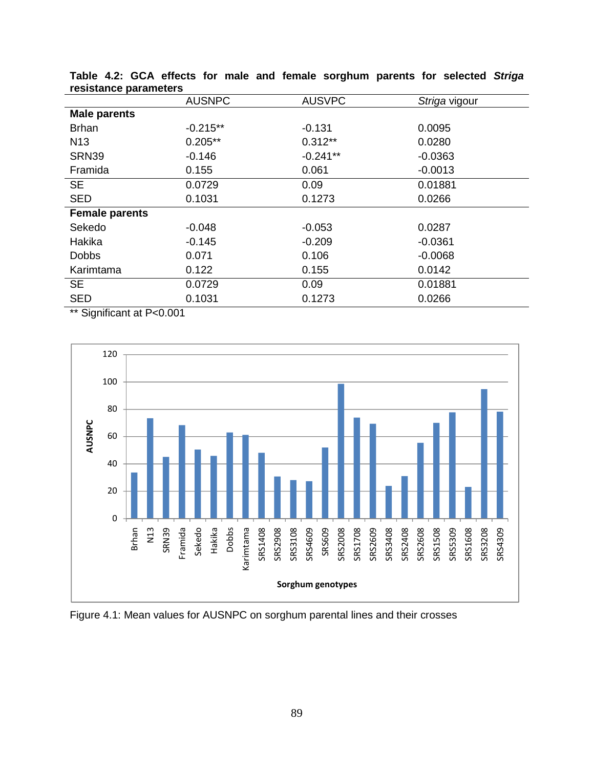| $\cdots$ , and $\cdots$ |               |               |               |
|-------------------------|---------------|---------------|---------------|
|                         | <b>AUSNPC</b> | <b>AUSVPC</b> | Striga vigour |
| <b>Male parents</b>     |               |               |               |
| <b>Brhan</b>            | $-0.215**$    | $-0.131$      | 0.0095        |
| N <sub>13</sub>         | $0.205**$     | $0.312**$     | 0.0280        |
| <b>SRN39</b>            | $-0.146$      | $-0.241**$    | $-0.0363$     |
| Framida                 | 0.155         | 0.061         | $-0.0013$     |
| <b>SE</b>               | 0.0729        | 0.09          | 0.01881       |
| <b>SED</b>              | 0.1031        | 0.1273        | 0.0266        |
| <b>Female parents</b>   |               |               |               |
| Sekedo                  | $-0.048$      | $-0.053$      | 0.0287        |
| Hakika                  | $-0.145$      | $-0.209$      | $-0.0361$     |
| <b>Dobbs</b>            | 0.071         | 0.106         | $-0.0068$     |
| Karimtama               | 0.122         | 0.155         | 0.0142        |
| <b>SE</b>               | 0.0729        | 0.09          | 0.01881       |
| <b>SED</b>              | 0.1031        | 0.1273        | 0.0266        |
|                         |               |               |               |

**Table 4.2: GCA effects for male and female sorghum parents for selected Striga resistance parameters** 

\*\* Significant at P<0.001



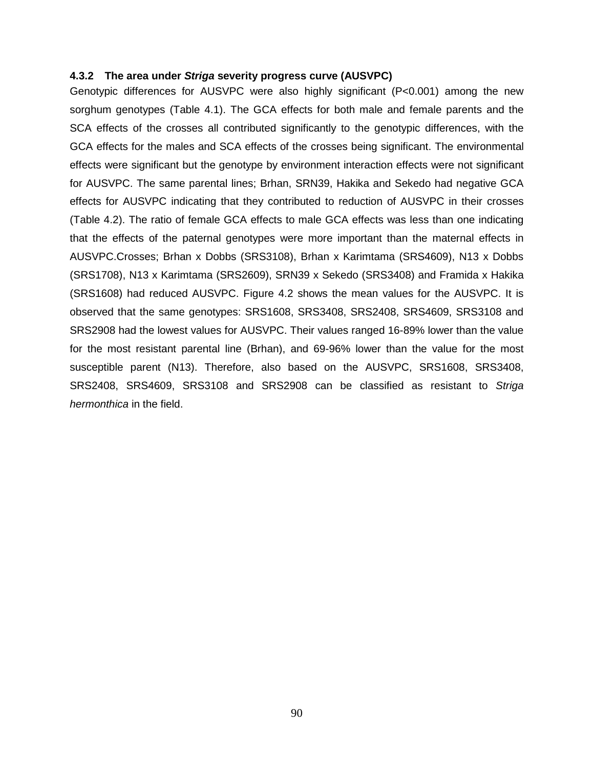#### **4.3.2 The area under Striga severity progress curve (AUSVPC)**

Genotypic differences for AUSVPC were also highly significant (P<0.001) among the new sorghum genotypes (Table 4.1). The GCA effects for both male and female parents and the SCA effects of the crosses all contributed significantly to the genotypic differences, with the GCA effects for the males and SCA effects of the crosses being significant. The environmental effects were significant but the genotype by environment interaction effects were not significant for AUSVPC. The same parental lines; Brhan, SRN39, Hakika and Sekedo had negative GCA effects for AUSVPC indicating that they contributed to reduction of AUSVPC in their crosses (Table 4.2). The ratio of female GCA effects to male GCA effects was less than one indicating that the effects of the paternal genotypes were more important than the maternal effects in AUSVPC.Crosses; Brhan x Dobbs (SRS3108), Brhan x Karimtama (SRS4609), N13 x Dobbs (SRS1708), N13 x Karimtama (SRS2609), SRN39 x Sekedo (SRS3408) and Framida x Hakika (SRS1608) had reduced AUSVPC. Figure 4.2 shows the mean values for the AUSVPC. It is observed that the same genotypes: SRS1608, SRS3408, SRS2408, SRS4609, SRS3108 and SRS2908 had the lowest values for AUSVPC. Their values ranged 16-89% lower than the value for the most resistant parental line (Brhan), and 69-96% lower than the value for the most susceptible parent (N13). Therefore, also based on the AUSVPC, SRS1608, SRS3408, SRS2408, SRS4609, SRS3108 and SRS2908 can be classified as resistant to Striga hermonthica in the field.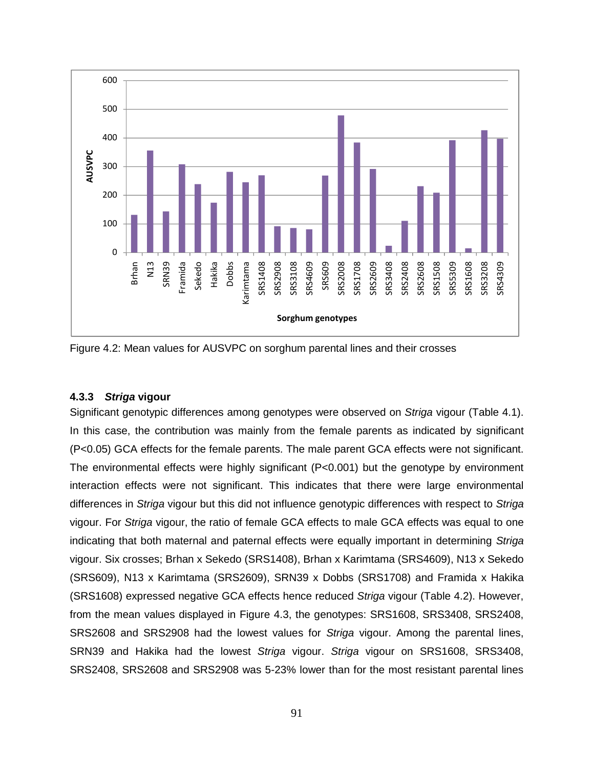

Figure 4.2: Mean values for AUSVPC on sorghum parental lines and their crosses

## **4.3.3 Striga vigour**

Significant genotypic differences among genotypes were observed on Striga vigour (Table 4.1). In this case, the contribution was mainly from the female parents as indicated by significant (P<0.05) GCA effects for the female parents. The male parent GCA effects were not significant. The environmental effects were highly significant (P<0.001) but the genotype by environment interaction effects were not significant. This indicates that there were large environmental differences in Striga vigour but this did not influence genotypic differences with respect to Striga vigour. For Striga vigour, the ratio of female GCA effects to male GCA effects was equal to one indicating that both maternal and paternal effects were equally important in determining Striga vigour. Six crosses; Brhan x Sekedo (SRS1408), Brhan x Karimtama (SRS4609), N13 x Sekedo (SRS609), N13 x Karimtama (SRS2609), SRN39 x Dobbs (SRS1708) and Framida x Hakika (SRS1608) expressed negative GCA effects hence reduced Striga vigour (Table 4.2). However, from the mean values displayed in Figure 4.3, the genotypes: SRS1608, SRS3408, SRS2408, SRS2608 and SRS2908 had the lowest values for Striga vigour. Among the parental lines, SRN39 and Hakika had the lowest Striga vigour. Striga vigour on SRS1608, SRS3408, SRS2408, SRS2608 and SRS2908 was 5-23% lower than for the most resistant parental lines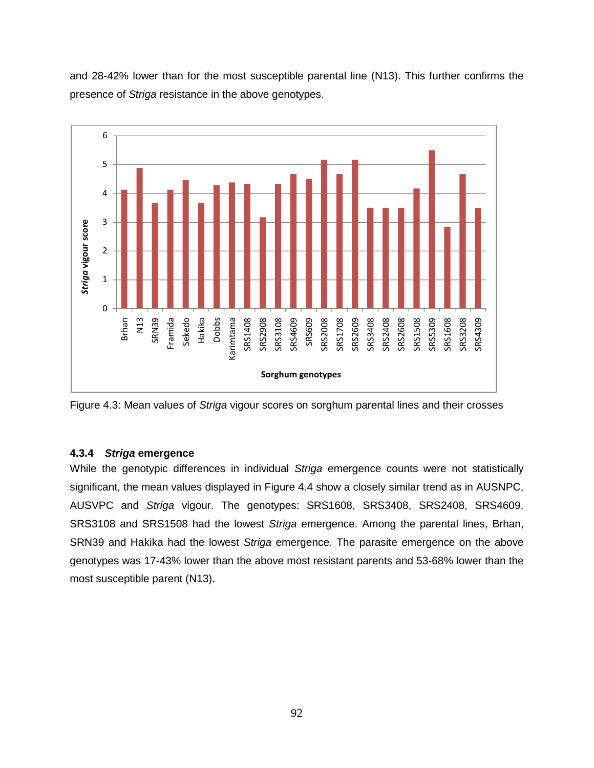and 28-42% lower than for the most susceptible parental line (N13). This further confirms the presence of Striga resistance in the above genotypes.



Figure 4.3: Mean values of Striga vigour scores on sorghum parental lines and their crosses

## **4.3.4 Striga emergence**

While the genotypic differences in individual Striga emergence counts were not statistically significant, the mean values displayed in Figure 4.4 show a closely similar trend as in AUSNPC, AUSVPC and Striga vigour. The genotypes: SRS1608, SRS3408, SRS2408, SRS4609, SRS3108 and SRS1508 had the lowest Striga emergence. Among the parental lines, Brhan, SRN39 and Hakika had the lowest Striga emergence. The parasite emergence on the above genotypes was 17-43% lower than the above most resistant parents and 53-68% lower than the most susceptible parent (N13).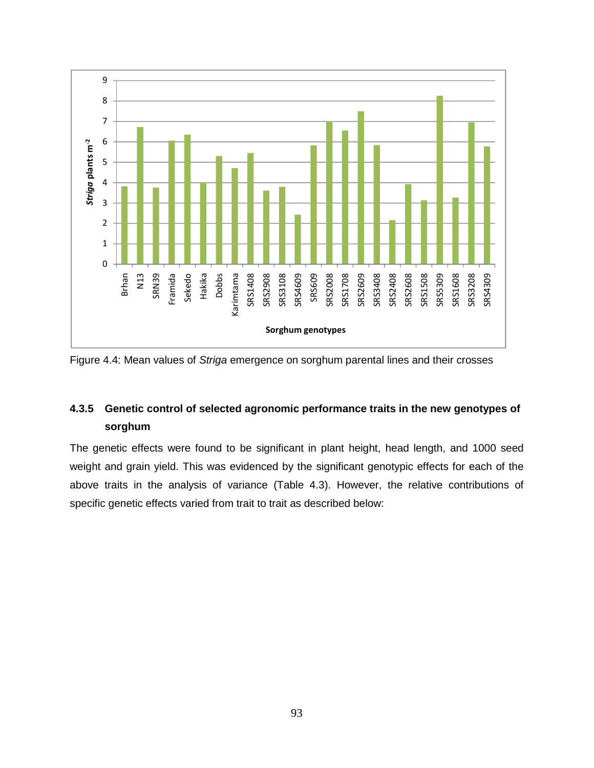

Figure 4.4: Mean values of Striga emergence on sorghum parental lines and their crosses

## **4.3.5 Genetic control of selected agronomic performance traits in the new genotypes of sorghum**

The genetic effects were found to be significant in plant height, head length, and 1000 seed weight and grain yield. This was evidenced by the significant genotypic effects for each of the above traits in the analysis of variance (Table 4.3). However, the relative contributions of specific genetic effects varied from trait to trait as described below: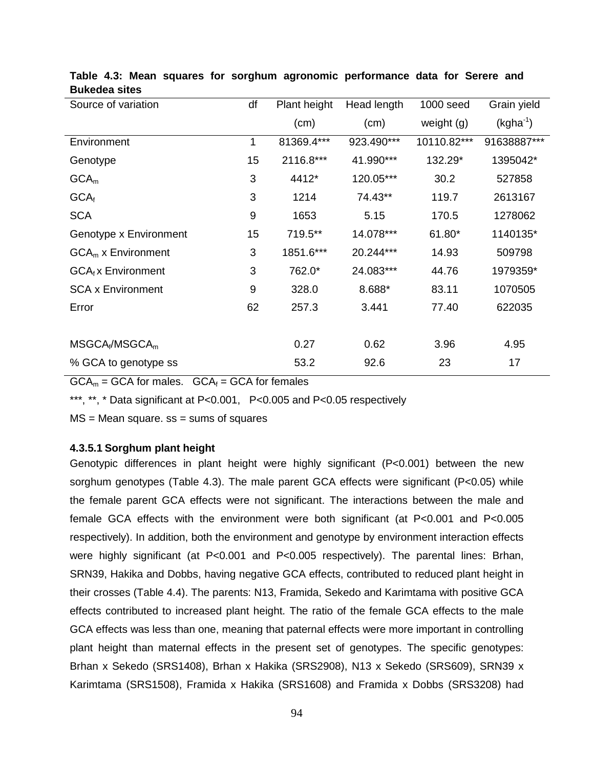| Source of variation      | df | Plant height | Head length | 1000 seed    | Grain yield   |
|--------------------------|----|--------------|-------------|--------------|---------------|
|                          |    | (cm)         | (cm)        | weight $(g)$ | $(kgha^{-1})$ |
| Environment              | 1  | 81369.4***   | 923.490***  | 10110.82***  | 91638887***   |
| Genotype                 | 15 | 2116.8***    | 41.990***   | 132.29*      | 1395042*      |
| GCA <sub>m</sub>         | 3  | 4412*        | 120.05***   | 30.2         | 527858        |
| GCA <sub>f</sub>         | 3  | 1214         | 74.43**     | 119.7        | 2613167       |
| <b>SCA</b>               | 9  | 1653         | 5.15        | 170.5        | 1278062       |
| Genotype x Environment   | 15 | 719.5**      | 14.078***   | 61.80*       | 1140135*      |
| $GCAm$ x Environment     | 3  | 1851.6***    | 20.244***   | 14.93        | 509798        |
| $GCAf$ x Environment     | 3  | 762.0*       | 24.083***   | 44.76        | 1979359*      |
| <b>SCA x Environment</b> | 9  | 328.0        | 8.688*      | 83.11        | 1070505       |
| Error                    | 62 | 257.3        | 3.441       | 77.40        | 622035        |
|                          |    |              |             |              |               |
| $MSGCA_f/MSGCA_m$        |    | 0.27         | 0.62        | 3.96         | 4.95          |
| % GCA to genotype ss     |    | 53.2         | 92.6        | 23           | 17            |

## **Table 4.3: Mean squares for sorghum agronomic performance data for Serere and Bukedea sites**

 $GCA_m = GCA$  for males.  $GCA_f = GCA$  for females

\*\*\*, \*\*, \* Data significant at P<0.001, P<0.005 and P<0.05 respectively

 $MS = Mean$  square.  $ss = sums$  of squares

## **4.3.5.1 Sorghum plant height**

Genotypic differences in plant height were highly significant (P<0.001) between the new sorghum genotypes (Table 4.3). The male parent GCA effects were significant (P<0.05) while the female parent GCA effects were not significant. The interactions between the male and female GCA effects with the environment were both significant (at P<0.001 and P<0.005 respectively). In addition, both the environment and genotype by environment interaction effects were highly significant (at P<0.001 and P<0.005 respectively). The parental lines: Brhan, SRN39, Hakika and Dobbs, having negative GCA effects, contributed to reduced plant height in their crosses (Table 4.4). The parents: N13, Framida, Sekedo and Karimtama with positive GCA effects contributed to increased plant height. The ratio of the female GCA effects to the male GCA effects was less than one, meaning that paternal effects were more important in controlling plant height than maternal effects in the present set of genotypes. The specific genotypes: Brhan x Sekedo (SRS1408), Brhan x Hakika (SRS2908), N13 x Sekedo (SRS609), SRN39 x Karimtama (SRS1508), Framida x Hakika (SRS1608) and Framida x Dobbs (SRS3208) had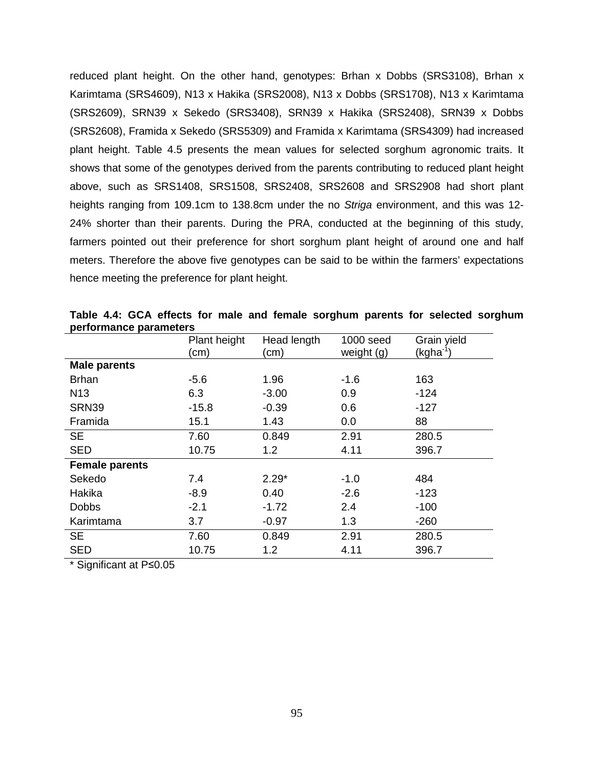reduced plant height. On the other hand, genotypes: Brhan x Dobbs (SRS3108), Brhan x Karimtama (SRS4609), N13 x Hakika (SRS2008), N13 x Dobbs (SRS1708), N13 x Karimtama (SRS2609), SRN39 x Sekedo (SRS3408), SRN39 x Hakika (SRS2408), SRN39 x Dobbs (SRS2608), Framida x Sekedo (SRS5309) and Framida x Karimtama (SRS4309) had increased plant height. Table 4.5 presents the mean values for selected sorghum agronomic traits. It shows that some of the genotypes derived from the parents contributing to reduced plant height above, such as SRS1408, SRS1508, SRS2408, SRS2608 and SRS2908 had short plant heights ranging from 109.1cm to 138.8cm under the no Striga environment, and this was 12-24% shorter than their parents. During the PRA, conducted at the beginning of this study, farmers pointed out their preference for short sorghum plant height of around one and half meters. Therefore the above five genotypes can be said to be within the farmers' expectations hence meeting the preference for plant height.

|                       | Plant height<br>(cm) | Head length<br>(cm | 1000 seed<br>weight (g) | Grain yield<br>(kgha <sup>-1</sup> |
|-----------------------|----------------------|--------------------|-------------------------|------------------------------------|
| <b>Male parents</b>   |                      |                    |                         |                                    |
| <b>Brhan</b>          | $-5.6$               | 1.96               | $-1.6$                  | 163                                |
| N <sub>13</sub>       | 6.3                  | $-3.00$            | 0.9                     | $-124$                             |
| SRN39                 | $-15.8$              | $-0.39$            | 0.6                     | $-127$                             |
| Framida               | 15.1                 | 1.43               | 0.0                     | 88                                 |
| <b>SE</b>             | 7.60                 | 0.849              | 2.91                    | 280.5                              |
| <b>SED</b>            | 10.75                | 1.2                | 4.11                    | 396.7                              |
| <b>Female parents</b> |                      |                    |                         |                                    |
| Sekedo                | 7.4                  | $2.29*$            | $-1.0$                  | 484                                |
| Hakika                | $-8.9$               | 0.40               | $-2.6$                  | $-123$                             |
| <b>Dobbs</b>          | $-2.1$               | $-1.72$            | 2.4                     | $-100$                             |
| Karimtama             | 3.7                  | $-0.97$            | 1.3                     | $-260$                             |
| <b>SE</b>             | 7.60                 | 0.849              | 2.91                    | 280.5                              |
| <b>SED</b>            | 10.75                | 1.2                | 4.11                    | 396.7                              |

**Table 4.4: GCA effects for male and female sorghum parents for selected sorghum performance parameters** 

\* Significant at P≤0.05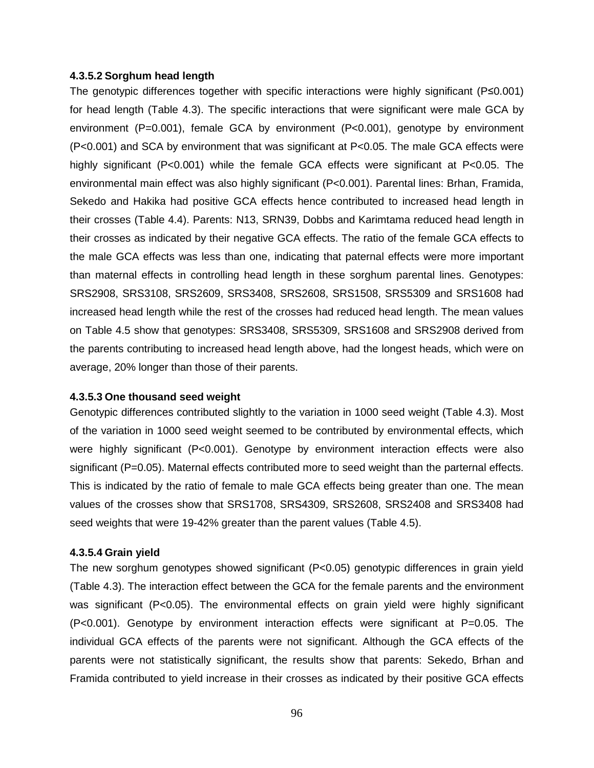#### **4.3.5.2 Sorghum head length**

The genotypic differences together with specific interactions were highly significant (P≤0.001) for head length (Table 4.3). The specific interactions that were significant were male GCA by environment (P=0.001), female GCA by environment (P<0.001), genotype by environment (P<0.001) and SCA by environment that was significant at P<0.05. The male GCA effects were highly significant (P<0.001) while the female GCA effects were significant at P<0.05. The environmental main effect was also highly significant (P<0.001). Parental lines: Brhan, Framida, Sekedo and Hakika had positive GCA effects hence contributed to increased head length in their crosses (Table 4.4). Parents: N13, SRN39, Dobbs and Karimtama reduced head length in their crosses as indicated by their negative GCA effects. The ratio of the female GCA effects to the male GCA effects was less than one, indicating that paternal effects were more important than maternal effects in controlling head length in these sorghum parental lines. Genotypes: SRS2908, SRS3108, SRS2609, SRS3408, SRS2608, SRS1508, SRS5309 and SRS1608 had increased head length while the rest of the crosses had reduced head length. The mean values on Table 4.5 show that genotypes: SRS3408, SRS5309, SRS1608 and SRS2908 derived from the parents contributing to increased head length above, had the longest heads, which were on average, 20% longer than those of their parents.

## **4.3.5.3 One thousand seed weight**

Genotypic differences contributed slightly to the variation in 1000 seed weight (Table 4.3). Most of the variation in 1000 seed weight seemed to be contributed by environmental effects, which were highly significant (P<0.001). Genotype by environment interaction effects were also significant (P=0.05). Maternal effects contributed more to seed weight than the parternal effects. This is indicated by the ratio of female to male GCA effects being greater than one. The mean values of the crosses show that SRS1708, SRS4309, SRS2608, SRS2408 and SRS3408 had seed weights that were 19-42% greater than the parent values (Table 4.5).

#### **4.3.5.4 Grain yield**

The new sorghum genotypes showed significant (P<0.05) genotypic differences in grain yield (Table 4.3). The interaction effect between the GCA for the female parents and the environment was significant (P<0.05). The environmental effects on grain yield were highly significant (P<0.001). Genotype by environment interaction effects were significant at P=0.05. The individual GCA effects of the parents were not significant. Although the GCA effects of the parents were not statistically significant, the results show that parents: Sekedo, Brhan and Framida contributed to yield increase in their crosses as indicated by their positive GCA effects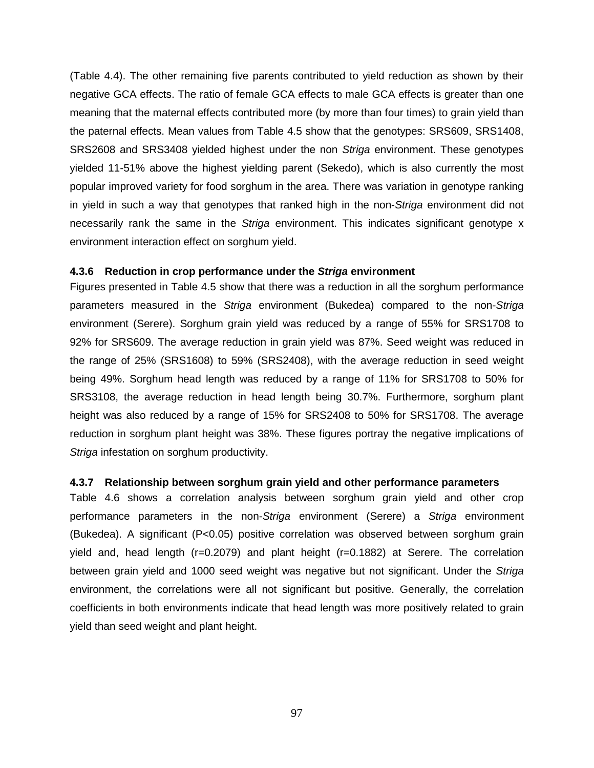(Table 4.4). The other remaining five parents contributed to yield reduction as shown by their negative GCA effects. The ratio of female GCA effects to male GCA effects is greater than one meaning that the maternal effects contributed more (by more than four times) to grain yield than the paternal effects. Mean values from Table 4.5 show that the genotypes: SRS609, SRS1408, SRS2608 and SRS3408 yielded highest under the non Striga environment. These genotypes yielded 11-51% above the highest yielding parent (Sekedo), which is also currently the most popular improved variety for food sorghum in the area. There was variation in genotype ranking in yield in such a way that genotypes that ranked high in the non-Striga environment did not necessarily rank the same in the Striga environment. This indicates significant genotype x environment interaction effect on sorghum yield.

#### **4.3.6 Reduction in crop performance under the Striga environment**

Figures presented in Table 4.5 show that there was a reduction in all the sorghum performance parameters measured in the Striga environment (Bukedea) compared to the non-Striga environment (Serere). Sorghum grain yield was reduced by a range of 55% for SRS1708 to 92% for SRS609. The average reduction in grain yield was 87%. Seed weight was reduced in the range of 25% (SRS1608) to 59% (SRS2408), with the average reduction in seed weight being 49%. Sorghum head length was reduced by a range of 11% for SRS1708 to 50% for SRS3108, the average reduction in head length being 30.7%. Furthermore, sorghum plant height was also reduced by a range of 15% for SRS2408 to 50% for SRS1708. The average reduction in sorghum plant height was 38%. These figures portray the negative implications of Striga infestation on sorghum productivity.

#### **4.3.7 Relationship between sorghum grain yield and other performance parameters**

Table 4.6 shows a correlation analysis between sorghum grain yield and other crop performance parameters in the non-Striga environment (Serere) a Striga environment (Bukedea). A significant (P<0.05) positive correlation was observed between sorghum grain yield and, head length (r=0.2079) and plant height (r=0.1882) at Serere. The correlation between grain yield and 1000 seed weight was negative but not significant. Under the Striga environment, the correlations were all not significant but positive. Generally, the correlation coefficients in both environments indicate that head length was more positively related to grain yield than seed weight and plant height.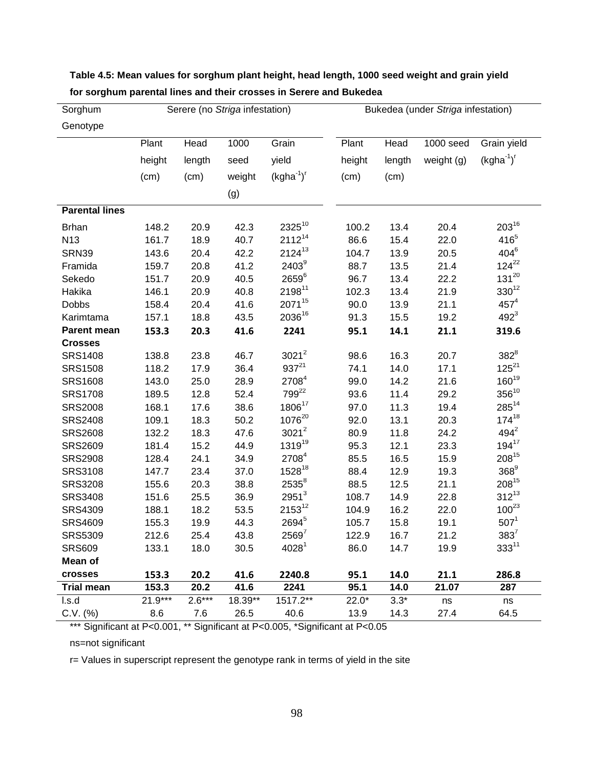| Sorghum               | Serere (no Striga infestation) |          |         |                    | Bukedea (under Striga infestation) |        |            |                 |
|-----------------------|--------------------------------|----------|---------|--------------------|------------------------------------|--------|------------|-----------------|
| Genotype              |                                |          |         |                    |                                    |        |            |                 |
|                       | Plant                          | Head     | 1000    | Grain              | Plant                              | Head   | 1000 seed  | Grain yield     |
|                       | height                         | length   | seed    | yield              | height                             | length | weight (g) | $(kgha^{-1})^r$ |
|                       | (cm)                           | (cm)     | weight  | $(kgha^{-1})^r$    | (cm)                               | (cm)   |            |                 |
|                       |                                |          | (g)     |                    |                                    |        |            |                 |
| <b>Parental lines</b> |                                |          |         |                    |                                    |        |            |                 |
| <b>Brhan</b>          | 148.2                          | 20.9     | 42.3    | $2325^{10}$        | 100.2                              | 13.4   | 20.4       | $203^{16}$      |
| N <sub>13</sub>       | 161.7                          | 18.9     | 40.7    | $2112^{14}$        | 86.6                               | 15.4   | 22.0       | $416^{5}$       |
| <b>SRN39</b>          | 143.6                          | 20.4     | 42.2    | $2124^{13}$        | 104.7                              | 13.9   | 20.5       | $404^6$         |
| Framida               | 159.7                          | 20.8     | 41.2    | $2403^9$           | 88.7                               | 13.5   | 21.4       | $124^{22}$      |
| Sekedo                | 151.7                          | 20.9     | 40.5    | $2659^6$           | 96.7                               | 13.4   | 22.2       | $131^{20}$      |
| Hakika                | 146.1                          | 20.9     | 40.8    | 219811             | 102.3                              | 13.4   | 21.9       | $330^{12}$      |
| Dobbs                 | 158.4                          | 20.4     | 41.6    | 207115             | 90.0                               | 13.9   | 21.1       | $457^{4}$       |
| Karimtama             | 157.1                          | 18.8     | 43.5    | 203616             | 91.3                               | 15.5   | 19.2       | $492^{3}$       |
| Parent mean           | 153.3                          | 20.3     | 41.6    | 2241               | 95.1                               | 14.1   | 21.1       | 319.6           |
| <b>Crosses</b>        |                                |          |         |                    |                                    |        |            |                 |
| <b>SRS1408</b>        | 138.8                          | 23.8     | 46.7    | $3021^2$           | 98.6                               | 16.3   | 20.7       | $382^8$         |
| <b>SRS1508</b>        | 118.2                          | 17.9     | 36.4    | $937^{21}$         | 74.1                               | 14.0   | 17.1       | $125^{21}$      |
| <b>SRS1608</b>        | 143.0                          | 25.0     | 28.9    | 2708 <sup>4</sup>  | 99.0                               | 14.2   | 21.6       | $160^{19}$      |
| <b>SRS1708</b>        | 189.5                          | 12.8     | 52.4    | 799 <sup>22</sup>  | 93.6                               | 11.4   | 29.2       | $356^{10}$      |
| <b>SRS2008</b>        | 168.1                          | 17.6     | 38.6    | 180617             | 97.0                               | 11.3   | 19.4       | $285^{14}$      |
| <b>SRS2408</b>        | 109.1                          | 18.3     | 50.2    | 107620             | 92.0                               | 13.1   | 20.3       | $174^{18}$      |
| <b>SRS2608</b>        | 132.2                          | 18.3     | 47.6    | $3021^2$           | 80.9                               | 11.8   | 24.2       | $494^2$         |
| <b>SRS2609</b>        | 181.4                          | 15.2     | 44.9    | 1319 <sup>19</sup> | 95.3                               | 12.1   | 23.3       | $194^{17}$      |
| <b>SRS2908</b>        | 128.4                          | 24.1     | 34.9    | 2708 <sup>4</sup>  | 85.5                               | 16.5   | 15.9       | $208^{15}$      |
| <b>SRS3108</b>        | 147.7                          | 23.4     | 37.0    | $1528^{18}$        | 88.4                               | 12.9   | 19.3       | $368^9$         |
| <b>SRS3208</b>        | 155.6                          | 20.3     | 38.8    | $2535^8$           | 88.5                               | 12.5   | 21.1       | $208^{15}$      |
| <b>SRS3408</b>        | 151.6                          | 25.5     | 36.9    | $2951^3$           | 108.7                              | 14.9   | 22.8       | $312^{13}$      |
| SRS4309               | 188.1                          | 18.2     | 53.5    | $2153^{12}$        | 104.9                              | 16.2   | 22.0       | $100^{23}$      |
| <b>SRS4609</b>        | 155.3                          | 19.9     | 44.3    | 2694 <sup>5</sup>  | 105.7                              | 15.8   | 19.1       | $507^1$         |
| <b>SRS5309</b>        | 212.6                          | 25.4     | 43.8    | $2569^7$           | 122.9                              | 16.7   | 21.2       | $383^7$         |
| <b>SRS609</b>         | 133.1                          | 18.0     | 30.5    | 4028 <sup>1</sup>  | 86.0                               | 14.7   | 19.9       | $333^{11}$      |
| Mean of               |                                |          |         |                    |                                    |        |            |                 |
| crosses               | 153.3                          | 20.2     | 41.6    | 2240.8             | 95.1                               | 14.0   | 21.1       | 286.8           |
| <b>Trial mean</b>     | 153.3                          | 20.2     | 41.6    | 2241               | 95.1                               | 14.0   | 21.07      | 287             |
| l.s.d                 | $21.9***$                      | $2.6***$ | 18.39** | 1517.2**           | $22.0*$                            | $3.3*$ | ns         | ns              |
| C.V. (%)              | 8.6                            | 7.6      | 26.5    | 40.6               | 13.9                               | 14.3   | 27.4       | 64.5            |

# **Table 4.5: Mean values for sorghum plant height, head length, 1000 seed weight and grain yield for sorghum parental lines and their crosses in Serere and Bukedea**

Significant at P<0.001, \*\* Significant at P<0.005, \*Significant at P<0.05

ns=not significant

r= Values in superscript represent the genotype rank in terms of yield in the site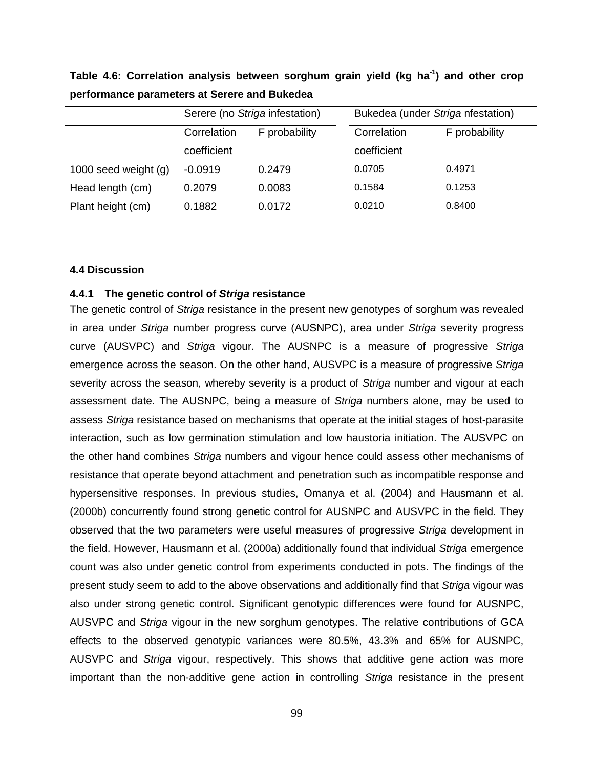|                        | Serere (no Striga infestation) |               | Bukedea (under Striga nfestation) |               |  |
|------------------------|--------------------------------|---------------|-----------------------------------|---------------|--|
|                        | Correlation                    | F probability | Correlation                       | F probability |  |
|                        | coefficient                    |               | coefficient                       |               |  |
| 1000 seed weight $(g)$ | $-0.0919$                      | 0.2479        | 0.0705                            | 0.4971        |  |
| Head length (cm)       | 0.2079                         | 0.0083        | 0.1584                            | 0.1253        |  |
| Plant height (cm)      | 0.1882                         | 0.0172        | 0.0210                            | 0.8400        |  |

**Table 4.6: Correlation analysis between sorghum grain yield (kg ha-1) and other crop performance parameters at Serere and Bukedea** 

#### **4.4 Discussion**

# **4.4.1 The genetic control of Striga resistance**

The genetic control of Striga resistance in the present new genotypes of sorghum was revealed in area under Striga number progress curve (AUSNPC), area under Striga severity progress curve (AUSVPC) and Striga vigour. The AUSNPC is a measure of progressive Striga emergence across the season. On the other hand, AUSVPC is a measure of progressive Striga severity across the season, whereby severity is a product of Striga number and vigour at each assessment date. The AUSNPC, being a measure of Striga numbers alone, may be used to assess Striga resistance based on mechanisms that operate at the initial stages of host-parasite interaction, such as low germination stimulation and low haustoria initiation. The AUSVPC on the other hand combines Striga numbers and vigour hence could assess other mechanisms of resistance that operate beyond attachment and penetration such as incompatible response and hypersensitive responses. In previous studies, Omanya et al. (2004) and Hausmann et al. (2000b) concurrently found strong genetic control for AUSNPC and AUSVPC in the field. They observed that the two parameters were useful measures of progressive Striga development in the field. However, Hausmann et al. (2000a) additionally found that individual Striga emergence count was also under genetic control from experiments conducted in pots. The findings of the present study seem to add to the above observations and additionally find that Striga vigour was also under strong genetic control. Significant genotypic differences were found for AUSNPC, AUSVPC and Striga vigour in the new sorghum genotypes. The relative contributions of GCA effects to the observed genotypic variances were 80.5%, 43.3% and 65% for AUSNPC, AUSVPC and Striga vigour, respectively. This shows that additive gene action was more important than the non-additive gene action in controlling Striga resistance in the present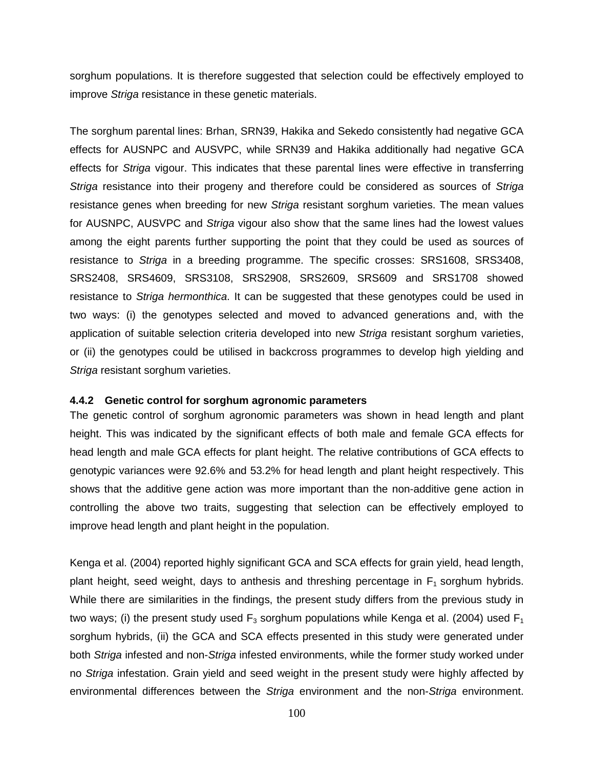sorghum populations. It is therefore suggested that selection could be effectively employed to improve Striga resistance in these genetic materials.

The sorghum parental lines: Brhan, SRN39, Hakika and Sekedo consistently had negative GCA effects for AUSNPC and AUSVPC, while SRN39 and Hakika additionally had negative GCA effects for Striga vigour. This indicates that these parental lines were effective in transferring Striga resistance into their progeny and therefore could be considered as sources of Striga resistance genes when breeding for new Striga resistant sorghum varieties. The mean values for AUSNPC, AUSVPC and Striga vigour also show that the same lines had the lowest values among the eight parents further supporting the point that they could be used as sources of resistance to Striga in a breeding programme. The specific crosses: SRS1608, SRS3408, SRS2408, SRS4609, SRS3108, SRS2908, SRS2609, SRS609 and SRS1708 showed resistance to Striga hermonthica. It can be suggested that these genotypes could be used in two ways: (i) the genotypes selected and moved to advanced generations and, with the application of suitable selection criteria developed into new Striga resistant sorghum varieties, or (ii) the genotypes could be utilised in backcross programmes to develop high yielding and Striga resistant sorghum varieties.

# **4.4.2 Genetic control for sorghum agronomic parameters**

The genetic control of sorghum agronomic parameters was shown in head length and plant height. This was indicated by the significant effects of both male and female GCA effects for head length and male GCA effects for plant height. The relative contributions of GCA effects to genotypic variances were 92.6% and 53.2% for head length and plant height respectively. This shows that the additive gene action was more important than the non-additive gene action in controlling the above two traits, suggesting that selection can be effectively employed to improve head length and plant height in the population.

Kenga et al. (2004) reported highly significant GCA and SCA effects for grain yield, head length, plant height, seed weight, days to anthesis and threshing percentage in  $F_1$  sorghum hybrids. While there are similarities in the findings, the present study differs from the previous study in two ways; (i) the present study used  $F_3$  sorghum populations while Kenga et al. (2004) used  $F_1$ sorghum hybrids, (ii) the GCA and SCA effects presented in this study were generated under both Striga infested and non-Striga infested environments, while the former study worked under no Striga infestation. Grain yield and seed weight in the present study were highly affected by environmental differences between the Striga environment and the non-Striga environment.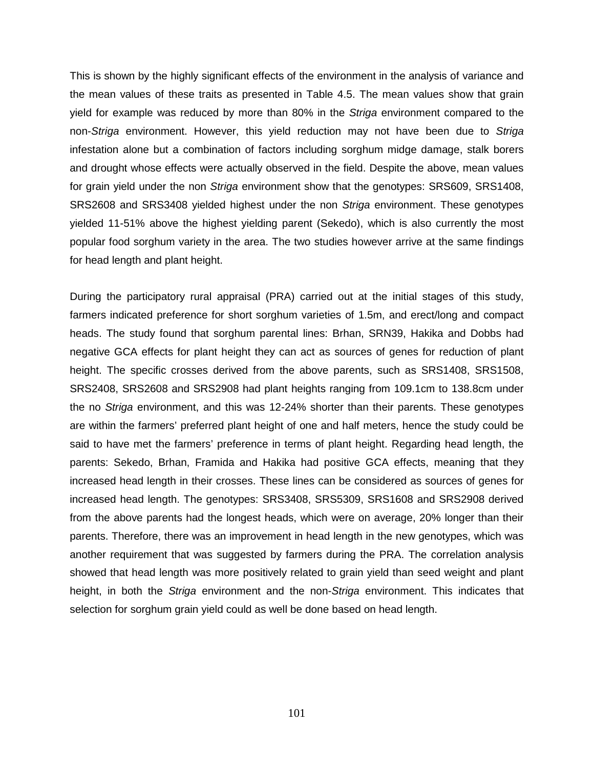This is shown by the highly significant effects of the environment in the analysis of variance and the mean values of these traits as presented in Table 4.5. The mean values show that grain yield for example was reduced by more than 80% in the Striga environment compared to the non-Striga environment. However, this yield reduction may not have been due to Striga infestation alone but a combination of factors including sorghum midge damage, stalk borers and drought whose effects were actually observed in the field. Despite the above, mean values for grain yield under the non Striga environment show that the genotypes: SRS609, SRS1408, SRS2608 and SRS3408 yielded highest under the non Striga environment. These genotypes yielded 11-51% above the highest yielding parent (Sekedo), which is also currently the most popular food sorghum variety in the area. The two studies however arrive at the same findings for head length and plant height.

During the participatory rural appraisal (PRA) carried out at the initial stages of this study, farmers indicated preference for short sorghum varieties of 1.5m, and erect/long and compact heads. The study found that sorghum parental lines: Brhan, SRN39, Hakika and Dobbs had negative GCA effects for plant height they can act as sources of genes for reduction of plant height. The specific crosses derived from the above parents, such as SRS1408, SRS1508, SRS2408, SRS2608 and SRS2908 had plant heights ranging from 109.1cm to 138.8cm under the no Striga environment, and this was 12-24% shorter than their parents. These genotypes are within the farmers' preferred plant height of one and half meters, hence the study could be said to have met the farmers' preference in terms of plant height. Regarding head length, the parents: Sekedo, Brhan, Framida and Hakika had positive GCA effects, meaning that they increased head length in their crosses. These lines can be considered as sources of genes for increased head length. The genotypes: SRS3408, SRS5309, SRS1608 and SRS2908 derived from the above parents had the longest heads, which were on average, 20% longer than their parents. Therefore, there was an improvement in head length in the new genotypes, which was another requirement that was suggested by farmers during the PRA. The correlation analysis showed that head length was more positively related to grain yield than seed weight and plant height, in both the Striga environment and the non-Striga environment. This indicates that selection for sorghum grain yield could as well be done based on head length.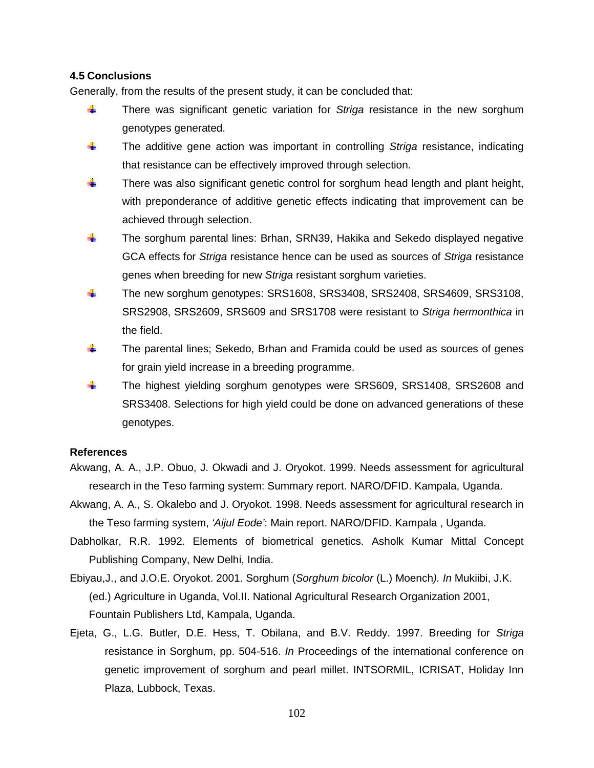# **4.5 Conclusions**

Generally, from the results of the present study, it can be concluded that:

- $\frac{1}{2}$  There was significant genetic variation for Striga resistance in the new sorghum genotypes generated.
- $\ddot{\phantom{1}}$  The additive gene action was important in controlling Striga resistance, indicating that resistance can be effectively improved through selection.
- $\ddot{\phantom{1}}$  There was also significant genetic control for sorghum head length and plant height, with preponderance of additive genetic effects indicating that improvement can be achieved through selection.
- **The sorghum parental lines: Brhan, SRN39, Hakika and Sekedo displayed negative** GCA effects for Striga resistance hence can be used as sources of Striga resistance genes when breeding for new Striga resistant sorghum varieties.
- The new sorghum genotypes: SRS1608, SRS3408, SRS2408, SRS4609, SRS3108, SRS2908, SRS2609, SRS609 and SRS1708 were resistant to Striga hermonthica in the field.
- $\frac{1}{2}$  The parental lines; Sekedo, Brhan and Framida could be used as sources of genes for grain yield increase in a breeding programme.
- The highest yielding sorghum genotypes were SRS609, SRS1408, SRS2608 and SRS3408. Selections for high yield could be done on advanced generations of these genotypes.

# **References**

- Akwang, A. A., J.P. Obuo, J. Okwadi and J. Oryokot. 1999. Needs assessment for agricultural research in the Teso farming system: Summary report. NARO/DFID. Kampala, Uganda.
- Akwang, A. A., S. Okalebo and J. Oryokot. 1998. Needs assessment for agricultural research in the Teso farming system, 'Aijul Eode': Main report. NARO/DFID. Kampala , Uganda.
- Dabholkar, R.R. 1992. Elements of biometrical genetics. Asholk Kumar Mittal Concept Publishing Company, New Delhi, India.
- Ebiyau,J., and J.O.E. Oryokot. 2001. Sorghum (Sorghum bicolor (L.) Moench). In Mukiibi, J.K. (ed.) Agriculture in Uganda, Vol.II. National Agricultural Research Organization 2001, Fountain Publishers Ltd, Kampala, Uganda.
- Ejeta, G., L.G. Butler, D.E. Hess, T. Obilana, and B.V. Reddy. 1997. Breeding for Striga resistance in Sorghum, pp. 504-516. In Proceedings of the international conference on genetic improvement of sorghum and pearl millet. INTSORMIL, ICRISAT, Holiday Inn Plaza, Lubbock, Texas.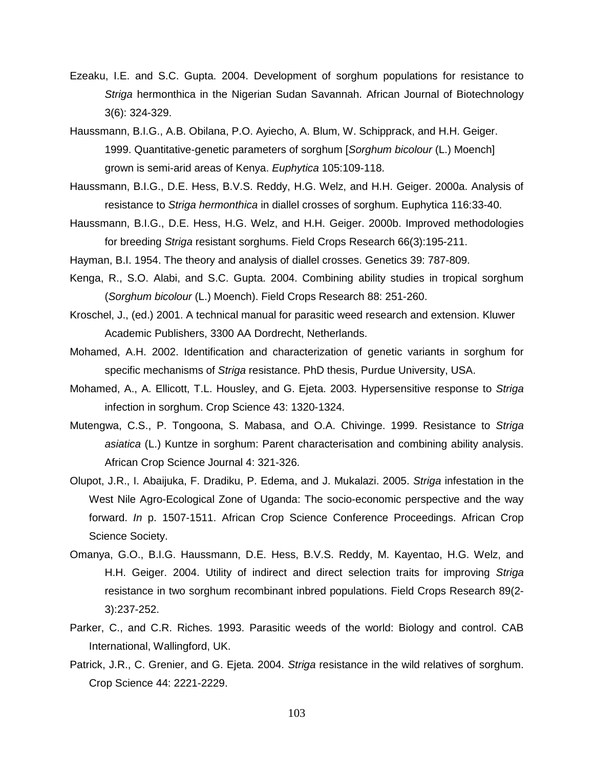- Ezeaku, I.E. and S.C. Gupta. 2004. Development of sorghum populations for resistance to Striga hermonthica in the Nigerian Sudan Savannah. African Journal of Biotechnology 3(6): 324-329.
- Haussmann, B.I.G., A.B. Obilana, P.O. Ayiecho, A. Blum, W. Schipprack, and H.H. Geiger. 1999. Quantitative-genetic parameters of sorghum [Sorghum bicolour (L.) Moench] grown is semi-arid areas of Kenya. Euphytica 105:109-118.
- Haussmann, B.I.G., D.E. Hess, B.V.S. Reddy, H.G. Welz, and H.H. Geiger. 2000a. Analysis of resistance to Striga hermonthica in diallel crosses of sorghum. Euphytica 116:33-40.
- Haussmann, B.I.G., D.E. Hess, H.G. Welz, and H.H. Geiger. 2000b. Improved methodologies for breeding Striga resistant sorghums. Field Crops Research 66(3):195-211.
- Hayman, B.I. 1954. The theory and analysis of diallel crosses. Genetics 39: 787-809.
- Kenga, R., S.O. Alabi, and S.C. Gupta. 2004. Combining ability studies in tropical sorghum (Sorghum bicolour (L.) Moench). Field Crops Research 88: 251-260.
- Kroschel, J., (ed.) 2001. A technical manual for parasitic weed research and extension. Kluwer Academic Publishers, 3300 AA Dordrecht, Netherlands.
- Mohamed, A.H. 2002. Identification and characterization of genetic variants in sorghum for specific mechanisms of Striga resistance. PhD thesis, Purdue University, USA.
- Mohamed, A., A. Ellicott, T.L. Housley, and G. Ejeta. 2003. Hypersensitive response to Striga infection in sorghum. Crop Science 43: 1320-1324.
- Mutengwa, C.S., P. Tongoona, S. Mabasa, and O.A. Chivinge. 1999. Resistance to Striga asiatica (L.) Kuntze in sorghum: Parent characterisation and combining ability analysis. African Crop Science Journal 4: 321-326.
- Olupot, J.R., I. Abaijuka, F. Dradiku, P. Edema, and J. Mukalazi. 2005. Striga infestation in the West Nile Agro-Ecological Zone of Uganda: The socio-economic perspective and the way forward. In p. 1507-1511. African Crop Science Conference Proceedings. African Crop Science Society.
- Omanya, G.O., B.I.G. Haussmann, D.E. Hess, B.V.S. Reddy, M. Kayentao, H.G. Welz, and H.H. Geiger. 2004. Utility of indirect and direct selection traits for improving Striga resistance in two sorghum recombinant inbred populations. Field Crops Research 89(2- 3):237-252.
- Parker, C., and C.R. Riches. 1993. Parasitic weeds of the world: Biology and control. CAB International, Wallingford, UK.
- Patrick, J.R., C. Grenier, and G. Ejeta. 2004. Striga resistance in the wild relatives of sorghum. Crop Science 44: 2221-2229.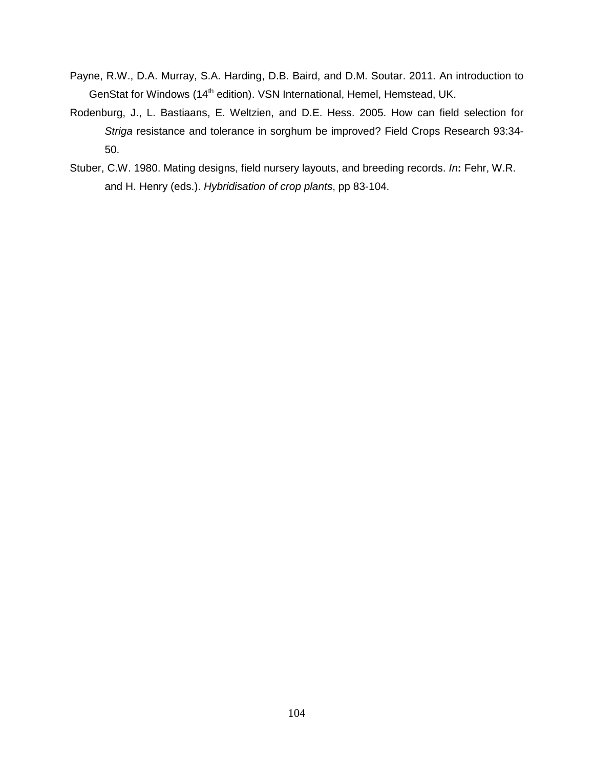- Payne, R.W., D.A. Murray, S.A. Harding, D.B. Baird, and D.M. Soutar. 2011. An introduction to GenStat for Windows (14<sup>th</sup> edition). VSN International, Hemel, Hemstead, UK.
- Rodenburg, J., L. Bastiaans, E. Weltzien, and D.E. Hess. 2005. How can field selection for Striga resistance and tolerance in sorghum be improved? Field Crops Research 93:34- 50.
- Stuber, C.W. 1980. Mating designs, field nursery layouts, and breeding records. In**:** Fehr, W.R. and H. Henry (eds.). Hybridisation of crop plants, pp 83-104.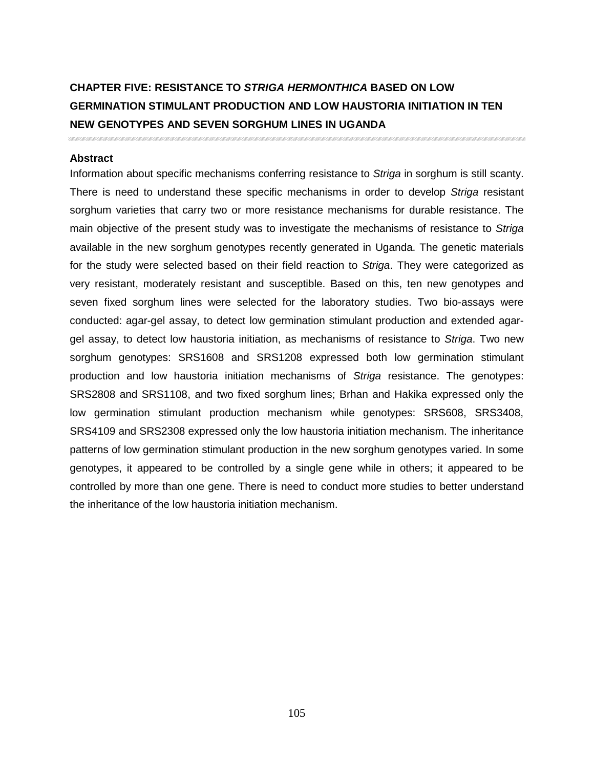# **CHAPTER FIVE: RESISTANCE TO STRIGA HERMONTHICA BASED ON LOW GERMINATION STIMULANT PRODUCTION AND LOW HAUSTORIA INITIATION IN TEN NEW GENOTYPES AND SEVEN SORGHUM LINES IN UGANDA**

## **Abstract**

Information about specific mechanisms conferring resistance to Striga in sorghum is still scanty. There is need to understand these specific mechanisms in order to develop Striga resistant sorghum varieties that carry two or more resistance mechanisms for durable resistance. The main objective of the present study was to investigate the mechanisms of resistance to Striga available in the new sorghum genotypes recently generated in Uganda. The genetic materials for the study were selected based on their field reaction to Striga. They were categorized as very resistant, moderately resistant and susceptible. Based on this, ten new genotypes and seven fixed sorghum lines were selected for the laboratory studies. Two bio-assays were conducted: agar-gel assay, to detect low germination stimulant production and extended agargel assay, to detect low haustoria initiation, as mechanisms of resistance to Striga. Two new sorghum genotypes: SRS1608 and SRS1208 expressed both low germination stimulant production and low haustoria initiation mechanisms of Striga resistance. The genotypes: SRS2808 and SRS1108, and two fixed sorghum lines; Brhan and Hakika expressed only the low germination stimulant production mechanism while genotypes: SRS608, SRS3408, SRS4109 and SRS2308 expressed only the low haustoria initiation mechanism. The inheritance patterns of low germination stimulant production in the new sorghum genotypes varied. In some genotypes, it appeared to be controlled by a single gene while in others; it appeared to be controlled by more than one gene. There is need to conduct more studies to better understand the inheritance of the low haustoria initiation mechanism.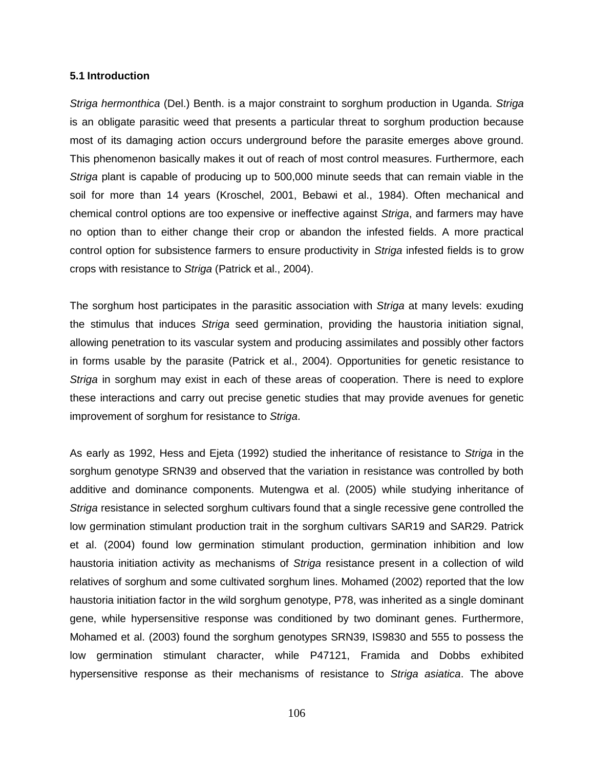#### **5.1 Introduction**

Striga hermonthica (Del.) Benth. is a major constraint to sorghum production in Uganda. Striga is an obligate parasitic weed that presents a particular threat to sorghum production because most of its damaging action occurs underground before the parasite emerges above ground. This phenomenon basically makes it out of reach of most control measures. Furthermore, each Striga plant is capable of producing up to 500,000 minute seeds that can remain viable in the soil for more than 14 years (Kroschel, 2001, Bebawi et al., 1984). Often mechanical and chemical control options are too expensive or ineffective against Striga, and farmers may have no option than to either change their crop or abandon the infested fields. A more practical control option for subsistence farmers to ensure productivity in Striga infested fields is to grow crops with resistance to Striga (Patrick et al., 2004).

The sorghum host participates in the parasitic association with Striga at many levels: exuding the stimulus that induces Striga seed germination, providing the haustoria initiation signal, allowing penetration to its vascular system and producing assimilates and possibly other factors in forms usable by the parasite (Patrick et al., 2004). Opportunities for genetic resistance to Striga in sorghum may exist in each of these areas of cooperation. There is need to explore these interactions and carry out precise genetic studies that may provide avenues for genetic improvement of sorghum for resistance to Striga.

As early as 1992, Hess and Ejeta (1992) studied the inheritance of resistance to Striga in the sorghum genotype SRN39 and observed that the variation in resistance was controlled by both additive and dominance components. Mutengwa et al. (2005) while studying inheritance of Striga resistance in selected sorghum cultivars found that a single recessive gene controlled the low germination stimulant production trait in the sorghum cultivars SAR19 and SAR29. Patrick et al. (2004) found low germination stimulant production, germination inhibition and low haustoria initiation activity as mechanisms of Striga resistance present in a collection of wild relatives of sorghum and some cultivated sorghum lines. Mohamed (2002) reported that the low haustoria initiation factor in the wild sorghum genotype, P78, was inherited as a single dominant gene, while hypersensitive response was conditioned by two dominant genes. Furthermore, Mohamed et al. (2003) found the sorghum genotypes SRN39, IS9830 and 555 to possess the low germination stimulant character, while P47121, Framida and Dobbs exhibited hypersensitive response as their mechanisms of resistance to Striga asiatica. The above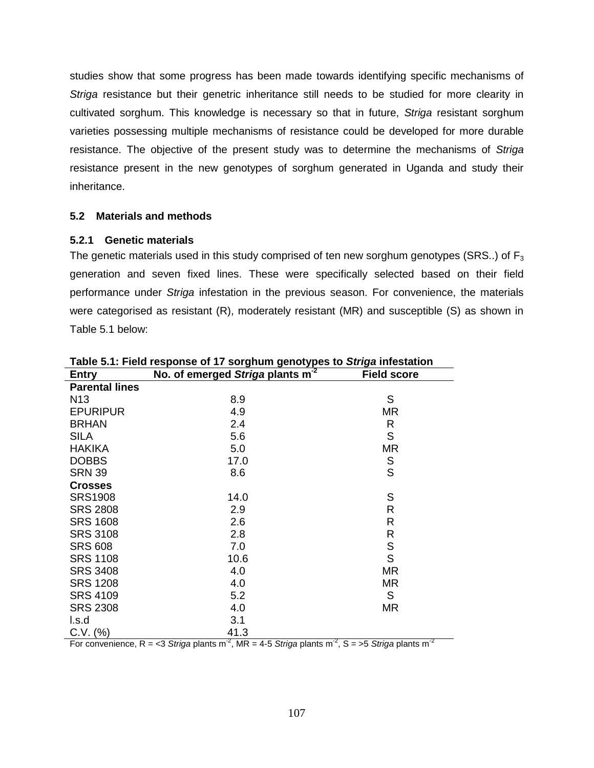studies show that some progress has been made towards identifying specific mechanisms of Striga resistance but their genetric inheritance still needs to be studied for more clearity in cultivated sorghum. This knowledge is necessary so that in future, Striga resistant sorghum varieties possessing multiple mechanisms of resistance could be developed for more durable resistance. The objective of the present study was to determine the mechanisms of Striga resistance present in the new genotypes of sorghum generated in Uganda and study their inheritance.

# **5.2 Materials and methods**

# **5.2.1 Genetic materials**

The genetic materials used in this study comprised of ten new sorghum genotypes (SRS..) of  $F_3$ generation and seven fixed lines. These were specifically selected based on their field performance under Striga infestation in the previous season. For convenience, the materials were categorised as resistant (R), moderately resistant (MR) and susceptible (S) as shown in Table 5.1 below:

| <b>Entry</b>          | No. of emerged Striga plants m <sup>-2</sup> | <b>Field score</b> |
|-----------------------|----------------------------------------------|--------------------|
| <b>Parental lines</b> |                                              |                    |
| N <sub>13</sub>       | 8.9                                          | S                  |
| <b>EPURIPUR</b>       | 4.9                                          | MR                 |
| <b>BRHAN</b>          | 2.4                                          | R                  |
| <b>SILA</b>           | 5.6                                          | S                  |
| <b>HAKIKA</b>         | 5.0                                          | <b>MR</b>          |
| <b>DOBBS</b>          | 17.0                                         | S                  |
| <b>SRN 39</b>         | 8.6                                          | S                  |
| <b>Crosses</b>        |                                              |                    |
| <b>SRS1908</b>        | 14.0                                         | S                  |
| <b>SRS 2808</b>       | 2.9                                          | R                  |
| <b>SRS 1608</b>       | 2.6                                          | R                  |
| <b>SRS 3108</b>       | 2.8                                          | R                  |
| <b>SRS 608</b>        | 7.0                                          | $\mathbb S$        |
| <b>SRS 1108</b>       | 10.6                                         | S                  |
| <b>SRS 3408</b>       | 4.0                                          | <b>MR</b>          |
| <b>SRS 1208</b>       | 4.0                                          | <b>MR</b>          |
| <b>SRS 4109</b>       | 5.2                                          | S                  |
| <b>SRS 2308</b>       | 4.0                                          | MR                 |
| l.s.d                 | 3.1                                          |                    |
| C.V. (%)              | 41.3                                         |                    |

**Table 5.1: Field response of 17 sorghum genotypes to Striga infestation** 

For convenience, R = <3 Striga plants m<sup>-2</sup>, MR = 4-5 Striga plants m<sup>-2</sup>, S = >5 Striga plants m<sup>-2</sup>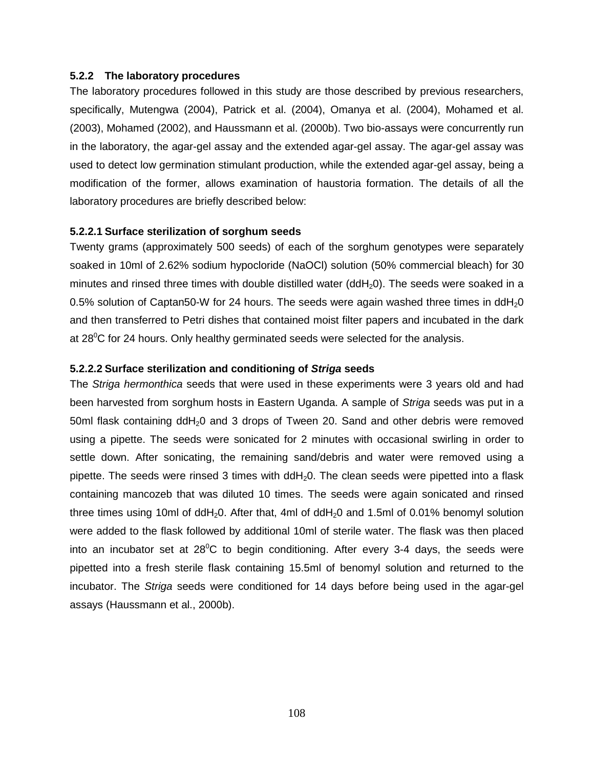## **5.2.2 The laboratory procedures**

The laboratory procedures followed in this study are those described by previous researchers, specifically, Mutengwa (2004), Patrick et al. (2004), Omanya et al. (2004), Mohamed et al. (2003), Mohamed (2002), and Haussmann et al. (2000b). Two bio-assays were concurrently run in the laboratory, the agar-gel assay and the extended agar-gel assay. The agar-gel assay was used to detect low germination stimulant production, while the extended agar-gel assay, being a modification of the former, allows examination of haustoria formation. The details of all the laboratory procedures are briefly described below:

#### **5.2.2.1 Surface sterilization of sorghum seeds**

Twenty grams (approximately 500 seeds) of each of the sorghum genotypes were separately soaked in 10ml of 2.62% sodium hypocloride (NaOCl) solution (50% commercial bleach) for 30 minutes and rinsed three times with double distilled water  $(ddH_20)$ . The seeds were soaked in a 0.5% solution of Captan50-W for 24 hours. The seeds were again washed three times in ddH<sub>2</sub>0 and then transferred to Petri dishes that contained moist filter papers and incubated in the dark at  $28^{\circ}$ C for 24 hours. Only healthy germinated seeds were selected for the analysis.

#### **5.2.2.2 Surface sterilization and conditioning of Striga seeds**

The Striga hermonthica seeds that were used in these experiments were 3 years old and had been harvested from sorghum hosts in Eastern Uganda. A sample of Striga seeds was put in a 50ml flask containing  $ddH<sub>2</sub>0$  and 3 drops of Tween 20. Sand and other debris were removed using a pipette. The seeds were sonicated for 2 minutes with occasional swirling in order to settle down. After sonicating, the remaining sand/debris and water were removed using a pipette. The seeds were rinsed 3 times with  $ddH<sub>2</sub>0$ . The clean seeds were pipetted into a flask containing mancozeb that was diluted 10 times. The seeds were again sonicated and rinsed three times using 10ml of ddH<sub>2</sub>0. After that, 4ml of ddH<sub>2</sub>0 and 1.5ml of 0.01% benomyl solution were added to the flask followed by additional 10ml of sterile water. The flask was then placed into an incubator set at  $28^{\circ}$ C to begin conditioning. After every 3-4 days, the seeds were pipetted into a fresh sterile flask containing 15.5ml of benomyl solution and returned to the incubator. The Striga seeds were conditioned for 14 days before being used in the agar-gel assays (Haussmann et al., 2000b).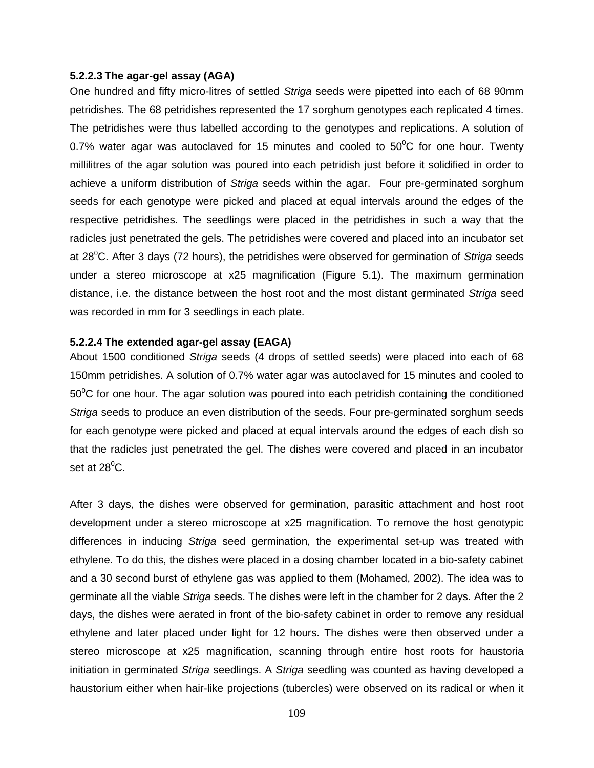#### **5.2.2.3 The agar-gel assay (AGA)**

One hundred and fifty micro-litres of settled Striga seeds were pipetted into each of 68 90mm petridishes. The 68 petridishes represented the 17 sorghum genotypes each replicated 4 times. The petridishes were thus labelled according to the genotypes and replications. A solution of 0.7% water agar was autoclaved for 15 minutes and cooled to  $50^{\circ}$ C for one hour. Twenty millilitres of the agar solution was poured into each petridish just before it solidified in order to achieve a uniform distribution of Striga seeds within the agar. Four pre-germinated sorghum seeds for each genotype were picked and placed at equal intervals around the edges of the respective petridishes. The seedlings were placed in the petridishes in such a way that the radicles just penetrated the gels. The petridishes were covered and placed into an incubator set at  $28^{\circ}$ C. After 3 days (72 hours), the petridishes were observed for germination of Striga seeds under a stereo microscope at x25 magnification (Figure 5.1). The maximum germination distance, i.e. the distance between the host root and the most distant germinated Striga seed was recorded in mm for 3 seedlings in each plate.

#### **5.2.2.4 The extended agar-gel assay (EAGA)**

About 1500 conditioned Striga seeds (4 drops of settled seeds) were placed into each of 68 150mm petridishes. A solution of 0.7% water agar was autoclaved for 15 minutes and cooled to  $50^{\circ}$ C for one hour. The agar solution was poured into each petridish containing the conditioned Striga seeds to produce an even distribution of the seeds. Four pre-germinated sorghum seeds for each genotype were picked and placed at equal intervals around the edges of each dish so that the radicles just penetrated the gel. The dishes were covered and placed in an incubator set at  $28^{\circ}$ C.

After 3 days, the dishes were observed for germination, parasitic attachment and host root development under a stereo microscope at x25 magnification. To remove the host genotypic differences in inducing Striga seed germination, the experimental set-up was treated with ethylene. To do this, the dishes were placed in a dosing chamber located in a bio-safety cabinet and a 30 second burst of ethylene gas was applied to them (Mohamed, 2002). The idea was to germinate all the viable Striga seeds. The dishes were left in the chamber for 2 days. After the 2 days, the dishes were aerated in front of the bio-safety cabinet in order to remove any residual ethylene and later placed under light for 12 hours. The dishes were then observed under a stereo microscope at x25 magnification, scanning through entire host roots for haustoria initiation in germinated Striga seedlings. A Striga seedling was counted as having developed a haustorium either when hair-like projections (tubercles) were observed on its radical or when it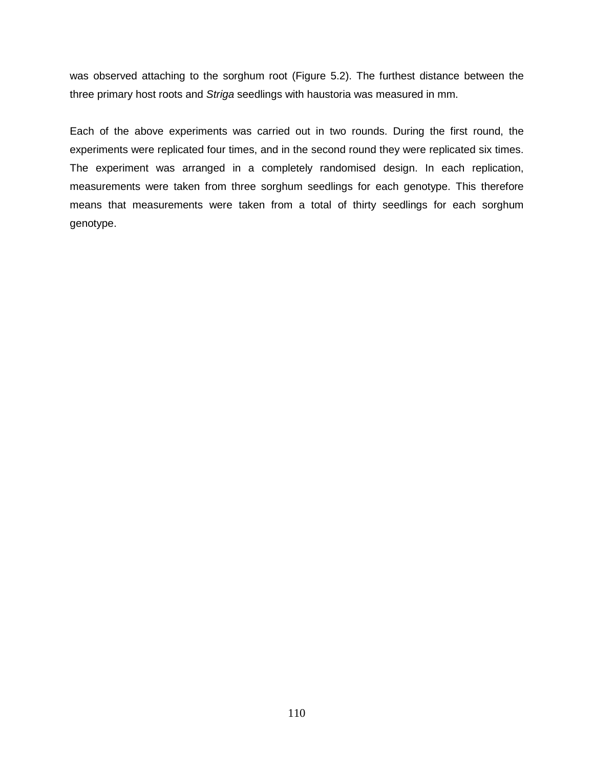was observed attaching to the sorghum root (Figure 5.2). The furthest distance between the three primary host roots and Striga seedlings with haustoria was measured in mm.

Each of the above experiments was carried out in two rounds. During the first round, the experiments were replicated four times, and in the second round they were replicated six times. The experiment was arranged in a completely randomised design. In each replication, measurements were taken from three sorghum seedlings for each genotype. This therefore means that measurements were taken from a total of thirty seedlings for each sorghum genotype.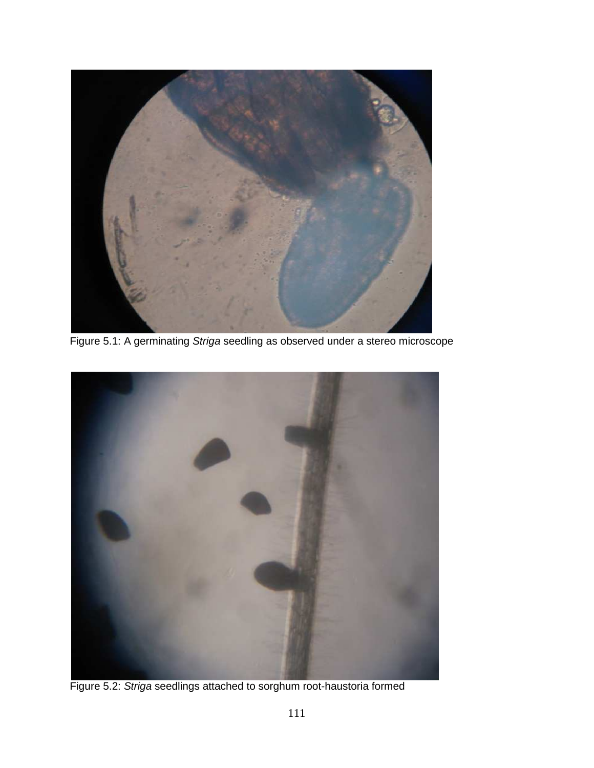

Figure 5.1: A germinating Striga seedling as observed under a stereo microscope



Figure 5.2: Striga seedlings attached to sorghum root-haustoria formed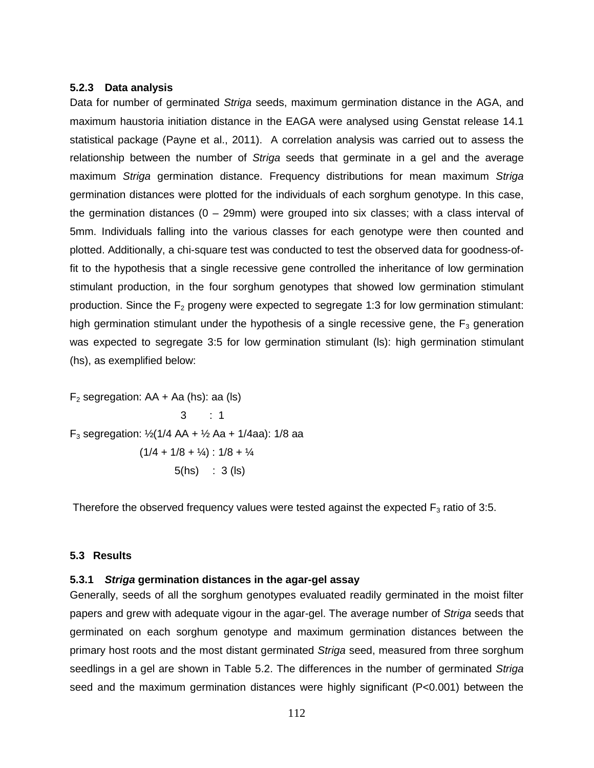#### **5.2.3 Data analysis**

Data for number of germinated Striga seeds, maximum germination distance in the AGA, and maximum haustoria initiation distance in the EAGA were analysed using Genstat release 14.1 statistical package (Payne et al., 2011). A correlation analysis was carried out to assess the relationship between the number of Striga seeds that germinate in a gel and the average maximum Striga germination distance. Frequency distributions for mean maximum Striga germination distances were plotted for the individuals of each sorghum genotype. In this case, the germination distances  $(0 - 29$ mm) were grouped into six classes; with a class interval of 5mm. Individuals falling into the various classes for each genotype were then counted and plotted. Additionally, a chi-square test was conducted to test the observed data for goodness-offit to the hypothesis that a single recessive gene controlled the inheritance of low germination stimulant production, in the four sorghum genotypes that showed low germination stimulant production. Since the  $F_2$  progeny were expected to segregate 1:3 for low germination stimulant: high germination stimulant under the hypothesis of a single recessive gene, the  $F_3$  generation was expected to segregate 3:5 for low germination stimulant (ls): high germination stimulant (hs), as exemplified below:

 $F_2$  segregation: AA + Aa (hs): aa (ls)  $3 : 1$ F<sub>3</sub> segregation:  $\frac{1}{2}$ (1/4 AA +  $\frac{1}{2}$  Aa + 1/4aa): 1/8 aa  $(1/4 + 1/8 + 1/4)$  :  $1/8 + 1/4$ 5(hs) : 3 (ls)

Therefore the observed frequency values were tested against the expected  $F_3$  ratio of 3:5.

#### **5.3 Results**

## **5.3.1 Striga germination distances in the agar-gel assay**

Generally, seeds of all the sorghum genotypes evaluated readily germinated in the moist filter papers and grew with adequate vigour in the agar-gel. The average number of Striga seeds that germinated on each sorghum genotype and maximum germination distances between the primary host roots and the most distant germinated Striga seed, measured from three sorghum seedlings in a gel are shown in Table 5.2. The differences in the number of germinated Striga seed and the maximum germination distances were highly significant (P<0.001) between the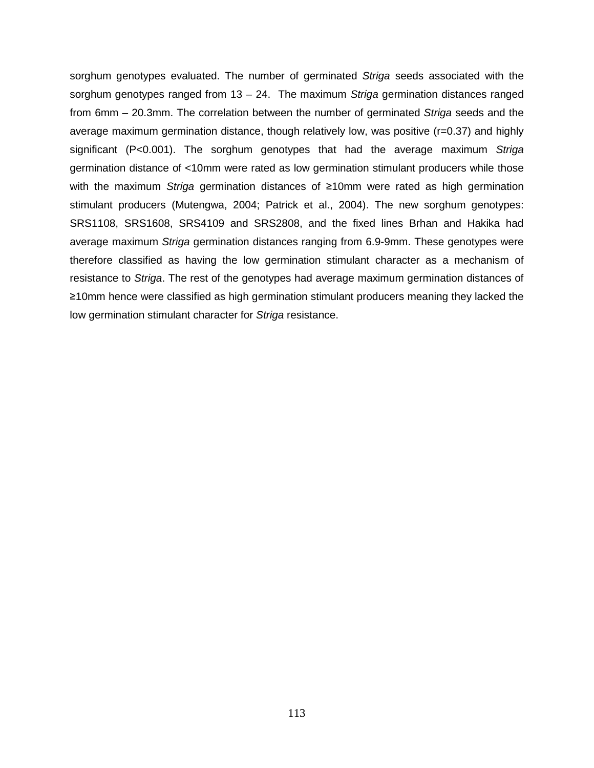sorghum genotypes evaluated. The number of germinated Striga seeds associated with the sorghum genotypes ranged from  $13 - 24$ . The maximum Striga germination distances ranged from 6mm – 20.3mm. The correlation between the number of germinated Striga seeds and the average maximum germination distance, though relatively low, was positive (r=0.37) and highly significant (P<0.001). The sorghum genotypes that had the average maximum Striga germination distance of <10mm were rated as low germination stimulant producers while those with the maximum Striga germination distances of ≥10mm were rated as high germination stimulant producers (Mutengwa, 2004; Patrick et al., 2004). The new sorghum genotypes: SRS1108, SRS1608, SRS4109 and SRS2808, and the fixed lines Brhan and Hakika had average maximum Striga germination distances ranging from 6.9-9mm. These genotypes were therefore classified as having the low germination stimulant character as a mechanism of resistance to Striga. The rest of the genotypes had average maximum germination distances of ≥10mm hence were classified as high germination stimulant producers meaning they lacked the low germination stimulant character for Striga resistance.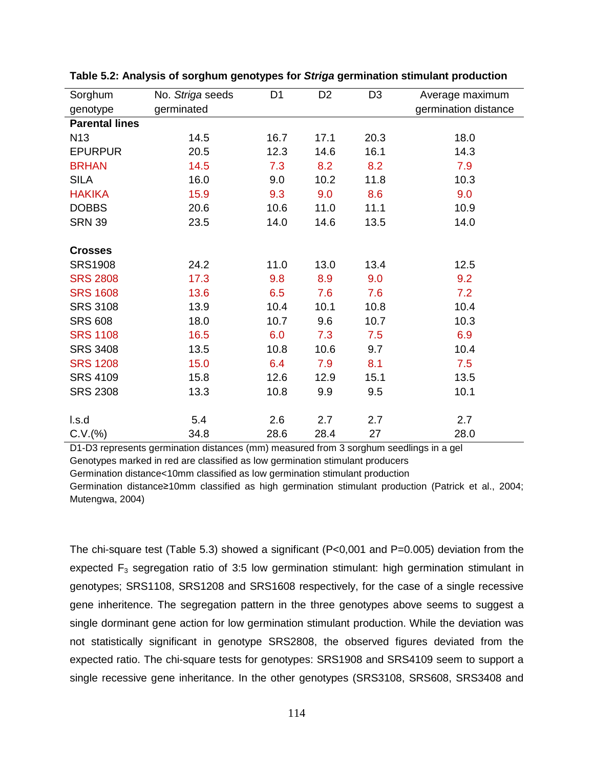| Sorghum               | No. Striga seeds | D <sub>1</sub> | D <sub>2</sub> | D <sub>3</sub> | Average maximum      |
|-----------------------|------------------|----------------|----------------|----------------|----------------------|
| genotype              | germinated       |                |                |                | germination distance |
| <b>Parental lines</b> |                  |                |                |                |                      |
| N <sub>13</sub>       | 14.5             | 16.7           | 17.1           | 20.3           | 18.0                 |
| <b>EPURPUR</b>        | 20.5             | 12.3           | 14.6           | 16.1           | 14.3                 |
| <b>BRHAN</b>          | 14.5             | 7.3            | 8.2            | 8.2            | 7.9                  |
| <b>SILA</b>           | 16.0             | 9.0            | 10.2           | 11.8           | 10.3                 |
| <b>HAKIKA</b>         | 15.9             | 9.3            | 9.0            | 8.6            | 9.0                  |
| <b>DOBBS</b>          | 20.6             | 10.6           | 11.0           | 11.1           | 10.9                 |
| <b>SRN 39</b>         | 23.5             | 14.0           | 14.6           | 13.5           | 14.0                 |
|                       |                  |                |                |                |                      |
| <b>Crosses</b>        |                  |                |                |                |                      |
| <b>SRS1908</b>        | 24.2             | 11.0           | 13.0           | 13.4           | 12.5                 |
| <b>SRS 2808</b>       | 17.3             | 9.8            | 8.9            | 9.0            | 9.2                  |
| <b>SRS 1608</b>       | 13.6             | 6.5            | 7.6            | 7.6            | 7.2                  |
| <b>SRS 3108</b>       | 13.9             | 10.4           | 10.1           | 10.8           | 10.4                 |
| <b>SRS 608</b>        | 18.0             | 10.7           | 9.6            | 10.7           | 10.3                 |
| <b>SRS 1108</b>       | 16.5             | 6.0            | 7.3            | 7.5            | 6.9                  |
| <b>SRS 3408</b>       | 13.5             | 10.8           | 10.6           | 9.7            | 10.4                 |
| <b>SRS 1208</b>       | 15.0             | 6.4            | 7.9            | 8.1            | 7.5                  |
| <b>SRS 4109</b>       | 15.8             | 12.6           | 12.9           | 15.1           | 13.5                 |
| <b>SRS 2308</b>       | 13.3             | 10.8           | 9.9            | 9.5            | 10.1                 |
|                       |                  |                |                |                |                      |
| l.s.d                 | 5.4              | 2.6            | 2.7            | 2.7            | 2.7                  |
| C.V.(%)               | 34.8             | 28.6           | 28.4           | 27             | 28.0                 |

**Table 5.2: Analysis of sorghum genotypes for Striga germination stimulant production** 

D1-D3 represents germination distances (mm) measured from 3 sorghum seedlings in a gel Genotypes marked in red are classified as low germination stimulant producers

Germination distance<10mm classified as low germination stimulant production

Germination distance≥10mm classified as high germination stimulant production (Patrick et al., 2004; Mutengwa, 2004)

The chi-square test (Table 5.3) showed a significant (P<0,001 and P=0.005) deviation from the expected  $F_3$  segregation ratio of 3:5 low germination stimulant: high germination stimulant in genotypes; SRS1108, SRS1208 and SRS1608 respectively, for the case of a single recessive gene inheritence. The segregation pattern in the three genotypes above seems to suggest a single dorminant gene action for low germination stimulant production. While the deviation was not statistically significant in genotype SRS2808, the observed figures deviated from the expected ratio. The chi-square tests for genotypes: SRS1908 and SRS4109 seem to support a single recessive gene inheritance. In the other genotypes (SRS3108, SRS608, SRS3408 and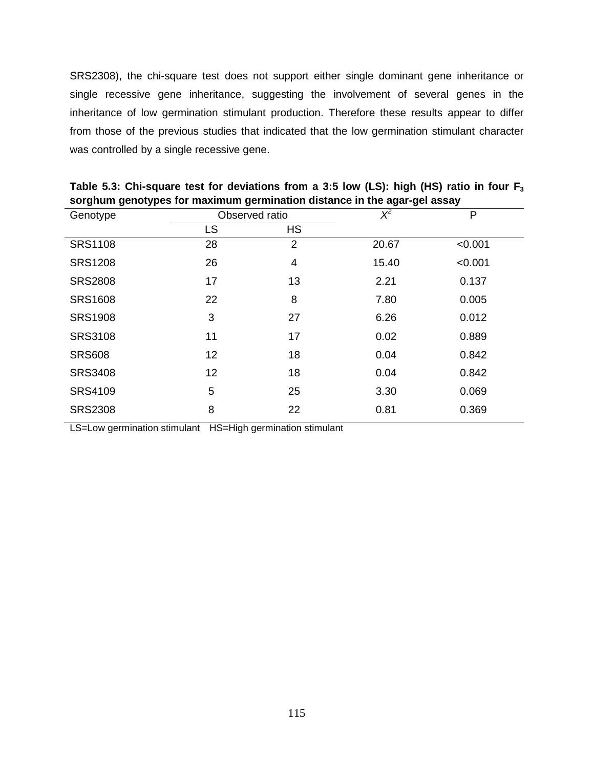SRS2308), the chi-square test does not support either single dominant gene inheritance or single recessive gene inheritance, suggesting the involvement of several genes in the inheritance of low germination stimulant production. Therefore these results appear to differ from those of the previous studies that indicated that the low germination stimulant character was controlled by a single recessive gene.

| Genotype       | Observed ratio |                | $\chi^2$ | P       |
|----------------|----------------|----------------|----------|---------|
|                | <b>LS</b>      | <b>HS</b>      |          |         |
| <b>SRS1108</b> | 28             | $\overline{2}$ | 20.67    | < 0.001 |
| <b>SRS1208</b> | 26             | 4              | 15.40    | < 0.001 |
| <b>SRS2808</b> | 17             | 13             | 2.21     | 0.137   |
| <b>SRS1608</b> | 22             | 8              | 7.80     | 0.005   |
| <b>SRS1908</b> | 3              | 27             | 6.26     | 0.012   |
| <b>SRS3108</b> | 11             | 17             | 0.02     | 0.889   |
| <b>SRS608</b>  | 12             | 18             | 0.04     | 0.842   |
| <b>SRS3408</b> | 12             | 18             | 0.04     | 0.842   |
| SRS4109        | 5              | 25             | 3.30     | 0.069   |
| <b>SRS2308</b> | 8              | 22             | 0.81     | 0.369   |

**Table 5.3: Chi-square test for deviations from a 3:5 low (LS): high (HS) ratio in four F<sup>3</sup> sorghum genotypes for maximum germination distance in the agar-gel assay** 

LS=Low germination stimulant HS=High germination stimulant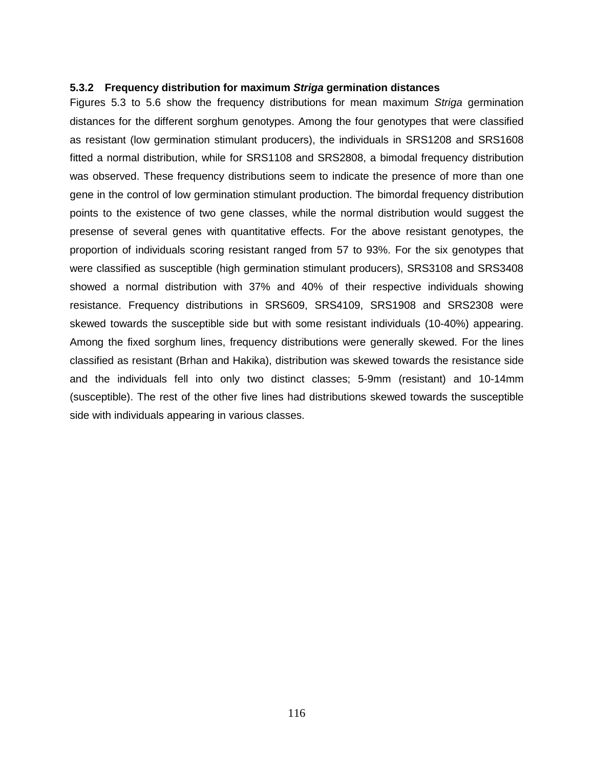## **5.3.2 Frequency distribution for maximum Striga germination distances**

Figures 5.3 to 5.6 show the frequency distributions for mean maximum Striga germination distances for the different sorghum genotypes. Among the four genotypes that were classified as resistant (low germination stimulant producers), the individuals in SRS1208 and SRS1608 fitted a normal distribution, while for SRS1108 and SRS2808, a bimodal frequency distribution was observed. These frequency distributions seem to indicate the presence of more than one gene in the control of low germination stimulant production. The bimordal frequency distribution points to the existence of two gene classes, while the normal distribution would suggest the presense of several genes with quantitative effects. For the above resistant genotypes, the proportion of individuals scoring resistant ranged from 57 to 93%. For the six genotypes that were classified as susceptible (high germination stimulant producers), SRS3108 and SRS3408 showed a normal distribution with 37% and 40% of their respective individuals showing resistance. Frequency distributions in SRS609, SRS4109, SRS1908 and SRS2308 were skewed towards the susceptible side but with some resistant individuals (10-40%) appearing. Among the fixed sorghum lines, frequency distributions were generally skewed. For the lines classified as resistant (Brhan and Hakika), distribution was skewed towards the resistance side and the individuals fell into only two distinct classes; 5-9mm (resistant) and 10-14mm (susceptible). The rest of the other five lines had distributions skewed towards the susceptible side with individuals appearing in various classes.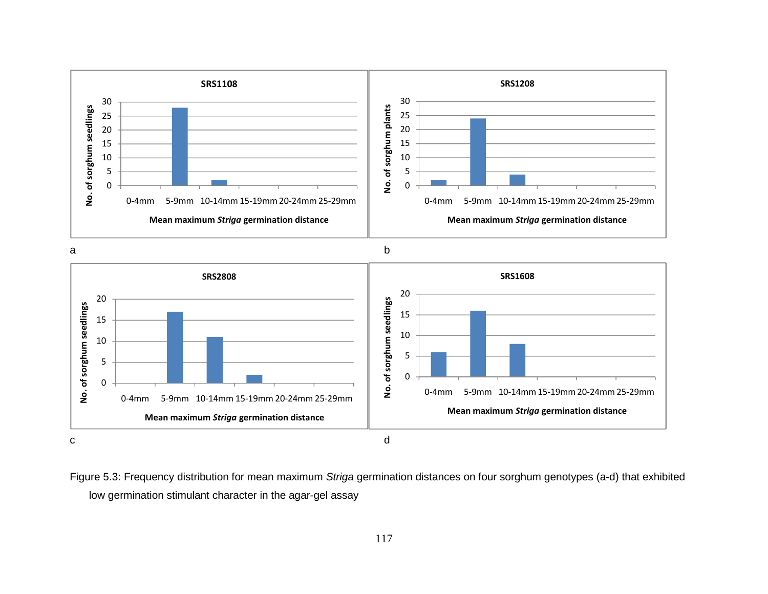

Figure 5.3: Frequency distribution for mean maximum Striga germination distances on four sorghum genotypes (a-d) that exhibited low germination stimulant character in the agar-gel assay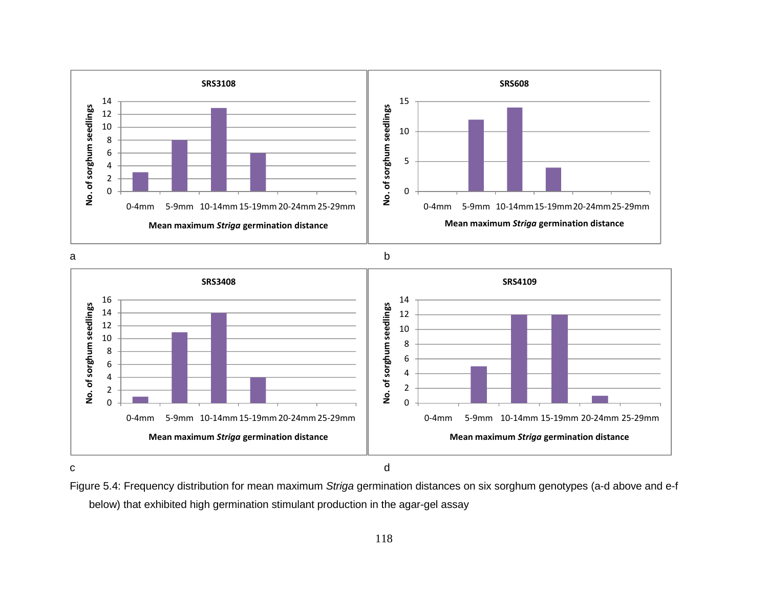

Figure 5.4: Frequency distribution for mean maximum Striga germination distances on six sorghum genotypes (a-d above and e-f below) that exhibited high germination stimulant production in the agar-gel assay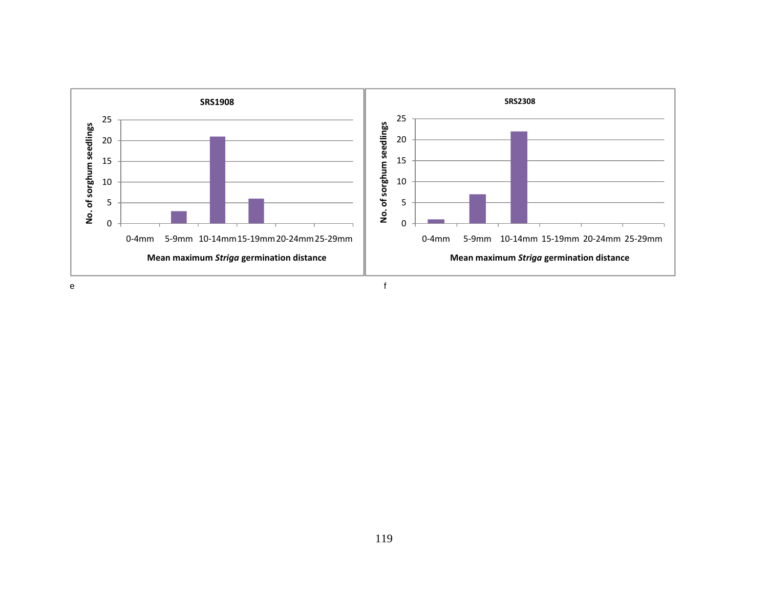

e f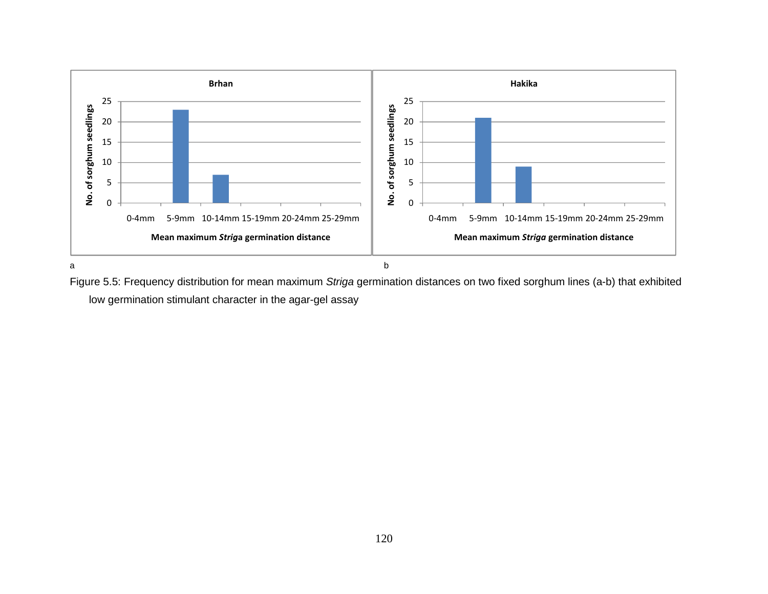

Figure 5.5: Frequency distribution for mean maximum Striga germination distances on two fixed sorghum lines (a-b) that exhibited low germination stimulant character in the agar-gel assay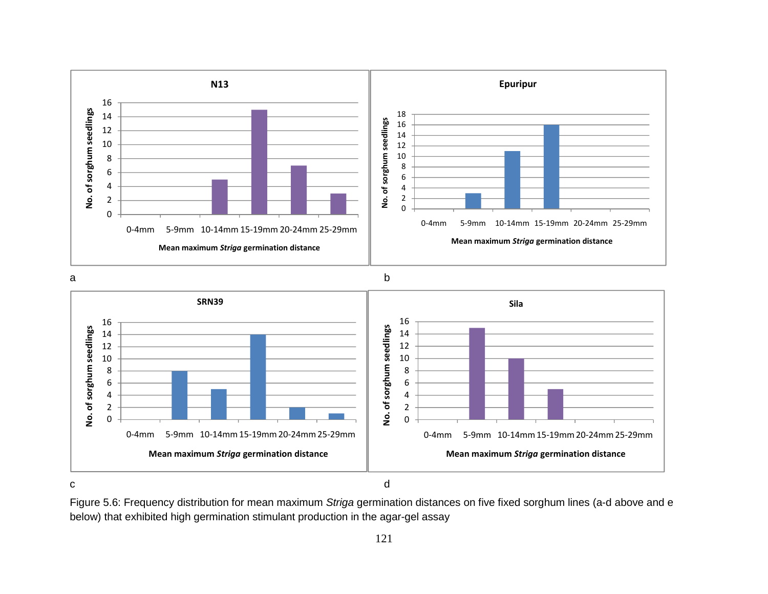





Figure 5.6: Frequency distribution for mean maximum Striga germination distances on five fixed sorghum lines (a-d above and e below) that exhibited high germination stimulant production in the agar-gel assay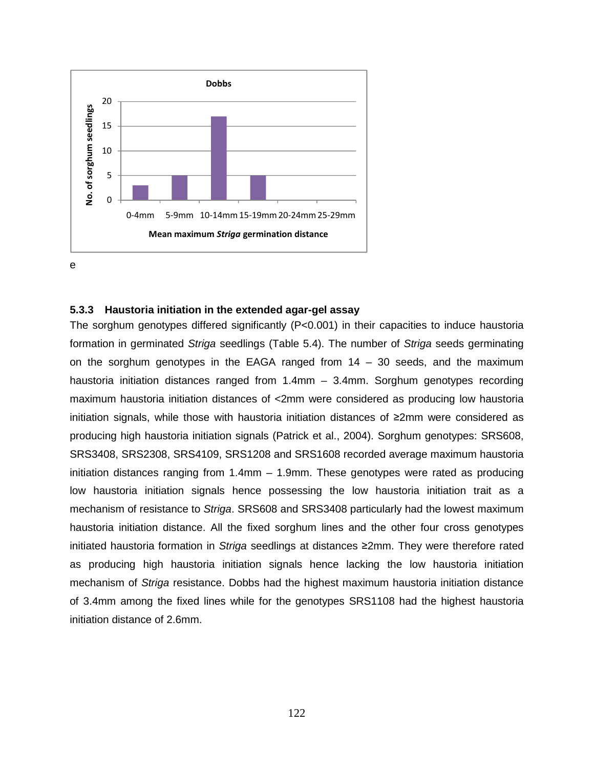

#### **5.3.3 Haustoria initiation in the extended agar-gel assay**

The sorghum genotypes differed significantly (P<0.001) in their capacities to induce haustoria formation in germinated Striga seedlings (Table 5.4). The number of Striga seeds germinating on the sorghum genotypes in the EAGA ranged from  $14 - 30$  seeds, and the maximum haustoria initiation distances ranged from 1.4mm – 3.4mm. Sorghum genotypes recording maximum haustoria initiation distances of <2mm were considered as producing low haustoria initiation signals, while those with haustoria initiation distances of ≥2mm were considered as producing high haustoria initiation signals (Patrick et al., 2004). Sorghum genotypes: SRS608, SRS3408, SRS2308, SRS4109, SRS1208 and SRS1608 recorded average maximum haustoria initiation distances ranging from 1.4mm – 1.9mm. These genotypes were rated as producing low haustoria initiation signals hence possessing the low haustoria initiation trait as a mechanism of resistance to Striga. SRS608 and SRS3408 particularly had the lowest maximum haustoria initiation distance. All the fixed sorghum lines and the other four cross genotypes initiated haustoria formation in Striga seedlings at distances ≥2mm. They were therefore rated as producing high haustoria initiation signals hence lacking the low haustoria initiation mechanism of Striga resistance. Dobbs had the highest maximum haustoria initiation distance of 3.4mm among the fixed lines while for the genotypes SRS1108 had the highest haustoria initiation distance of 2.6mm.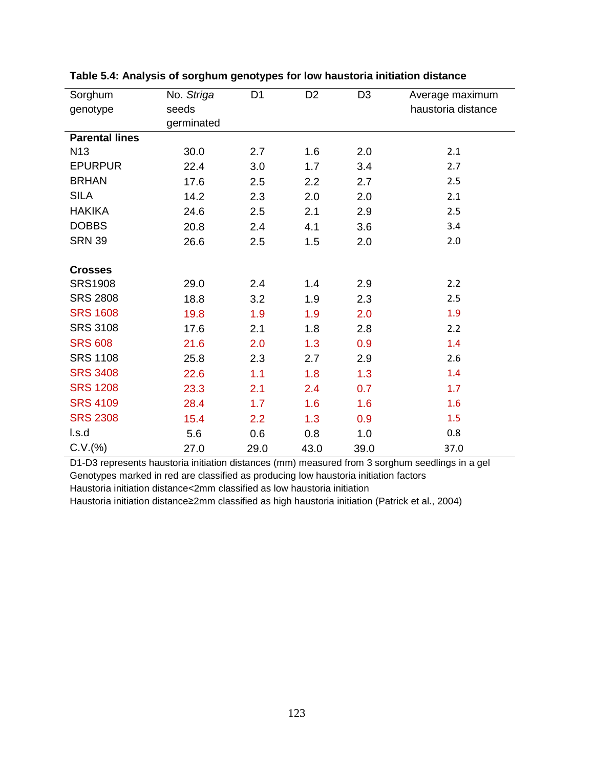| Sorghum               | No. Striga | D <sub>1</sub> | D <sub>2</sub> | D <sub>3</sub> | Average maximum    |
|-----------------------|------------|----------------|----------------|----------------|--------------------|
| genotype              | seeds      |                |                |                | haustoria distance |
|                       | germinated |                |                |                |                    |
| <b>Parental lines</b> |            |                |                |                |                    |
| N <sub>13</sub>       | 30.0       | 2.7            | 1.6            | 2.0            | 2.1                |
| <b>EPURPUR</b>        | 22.4       | 3.0            | 1.7            | 3.4            | 2.7                |
| <b>BRHAN</b>          | 17.6       | 2.5            | 2.2            | 2.7            | 2.5                |
| <b>SILA</b>           | 14.2       | 2.3            | 2.0            | 2.0            | 2.1                |
| <b>HAKIKA</b>         | 24.6       | 2.5            | 2.1            | 2.9            | 2.5                |
| <b>DOBBS</b>          | 20.8       | 2.4            | 4.1            | 3.6            | 3.4                |
| <b>SRN 39</b>         | 26.6       | 2.5            | 1.5            | 2.0            | 2.0                |
|                       |            |                |                |                |                    |
| <b>Crosses</b>        |            |                |                |                |                    |
| <b>SRS1908</b>        | 29.0       | 2.4            | 1.4            | 2.9            | 2.2                |
| <b>SRS 2808</b>       | 18.8       | 3.2            | 1.9            | 2.3            | 2.5                |
| <b>SRS 1608</b>       | 19.8       | 1.9            | 1.9            | 2.0            | 1.9                |
| <b>SRS 3108</b>       | 17.6       | 2.1            | 1.8            | 2.8            | 2.2                |
| <b>SRS 608</b>        | 21.6       | 2.0            | 1.3            | 0.9            | 1.4                |
| <b>SRS 1108</b>       | 25.8       | 2.3            | 2.7            | 2.9            | 2.6                |
| <b>SRS 3408</b>       | 22.6       | 1.1            | 1.8            | 1.3            | 1.4                |
| <b>SRS 1208</b>       | 23.3       | 2.1            | 2.4            | 0.7            | 1.7                |
| <b>SRS 4109</b>       | 28.4       | 1.7            | 1.6            | 1.6            | 1.6                |
| <b>SRS 2308</b>       | 15.4       | 2.2            | 1.3            | 0.9            | 1.5                |
| l.s.d                 | 5.6        | 0.6            | 0.8            | 1.0            | 0.8                |
| C.V.(%)               | 27.0       | 29.0           | 43.0           | 39.0           | 37.0               |

**Table 5.4: Analysis of sorghum genotypes for low haustoria initiation distance** 

D1-D3 represents haustoria initiation distances (mm) measured from 3 sorghum seedlings in a gel Genotypes marked in red are classified as producing low haustoria initiation factors Haustoria initiation distance<2mm classified as low haustoria initiation

Haustoria initiation distance≥2mm classified as high haustoria initiation (Patrick et al., 2004)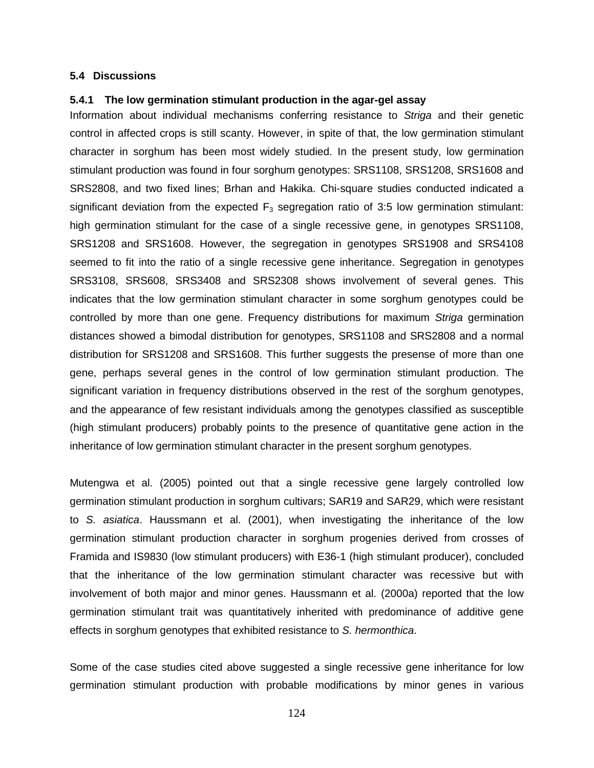#### **5.4 Discussions**

#### **5.4.1 The low germination stimulant production in the agar-gel assay**

Information about individual mechanisms conferring resistance to Striga and their genetic control in affected crops is still scanty. However, in spite of that, the low germination stimulant character in sorghum has been most widely studied. In the present study, low germination stimulant production was found in four sorghum genotypes: SRS1108, SRS1208, SRS1608 and SRS2808, and two fixed lines; Brhan and Hakika. Chi-square studies conducted indicated a significant deviation from the expected  $F_3$  segregation ratio of 3:5 low germination stimulant: high germination stimulant for the case of a single recessive gene, in genotypes SRS1108, SRS1208 and SRS1608. However, the segregation in genotypes SRS1908 and SRS4108 seemed to fit into the ratio of a single recessive gene inheritance. Segregation in genotypes SRS3108, SRS608, SRS3408 and SRS2308 shows involvement of several genes. This indicates that the low germination stimulant character in some sorghum genotypes could be controlled by more than one gene. Frequency distributions for maximum Striga germination distances showed a bimodal distribution for genotypes, SRS1108 and SRS2808 and a normal distribution for SRS1208 and SRS1608. This further suggests the presense of more than one gene, perhaps several genes in the control of low germination stimulant production. The significant variation in frequency distributions observed in the rest of the sorghum genotypes, and the appearance of few resistant individuals among the genotypes classified as susceptible (high stimulant producers) probably points to the presence of quantitative gene action in the inheritance of low germination stimulant character in the present sorghum genotypes.

Mutengwa et al. (2005) pointed out that a single recessive gene largely controlled low germination stimulant production in sorghum cultivars; SAR19 and SAR29, which were resistant to S. asiatica. Haussmann et al. (2001), when investigating the inheritance of the low germination stimulant production character in sorghum progenies derived from crosses of Framida and IS9830 (low stimulant producers) with E36-1 (high stimulant producer), concluded that the inheritance of the low germination stimulant character was recessive but with involvement of both major and minor genes. Haussmann et al. (2000a) reported that the low germination stimulant trait was quantitatively inherited with predominance of additive gene effects in sorghum genotypes that exhibited resistance to S. hermonthica.

Some of the case studies cited above suggested a single recessive gene inheritance for low germination stimulant production with probable modifications by minor genes in various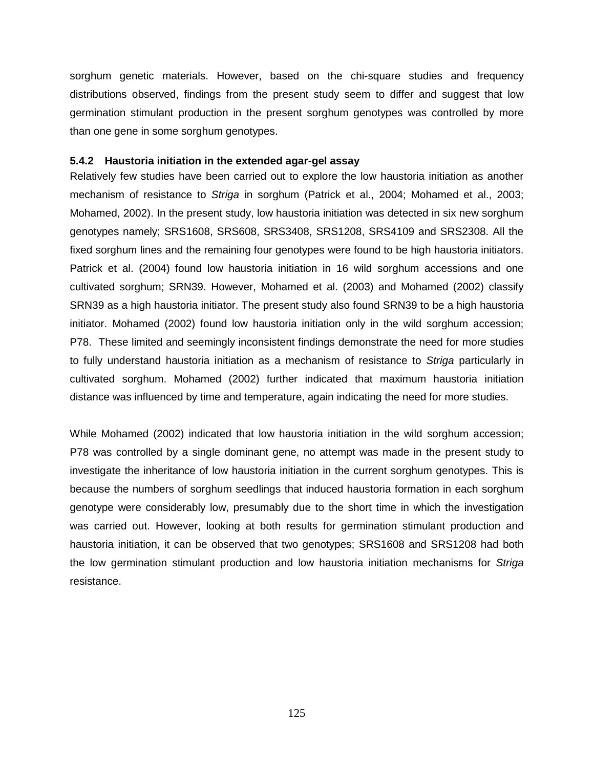sorghum genetic materials. However, based on the chi-square studies and frequency distributions observed, findings from the present study seem to differ and suggest that low germination stimulant production in the present sorghum genotypes was controlled by more than one gene in some sorghum genotypes.

# **5.4.2 Haustoria initiation in the extended agar-gel assay**

Relatively few studies have been carried out to explore the low haustoria initiation as another mechanism of resistance to Striga in sorghum (Patrick et al., 2004; Mohamed et al., 2003; Mohamed, 2002). In the present study, low haustoria initiation was detected in six new sorghum genotypes namely; SRS1608, SRS608, SRS3408, SRS1208, SRS4109 and SRS2308. All the fixed sorghum lines and the remaining four genotypes were found to be high haustoria initiators. Patrick et al. (2004) found low haustoria initiation in 16 wild sorghum accessions and one cultivated sorghum; SRN39. However, Mohamed et al. (2003) and Mohamed (2002) classify SRN39 as a high haustoria initiator. The present study also found SRN39 to be a high haustoria initiator. Mohamed (2002) found low haustoria initiation only in the wild sorghum accession; P78. These limited and seemingly inconsistent findings demonstrate the need for more studies to fully understand haustoria initiation as a mechanism of resistance to Striga particularly in cultivated sorghum. Mohamed (2002) further indicated that maximum haustoria initiation distance was influenced by time and temperature, again indicating the need for more studies.

While Mohamed (2002) indicated that low haustoria initiation in the wild sorghum accession; P78 was controlled by a single dominant gene, no attempt was made in the present study to investigate the inheritance of low haustoria initiation in the current sorghum genotypes. This is because the numbers of sorghum seedlings that induced haustoria formation in each sorghum genotype were considerably low, presumably due to the short time in which the investigation was carried out. However, looking at both results for germination stimulant production and haustoria initiation, it can be observed that two genotypes; SRS1608 and SRS1208 had both the low germination stimulant production and low haustoria initiation mechanisms for Striga resistance.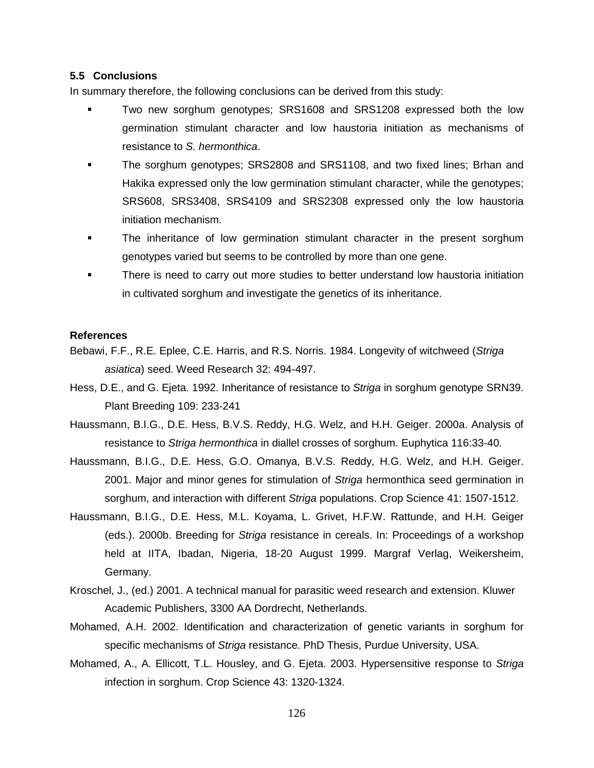#### **5.5 Conclusions**

In summary therefore, the following conclusions can be derived from this study:

- - Two new sorghum genotypes; SRS1608 and SRS1208 expressed both the low germination stimulant character and low haustoria initiation as mechanisms of resistance to S. hermonthica.
- - The sorghum genotypes; SRS2808 and SRS1108, and two fixed lines; Brhan and Hakika expressed only the low germination stimulant character, while the genotypes; SRS608, SRS3408, SRS4109 and SRS2308 expressed only the low haustoria initiation mechanism.
- - The inheritance of low germination stimulant character in the present sorghum genotypes varied but seems to be controlled by more than one gene.
- - There is need to carry out more studies to better understand low haustoria initiation in cultivated sorghum and investigate the genetics of its inheritance.

## **References**

Bebawi, F.F., R.E. Eplee, C.E. Harris, and R.S. Norris. 1984. Longevity of witchweed (Striga asiatica) seed. Weed Research 32: 494-497.

Hess, D.E., and G. Ejeta. 1992. Inheritance of resistance to Striga in sorghum genotype SRN39. Plant Breeding 109: 233-241

Haussmann, B.I.G., D.E. Hess, B.V.S. Reddy, H.G. Welz, and H.H. Geiger. 2000a. Analysis of resistance to Striga hermonthica in diallel crosses of sorghum. Euphytica 116:33-40.

- Haussmann, B.I.G., D.E. Hess, G.O. Omanya, B.V.S. Reddy, H.G. Welz, and H.H. Geiger. 2001. Major and minor genes for stimulation of Striga hermonthica seed germination in sorghum, and interaction with different Striga populations. Crop Science 41: 1507-1512.
- Haussmann, B.I.G., D.E. Hess, M.L. Koyama, L. Grivet, H.F.W. Rattunde, and H.H. Geiger (eds.). 2000b. Breeding for Striga resistance in cereals. In: Proceedings of a workshop held at IITA, Ibadan, Nigeria, 18-20 August 1999. Margraf Verlag, Weikersheim, Germany.
- Kroschel, J., (ed.) 2001. A technical manual for parasitic weed research and extension. Kluwer Academic Publishers, 3300 AA Dordrecht, Netherlands.
- Mohamed, A.H. 2002. Identification and characterization of genetic variants in sorghum for specific mechanisms of Striga resistance. PhD Thesis, Purdue University, USA.
- Mohamed, A., A. Ellicott, T.L. Housley, and G. Ejeta. 2003. Hypersensitive response to Striga infection in sorghum. Crop Science 43: 1320-1324.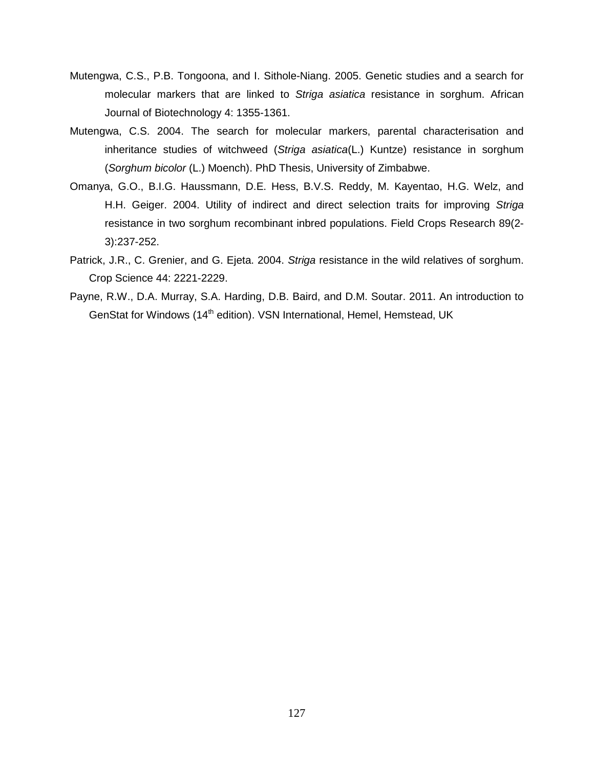- Mutengwa, C.S., P.B. Tongoona, and I. Sithole-Niang. 2005. Genetic studies and a search for molecular markers that are linked to Striga asiatica resistance in sorghum. African Journal of Biotechnology 4: 1355-1361.
- Mutengwa, C.S. 2004. The search for molecular markers, parental characterisation and inheritance studies of witchweed (Striga asiatica(L.) Kuntze) resistance in sorghum (Sorghum bicolor (L.) Moench). PhD Thesis, University of Zimbabwe.
- Omanya, G.O., B.I.G. Haussmann, D.E. Hess, B.V.S. Reddy, M. Kayentao, H.G. Welz, and H.H. Geiger. 2004. Utility of indirect and direct selection traits for improving Striga resistance in two sorghum recombinant inbred populations. Field Crops Research 89(2- 3):237-252.
- Patrick, J.R., C. Grenier, and G. Ejeta. 2004. Striga resistance in the wild relatives of sorghum. Crop Science 44: 2221-2229.
- Payne, R.W., D.A. Murray, S.A. Harding, D.B. Baird, and D.M. Soutar. 2011. An introduction to GenStat for Windows (14<sup>th</sup> edition). VSN International, Hemel, Hemstead, UK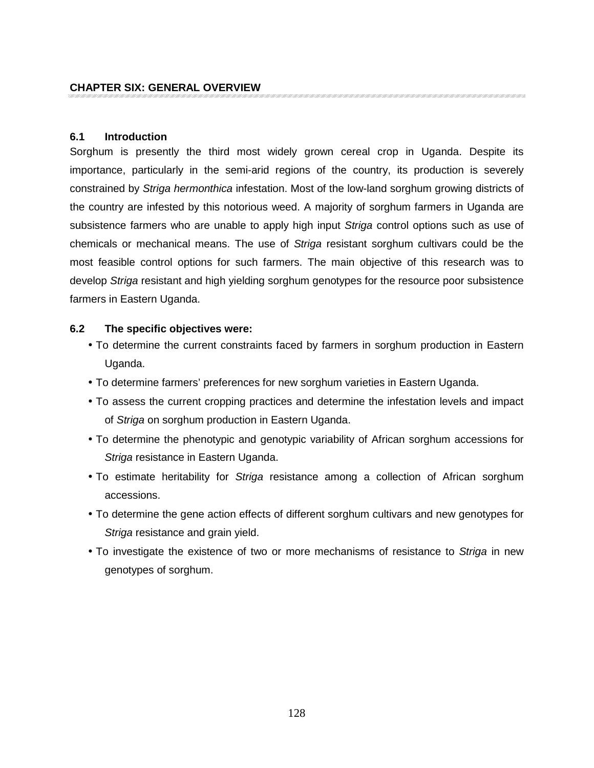# **6.1 Introduction**

Sorghum is presently the third most widely grown cereal crop in Uganda. Despite its importance, particularly in the semi-arid regions of the country, its production is severely constrained by Striga hermonthica infestation. Most of the low-land sorghum growing districts of the country are infested by this notorious weed. A majority of sorghum farmers in Uganda are subsistence farmers who are unable to apply high input Striga control options such as use of chemicals or mechanical means. The use of Striga resistant sorghum cultivars could be the most feasible control options for such farmers. The main objective of this research was to develop Striga resistant and high yielding sorghum genotypes for the resource poor subsistence farmers in Eastern Uganda.

# **6.2 The specific objectives were:**

- To determine the current constraints faced by farmers in sorghum production in Eastern Uganda.
- To determine farmers' preferences for new sorghum varieties in Eastern Uganda.
- To assess the current cropping practices and determine the infestation levels and impact of Striga on sorghum production in Eastern Uganda.
- To determine the phenotypic and genotypic variability of African sorghum accessions for Striga resistance in Eastern Uganda.
- To estimate heritability for *Striga* resistance among a collection of African sorghum accessions.
- To determine the gene action effects of different sorghum cultivars and new genotypes for Striga resistance and grain yield.
- To investigate the existence of two or more mechanisms of resistance to Striga in new genotypes of sorghum.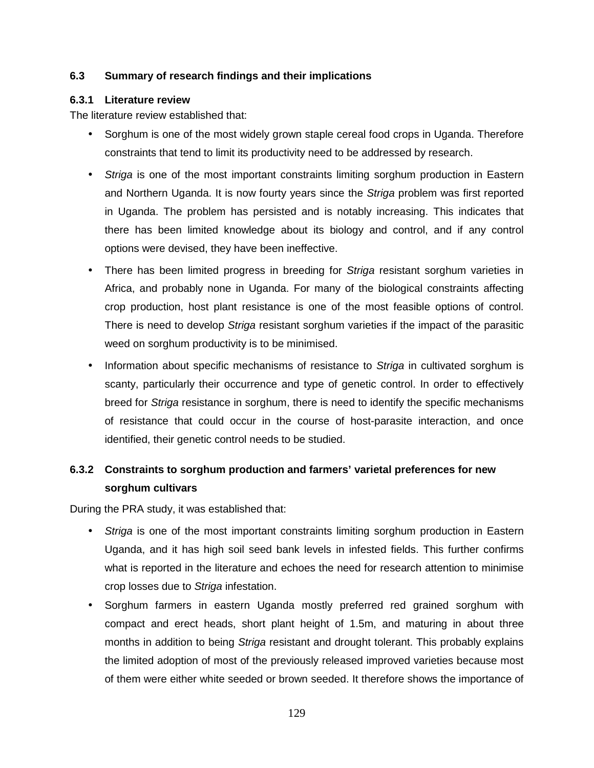# **6.3 Summary of research findings and their implications**

# **6.3.1 Literature review**

The literature review established that:

- Sorghum is one of the most widely grown staple cereal food crops in Uganda. Therefore constraints that tend to limit its productivity need to be addressed by research.
- Striga is one of the most important constraints limiting sorghum production in Eastern and Northern Uganda. It is now fourty years since the Striga problem was first reported in Uganda. The problem has persisted and is notably increasing. This indicates that there has been limited knowledge about its biology and control, and if any control options were devised, they have been ineffective.
- There has been limited progress in breeding for Striga resistant sorghum varieties in Africa, and probably none in Uganda. For many of the biological constraints affecting crop production, host plant resistance is one of the most feasible options of control. There is need to develop Striga resistant sorghum varieties if the impact of the parasitic weed on sorghum productivity is to be minimised.
- Information about specific mechanisms of resistance to Striga in cultivated sorghum is scanty, particularly their occurrence and type of genetic control. In order to effectively breed for Striga resistance in sorghum, there is need to identify the specific mechanisms of resistance that could occur in the course of host-parasite interaction, and once identified, their genetic control needs to be studied.

# **6.3.2 Constraints to sorghum production and farmers' varietal preferences for new sorghum cultivars**

During the PRA study, it was established that:

- Striga is one of the most important constraints limiting sorghum production in Eastern Uganda, and it has high soil seed bank levels in infested fields. This further confirms what is reported in the literature and echoes the need for research attention to minimise crop losses due to Striga infestation.
- Sorghum farmers in eastern Uganda mostly preferred red grained sorghum with compact and erect heads, short plant height of 1.5m, and maturing in about three months in addition to being Striga resistant and drought tolerant. This probably explains the limited adoption of most of the previously released improved varieties because most of them were either white seeded or brown seeded. It therefore shows the importance of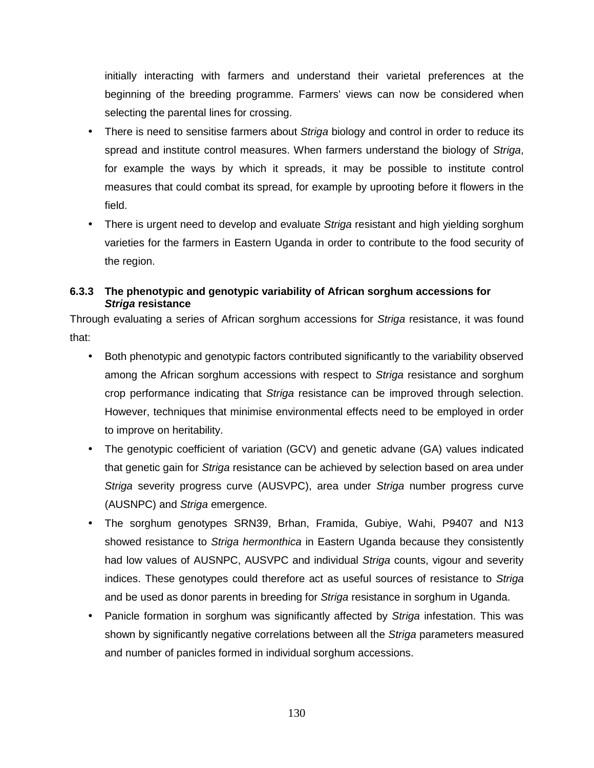initially interacting with farmers and understand their varietal preferences at the beginning of the breeding programme. Farmers' views can now be considered when selecting the parental lines for crossing.

- There is need to sensitise farmers about Striga biology and control in order to reduce its spread and institute control measures. When farmers understand the biology of Striga, for example the ways by which it spreads, it may be possible to institute control measures that could combat its spread, for example by uprooting before it flowers in the field.
- There is urgent need to develop and evaluate Striga resistant and high yielding sorghum varieties for the farmers in Eastern Uganda in order to contribute to the food security of the region.

# **6.3.3 The phenotypic and genotypic variability of African sorghum accessions for Striga resistance**

Through evaluating a series of African sorghum accessions for Striga resistance, it was found that:

- Both phenotypic and genotypic factors contributed significantly to the variability observed among the African sorghum accessions with respect to Striga resistance and sorghum crop performance indicating that Striga resistance can be improved through selection. However, techniques that minimise environmental effects need to be employed in order to improve on heritability.
- The genotypic coefficient of variation (GCV) and genetic advane (GA) values indicated that genetic gain for Striga resistance can be achieved by selection based on area under Striga severity progress curve (AUSVPC), area under Striga number progress curve (AUSNPC) and Striga emergence.
- The sorghum genotypes SRN39, Brhan, Framida, Gubiye, Wahi, P9407 and N13 showed resistance to Striga hermonthica in Eastern Uganda because they consistently had low values of AUSNPC, AUSVPC and individual Striga counts, vigour and severity indices. These genotypes could therefore act as useful sources of resistance to Striga and be used as donor parents in breeding for Striga resistance in sorghum in Uganda.
- Panicle formation in sorghum was significantly affected by Striga infestation. This was shown by significantly negative correlations between all the Striga parameters measured and number of panicles formed in individual sorghum accessions.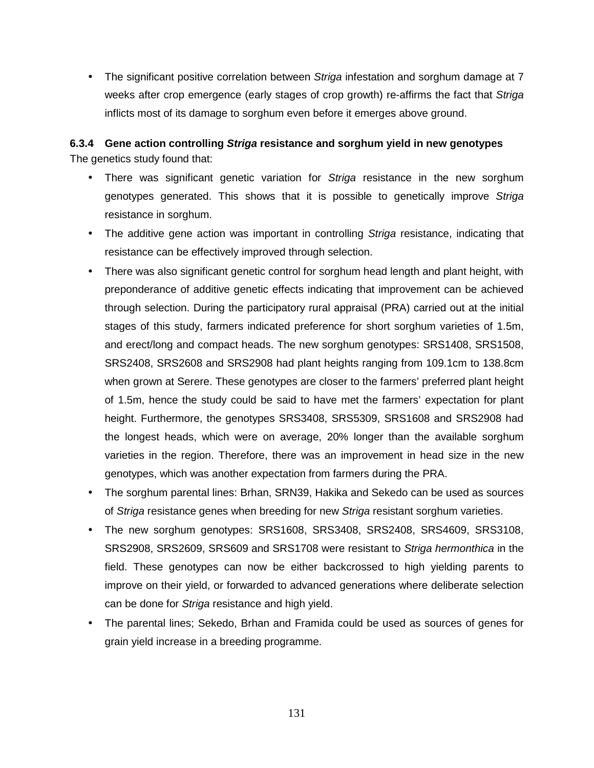• The significant positive correlation between *Striga* infestation and sorghum damage at 7 weeks after crop emergence (early stages of crop growth) re-affirms the fact that Striga inflicts most of its damage to sorghum even before it emerges above ground.

# **6.3.4 Gene action controlling Striga resistance and sorghum yield in new genotypes**  The genetics study found that:

- There was significant genetic variation for Striga resistance in the new sorghum genotypes generated. This shows that it is possible to genetically improve Striga resistance in sorghum.
- The additive gene action was important in controlling Striga resistance, indicating that resistance can be effectively improved through selection.
- There was also significant genetic control for sorghum head length and plant height, with preponderance of additive genetic effects indicating that improvement can be achieved through selection. During the participatory rural appraisal (PRA) carried out at the initial stages of this study, farmers indicated preference for short sorghum varieties of 1.5m, and erect/long and compact heads. The new sorghum genotypes: SRS1408, SRS1508, SRS2408, SRS2608 and SRS2908 had plant heights ranging from 109.1cm to 138.8cm when grown at Serere. These genotypes are closer to the farmers' preferred plant height of 1.5m, hence the study could be said to have met the farmers' expectation for plant height. Furthermore, the genotypes SRS3408, SRS5309, SRS1608 and SRS2908 had the longest heads, which were on average, 20% longer than the available sorghum varieties in the region. Therefore, there was an improvement in head size in the new genotypes, which was another expectation from farmers during the PRA.
- The sorghum parental lines: Brhan, SRN39, Hakika and Sekedo can be used as sources of Striga resistance genes when breeding for new Striga resistant sorghum varieties.
- The new sorghum genotypes: SRS1608, SRS3408, SRS2408, SRS4609, SRS3108, SRS2908, SRS2609, SRS609 and SRS1708 were resistant to Striga hermonthica in the field. These genotypes can now be either backcrossed to high yielding parents to improve on their yield, or forwarded to advanced generations where deliberate selection can be done for Striga resistance and high yield.
- The parental lines; Sekedo, Brhan and Framida could be used as sources of genes for grain yield increase in a breeding programme.